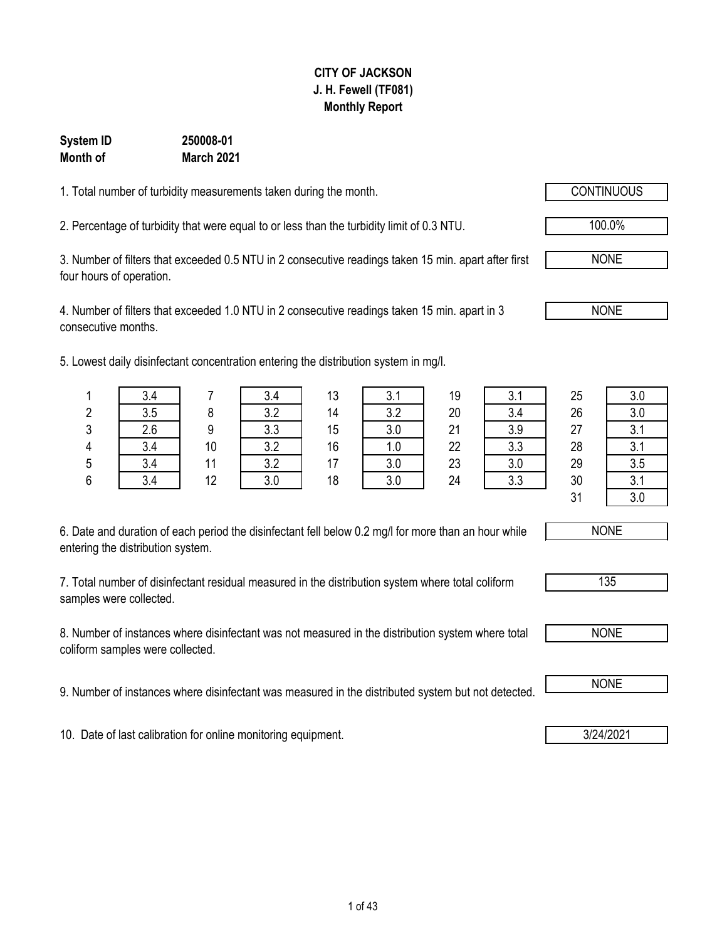### **CITY OF JACKSON J. H. Fewell (TF081) Monthly Report**

#### **March 2021 System ID 250008-01 Month of**

1. Total number of turbidity measurements taken during the month.

2. Percentage of turbidity that were equal to or less than the turbidity limit of 0.3 NTU. 100.0%

3. Number of filters that exceeded 0.5 NTU in 2 consecutive readings taken 15 min. apart after first four hours of operation.

4. Number of filters that exceeded 1.0 NTU in 2 consecutive readings taken 15 min. apart in 3 consecutive months.

5. Lowest daily disinfectant concentration entering the distribution system in mg/l.

| 6. Date and duration of each period the disinfectant fell below 0.2 mg/l for more than an hour while |
|------------------------------------------------------------------------------------------------------|
| entering the distribution system.                                                                    |

7. Total number of disinfectant residual measured in the distribution system where total coliform samples were collected.

8. Number of instances where disinfectant was not measured in the distribution system where total coliform samples were collected.

9. Number of instances where disinfectant was measured in the distributed system but not detected. **I** NONE

10. Date of last calibration for online monitoring equipment. **3/24/2021** 3/24/2021

1 | 3.4 | 7 | 3.4 | 13 | 3.1 | 19 | 3.1 | 25 | 3.0 31 3.0

NONE

NONE

NONE





2 | 3.5 | 8 | 3.2 | 14 | 3.2 | 20 | 3.4 | 26 | 3.0 3 2.6 9 3.3 15 3.0 21 3.9 27 3.1 4 | 3.4 | 10 | 3.2 | 16 | 1.0 | 22 | 3.3 | 28 | 3.1 5 | 3.4 | 11 | 3.2 | 17 | 3.0 | 23 | 3.0 | 29 | 3.5 6 | 3.4 | 12 | 3.0 | 18 | 3.0 | 24 | 3.3 | 30 | 3.1

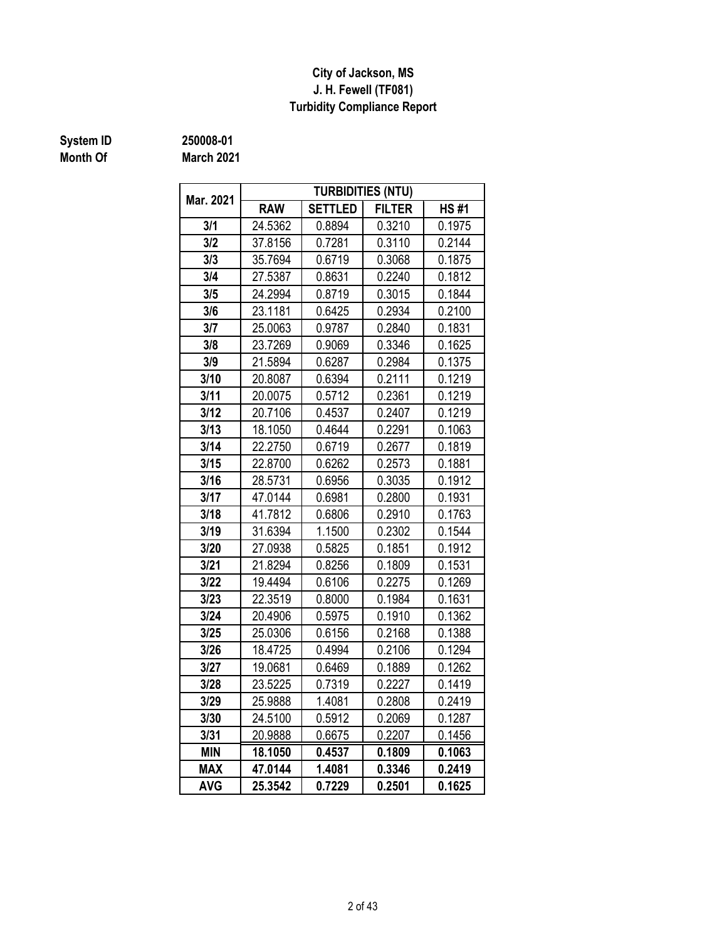### **J. H. Fewell (TF081) Turbidity Compliance Report City of Jackson, MS**

## **Month Of**

**System ID 250008-01**

**March 2021**

| Mar. 2021  |            |                | <b>TURBIDITIES (NTU)</b> |             |
|------------|------------|----------------|--------------------------|-------------|
|            | <b>RAW</b> | <b>SETTLED</b> | <b>FILTER</b>            | <b>HS#1</b> |
| 3/1        | 24.5362    | 0.8894         | 0.3210                   | 0.1975      |
| 3/2        | 37.8156    | 0.7281         | 0.3110                   | 0.2144      |
| 3/3        | 35.7694    | 0.6719         | 0.3068                   | 0.1875      |
| 3/4        | 27.5387    | 0.8631         | 0.2240                   | 0.1812      |
| 3/5        | 24.2994    | 0.8719         | 0.3015                   | 0.1844      |
| 3/6        | 23.1181    | 0.6425         | 0.2934                   | 0.2100      |
| 3/7        | 25.0063    | 0.9787         | 0.2840                   | 0.1831      |
| 3/8        | 23.7269    | 0.9069         | 0.3346                   | 0.1625      |
| 3/9        | 21.5894    | 0.6287         | 0.2984                   | 0.1375      |
| 3/10       | 20.8087    | 0.6394         | 0.2111                   | 0.1219      |
| 3/11       | 20.0075    | 0.5712         | 0.2361                   | 0.1219      |
| 3/12       | 20.7106    | 0.4537         | 0.2407                   | 0.1219      |
| 3/13       | 18.1050    | 0.4644         | 0.2291                   | 0.1063      |
| 3/14       | 22.2750    | 0.6719         | 0.2677                   | 0.1819      |
| 3/15       | 22.8700    | 0.6262         | 0.2573                   | 0.1881      |
| 3/16       | 28.5731    | 0.6956         | 0.3035                   | 0.1912      |
| 3/17       | 47.0144    | 0.6981         | 0.2800                   | 0.1931      |
| 3/18       | 41.7812    | 0.6806         | 0.2910                   | 0.1763      |
| 3/19       | 31.6394    | 1.1500         | 0.2302                   | 0.1544      |
| 3/20       | 27.0938    | 0.5825         | 0.1851                   | 0.1912      |
| 3/21       | 21.8294    | 0.8256         | 0.1809                   | 0.1531      |
| 3/22       | 19.4494    | 0.6106         | 0.2275                   | 0.1269      |
| 3/23       | 22.3519    | 0.8000         | 0.1984                   | 0.1631      |
| 3/24       | 20.4906    | 0.5975         | 0.1910                   | 0.1362      |
| 3/25       | 25.0306    | 0.6156         | 0.2168                   | 0.1388      |
| 3/26       | 18.4725    | 0.4994         | 0.2106                   | 0.1294      |
| 3/27       | 19.0681    | 0.6469         | 0.1889                   | 0.1262      |
| 3/28       | 23.5225    | 0.7319         | 0.2227                   | 0.1419      |
| 3/29       | 25.9888    | 1.4081         | 0.2808                   | 0.2419      |
| 3/30       | 24.5100    | 0.5912         | 0.2069                   | 0.1287      |
| 3/31       | 20.9888    | 0.6675         | 0.2207                   | 0.1456      |
| <b>MIN</b> | 18.1050    | 0.4537         | 0.1809                   | 0.1063      |
| <b>MAX</b> | 47.0144    | 1.4081         | 0.3346                   | 0.2419      |
| <b>AVG</b> | 25.3542    | 0.7229         | 0.2501                   | 0.1625      |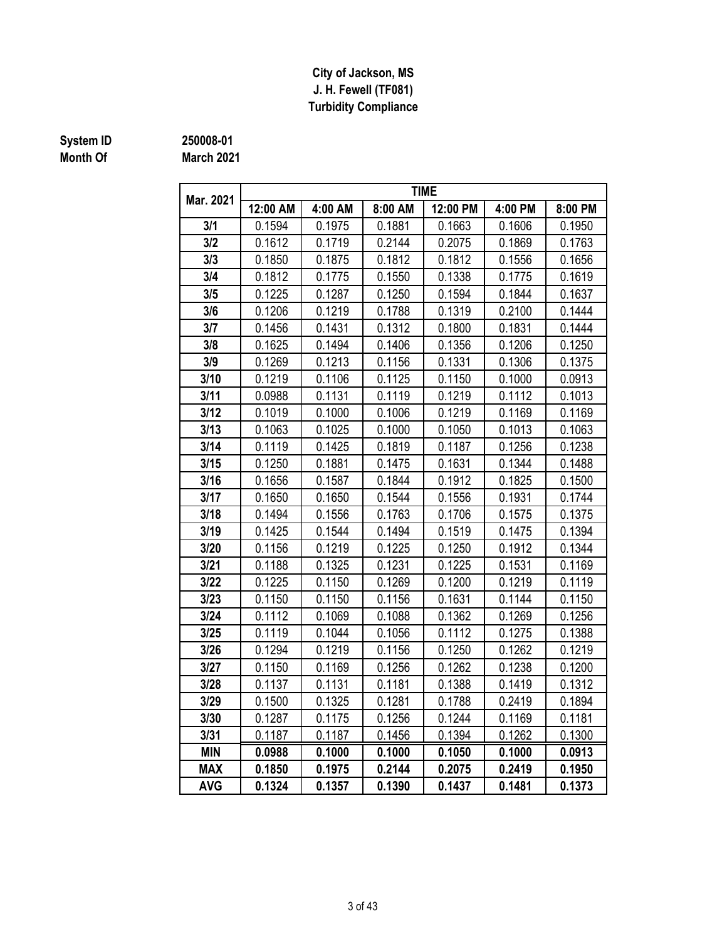### **J. H. Fewell (TF081) Turbidity Compliance City of Jackson, MS**

## **Month Of**

### **System ID 250008-01**

**March 2021**

|            | <b>TIME</b> |         |         |          |         |         |  |  |  |  |  |  |
|------------|-------------|---------|---------|----------|---------|---------|--|--|--|--|--|--|
| Mar. 2021  | 12:00 AM    | 4:00 AM | 8:00 AM | 12:00 PM | 4:00 PM | 8:00 PM |  |  |  |  |  |  |
| 3/1        | 0.1594      | 0.1975  | 0.1881  | 0.1663   | 0.1606  | 0.1950  |  |  |  |  |  |  |
| 3/2        | 0.1612      | 0.1719  | 0.2144  | 0.2075   | 0.1869  | 0.1763  |  |  |  |  |  |  |
| 3/3        | 0.1850      | 0.1875  | 0.1812  | 0.1812   | 0.1556  | 0.1656  |  |  |  |  |  |  |
| 3/4        | 0.1812      | 0.1775  | 0.1550  | 0.1338   | 0.1775  | 0.1619  |  |  |  |  |  |  |
| 3/5        | 0.1225      | 0.1287  | 0.1250  | 0.1594   | 0.1844  | 0.1637  |  |  |  |  |  |  |
| 3/6        | 0.1206      | 0.1219  | 0.1788  | 0.1319   | 0.2100  | 0.1444  |  |  |  |  |  |  |
| 3/7        | 0.1456      | 0.1431  | 0.1312  | 0.1800   | 0.1831  | 0.1444  |  |  |  |  |  |  |
| 3/8        | 0.1625      | 0.1494  | 0.1406  | 0.1356   | 0.1206  | 0.1250  |  |  |  |  |  |  |
| 3/9        | 0.1269      | 0.1213  | 0.1156  | 0.1331   | 0.1306  | 0.1375  |  |  |  |  |  |  |
| 3/10       | 0.1219      | 0.1106  | 0.1125  | 0.1150   | 0.1000  | 0.0913  |  |  |  |  |  |  |
| 3/11       | 0.0988      | 0.1131  | 0.1119  | 0.1219   | 0.1112  | 0.1013  |  |  |  |  |  |  |
| 3/12       | 0.1019      | 0.1000  | 0.1006  | 0.1219   | 0.1169  | 0.1169  |  |  |  |  |  |  |
| 3/13       | 0.1063      | 0.1025  | 0.1000  | 0.1050   | 0.1013  | 0.1063  |  |  |  |  |  |  |
| 3/14       | 0.1119      | 0.1425  | 0.1819  | 0.1187   | 0.1256  | 0.1238  |  |  |  |  |  |  |
| 3/15       | 0.1250      | 0.1881  | 0.1475  | 0.1631   | 0.1344  | 0.1488  |  |  |  |  |  |  |
| 3/16       | 0.1656      | 0.1587  | 0.1844  | 0.1912   | 0.1825  | 0.1500  |  |  |  |  |  |  |
| 3/17       | 0.1650      | 0.1650  | 0.1544  | 0.1556   | 0.1931  | 0.1744  |  |  |  |  |  |  |
| 3/18       | 0.1494      | 0.1556  | 0.1763  | 0.1706   | 0.1575  | 0.1375  |  |  |  |  |  |  |
| 3/19       | 0.1425      | 0.1544  | 0.1494  | 0.1519   | 0.1475  | 0.1394  |  |  |  |  |  |  |
| 3/20       | 0.1156      | 0.1219  | 0.1225  | 0.1250   | 0.1912  | 0.1344  |  |  |  |  |  |  |
| 3/21       | 0.1188      | 0.1325  | 0.1231  | 0.1225   | 0.1531  | 0.1169  |  |  |  |  |  |  |
| 3/22       | 0.1225      | 0.1150  | 0.1269  | 0.1200   | 0.1219  | 0.1119  |  |  |  |  |  |  |
| 3/23       | 0.1150      | 0.1150  | 0.1156  | 0.1631   | 0.1144  | 0.1150  |  |  |  |  |  |  |
| 3/24       | 0.1112      | 0.1069  | 0.1088  | 0.1362   | 0.1269  | 0.1256  |  |  |  |  |  |  |
| 3/25       | 0.1119      | 0.1044  | 0.1056  | 0.1112   | 0.1275  | 0.1388  |  |  |  |  |  |  |
| 3/26       | 0.1294      | 0.1219  | 0.1156  | 0.1250   | 0.1262  | 0.1219  |  |  |  |  |  |  |
| 3/27       | 0.1150      | 0.1169  | 0.1256  | 0.1262   | 0.1238  | 0.1200  |  |  |  |  |  |  |
| 3/28       | 0.1137      | 0.1131  | 0.1181  | 0.1388   | 0.1419  | 0.1312  |  |  |  |  |  |  |
| 3/29       | 0.1500      | 0.1325  | 0.1281  | 0.1788   | 0.2419  | 0.1894  |  |  |  |  |  |  |
| 3/30       | 0.1287      | 0.1175  | 0.1256  | 0.1244   | 0.1169  | 0.1181  |  |  |  |  |  |  |
| 3/31       | 0.1187      | 0.1187  | 0.1456  | 0.1394   | 0.1262  | 0.1300  |  |  |  |  |  |  |
| <b>MIN</b> | 0.0988      | 0.1000  | 0.1000  | 0.1050   | 0.1000  | 0.0913  |  |  |  |  |  |  |
| <b>MAX</b> | 0.1850      | 0.1975  | 0.2144  | 0.2075   | 0.2419  | 0.1950  |  |  |  |  |  |  |
| <b>AVG</b> | 0.1324      | 0.1357  | 0.1390  | 0.1437   | 0.1481  | 0.1373  |  |  |  |  |  |  |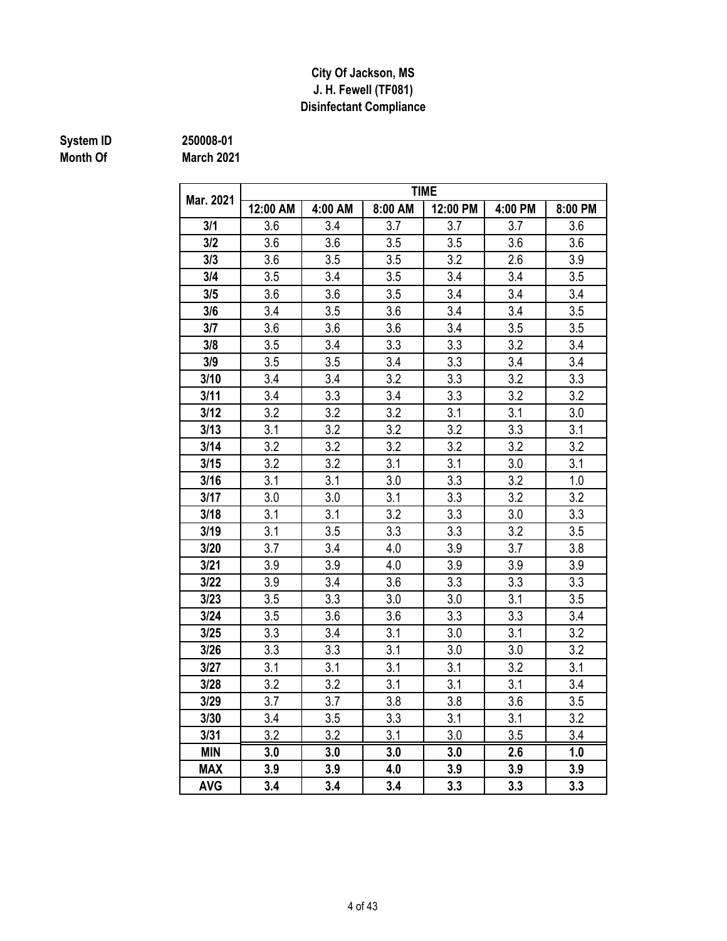### **Disinfectant Compliance City Of Jackson, MS J. H. Fewell (TF081)**

# **Month Of**

**March 2021 System ID 250008-01**

|            | <b>TIME</b><br>12:00 AM<br>4:00 PM |         |         |          |     |         |  |  |  |  |  |  |  |
|------------|------------------------------------|---------|---------|----------|-----|---------|--|--|--|--|--|--|--|
| Mar. 2021  |                                    | 4:00 AM | 8:00 AM | 12:00 PM |     | 8:00 PM |  |  |  |  |  |  |  |
| 3/1        | 3.6                                | 3.4     | 3.7     | 3.7      | 3.7 | 3.6     |  |  |  |  |  |  |  |
| 3/2        | 3.6                                | 3.6     | 3.5     | 3.5      | 3.6 | 3.6     |  |  |  |  |  |  |  |
| 3/3        | 3.6                                | 3.5     | 3.5     | 3.2      | 2.6 | 3.9     |  |  |  |  |  |  |  |
| 3/4        | 3.5                                | 3.4     | 3.5     | 3.4      | 3.4 | 3.5     |  |  |  |  |  |  |  |
| 3/5        | 3.6                                | 3.6     | 3.5     | 3.4      | 3.4 | 3.4     |  |  |  |  |  |  |  |
| 3/6        | 3.4                                | 3.5     | 3.6     | 3.4      | 3.4 | 3.5     |  |  |  |  |  |  |  |
| 3/7        | 3.6                                | 3.6     | 3.6     | 3.4      | 3.5 | 3.5     |  |  |  |  |  |  |  |
| 3/8        | 3.5                                | 3.4     | 3.3     | 3.3      | 3.2 | 3.4     |  |  |  |  |  |  |  |
| 3/9        | 3.5                                | 3.5     | 3.4     | 3.3      | 3.4 | 3.4     |  |  |  |  |  |  |  |
| 3/10       | 3.4                                | 3.4     | 3.2     | 3.3      | 3.2 | 3.3     |  |  |  |  |  |  |  |
| 3/11       | 3.4                                | 3.3     | 3.4     | 3.3      | 3.2 | 3.2     |  |  |  |  |  |  |  |
| 3/12       | 3.2                                | 3.2     | 3.2     | 3.1      | 3.1 | 3.0     |  |  |  |  |  |  |  |
| 3/13       | 3.1                                | 3.2     | 3.2     | 3.2      | 3.3 | 3.1     |  |  |  |  |  |  |  |
| 3/14       | 3.2                                | 3.2     | 3.2     | 3.2      | 3.2 | 3.2     |  |  |  |  |  |  |  |
| 3/15       | 3.2                                | 3.2     | 3.1     | 3.1      | 3.0 | 3.1     |  |  |  |  |  |  |  |
| 3/16       | 3.1                                | 3.1     | 3.0     | 3.3      | 3.2 | 1.0     |  |  |  |  |  |  |  |
| 3/17       | 3.0                                | 3.0     | 3.1     | 3.3      | 3.2 | 3.2     |  |  |  |  |  |  |  |
| 3/18       | 3.1                                | 3.1     | 3.2     | 3.3      | 3.0 | 3.3     |  |  |  |  |  |  |  |
| 3/19       | 3.1                                | 3.5     | 3.3     | 3.3      | 3.2 | 3.5     |  |  |  |  |  |  |  |
| 3/20       | 3.7                                | 3.4     | 4.0     | 3.9      | 3.7 | 3.8     |  |  |  |  |  |  |  |
| 3/21       | 3.9                                | 3.9     | 4.0     | 3.9      | 3.9 | 3.9     |  |  |  |  |  |  |  |
| 3/22       | 3.9                                | 3.4     | 3.6     | 3.3      | 3.3 | 3.3     |  |  |  |  |  |  |  |
| 3/23       | 3.5                                | 3.3     | 3.0     | 3.0      | 3.1 | 3.5     |  |  |  |  |  |  |  |
| 3/24       | 3.5                                | 3.6     | 3.6     | 3.3      | 3.3 | 3.4     |  |  |  |  |  |  |  |
| 3/25       | 3.3                                | 3.4     | 3.1     | 3.0      | 3.1 | 3.2     |  |  |  |  |  |  |  |
| 3/26       | 3.3                                | 3.3     | 3.1     | 3.0      | 3.0 | 3.2     |  |  |  |  |  |  |  |
| 3/27       | 3.1                                | 3.1     | 3.1     | 3.1      | 3.2 | 3.1     |  |  |  |  |  |  |  |
| 3/28       | 3.2                                | 3.2     | 3.1     | 3.1      | 3.1 | 3.4     |  |  |  |  |  |  |  |
| 3/29       | 3.7                                | 3.7     | 3.8     | 3.8      | 3.6 | 3.5     |  |  |  |  |  |  |  |
| 3/30       | 3.4                                | 3.5     | 3.3     | 3.1      | 3.1 | 3.2     |  |  |  |  |  |  |  |
| 3/31       | 3.2                                | 3.2     | 3.1     | 3.0      | 3.5 | 3.4     |  |  |  |  |  |  |  |
| MIN        | 3.0                                | 3.0     | 3.0     | 3.0      | 2.6 | 1.0     |  |  |  |  |  |  |  |
| <b>MAX</b> | 3.9                                | 3.9     | 4.0     | 3.9      | 3.9 | 3.9     |  |  |  |  |  |  |  |
| <b>AVG</b> | 3.4                                | 3.4     | 3.4     | 3.3      | 3.3 | 3.3     |  |  |  |  |  |  |  |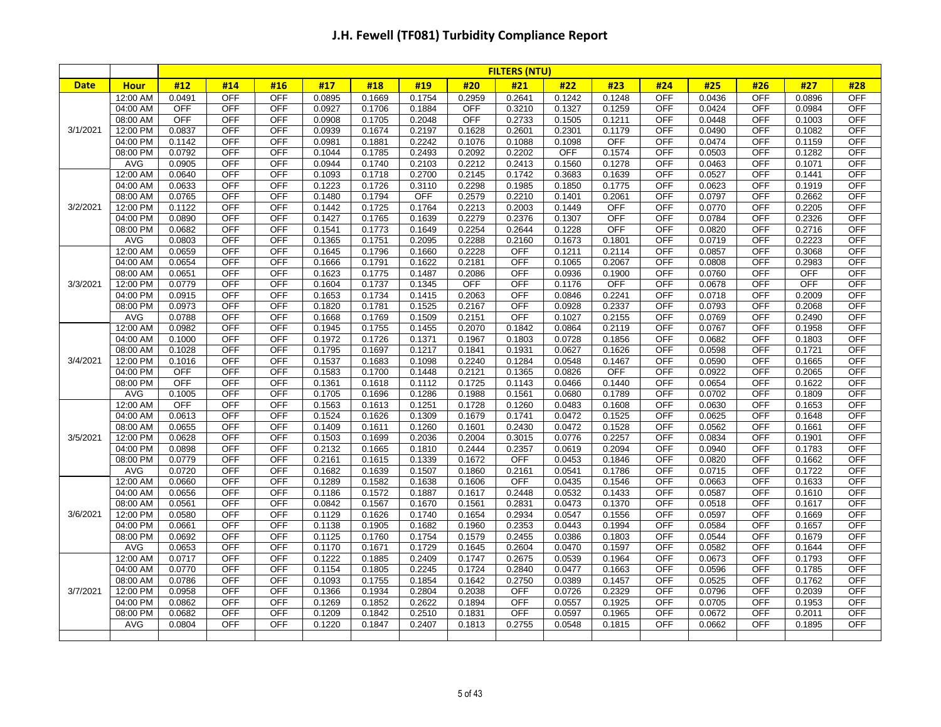|             |                      |                  |                          |                   |                  |                  |                  |                  | <b>FILTERS (NTU)</b> |                  |                  |                          |                  |                          |                  |                          |
|-------------|----------------------|------------------|--------------------------|-------------------|------------------|------------------|------------------|------------------|----------------------|------------------|------------------|--------------------------|------------------|--------------------------|------------------|--------------------------|
| <b>Date</b> | <b>Hour</b>          | #12              | #14                      | #16               | #17              | #18              | #19              | #20              | #21                  | #22              | #23              | #24                      | #25              | #26                      | #27              | #28                      |
|             | 12:00 AM             | 0.0491           | <b>OFF</b>               | <b>OFF</b>        | 0.0895           | 0.1669           | 0.1754           | 0.2959           | 0.2641               | 0.1242           | 0.1248           | <b>OFF</b>               | 0.0436           | <b>OFF</b>               | 0.0896           | <b>OFF</b>               |
|             | 04:00 AM             | <b>OFF</b>       | <b>OFF</b>               | <b>OFF</b>        | 0.0927           | 0.1706           | 0.1884           | <b>OFF</b>       | 0.3210               | 0.1327           | 0.1259           | <b>OFF</b>               | 0.0424           | <b>OFF</b>               | 0.0984           | <b>OFF</b>               |
|             | 08:00 AM             | <b>OFF</b>       | <b>OFF</b>               | <b>OFF</b>        | 0.0908           | 0.1705           | 0.2048           | <b>OFF</b>       | 0.2733               | 0.1505           | 0.1211           | <b>OFF</b>               | 0.0448           | <b>OFF</b>               | 0.1003           | <b>OFF</b>               |
| 3/1/2021    | 12:00 PM             | 0.0837           | <b>OFF</b>               | <b>OFF</b>        | 0.0939           | 0.1674           | 0.2197           | 0.1628           | 0.2601               | 0.2301           | 0.1179           | <b>OFF</b>               | 0.0490           | <b>OFF</b>               | 0.1082           | <b>OFF</b>               |
|             | 04:00 PM             | 0.1142           | <b>OFF</b>               | <b>OFF</b>        | 0.0981           | 0.1881           | 0.2242           | 0.1076           | 0.1088               | 0.1098           | <b>OFF</b>       | <b>OFF</b>               | 0.0474           | <b>OFF</b>               | 0.1159           | <b>OFF</b>               |
|             | 08:00 PM             | 0.0792           | <b>OFF</b>               | <b>OFF</b>        | 0.1044           | 0.1785           | 0.2493           | 0.2092           | 0.2202               | <b>OFF</b>       | 0.1574           | <b>OFF</b>               | 0.0503           | <b>OFF</b>               | 0.1282           | <b>OFF</b>               |
|             | <b>AVG</b>           | 0.0905           | <b>OFF</b>               | <b>OFF</b>        | 0.0944           | 0.1740           | 0.2103           | 0.2212           | 0.2413               | 0.1560           | 0.1278           | <b>OFF</b>               | 0.0463           | <b>OFF</b>               | 0.1071           | <b>OFF</b>               |
|             | 12:00 AM             | 0.0640           | <b>OFF</b>               | <b>OFF</b>        | 0.1093           | 0.1718           | 0.2700           | 0.2145           | 0.1742               | 0.3683           | 0.1639           | <b>OFF</b>               | 0.0527           | <b>OFF</b>               | 0.1441           | <b>OFF</b>               |
|             | 04:00 AM             | 0.0633           | OFF                      | <b>OFF</b>        | 0.1223           | 0.1726           | 0.3110           | 0.2298           | 0.1985               | 0.1850           | 0.1775           | <b>OFF</b>               | 0.0623           | <b>OFF</b>               | 0.1919           | <b>OFF</b>               |
|             | 08:00 AM             | 0.0765           | <b>OFF</b>               | <b>OFF</b>        | 0.1480           | 0.1794           | <b>OFF</b>       | 0.2579           | 0.2210               | 0.1401           | 0.2061           | <b>OFF</b>               | 0.0797           | <b>OFF</b>               | 0.2662           | <b>OFF</b>               |
| 3/2/2021    | 12:00 PM             | 0.1122           | <b>OFF</b>               | OFF               | 0.1442           | 0.1725           | 0.1764           | 0.2213           | 0.2003               | 0.1449           | OFF              | <b>OFF</b>               | 0.0770           | OFF                      | 0.2205           | <b>OFF</b>               |
|             | 04:00 PM             | 0.0890           | <b>OFF</b>               | OFF               | 0.1427           | 0.1765           | 0.1639           | 0.2279           | 0.2376               | 0.1307           | OFF              | <b>OFF</b>               | 0.0784           | <b>OFF</b>               | 0.2326           | <b>OFF</b>               |
|             | 08:00 PM             | 0.0682           | <b>OFF</b>               | <b>OFF</b>        | 0.1541           | 0.1773           | 0.1649           | 0.2254           | 0.2644               | 0.1228           | <b>OFF</b>       | <b>OFF</b>               | 0.0820           | <b>OFF</b>               | 0.2716           | <b>OFF</b>               |
|             | <b>AVG</b>           | 0.0803           | <b>OFF</b>               | <b>OFF</b>        | 0.1365           | 0.1751           | 0.2095           | 0.2288           | 0.2160               | 0.1673           | 0.1801           | <b>OFF</b>               | 0.0719           | <b>OFF</b>               | 0.2223           | <b>OFF</b>               |
|             | 12:00 AM             | 0.0659           | <b>OFF</b>               | <b>OFF</b>        | 0.1645           | 0.1796           | 0.1660           | 0.2228           | <b>OFF</b>           | 0.1211           | 0.2114           | <b>OFF</b>               | 0.0857           | <b>OFF</b>               | 0.3068           | <b>OFF</b>               |
|             | 04:00 AM             | 0.0654           | <b>OFF</b>               | <b>OFF</b>        | 0.1666           | 0.1791           | 0.1622           | 0.2181           | OFF                  | 0.1065           | 0.2067           | <b>OFF</b>               | 0.0808           | <b>OFF</b>               | 0.2983           | <b>OFF</b>               |
|             | 08:00 AM             | 0.0651           | <b>OFF</b>               | <b>OFF</b>        | 0.1623           | 0.1775           | 0.1487           | 0.2086           | <b>OFF</b>           | 0.0936           | 0.1900           | <b>OFF</b>               | 0.0760           | <b>OFF</b>               | <b>OFF</b>       | <b>OFF</b>               |
| 3/3/2021    | 12:00 PM             | 0.0779           | <b>OFF</b>               | <b>OFF</b>        | 0.1604           | 0.1737           | 0.1345           | <b>OFF</b>       | <b>OFF</b>           | 0.1176           | OFF              | <b>OFF</b>               | 0.0678           | <b>OFF</b>               | <b>OFF</b>       | <b>OFF</b>               |
|             | 04:00 PM             | 0.0915           | <b>OFF</b>               | <b>OFF</b>        | 0.1653           | 0.1734           | 0.1415           | 0.2063           | <b>OFF</b>           | 0.0846           | 0.2241           | <b>OFF</b>               | 0.0718           | <b>OFF</b>               | 0.2009           | <b>OFF</b>               |
|             | 08:00 PM             | 0.0973           | <b>OFF</b>               | <b>OFF</b>        | 0.1820           | 0.1781           | 0.1525           | 0.2167           | <b>OFF</b>           | 0.0928           | 0.2337           | <b>OFF</b>               | 0.0793           | <b>OFF</b>               | 0.2068           | <b>OFF</b>               |
|             | <b>AVG</b>           | 0.0788           | <b>OFF</b>               | <b>OFF</b>        | 0.1668           | 0.1769           | 0.1509           | 0.2151           | <b>OFF</b>           | 0.1027           | 0.2155           | <b>OFF</b>               | 0.0769           | <b>OFF</b>               | 0.2490           | <b>OFF</b>               |
|             | 12:00 AM             | 0.0982           | <b>OFF</b>               | <b>OFF</b>        | 0.1945           | 0.1755           | 0.1455           | 0.2070           | 0.1842               | 0.0864           | 0.2119           | <b>OFF</b>               | 0.0767           | <b>OFF</b>               | 0.1958           | <b>OFF</b>               |
|             | 04:00 AM             | 0.1000           | <b>OFF</b><br><b>OFF</b> | <b>OFF</b>        | 0.1972           | 0.1726           | 0.1371           | 0.1967           | 0.1803               | 0.0728           | 0.1856           | <b>OFF</b>               | 0.0682           | <b>OFF</b>               | 0.1803           | <b>OFF</b>               |
| 3/4/2021    | 08:00 AM<br>12:00 PM | 0.1028<br>0.1016 | <b>OFF</b>               | <b>OFF</b><br>OFF | 0.1795<br>0.1537 | 0.1697<br>0.1683 | 0.1217<br>0.1098 | 0.1841<br>0.2240 | 0.1931<br>0.1284     | 0.0627<br>0.0548 | 0.1626<br>0.1467 | <b>OFF</b><br><b>OFF</b> | 0.0598<br>0.0590 | <b>OFF</b><br><b>OFF</b> | 0.1721<br>0.1665 | <b>OFF</b><br><b>OFF</b> |
|             | 04:00 PM             | <b>OFF</b>       | <b>OFF</b>               | OFF               | 0.1583           | 0.1700           | 0.1448           | 0.2121           | 0.1365               | 0.0826           | OFF              | <b>OFF</b>               | 0.0922           | <b>OFF</b>               | 0.2065           | <b>OFF</b>               |
|             | 08:00 PM             | OFF              | <b>OFF</b>               | <b>OFF</b>        | 0.1361           | 0.1618           | 0.1112           | 0.1725           | 0.1143               | 0.0466           | 0.1440           | <b>OFF</b>               | 0.0654           | <b>OFF</b>               | 0.1622           | <b>OFF</b>               |
|             | <b>AVG</b>           | 0.1005           | <b>OFF</b>               | <b>OFF</b>        | 0.1705           | 0.1696           | 0.1286           | 0.1988           | 0.1561               | 0.0680           | 0.1789           | <b>OFF</b>               | 0.0702           | <b>OFF</b>               | 0.1809           | <b>OFF</b>               |
|             | 12:00 AM             | <b>OFF</b>       | <b>OFF</b>               | <b>OFF</b>        | 0.1563           | 0.1613           | 0.1251           | 0.1728           | 0.1260               | 0.0483           | 0.1608           | <b>OFF</b>               | 0.0630           | <b>OFF</b>               | 0.1653           | <b>OFF</b>               |
|             | 04:00 AM             | 0.0613           | <b>OFF</b>               | <b>OFF</b>        | 0.1524           | 0.1626           | 0.1309           | 0.1679           | 0.1741               | 0.0472           | 0.1525           | <b>OFF</b>               | 0.0625           | OFF                      | 0.1648           | <b>OFF</b>               |
|             | 08:00 AM             | 0.0655           | <b>OFF</b>               | <b>OFF</b>        | 0.1409           | 0.1611           | 0.1260           | 0.1601           | 0.2430               | 0.0472           | 0.1528           | <b>OFF</b>               | 0.0562           | <b>OFF</b>               | 0.1661           | <b>OFF</b>               |
| 3/5/2021    | 12:00 PM             | 0.0628           | <b>OFF</b>               | OFF               | 0.1503           | 0.1699           | 0.2036           | 0.2004           | 0.3015               | 0.0776           | 0.2257           | <b>OFF</b>               | 0.0834           | OFF                      | 0.1901           | <b>OFF</b>               |
|             | 04:00 PM             | 0.0898           | <b>OFF</b>               | OFF               | 0.2132           | 0.1665           | 0.1810           | 0.2444           | 0.2357               | 0.0619           | 0.2094           | <b>OFF</b>               | 0.0940           | <b>OFF</b>               | 0.1783           | <b>OFF</b>               |
|             | 08:00 PM             | 0.0779           | <b>OFF</b>               | <b>OFF</b>        | 0.2161           | 0.1615           | 0.1339           | 0.1672           | <b>OFF</b>           | 0.0453           | 0.1846           | <b>OFF</b>               | 0.0820           | <b>OFF</b>               | 0.1662           | <b>OFF</b>               |
|             | <b>AVG</b>           | 0.0720           | <b>OFF</b>               | <b>OFF</b>        | 0.1682           | 0.1639           | 0.1507           | 0.1860           | 0.2161               | 0.0541           | 0.1786           | <b>OFF</b>               | 0.0715           | <b>OFF</b>               | 0.1722           | <b>OFF</b>               |
|             | 12:00 AM             | 0.0660           | <b>OFF</b>               | <b>OFF</b>        | 0.1289           | 0.1582           | 0.1638           | 0.1606           | <b>OFF</b>           | 0.0435           | 0.1546           | <b>OFF</b>               | 0.0663           | <b>OFF</b>               | 0.1633           | <b>OFF</b>               |
|             | 04:00 AM             | 0.0656           | <b>OFF</b>               | <b>OFF</b>        | 0.1186           | 0.1572           | 0.1887           | 0.1617           | 0.2448               | 0.0532           | 0.1433           | <b>OFF</b>               | 0.0587           | <b>OFF</b>               | 0.1610           | <b>OFF</b>               |
|             | 08:00 AM             | 0.0561           | <b>OFF</b>               | OFF               | 0.0842           | 0.1567           | 0.1670           | 0.1561           | 0.2831               | 0.0473           | 0.1370           | <b>OFF</b>               | 0.0518           | <b>OFF</b>               | 0.1617           | OFF                      |
| 3/6/2021    | 12:00 PM             | 0.0580           | <b>OFF</b>               | <b>OFF</b>        | 0.1129           | 0.1626           | 0.1740           | 0.1654           | 0.2934               | 0.0547           | 0.1556           | <b>OFF</b>               | 0.0597           | <b>OFF</b>               | 0.1669           | <b>OFF</b>               |
|             | 04:00 PM             | 0.0661           | <b>OFF</b>               | <b>OFF</b>        | 0.1138           | 0.1905           | 0.1682           | 0.1960           | 0.2353               | 0.0443           | 0.1994           | <b>OFF</b>               | 0.0584           | <b>OFF</b>               | 0.1657           | <b>OFF</b>               |
|             | 08:00 PM             | 0.0692           | <b>OFF</b>               | <b>OFF</b>        | 0.1125           | 0.1760           | 0.1754           | 0.1579           | 0.2455               | 0.0386           | 0.1803           | <b>OFF</b>               | 0.0544           | <b>OFF</b>               | 0.1679           | <b>OFF</b>               |
|             | AVG                  | 0.0653           | <b>OFF</b>               | <b>OFF</b>        | 0.1170           | 0.1671           | 0.1729           | 0.1645           | 0.2604               | 0.0470           | 0.1597           | <b>OFF</b>               | 0.0582           | <b>OFF</b>               | 0.1644           | <b>OFF</b>               |
|             | 12:00 AM             | 0.0717           | <b>OFF</b>               | <b>OFF</b>        | 0.1222           | 0.1885           | 0.2409           | 0.1747           | 0.2675               | 0.0539           | 0.1964           | <b>OFF</b>               | 0.0673           | <b>OFF</b>               | 0.1793           | <b>OFF</b>               |
|             | 04:00 AM             | 0.0770           | <b>OFF</b>               | <b>OFF</b>        | 0.1154           | 0.1805           | 0.2245           | 0.1724           | 0.2840               | 0.0477           | 0.1663           | <b>OFF</b>               | 0.0596           | OFF                      | 0.1785           | <b>OFF</b>               |
|             | 08:00 AM             | 0.0786           | <b>OFF</b>               | <b>OFF</b>        | 0.1093           | 0.1755           | 0.1854           | 0.1642           | 0.2750               | 0.0389           | 0.1457           | <b>OFF</b>               | 0.0525           | <b>OFF</b>               | 0.1762           | <b>OFF</b>               |
| 3/7/2021    | 12:00 PM             | 0.0958           | <b>OFF</b>               | <b>OFF</b>        | 0.1366           | 0.1934           | 0.2804           | 0.2038           | OFF                  | 0.0726           | 0.2329           | OFF                      | 0.0796           | <b>OFF</b>               | 0.2039           | <b>OFF</b>               |
|             | 04:00 PM             | 0.0862           | <b>OFF</b>               | <b>OFF</b>        | 0.1269           | 0.1852           | 0.2622           | 0.1894           | <b>OFF</b>           | 0.0557           | 0.1925           | <b>OFF</b>               | 0.0705           | <b>OFF</b>               | 0.1953           | <b>OFF</b>               |
|             | 08:00 PM             | 0.0682           | <b>OFF</b>               | <b>OFF</b>        | 0.1209           | 0.1842           | 0.2510           | 0.1831           | <b>OFF</b>           | 0.0597           | 0.1965           | <b>OFF</b>               | 0.0672           | <b>OFF</b>               | 0.2011           | <b>OFF</b>               |
|             | AVG                  | 0.0804           | <b>OFF</b>               | <b>OFF</b>        | 0.1220           | 0.1847           | 0.2407           | 0.1813           | 0.2755               | 0.0548           | 0.1815           | <b>OFF</b>               | 0.0662           | <b>OFF</b>               | 0.1895           | <b>OFF</b>               |
|             |                      |                  |                          |                   |                  |                  |                  |                  |                      |                  |                  |                          |                  |                          |                  |                          |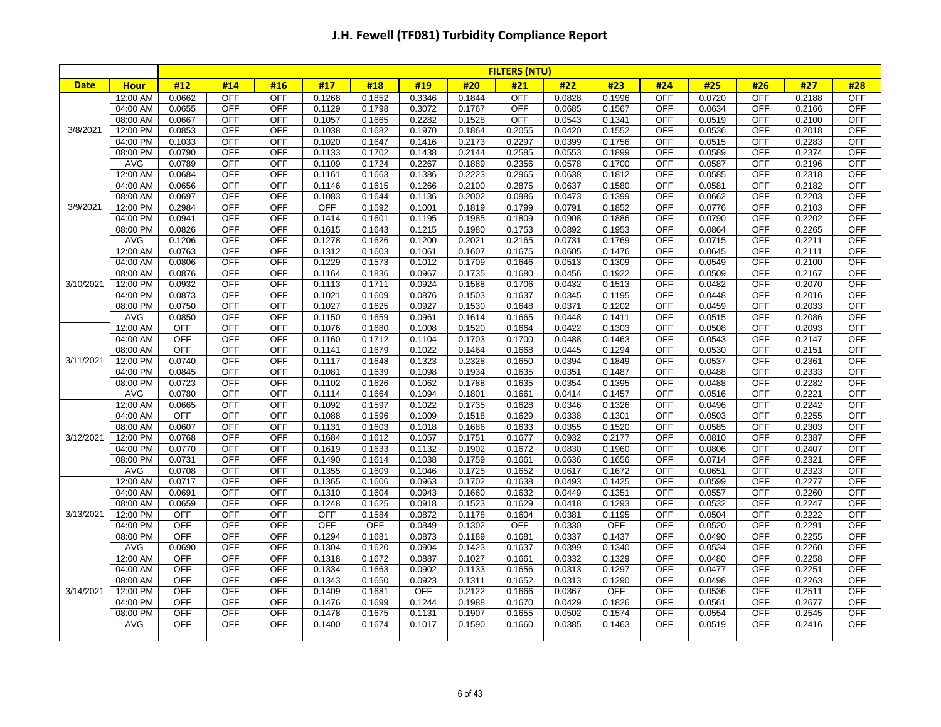|             |                      |                  |                          |                          |                  |                  |                  |                  | <b>FILTERS (NTU)</b> |                  |                  |                          |                  |                          |                  |                          |
|-------------|----------------------|------------------|--------------------------|--------------------------|------------------|------------------|------------------|------------------|----------------------|------------------|------------------|--------------------------|------------------|--------------------------|------------------|--------------------------|
| <b>Date</b> | <b>Hour</b>          | #12              | #14                      | #16                      | #17              | #18              | #19              | #20              | #21                  | #22              | #23              | #24                      | #25              | #26                      | #27              | #28                      |
|             | 12:00 AM             | 0.0662           | <b>OFF</b>               | <b>OFF</b>               | 0.1268           | 0.1852           | 0.3346           | 0.1844           | <b>OFF</b>           | 0.0828           | 0.1996           | <b>OFF</b>               | 0.0720           | <b>OFF</b>               | 0.2188           | <b>OFF</b>               |
|             | 04:00 AM             | 0.0655           | <b>OFF</b>               | <b>OFF</b>               | 0.1129           | 0.1798           | 0.3072           | 0.1767           | OFF                  | 0.0685           | 0.1567           | <b>OFF</b>               | 0.0634           | <b>OFF</b>               | 0.2166           | <b>OFF</b>               |
|             | 08:00 AM             | 0.0667           | <b>OFF</b>               | <b>OFF</b>               | 0.1057           | 0.1665           | 0.2282           | 0.1528           | <b>OFF</b>           | 0.0543           | 0.1341           | <b>OFF</b>               | 0.0519           | <b>OFF</b>               | 0.2100           | <b>OFF</b>               |
| 3/8/2021    | 12:00 PM             | 0.0853           | <b>OFF</b>               | OFF                      | 0.1038           | 0.1682           | 0.1970           | 0.1864           | 0.2055               | 0.0420           | 0.1552           | <b>OFF</b>               | 0.0536           | <b>OFF</b>               | 0.2018           | <b>OFF</b>               |
|             | 04:00 PM             | 0.1033           | <b>OFF</b>               | <b>OFF</b>               | 0.1020           | 0.1647           | 0.1416           | 0.2173           | 0.2297               | 0.0399           | 0.1756           | <b>OFF</b>               | 0.0515           | <b>OFF</b>               | 0.2283           | <b>OFF</b>               |
|             | 08:00 PM             | 0.0790           | <b>OFF</b>               | <b>OFF</b>               | 0.1133           | 0.1702           | 0.1438           | 0.2144           | 0.2585               | 0.0553           | 0.1899           | <b>OFF</b>               | 0.0589           | <b>OFF</b>               | 0.2374           | <b>OFF</b>               |
|             | <b>AVG</b>           | 0.0789           | OFF                      | <b>OFF</b>               | 0.1109           | 0.1724           | 0.2267           | 0.1889           | 0.2356               | 0.0578           | 0.1700           | <b>OFF</b>               | 0.0587           | OFF                      | 0.2196           | <b>OFF</b>               |
|             | 12:00 AM             | 0.0684           | <b>OFF</b>               | <b>OFF</b>               | 0.1161           | 0.1663           | 0.1386           | 0.2223           | 0.2965               | 0.0638           | 0.1812           | <b>OFF</b>               | 0.0585           | <b>OFF</b>               | 0.2318           | <b>OFF</b>               |
|             | 04:00 AM             | 0.0656           | <b>OFF</b>               | <b>OFF</b>               | 0.1146           | 0.1615           | 0.1266           | 0.2100           | 0.2875               | 0.0637           | 0.1580           | <b>OFF</b>               | 0.0581           | <b>OFF</b>               | 0.2182           | <b>OFF</b>               |
|             | 08:00 AM             | 0.0697           | <b>OFF</b>               | <b>OFF</b>               | 0.1083           | 0.1644           | 0.1136           | 0.2002           | 0.0986               | 0.0473           | 0.1399           | <b>OFF</b>               | 0.0662           | <b>OFF</b>               | 0.2203           | <b>OFF</b>               |
| 3/9/2021    | 12:00 PM             | 0.2984           | <b>OFF</b>               | <b>OFF</b>               | <b>OFF</b>       | 0.1592           | 0.1001           | 0.1819           | 0.1799               | 0.0791           | 0.1852           | <b>OFF</b>               | 0.0776           | <b>OFF</b>               | 0.2103           | <b>OFF</b>               |
|             | 04:00 PM             | 0.0941           | <b>OFF</b>               | <b>OFF</b>               | 0.1414           | 0.1601           | 0.1195           | 0.1985           | 0.1809               | 0.0908           | 0.1886           | <b>OFF</b>               | 0.0790           | OFF                      | 0.2202           | <b>OFF</b>               |
|             | 08:00 PM             | 0.0826           | <b>OFF</b>               | <b>OFF</b>               | 0.1615           | 0.1643           | 0.1215           | 0.1980           | 0.1753               | 0.0892           | 0.1953           | <b>OFF</b>               | 0.0864           | <b>OFF</b>               | 0.2265           | <b>OFF</b>               |
|             | <b>AVG</b>           | 0.1206           | <b>OFF</b>               | <b>OFF</b>               | 0.1278           | 0.1626           | 0.1200           | 0.2021           | 0.2165               | 0.0731           | 0.1769           | <b>OFF</b>               | 0.0715           | <b>OFF</b>               | 0.2211           | <b>OFF</b>               |
|             | 12:00 AM             | 0.0763           | <b>OFF</b>               | <b>OFF</b>               | 0.1312           | 0.1603           | 0.1061           | 0.1607           | 0.1675               | 0.0605           | 0.1476           | <b>OFF</b>               | 0.0645           | <b>OFF</b>               | 0.2111           | <b>OFF</b>               |
|             | 04:00 AM             | 0.0806           | <b>OFF</b>               | <b>OFF</b>               | 0.1229           | 0.1573           | 0.1012           | 0.1709           | 0.1646               | 0.0513           | 0.1309           | <b>OFF</b>               | 0.0549           | <b>OFF</b>               | 0.2100           | <b>OFF</b>               |
| 3/10/2021   | 08:00 AM<br>12:00 PM | 0.0876<br>0.0932 | <b>OFF</b><br><b>OFF</b> | <b>OFF</b><br><b>OFF</b> | 0.1164           | 0.1836<br>0.1711 | 0.0967<br>0.0924 | 0.1735<br>0.1588 | 0.1680<br>0.1706     | 0.0456           | 0.1922<br>0.1513 | <b>OFF</b><br><b>OFF</b> | 0.0509<br>0.0482 | <b>OFF</b><br><b>OFF</b> | 0.2167<br>0.2070 | <b>OFF</b><br><b>OFF</b> |
|             | 04:00 PM             | 0.0873           | <b>OFF</b>               | <b>OFF</b>               | 0.1113<br>0.1021 | 0.1609           | 0.0876           | 0.1503           | 0.1637               | 0.0432<br>0.0345 | 0.1195           | <b>OFF</b>               | 0.0448           | OFF                      | 0.2016           | <b>OFF</b>               |
|             | 08:00 PM             | 0.0750           | <b>OFF</b>               | <b>OFF</b>               | 0.1027           | 0.1625           | 0.0927           | 0.1530           | 0.1648               | 0.0371           | 0.1202           | <b>OFF</b>               | 0.0459           | <b>OFF</b>               | 0.2033           | <b>OFF</b>               |
|             | <b>AVG</b>           | 0.0850           | <b>OFF</b>               | <b>OFF</b>               | 0.1150           | 0.1659           | 0.0961           | 0.1614           | 0.1665               | 0.0448           |                  | <b>OFF</b>               | 0.0515           | OFF                      | 0.2086           | <b>OFF</b>               |
|             | 12:00 AM             | <b>OFF</b>       | <b>OFF</b>               | <b>OFF</b>               | 0.1076           | 0.1680           | 0.1008           | 0.1520           | 0.1664               | 0.0422           | 0.1411<br>0.1303 | <b>OFF</b>               | 0.0508           | <b>OFF</b>               | 0.2093           | <b>OFF</b>               |
|             | 04:00 AM             | OFF              | <b>OFF</b>               | <b>OFF</b>               | 0.1160           | 0.1712           | 0.1104           | 0.1703           | 0.1700               | 0.0488           | 0.1463           | <b>OFF</b>               | 0.0543           | <b>OFF</b>               | 0.2147           | <b>OFF</b>               |
|             | 08:00 AM             | <b>OFF</b>       | <b>OFF</b>               | <b>OFF</b>               | 0.1141           | 0.1679           | 0.1022           | 0.1464           | 0.1668               | 0.0445           | 0.1294           | <b>OFF</b>               | 0.0530           | <b>OFF</b>               | 0.2151           | <b>OFF</b>               |
| 3/11/2021   | 12:00 PM             | 0.0740           | <b>OFF</b>               | <b>OFF</b>               | 0.1117           | 0.1648           | 0.1323           | 0.2328           | 0.1650               | 0.0394           | 0.1849           | <b>OFF</b>               | 0.0537           | <b>OFF</b>               | 0.2361           | <b>OFF</b>               |
|             | 04:00 PM             | 0.0845           | <b>OFF</b>               | <b>OFF</b>               | 0.1081           | 0.1639           | 0.1098           | 0.1934           | 0.1635               | 0.0351           | 0.1487           | <b>OFF</b>               | 0.0488           | OFF                      | 0.2333           | <b>OFF</b>               |
|             | 08:00 PM             | 0.0723           | <b>OFF</b>               | <b>OFF</b>               | 0.1102           | 0.1626           | 0.1062           | 0.1788           | 0.1635               | 0.0354           | 0.1395           | <b>OFF</b>               | 0.0488           | <b>OFF</b>               | 0.2282           | <b>OFF</b>               |
|             | <b>AVG</b>           | 0.0780           | <b>OFF</b>               | <b>OFF</b>               | 0.1114           | 0.1664           | 0.1094           | 0.1801           | 0.1661               | 0.0414           | 0.1457           | <b>OFF</b>               | 0.0516           | <b>OFF</b>               | 0.2221           | <b>OFF</b>               |
|             | 12:00 AM             | 0.0665           | <b>OFF</b>               | <b>OFF</b>               | 0.1092           | 0.1597           | 0.1022           | 0.1735           | 0.1628               | 0.0346           | 0.1326           | <b>OFF</b>               | 0.0496           | <b>OFF</b>               | 0.2242           | <b>OFF</b>               |
|             | 04:00 AM             | <b>OFF</b>       | <b>OFF</b>               | <b>OFF</b>               | 0.1088           | 0.1596           | 0.1009           | 0.1518           | 0.1629               | 0.0338           | 0.1301           | <b>OFF</b>               | 0.0503           | <b>OFF</b>               | 0.2255           | <b>OFF</b>               |
|             | 08:00 AM             | 0.0607           | <b>OFF</b>               | <b>OFF</b>               | 0.1131           | 0.1603           | 0.1018           | 0.1686           | 0.1633               | 0.0355           | 0.1520           | <b>OFF</b>               | 0.0585           | <b>OFF</b>               | 0.2303           | <b>OFF</b>               |
| 3/12/2021   | 12:00 PM             | 0.0768           | <b>OFF</b>               | <b>OFF</b>               | 0.1684           | 0.1612           | 0.1057           | 0.1751           | 0.1677               | 0.0932           | 0.2177           | <b>OFF</b>               | 0.0810           | <b>OFF</b>               | 0.2387           | <b>OFF</b>               |
|             | 04:00 PM             | 0.0770           | <b>OFF</b>               | <b>OFF</b>               | 0.1619           | 0.1633           | 0.1132           | 0.1902           | 0.1672               | 0.0830           | 0.1960           | <b>OFF</b>               | 0.0806           | <b>OFF</b>               | 0.2407           | <b>OFF</b>               |
|             | 08:00 PM             | 0.0731           | <b>OFF</b>               | <b>OFF</b>               | 0.1490           | 0.1614           | 0.1038           | 0.1759           | 0.1661               | 0.0636           | 0.1656           | <b>OFF</b>               | 0.0714           | <b>OFF</b>               | 0.2321           | <b>OFF</b>               |
|             | <b>AVG</b>           | 0.0708           | <b>OFF</b>               | <b>OFF</b>               | 0.1355           | 0.1609           | 0.1046           | 0.1725           | 0.1652               | 0.0617           | 0.1672           | <b>OFF</b>               | 0.0651           | <b>OFF</b>               | 0.2323           | <b>OFF</b>               |
|             | 12:00 AM             | 0.0717           | <b>OFF</b>               | <b>OFF</b>               | 0.1365           | 0.1606           | 0.0963           | 0.1702           | 0.1638               | 0.0493           | 0.1425           | <b>OFF</b>               | 0.0599           | <b>OFF</b>               | 0.2277           | <b>OFF</b>               |
|             | 04:00 AM             | 0.0691           | <b>OFF</b>               | <b>OFF</b>               | 0.1310           | 0.1604           | 0.0943           | 0.1660           | 0.1632               | 0.0449           | 0.1351           | <b>OFF</b>               | 0.0557           | <b>OFF</b>               | 0.2260           | <b>OFF</b>               |
|             | 08:00 AM             | 0.0659           | <b>OFF</b>               | <b>OFF</b>               | 0.1248           | 0.1625           | 0.0918           | 0.1523           | 0.1629               | 0.0418           | 0.1293           | <b>OFF</b>               | 0.0532           | <b>OFF</b>               | 0.2247           | OFF                      |
| 3/13/2021   | 12:00 PM             | <b>OFF</b>       | <b>OFF</b>               | <b>OFF</b>               | <b>OFF</b>       | 0.1584           | 0.0872           | 0.1178           | 0.1604               | 0.0381           | 0.1195           | <b>OFF</b>               | 0.0504           | <b>OFF</b>               | 0.2222           | <b>OFF</b>               |
|             | 04:00 PM             | <b>OFF</b>       | <b>OFF</b>               | <b>OFF</b>               | <b>OFF</b>       | OFF              | 0.0849           | 0.1302           | <b>OFF</b>           | 0.0330           | <b>OFF</b>       | <b>OFF</b>               | 0.0520           | <b>OFF</b>               | 0.2291           | <b>OFF</b>               |
|             | 08:00 PM             | <b>OFF</b>       | <b>OFF</b>               | <b>OFF</b>               | 0.1294           | 0.1681           | 0.0873           | 0.1189           | 0.1681               | 0.0337           | 0.1437           | <b>OFF</b>               | 0.0490           | <b>OFF</b>               | 0.2255           | <b>OFF</b>               |
|             | AVG                  | 0.0690           | <b>OFF</b>               | <b>OFF</b>               | 0.1304           | 0.1620           | 0.0904           | 0.1423           | 0.1637               | 0.0399           | 0.1340           | <b>OFF</b>               | 0.0534           | <b>OFF</b>               | 0.2260           | <b>OFF</b>               |
|             | 12:00 AM             | <b>OFF</b>       | <b>OFF</b>               | <b>OFF</b>               | 0.1318           | 0.1672           | 0.0887           | 0.1027           | 0.1661               | 0.0332           | 0.1329           | <b>OFF</b>               | 0.0480           | <b>OFF</b>               | 0.2258           | <b>OFF</b>               |
|             | 04:00 AM             | <b>OFF</b>       | <b>OFF</b>               | <b>OFF</b>               | 0.1334           | 0.1663           | 0.0902           | 0.1133           | 0.1656               | 0.0313           | 0.1297           | <b>OFF</b>               | 0.0477           | <b>OFF</b>               | 0.2251           | <b>OFF</b>               |
|             | 08:00 AM             | <b>OFF</b>       | <b>OFF</b>               | <b>OFF</b>               | 0.1343           | 0.1650           | 0.0923           | 0.1311           | 0.1652               | 0.0313           | 0.1290           | <b>OFF</b>               | 0.0498           | <b>OFF</b>               | 0.2263           | <b>OFF</b>               |
| 3/14/2021   | 12:00 PM             | <b>OFF</b>       | <b>OFF</b>               | <b>OFF</b>               | 0.1409           | 0.1681           | <b>OFF</b>       | 0.2122           | 0.1666               | 0.0367           | <b>OFF</b>       | <b>OFF</b>               | 0.0536           | <b>OFF</b>               | 0.2511           | <b>OFF</b>               |
|             | 04:00 PM             | <b>OFF</b>       | <b>OFF</b>               | <b>OFF</b>               | 0.1476           | 0.1699           | 0.1244           | 0.1988           | 0.1670               | 0.0429           | 0.1826           | <b>OFF</b>               | 0.0561           | <b>OFF</b>               | 0.2677           | <b>OFF</b>               |
|             | 08:00 PM             | <b>OFF</b>       | <b>OFF</b>               | <b>OFF</b>               | 0.1478           | 0.1675           | 0.1131           | 0.1907           | 0.1655               | 0.0502           | 0.1574           | <b>OFF</b>               | 0.0554           | <b>OFF</b>               | 0.2545           | <b>OFF</b>               |
|             | AVG                  | <b>OFF</b>       | OFF                      | <b>OFF</b>               | 0.1400           | 0.1674           | 0.1017           | 0.1590           | 0.1660               | 0.0385           | 0.1463           | <b>OFF</b>               | 0.0519           | <b>OFF</b>               | 0.2416           | <b>OFF</b>               |
|             |                      |                  |                          |                          |                  |                  |                  |                  |                      |                  |                  |                          |                  |                          |                  |                          |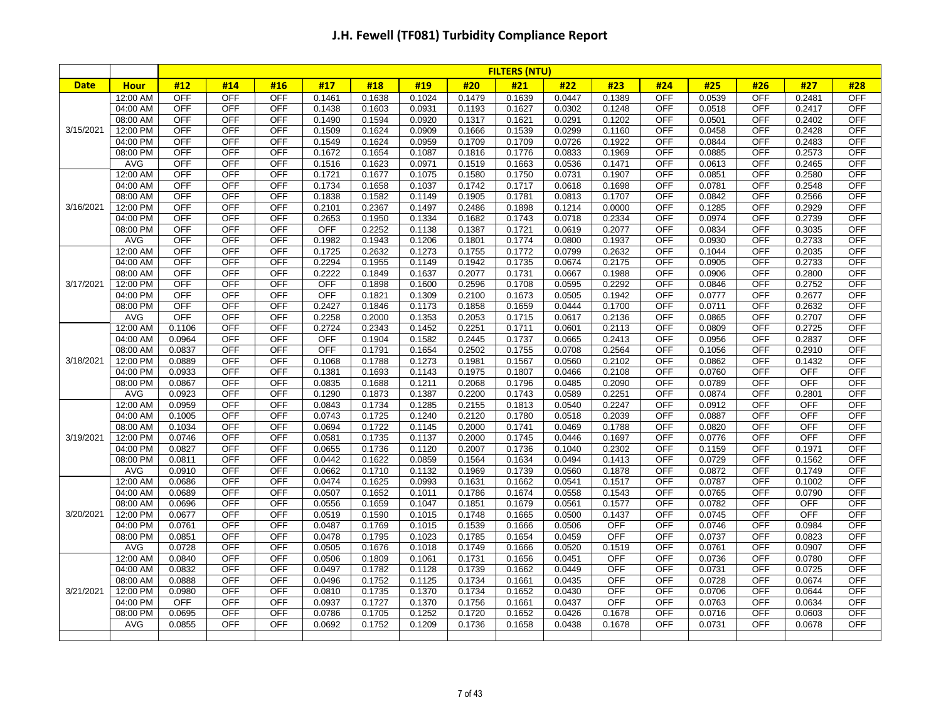|             |                      |                          |                          |                   |                  |                  |                  |                  | <b>FILTERS (NTU)</b> |                  |                  |                   |                  |                   |                  |                          |
|-------------|----------------------|--------------------------|--------------------------|-------------------|------------------|------------------|------------------|------------------|----------------------|------------------|------------------|-------------------|------------------|-------------------|------------------|--------------------------|
| <b>Date</b> | <b>Hour</b>          | #12                      | #14                      | #16               | #17              | #18              | #19              | #20              | #21                  | #22              | #23              | #24               | #25              | #26               | #27              | #28                      |
|             | 12:00 AM             | <b>OFF</b>               | <b>OFF</b>               | <b>OFF</b>        | 0.1461           | 0.1638           | 0.1024           | 0.1479           | 0.1639               | 0.0447           | 0.1389           | <b>OFF</b>        | 0.0539           | <b>OFF</b>        | 0.2481           | <b>OFF</b>               |
|             | 04:00 AM             | <b>OFF</b>               | <b>OFF</b>               | <b>OFF</b>        | 0.1438           | 0.1603           | 0.0931           | 0.1193           | 0.1627               | 0.0302           | 0.1248           | OFF               | 0.0518           | OFF               | 0.2417           | <b>OFF</b>               |
|             | 08:00 AM             | <b>OFF</b>               | <b>OFF</b>               | <b>OFF</b>        | 0.1490           | 0.1594           | 0.0920           | 0.1317           | 0.1621               | 0.0291           | 0.1202           | <b>OFF</b>        | 0.0501           | <b>OFF</b>        | 0.2402           | <b>OFF</b>               |
| 3/15/2021   | 12:00 PM             | <b>OFF</b>               | <b>OFF</b>               | <b>OFF</b>        | 0.1509           | 0.1624           | 0.0909           | 0.1666           | 0.1539               | 0.0299           | 0.1160           | OFF               | 0.0458           | <b>OFF</b>        | 0.2428           | <b>OFF</b>               |
|             | 04:00 PM             | <b>OFF</b>               | <b>OFF</b>               | <b>OFF</b>        | 0.1549           | 0.1624           | 0.0959           | 0.1709           | 0.1709               | 0.0726           | 0.1922           | OFF               | 0.0844           | <b>OFF</b>        | 0.2483           | <b>OFF</b>               |
|             | 08:00 PM             | <b>OFF</b>               | <b>OFF</b>               | <b>OFF</b>        | 0.1672           | 0.1654           | 0.1087           | 0.1816           | 0.1776               | 0.0833           | 0.1969           | OFF               | 0.0885           | <b>OFF</b>        | 0.2573           | <b>OFF</b>               |
|             | <b>AVG</b>           | <b>OFF</b>               | <b>OFF</b>               | OFF               | 0.1516           | 0.1623           | 0.0971           | 0.1519           | 0.1663               | 0.0536           | 0.1471           | OFF               | 0.0613           | OFF               | 0.2465           | <b>OFF</b>               |
|             | 12:00 AM             | <b>OFF</b>               | <b>OFF</b>               | <b>OFF</b>        | 0.1721           | 0.1677           | 0.1075           | 0.1580           | 0.1750               | 0.0731           | 0.1907           | <b>OFF</b>        | 0.0851           | <b>OFF</b>        | 0.2580           | <b>OFF</b>               |
|             | 04:00 AM             | <b>OFF</b>               | <b>OFF</b>               | <b>OFF</b>        | 0.1734           | 0.1658           | 0.1037           | 0.1742           | 0.1717               | 0.0618           | 0.1698           | OFF               | 0.0781           | <b>OFF</b>        | 0.2548           | <b>OFF</b>               |
|             | 08:00 AM             | <b>OFF</b>               | <b>OFF</b>               | <b>OFF</b>        | 0.1838           | 0.1582           | 0.1149           | 0.1905           | 0.1781               | 0.0813           | 0.1707           | <b>OFF</b>        | 0.0842           | <b>OFF</b>        | 0.2566           | <b>OFF</b>               |
| 3/16/2021   | 12:00 PM             | <b>OFF</b>               | <b>OFF</b>               | <b>OFF</b>        | 0.2101           | 0.2367           | 0.1497           | 0.2486           | 0.1898               | 0.1214           | 0.0000           | OFF               | 0.1285           | <b>OFF</b>        | 0.2929           | <b>OFF</b>               |
|             | 04:00 PM             | <b>OFF</b>               | <b>OFF</b>               | <b>OFF</b>        | 0.2653           | 0.1950           | 0.1334           | 0.1682           | 0.1743               | 0.0718           | 0.2334           | OFF               | 0.0974           | OFF               | 0.2739           | <b>OFF</b>               |
|             | 08:00 PM             | <b>OFF</b>               | <b>OFF</b>               | <b>OFF</b>        | <b>OFF</b>       | 0.2252           | 0.1138           | 0.1387           | 0.1721               | 0.0619           | 0.2077           | <b>OFF</b>        | 0.0834           | <b>OFF</b>        | 0.3035           | <b>OFF</b>               |
|             | <b>AVG</b>           | <b>OFF</b>               | <b>OFF</b>               | OFF               | 0.1982           | 0.1943           | 0.1206           | 0.1801           | 0.1774               | 0.0800           | 0.1937           | <b>OFF</b>        | 0.0930           | <b>OFF</b>        | 0.2733           | <b>OFF</b>               |
|             | 12:00 AM             | <b>OFF</b>               | <b>OFF</b>               | <b>OFF</b>        | 0.1725           | 0.2632           | 0.1273           | 0.1755           | 0.1772               | 0.0799           | 0.2632           | <b>OFF</b>        | 0.1044           | <b>OFF</b>        | 0.2035           | <b>OFF</b>               |
|             | 04:00 AM             | <b>OFF</b>               | <b>OFF</b>               | <b>OFF</b>        | 0.2294           | 0.1955           | 0.1149           | 0.1942           | 0.1735               | 0.0674           | 0.2175           | OFF               | 0.0905           | <b>OFF</b>        | 0.2733           | <b>OFF</b>               |
|             | 08:00 AM             | <b>OFF</b>               | <b>OFF</b>               | <b>OFF</b>        | 0.2222           | 0.1849           | 0.1637           | 0.2077           | 0.1731               | 0.0667           | 0.1988           | OFF               | 0.0906           | <b>OFF</b>        | 0.2800           | <b>OFF</b>               |
| 3/17/2021   | 12:00 PM             | <b>OFF</b><br><b>OFF</b> | <b>OFF</b><br><b>OFF</b> | <b>OFF</b>        | <b>OFF</b>       | 0.1898           | 0.1600           | 0.2596           | 0.1708               | 0.0595           | 0.2292           | <b>OFF</b><br>OFF | 0.0846           | <b>OFF</b>        | 0.2752           | <b>OFF</b>               |
|             | 04:00 PM             | <b>OFF</b>               |                          | <b>OFF</b>        | <b>OFF</b>       | 0.1821           | 0.1309           | 0.2100           | 0.1673               | 0.0505           | 0.1942           | OFF               | 0.0777           | OFF               | 0.2677           | <b>OFF</b>               |
|             | 08:00 PM             | <b>OFF</b>               | <b>OFF</b>               | <b>OFF</b>        | 0.2427           | 0.1846           | 0.1173           | 0.1858           | 0.1659               | 0.0444           | 0.1700           |                   | 0.0711           | <b>OFF</b>        | 0.2632           | <b>OFF</b>               |
|             | <b>AVG</b>           | 0.1106                   | <b>OFF</b><br><b>OFF</b> | OFF<br><b>OFF</b> | 0.2258<br>0.2724 | 0.2000<br>0.2343 | 0.1353<br>0.1452 | 0.2053<br>0.2251 | 0.1715               | 0.0617           | 0.2136           | <b>OFF</b><br>OFF | 0.0865<br>0.0809 | OFF<br><b>OFF</b> | 0.2707           | <b>OFF</b><br><b>OFF</b> |
|             | 12:00 AM<br>04:00 AM | 0.0964                   | <b>OFF</b>               | <b>OFF</b>        | OFF              | 0.1904           | 0.1582           | 0.2445           | 0.1711<br>0.1737     | 0.0601<br>0.0665 | 0.2113<br>0.2413 | <b>OFF</b>        | 0.0956           | OFF               | 0.2725<br>0.2837 | <b>OFF</b>               |
|             | 08:00 AM             | 0.0837                   | <b>OFF</b>               | <b>OFF</b>        | <b>OFF</b>       | 0.1791           | 0.1654           | 0.2502           | 0.1755               | 0.0708           | 0.2564           | OFF               | 0.1056           | <b>OFF</b>        | 0.2910           | <b>OFF</b>               |
| 3/18/2021   | 12:00 PM             | 0.0889                   | <b>OFF</b>               | <b>OFF</b>        | 0.1068           | 0.1788           | 0.1273           | 0.1981           | 0.1567               | 0.0560           | 0.2102           | <b>OFF</b>        | 0.0862           | <b>OFF</b>        | 0.1432           | <b>OFF</b>               |
|             | 04:00 PM             | 0.0933                   | <b>OFF</b>               | <b>OFF</b>        | 0.1381           | 0.1693           | 0.1143           | 0.1975           | 0.1807               | 0.0466           | 0.2108           | OFF               | 0.0760           | OFF               | OFF              | <b>OFF</b>               |
|             | 08:00 PM             | 0.0867                   | <b>OFF</b>               | <b>OFF</b>        | 0.0835           | 0.1688           | 0.1211           | 0.2068           | 0.1796               | 0.0485           | 0.2090           | <b>OFF</b>        | 0.0789           | <b>OFF</b>        | <b>OFF</b>       | <b>OFF</b>               |
|             | <b>AVG</b>           | 0.0923                   | <b>OFF</b>               | <b>OFF</b>        | 0.1290           | 0.1873           | 0.1387           | 0.2200           | 0.1743               | 0.0589           | 0.2251           | <b>OFF</b>        | 0.0874           | <b>OFF</b>        | 0.2801           | <b>OFF</b>               |
|             | 12:00 AM             | 0.0959                   | <b>OFF</b>               | <b>OFF</b>        | 0.0843           | 0.1734           | 0.1285           | 0.2155           | 0.1813               | 0.0540           | 0.2247           | <b>OFF</b>        | 0.0912           | <b>OFF</b>        | <b>OFF</b>       | <b>OFF</b>               |
|             | 04:00 AM             | 0.1005                   | <b>OFF</b>               | <b>OFF</b>        | 0.0743           | 0.1725           | 0.1240           | 0.2120           | 0.1780               | 0.0518           | 0.2039           | <b>OFF</b>        | 0.0887           | <b>OFF</b>        | <b>OFF</b>       | <b>OFF</b>               |
|             | 08:00 AM             | 0.1034                   | <b>OFF</b>               | <b>OFF</b>        | 0.0694           | 0.1722           | 0.1145           | 0.2000           | 0.1741               | 0.0469           | 0.1788           | <b>OFF</b>        | 0.0820           | OFF               | <b>OFF</b>       | <b>OFF</b>               |
| 3/19/2021   | 12:00 PM             | 0.0746                   | <b>OFF</b>               | <b>OFF</b>        | 0.0581           | 0.1735           | 0.1137           | 0.2000           | 0.1745               | 0.0446           | 0.1697           | <b>OFF</b>        | 0.0776           | <b>OFF</b>        | <b>OFF</b>       | <b>OFF</b>               |
|             | 04:00 PM             | 0.0827                   | <b>OFF</b>               | <b>OFF</b>        | 0.0655           | 0.1736           | 0.1120           | 0.2007           | 0.1736               | 0.1040           | 0.2302           | OFF               | 0.1159           | <b>OFF</b>        | 0.1971           | <b>OFF</b>               |
|             | 08:00 PM             | 0.0811                   | <b>OFF</b>               | <b>OFF</b>        | 0.0442           | 0.1622           | 0.0859           | 0.1564           | 0.1634               | 0.0494           | 0.1413           | OFF               | 0.0729           | <b>OFF</b>        | 0.1562           | <b>OFF</b>               |
|             | <b>AVG</b>           | 0.0910                   | <b>OFF</b>               | OFF               | 0.0662           | 0.1710           | 0.1132           | 0.1969           | 0.1739               | 0.0560           | 0.1878           | <b>OFF</b>        | 0.0872           | <b>OFF</b>        | 0.1749           | <b>OFF</b>               |
|             | 12:00 AM             | 0.0686                   | <b>OFF</b>               | <b>OFF</b>        | 0.0474           | 0.1625           | 0.0993           | 0.1631           | 0.1662               | 0.0541           | 0.1517           | <b>OFF</b>        | 0.0787           | <b>OFF</b>        | 0.1002           | <b>OFF</b>               |
|             | 04:00 AM             | 0.0689                   | <b>OFF</b>               | <b>OFF</b>        | 0.0507           | 0.1652           | 0.1011           | 0.1786           | 0.1674               | 0.0558           | 0.1543           | <b>OFF</b>        | 0.0765           | <b>OFF</b>        | 0.0790           | <b>OFF</b>               |
|             | 08:00 AM             | 0.0696                   | <b>OFF</b>               | <b>OFF</b>        | 0.0556           | 0.1659           | 0.1047           | 0.1851           | 0.1679               | 0.0561           | 0.1577           | <b>OFF</b>        | 0.0782           | <b>OFF</b>        | OFF              | OFF                      |
| 3/20/2021   | 12:00 PM             | 0.0677                   | <b>OFF</b>               | <b>OFF</b>        | 0.0519           | 0.1590           | 0.1015           | 0.1748           | 0.1665               | 0.0500           | 0.1437           | <b>OFF</b>        | 0.0745           | <b>OFF</b>        | <b>OFF</b>       | <b>OFF</b>               |
|             | 04:00 PM             | 0.0761                   | <b>OFF</b>               | <b>OFF</b>        | 0.0487           | 0.1769           | 0.1015           | 0.1539           | 0.1666               | 0.0506           | <b>OFF</b>       | <b>OFF</b>        | 0.0746           | <b>OFF</b>        | 0.0984           | <b>OFF</b>               |
|             | 08:00 PM             | 0.0851                   | <b>OFF</b>               | <b>OFF</b>        | 0.0478           | 0.1795           | 0.1023           | 0.1785           | 0.1654               | 0.0459           | <b>OFF</b>       | <b>OFF</b>        | 0.0737           | <b>OFF</b>        | 0.0823           | <b>OFF</b>               |
|             | AVG                  | 0.0728                   | <b>OFF</b>               | <b>OFF</b>        | 0.0505           | 0.1676           | 0.1018           | 0.1749           | 0.1666               | 0.0520           | 0.1519           | <b>OFF</b>        | 0.0761           | <b>OFF</b>        | 0.0907           | <b>OFF</b>               |
|             | 12:00 AM             | 0.0840                   | <b>OFF</b>               | <b>OFF</b>        | 0.0506           | 0.1809           | 0.1061           | 0.1731           | 0.1656               | 0.0451           | <b>OFF</b>       | <b>OFF</b>        | 0.0736           | <b>OFF</b>        | 0.0780           | <b>OFF</b>               |
|             | 04:00 AM             | 0.0832                   | <b>OFF</b>               | <b>OFF</b>        | 0.0497           | 0.1782           | 0.1128           | 0.1739           | 0.1662               | 0.0449           | <b>OFF</b>       | <b>OFF</b>        | 0.0731           | <b>OFF</b>        | 0.0725           | <b>OFF</b>               |
|             | 08:00 AM             | 0.0888                   | <b>OFF</b>               | <b>OFF</b>        | 0.0496           | 0.1752           | 0.1125           | 0.1734           | 0.1661               | 0.0435           | <b>OFF</b>       | <b>OFF</b>        | 0.0728           | <b>OFF</b>        | 0.0674           | <b>OFF</b>               |
| 3/21/2021   | 12:00 PM             | 0.0980                   | <b>OFF</b>               | <b>OFF</b>        | 0.0810           | 0.1735           | 0.1370           | 0.1734           | 0.1652               | 0.0430           | <b>OFF</b>       | <b>OFF</b>        | 0.0706           | <b>OFF</b>        | 0.0644           | <b>OFF</b>               |
|             | 04:00 PM             | <b>OFF</b>               | <b>OFF</b>               | <b>OFF</b>        | 0.0937           | 0.1727           | 0.1370           | 0.1756           | 0.1661               | 0.0437           | <b>OFF</b>       | <b>OFF</b>        | 0.0763           | <b>OFF</b>        | 0.0634           | <b>OFF</b>               |
|             | 08:00 PM             | 0.0695                   | <b>OFF</b>               | <b>OFF</b>        | 0.0786           | 0.1705           | 0.1252           | 0.1720           | 0.1652               | 0.0426           | 0.1678           | <b>OFF</b>        | 0.0716           | <b>OFF</b>        | 0.0603           | <b>OFF</b>               |
|             | AVG                  | 0.0855                   | <b>OFF</b>               | <b>OFF</b>        | 0.0692           | 0.1752           | 0.1209           | 0.1736           | 0.1658               | 0.0438           | 0.1678           | <b>OFF</b>        | 0.0731           | <b>OFF</b>        | 0.0678           | <b>OFF</b>               |
|             |                      |                          |                          |                   |                  |                  |                  |                  |                      |                  |                  |                   |                  |                   |                  |                          |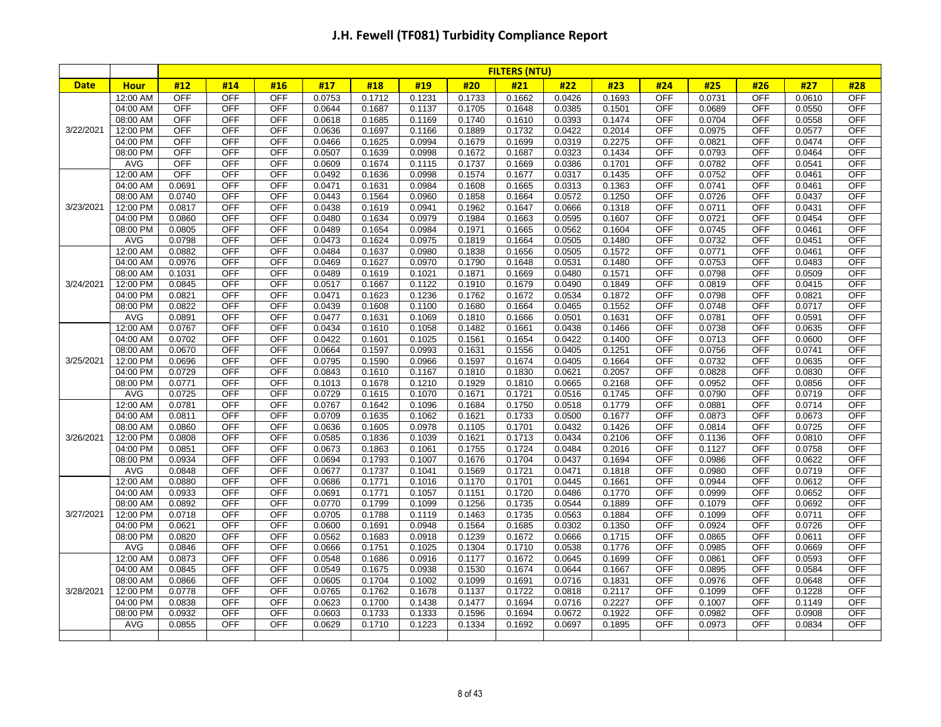|             |                      |                  |                          |                          |                  |                  |                  |                  | <b>FILTERS (NTU)</b> |                  |                  |                          |                  |                          |                  |                          |
|-------------|----------------------|------------------|--------------------------|--------------------------|------------------|------------------|------------------|------------------|----------------------|------------------|------------------|--------------------------|------------------|--------------------------|------------------|--------------------------|
| <b>Date</b> | <b>Hour</b>          | #12              | #14                      | #16                      | #17              | #18              | #19              | #20              | #21                  | #22              | #23              | #24                      | #25              | #26                      | #27              | #28                      |
|             | 12:00 AM             | <b>OFF</b>       | <b>OFF</b>               | <b>OFF</b>               | 0.0753           | 0.1712           | 0.1231           | 0.1733           | 0.1662               | 0.0426           | 0.1693           | <b>OFF</b>               | 0.0731           | <b>OFF</b>               | 0.0610           | <b>OFF</b>               |
|             | 04:00 AM             | OFF              | <b>OFF</b>               | <b>OFF</b>               | 0.0644           | 0.1687           | 0.1137           | 0.1705           | 0.1648               | 0.0385           | 0.1501           | <b>OFF</b>               | 0.0689           | <b>OFF</b>               | 0.0550           | <b>OFF</b>               |
|             | 08:00 AM             | <b>OFF</b>       | <b>OFF</b>               | <b>OFF</b>               | 0.0618           | 0.1685           | 0.1169           | 0.1740           | 0.1610               | 0.0393           | 0.1474           | <b>OFF</b>               | 0.0704           | <b>OFF</b>               | 0.0558           | <b>OFF</b>               |
| 3/22/2021   | 12:00 PM             | <b>OFF</b>       | OFF                      | OFF                      | 0.0636           | 0.1697           | 0.1166           | 0.1889           | 0.1732               | 0.0422           | 0.2014           | <b>OFF</b>               | 0.0975           | <b>OFF</b>               | 0.0577           | <b>OFF</b>               |
|             | 04:00 PM             | OFF              | <b>OFF</b>               | <b>OFF</b>               | 0.0466           | 0.1625           | 0.0994           | 0.1679           | 0.1699               | 0.0319           | 0.2275           | <b>OFF</b>               | 0.0821           | <b>OFF</b>               | 0.0474           | <b>OFF</b>               |
|             | 08:00 PM             | OFF              | <b>OFF</b>               | <b>OFF</b>               | 0.0507           | 0.1639           | 0.0998           | 0.1672           | 0.1687               | 0.0323           | 0.1434           | <b>OFF</b>               | 0.0793           | <b>OFF</b>               | 0.0464           | <b>OFF</b>               |
|             | <b>AVG</b>           | OFF              | OFF                      | <b>OFF</b>               | 0.0609           | 0.1674           | 0.1115           | 0.1737           | 0.1669               | 0.0386           | 0.1701           | <b>OFF</b>               | 0.0782           | OFF                      | 0.0541           | <b>OFF</b>               |
|             | 12:00 AM             | <b>OFF</b>       | <b>OFF</b>               | <b>OFF</b>               | 0.0492           | 0.1636           | 0.0998           | 0.1574           | 0.1677               | 0.0317           | 0.1435           | <b>OFF</b>               | 0.0752           | <b>OFF</b>               | 0.0461           | <b>OFF</b>               |
|             | 04:00 AM             | 0.0691           | <b>OFF</b>               | <b>OFF</b>               | 0.0471           | 0.1631           | 0.0984           | 0.1608           | 0.1665               | 0.0313           | 0.1363           | <b>OFF</b>               | 0.0741           | <b>OFF</b>               | 0.0461           | <b>OFF</b>               |
|             | 08:00 AM             | 0.0740           | <b>OFF</b>               | <b>OFF</b>               | 0.0443           | 0.1564           | 0.0960           | 0.1858           | 0.1664               | 0.0572           | 0.1250           | <b>OFF</b>               | 0.0726           | <b>OFF</b>               | 0.0437           | <b>OFF</b>               |
| 3/23/2021   | 12:00 PM             | 0.0817           | <b>OFF</b>               | <b>OFF</b>               | 0.0438           | 0.1619           | 0.0941           | 0.1962           | 0.1647               | 0.0666           | 0.1318           | <b>OFF</b>               | 0.0711           | <b>OFF</b>               | 0.0431           | <b>OFF</b>               |
|             | 04:00 PM             | 0.0860           | <b>OFF</b>               | <b>OFF</b>               | 0.0480           | 0.1634           | 0.0979           | 0.1984           | 0.1663               | 0.0595           | 0.1607           | <b>OFF</b>               | 0.0721           | <b>OFF</b>               | 0.0454           | <b>OFF</b>               |
|             | 08:00 PM             | 0.0805           | <b>OFF</b>               | <b>OFF</b>               | 0.0489           | 0.1654           | 0.0984           | 0.1971           | 0.1665               | 0.0562           | 0.1604           | <b>OFF</b>               | 0.0745           | <b>OFF</b>               | 0.0461           | <b>OFF</b>               |
|             | <b>AVG</b>           | 0.0798           | <b>OFF</b><br><b>OFF</b> | <b>OFF</b><br><b>OFF</b> | 0.0473           | 0.1624           | 0.0975           | 0.1819           | 0.1664               | 0.0505           | 0.1480           | <b>OFF</b><br><b>OFF</b> | 0.0732<br>0.0771 | <b>OFF</b><br><b>OFF</b> | 0.0451           | <b>OFF</b><br><b>OFF</b> |
|             | 12:00 AM             | 0.0882<br>0.0976 | <b>OFF</b>               | <b>OFF</b>               | 0.0484           | 0.1637<br>0.1627 | 0.0980<br>0.0970 | 0.1838<br>0.1790 | 0.1656               | 0.0505           | 0.1572           | <b>OFF</b>               | 0.0753           | <b>OFF</b>               | 0.0461           | <b>OFF</b>               |
|             | 04:00 AM<br>08:00 AM | 0.1031           | <b>OFF</b>               | <b>OFF</b>               | 0.0469<br>0.0489 | 0.1619           | 0.1021           | 0.1871           | 0.1648<br>0.1669     | 0.0531<br>0.0480 | 0.1480<br>0.1571 | <b>OFF</b>               | 0.0798           | <b>OFF</b>               | 0.0483<br>0.0509 | <b>OFF</b>               |
| 3/24/2021   | 12:00 PM             | 0.0845           | <b>OFF</b>               | <b>OFF</b>               | 0.0517           | 0.1667           | 0.1122           | 0.1910           | 0.1679               | 0.0490           | 0.1849           | <b>OFF</b>               | 0.0819           | <b>OFF</b>               | 0.0415           | <b>OFF</b>               |
|             | 04:00 PM             | 0.0821           | <b>OFF</b>               | <b>OFF</b>               | 0.0471           | 0.1623           | 0.1236           | 0.1762           | 0.1672               | 0.0534           | 0.1872           | <b>OFF</b>               | 0.0798           | OFF                      | 0.0821           | <b>OFF</b>               |
|             | 08:00 PM             | 0.0822           | OFF                      | <b>OFF</b>               | 0.0439           | 0.1608           | 0.1100           | 0.1680           | 0.1664               | 0.0465           | 0.1552           | <b>OFF</b>               | 0.0748           | <b>OFF</b>               | 0.0717           | <b>OFF</b>               |
|             | <b>AVG</b>           | 0.0891           | <b>OFF</b>               | <b>OFF</b>               | 0.0477           | 0.1631           | 0.1069           | 0.1810           | 0.1666               | 0.0501           | 0.1631           | <b>OFF</b>               | 0.0781           | OFF                      | 0.0591           | <b>OFF</b>               |
|             | 12:00 AM             | 0.0767           | <b>OFF</b>               | <b>OFF</b>               | 0.0434           | 0.1610           | 0.1058           | 0.1482           | 0.1661               | 0.0438           | 0.1466           | <b>OFF</b>               | 0.0738           | <b>OFF</b>               | 0.0635           | <b>OFF</b>               |
|             | 04:00 AM             | 0.0702           | <b>OFF</b>               | <b>OFF</b>               | 0.0422           | 0.1601           | 0.1025           | 0.1561           | 0.1654               | 0.0422           | 0.1400           | <b>OFF</b>               | 0.0713           | <b>OFF</b>               | 0.0600           | <b>OFF</b>               |
|             | 08:00 AM             | 0.0670           | <b>OFF</b>               | <b>OFF</b>               | 0.0664           | 0.1597           | 0.0993           | 0.1631           | 0.1556               | 0.0405           | 0.1251           | <b>OFF</b>               | 0.0756           | <b>OFF</b>               | 0.0741           | <b>OFF</b>               |
| 3/25/2021   | 12:00 PM             | 0.0696           | <b>OFF</b>               | <b>OFF</b>               | 0.0795           | 0.1590           | 0.0966           | 0.1597           | 0.1674               | 0.0405           | 0.1664           | <b>OFF</b>               | 0.0732           | <b>OFF</b>               | 0.0635           | <b>OFF</b>               |
|             | 04:00 PM             | 0.0729           | <b>OFF</b>               | <b>OFF</b>               | 0.0843           | 0.1610           | 0.1167           | 0.1810           | 0.1830               | 0.0621           | 0.2057           | <b>OFF</b>               | 0.0828           | OFF                      | 0.0830           | <b>OFF</b>               |
|             | 08:00 PM             | 0.0771           | <b>OFF</b>               | <b>OFF</b>               | 0.1013           | 0.1678           | 0.1210           | 0.1929           | 0.1810               | 0.0665           | 0.2168           | <b>OFF</b>               | 0.0952           | <b>OFF</b>               | 0.0856           | <b>OFF</b>               |
|             | <b>AVG</b>           | 0.0725           | <b>OFF</b>               | <b>OFF</b>               | 0.0729           | 0.1615           | 0.1070           | 0.1671           | 0.1721               | 0.0516           | 0.1745           | <b>OFF</b>               | 0.0790           | <b>OFF</b>               | 0.0719           | <b>OFF</b>               |
|             | 12:00 AM             | 0.0781           | <b>OFF</b>               | <b>OFF</b>               | 0.0767           | 0.1642           | 0.1096           | 0.1684           | 0.1750               | 0.0518           | 0.1779           | <b>OFF</b>               | 0.0881           | <b>OFF</b>               | 0.0714           | <b>OFF</b>               |
|             | 04:00 AM             | 0.0811           | <b>OFF</b>               | <b>OFF</b>               | 0.0709           | 0.1635           | 0.1062           | 0.1621           | 0.1733               | 0.0500           | 0.1677           | <b>OFF</b>               | 0.0873           | <b>OFF</b>               | 0.0673           | <b>OFF</b>               |
|             | 08:00 AM             | 0.0860           | <b>OFF</b>               | <b>OFF</b>               | 0.0636           | 0.1605           | 0.0978           | 0.1105           | 0.1701               | 0.0432           | 0.1426           | <b>OFF</b>               | 0.0814           | <b>OFF</b>               | 0.0725           | <b>OFF</b>               |
| 3/26/2021   | 12:00 PM             | 0.0808           | <b>OFF</b>               | <b>OFF</b>               | 0.0585           | 0.1836           | 0.1039           | 0.1621           | 0.1713               | 0.0434           | 0.2106           | <b>OFF</b>               | 0.1136           | <b>OFF</b>               | 0.0810           | <b>OFF</b>               |
|             | 04:00 PM             | 0.0851           | <b>OFF</b>               | <b>OFF</b>               | 0.0673           | 0.1863           | 0.1061           | 0.1755           | 0.1724               | 0.0484           | 0.2016           | <b>OFF</b>               | 0.1127           | <b>OFF</b>               | 0.0758           | <b>OFF</b>               |
|             | 08:00 PM             | 0.0934           | <b>OFF</b>               | <b>OFF</b>               | 0.0694           | 0.1793           | 0.1007           | 0.1676           | 0.1704               | 0.0437           | 0.1694           | <b>OFF</b>               | 0.0986           | <b>OFF</b>               | 0.0622           | <b>OFF</b>               |
|             | <b>AVG</b>           | 0.0848           | <b>OFF</b>               | <b>OFF</b>               | 0.0677           | 0.1737           | 0.1041           | 0.1569           | 0.1721               | 0.0471           | 0.1818           | <b>OFF</b>               | 0.0980           | <b>OFF</b>               | 0.0719           | <b>OFF</b>               |
|             | 12:00 AM             | 0.0880           | <b>OFF</b>               | <b>OFF</b>               | 0.0686           | 0.1771           | 0.1016           | 0.1170           | 0.1701               | 0.0445           | 0.1661           | <b>OFF</b>               | 0.0944           | <b>OFF</b>               | 0.0612           | <b>OFF</b>               |
|             | 04:00 AM             | 0.0933           | <b>OFF</b>               | <b>OFF</b>               | 0.0691           | 0.1771           | 0.1057           | 0.1151           | 0.1720               | 0.0486           | 0.1770           | <b>OFF</b>               | 0.0999           | <b>OFF</b>               | 0.0652           | <b>OFF</b>               |
|             | 08:00 AM             | 0.0892           | <b>OFF</b>               | <b>OFF</b>               | 0.0770           | 0.1799           | 0.1099           | 0.1256           | 0.1735               | 0.0544           | 0.1889           | <b>OFF</b>               | 0.1079           | <b>OFF</b>               | 0.0692           | OFF                      |
| 3/27/2021   | 12:00 PM             | 0.0718           | <b>OFF</b>               | <b>OFF</b>               | 0.0705           | 0.1788           | 0.1119           | 0.1463           | 0.1735               | 0.0563           | 0.1884           | <b>OFF</b>               | 0.1099           | <b>OFF</b>               | 0.0711           | <b>OFF</b>               |
|             | 04:00 PM             | 0.0621           | <b>OFF</b>               | <b>OFF</b>               | 0.0600           | 0.1691           | 0.0948           | 0.1564           | 0.1685               | 0.0302           | 0.1350           | <b>OFF</b>               | 0.0924           | <b>OFF</b>               | 0.0726           | <b>OFF</b>               |
|             | 08:00 PM             | 0.0820           | <b>OFF</b>               | <b>OFF</b>               | 0.0562           | 0.1683           | 0.0918           | 0.1239           | 0.1672               | 0.0666           | 0.1715           | <b>OFF</b>               | 0.0865           | <b>OFF</b>               | 0.0611           | <b>OFF</b>               |
|             | AVG                  | 0.0846           | <b>OFF</b>               | <b>OFF</b>               | 0.0666           | 0.1751           | 0.1025           | 0.1304           | 0.1710               | 0.0538           | 0.1776           | <b>OFF</b>               | 0.0985           | <b>OFF</b>               | 0.0669           | <b>OFF</b>               |
|             | 12:00 AM             | 0.0873           | <b>OFF</b>               | <b>OFF</b>               | 0.0548           | 0.1686           | 0.0916           | 0.1177           | 0.1672               | 0.0645           | 0.1699           | <b>OFF</b>               | 0.0861           | <b>OFF</b>               | 0.0593           | <b>OFF</b>               |
|             | 04:00 AM             | 0.0845           | <b>OFF</b>               | <b>OFF</b>               | 0.0549           | 0.1675           | 0.0938           | 0.1530           | 0.1674               | 0.0644           | 0.1667           | <b>OFF</b>               | 0.0895           | <b>OFF</b>               | 0.0584           | <b>OFF</b>               |
|             | 08:00 AM             | 0.0866           | <b>OFF</b>               | <b>OFF</b>               | 0.0605           | 0.1704           | 0.1002           | 0.1099           | 0.1691               | 0.0716           | 0.1831           | <b>OFF</b>               | 0.0976           | <b>OFF</b>               | 0.0648           | <b>OFF</b>               |
| 3/28/2021   | 12:00 PM             | 0.0778           | <b>OFF</b>               | <b>OFF</b>               | 0.0765           | 0.1762           | 0.1678           | 0.1137           | 0.1722               | 0.0818           | 0.2117           | <b>OFF</b>               | 0.1099           | <b>OFF</b>               | 0.1228           | <b>OFF</b>               |
|             | 04:00 PM             | 0.0838           | <b>OFF</b>               | <b>OFF</b>               | 0.0623           | 0.1700           | 0.1438           | 0.1477           | 0.1694               | 0.0716           | 0.2227           | <b>OFF</b>               | 0.1007           | <b>OFF</b>               | 0.1149           | <b>OFF</b>               |
|             | 08:00 PM             | 0.0932           | <b>OFF</b>               | <b>OFF</b>               | 0.0603           | 0.1733           | 0.1333           | 0.1596           | 0.1694               | 0.0672           | 0.1922           | <b>OFF</b>               | 0.0982           | <b>OFF</b>               | 0.0908           | <b>OFF</b>               |
|             | AVG                  | 0.0855           | <b>OFF</b>               | <b>OFF</b>               | 0.0629           | 0.1710           | 0.1223           | 0.1334           | 0.1692               | 0.0697           | 0.1895           | <b>OFF</b>               | 0.0973           | <b>OFF</b>               | 0.0834           | <b>OFF</b>               |
|             |                      |                  |                          |                          |                  |                  |                  |                  |                      |                  |                  |                          |                  |                          |                  |                          |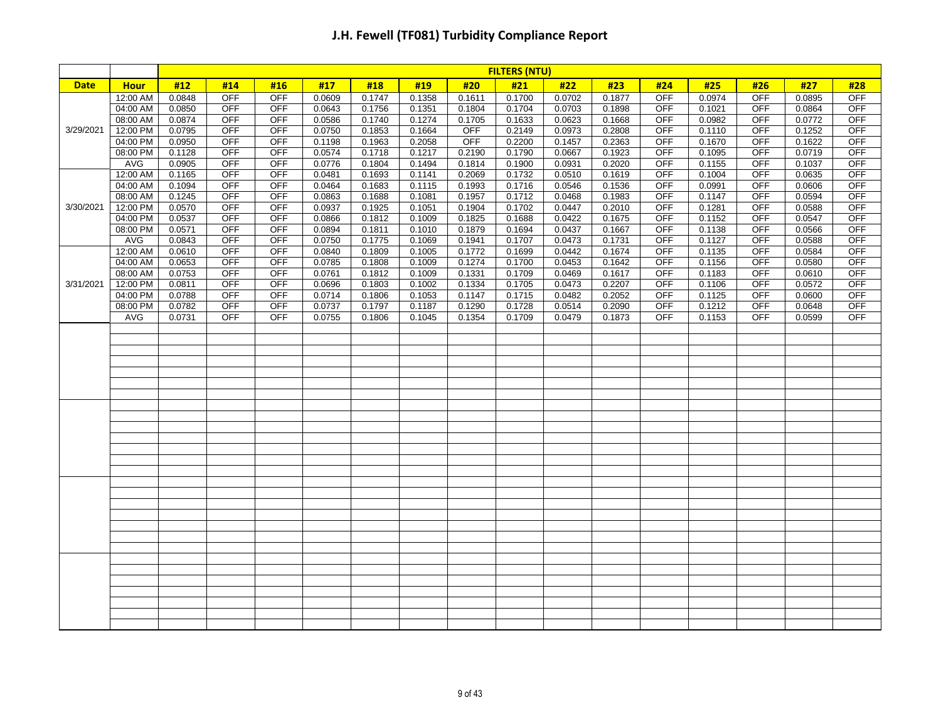|             |             | <b>FILTERS (NTU)</b> |            |            |        |        |        |            |        |        |        |            |        |            |        |            |
|-------------|-------------|----------------------|------------|------------|--------|--------|--------|------------|--------|--------|--------|------------|--------|------------|--------|------------|
| <b>Date</b> | <b>Hour</b> | #12                  | #14        | #16        | #17    | #18    | #19    | #20        | #21    | #22    | #23    | #24        | #25    | #26        | #27    | #28        |
|             | 12:00 AM    | 0.0848               | <b>OFF</b> | <b>OFF</b> | 0.0609 | 0.1747 | 0.1358 | 0.1611     | 0.1700 | 0.0702 | 0.1877 | <b>OFF</b> | 0.0974 | <b>OFF</b> | 0.0895 | <b>OFF</b> |
|             | 04:00 AM    | 0.0850               | <b>OFF</b> | OFF        | 0.0643 | 0.1756 | 0.1351 | 0.1804     | 0.1704 | 0.0703 | 0.1898 | <b>OFF</b> | 0.1021 | <b>OFF</b> | 0.0864 | <b>OFF</b> |
|             | 08:00 AM    | 0.0874               | <b>OFF</b> | <b>OFF</b> | 0.0586 | 0.1740 | 0.1274 | 0.1705     | 0.1633 | 0.0623 | 0.1668 | <b>OFF</b> | 0.0982 | <b>OFF</b> | 0.0772 | <b>OFF</b> |
| 3/29/2021   | 12:00 PM    | 0.0795               | <b>OFF</b> | <b>OFF</b> | 0.0750 | 0.1853 | 0.1664 | <b>OFF</b> | 0.2149 | 0.0973 | 0.2808 | <b>OFF</b> | 0.1110 | <b>OFF</b> | 0.1252 | <b>OFF</b> |
|             | 04:00 PM    | 0.0950               | OFF        | <b>OFF</b> | 0.1198 | 0.1963 | 0.2058 | <b>OFF</b> | 0.2200 | 0.1457 | 0.2363 | <b>OFF</b> | 0.1670 | OFF        | 0.1622 | <b>OFF</b> |
|             | 08:00 PM    | 0.1128               | <b>OFF</b> | <b>OFF</b> | 0.0574 | 0.1718 | 0.1217 | 0.2190     | 0.1790 | 0.0667 | 0.1923 | <b>OFF</b> | 0.1095 | <b>OFF</b> | 0.0719 | <b>OFF</b> |
|             | AVG         | 0.0905               | <b>OFF</b> | OFF        | 0.0776 | 0.1804 | 0.1494 | 0.1814     | 0.1900 | 0.0931 | 0.2020 | <b>OFF</b> | 0.1155 | <b>OFF</b> | 0.1037 | <b>OFF</b> |
|             | 12:00 AM    | 0.1165               | <b>OFF</b> | <b>OFF</b> | 0.0481 | 0.1693 | 0.1141 | 0.2069     | 0.1732 | 0.0510 | 0.1619 | <b>OFF</b> | 0.1004 | <b>OFF</b> | 0.0635 | <b>OFF</b> |
|             | 04:00 AM    | 0.1094               | <b>OFF</b> | OFF        | 0.0464 | 0.1683 | 0.1115 | 0.1993     | 0.1716 | 0.0546 | 0.1536 | <b>OFF</b> | 0.0991 | <b>OFF</b> | 0.0606 | <b>OFF</b> |
|             | 08:00 AM    | 0.1245               | <b>OFF</b> | <b>OFF</b> | 0.0863 | 0.1688 | 0.1081 | 0.1957     | 0.1712 | 0.0468 | 0.1983 | <b>OFF</b> | 0.1147 | <b>OFF</b> | 0.0594 | <b>OFF</b> |
| 3/30/2021   | 12:00 PM    | 0.0570               | <b>OFF</b> | <b>OFF</b> | 0.0937 | 0.1925 | 0.1051 | 0.1904     | 0.1702 | 0.0447 | 0.2010 | <b>OFF</b> | 0.1281 | <b>OFF</b> | 0.0588 | <b>OFF</b> |
|             | 04:00 PM    | 0.0537               | <b>OFF</b> | <b>OFF</b> | 0.0866 | 0.1812 | 0.1009 | 0.1825     | 0.1688 | 0.0422 | 0.1675 | <b>OFF</b> | 0.1152 | OFF        | 0.0547 | <b>OFF</b> |
|             | 08:00 PM    | 0.0571               | <b>OFF</b> | <b>OFF</b> | 0.0894 | 0.1811 | 0.1010 | 0.1879     | 0.1694 | 0.0437 | 0.1667 | <b>OFF</b> | 0.1138 | <b>OFF</b> | 0.0566 | <b>OFF</b> |
|             | AVG         | 0.0843               | <b>OFF</b> | OFF        | 0.0750 | 0.1775 | 0.1069 | 0.1941     | 0.1707 | 0.0473 | 0.1731 | <b>OFF</b> | 0.1127 | <b>OFF</b> | 0.0588 | <b>OFF</b> |
|             | 12:00 AM    | 0.0610               | <b>OFF</b> | <b>OFF</b> | 0.0840 | 0.1809 | 0.1005 | 0.1772     | 0.1699 | 0.0442 | 0.1674 | <b>OFF</b> | 0.1135 | <b>OFF</b> | 0.0584 | <b>OFF</b> |
|             | 04:00 AM    | 0.0653               | <b>OFF</b> | OFF        | 0.0785 | 0.1808 | 0.1009 | 0.1274     | 0.1700 | 0.0453 | 0.1642 | <b>OFF</b> | 0.1156 | <b>OFF</b> | 0.0580 | <b>OFF</b> |
|             | 08:00 AM    | 0.0753               | <b>OFF</b> | <b>OFF</b> | 0.0761 | 0.1812 | 0.1009 | 0.1331     | 0.1709 | 0.0469 | 0.1617 | <b>OFF</b> | 0.1183 | <b>OFF</b> | 0.0610 | <b>OFF</b> |
| 3/31/2021   | 12:00 PM    | 0.0811               | <b>OFF</b> | <b>OFF</b> | 0.0696 | 0.1803 | 0.1002 | 0.1334     | 0.1705 | 0.0473 | 0.2207 | <b>OFF</b> | 0.1106 | <b>OFF</b> | 0.0572 | <b>OFF</b> |
|             | 04:00 PM    | 0.0788               | <b>OFF</b> | <b>OFF</b> | 0.0714 | 0.1806 | 0.1053 | 0.1147     | 0.1715 | 0.0482 | 0.2052 | <b>OFF</b> | 0.1125 | <b>OFF</b> | 0.0600 | <b>OFF</b> |
|             | 08:00 PM    | 0.0782               | <b>OFF</b> | <b>OFF</b> | 0.0737 | 0.1797 | 0.1187 | 0.1290     | 0.1728 | 0.0514 | 0.2090 | <b>OFF</b> | 0.1212 | <b>OFF</b> | 0.0648 | <b>OFF</b> |
|             | AVG         | 0.0731               | OFF        | OFF        | 0.0755 | 0.1806 | 0.1045 | 0.1354     | 0.1709 | 0.0479 | 0.1873 | <b>OFF</b> | 0.1153 | <b>OFF</b> | 0.0599 | <b>OFF</b> |
|             |             |                      |            |            |        |        |        |            |        |        |        |            |        |            |        |            |
|             |             |                      |            |            |        |        |        |            |        |        |        |            |        |            |        |            |
|             |             |                      |            |            |        |        |        |            |        |        |        |            |        |            |        |            |
|             |             |                      |            |            |        |        |        |            |        |        |        |            |        |            |        |            |
|             |             |                      |            |            |        |        |        |            |        |        |        |            |        |            |        |            |
|             |             |                      |            |            |        |        |        |            |        |        |        |            |        |            |        |            |
|             |             |                      |            |            |        |        |        |            |        |        |        |            |        |            |        |            |
|             |             |                      |            |            |        |        |        |            |        |        |        |            |        |            |        |            |
|             |             |                      |            |            |        |        |        |            |        |        |        |            |        |            |        |            |
|             |             |                      |            |            |        |        |        |            |        |        |        |            |        |            |        |            |
|             |             |                      |            |            |        |        |        |            |        |        |        |            |        |            |        |            |
|             |             |                      |            |            |        |        |        |            |        |        |        |            |        |            |        |            |
|             |             |                      |            |            |        |        |        |            |        |        |        |            |        |            |        |            |
|             |             |                      |            |            |        |        |        |            |        |        |        |            |        |            |        |            |
|             |             |                      |            |            |        |        |        |            |        |        |        |            |        |            |        |            |
|             |             |                      |            |            |        |        |        |            |        |        |        |            |        |            |        |            |
|             |             |                      |            |            |        |        |        |            |        |        |        |            |        |            |        |            |
|             |             |                      |            |            |        |        |        |            |        |        |        |            |        |            |        |            |
|             |             |                      |            |            |        |        |        |            |        |        |        |            |        |            |        |            |
|             |             |                      |            |            |        |        |        |            |        |        |        |            |        |            |        |            |
|             |             |                      |            |            |        |        |        |            |        |        |        |            |        |            |        |            |
|             |             |                      |            |            |        |        |        |            |        |        |        |            |        |            |        |            |
|             |             |                      |            |            |        |        |        |            |        |        |        |            |        |            |        |            |
|             |             |                      |            |            |        |        |        |            |        |        |        |            |        |            |        |            |
|             |             |                      |            |            |        |        |        |            |        |        |        |            |        |            |        |            |
|             |             |                      |            |            |        |        |        |            |        |        |        |            |        |            |        |            |
|             |             |                      |            |            |        |        |        |            |        |        |        |            |        |            |        |            |
|             |             |                      |            |            |        |        |        |            |        |        |        |            |        |            |        |            |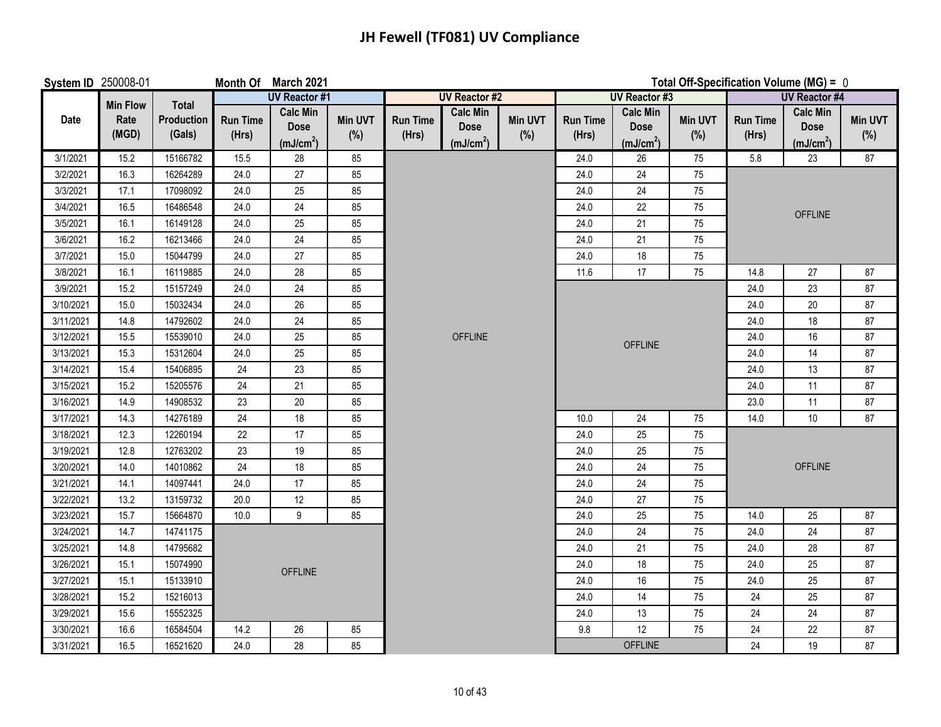## **JH Fewell (TF081) UV Compliance**

| <b>System ID 250008-01</b> |                 |                             |                          | Month Of March 2021                                     | Total Off-Specification Volume (MG) = 0 |                          |                                                         |                       |                          |                                                         |                       |                          |                                                         |                       |
|----------------------------|-----------------|-----------------------------|--------------------------|---------------------------------------------------------|-----------------------------------------|--------------------------|---------------------------------------------------------|-----------------------|--------------------------|---------------------------------------------------------|-----------------------|--------------------------|---------------------------------------------------------|-----------------------|
|                            | <b>Min Flow</b> | <b>Total</b>                |                          | <b>UV Reactor #1</b>                                    |                                         |                          | <b>UV Reactor #2</b>                                    |                       |                          | <b>UV Reactor #3</b>                                    |                       |                          | <b>UV Reactor #4</b>                                    |                       |
| Date                       | Rate<br>(MGD)   | <b>Production</b><br>(Gals) | <b>Run Time</b><br>(Hrs) | <b>Calc Min</b><br><b>Dose</b><br>(mJ/cm <sup>2</sup> ) | <b>Min UVT</b><br>(% )                  | <b>Run Time</b><br>(Hrs) | <b>Calc Min</b><br><b>Dose</b><br>(mJ/cm <sup>2</sup> ) | <b>Min UVT</b><br>(%) | <b>Run Time</b><br>(Hrs) | <b>Calc Min</b><br><b>Dose</b><br>(mJ/cm <sup>2</sup> ) | <b>Min UVT</b><br>(%) | <b>Run Time</b><br>(Hrs) | <b>Calc Min</b><br><b>Dose</b><br>(mJ/cm <sup>2</sup> ) | <b>Min UVT</b><br>(%) |
| 3/1/2021                   | 15.2            | 15166782                    | 15.5                     | 28                                                      | 85                                      |                          |                                                         |                       | 24.0                     | 26                                                      | 75                    | 5.8                      | 23                                                      | 87                    |
| 3/2/2021                   | 16.3            | 16264289                    | 24.0                     | 27                                                      | 85                                      |                          |                                                         |                       | 24.0                     | 24                                                      | 75                    |                          |                                                         |                       |
| 3/3/2021                   | 17.1            | 17098092                    | 24.0                     | 25                                                      | 85                                      |                          |                                                         |                       | 24.0                     | 24                                                      | 75                    |                          |                                                         |                       |
| 3/4/2021                   | 16.5            | 16486548                    | 24.0                     | 24                                                      | 85                                      |                          |                                                         |                       | 24.0                     | 22                                                      | 75                    |                          | <b>OFFLINE</b>                                          |                       |
| 3/5/2021                   | 16.1            | 16149128                    | 24.0                     | 25                                                      | 85                                      |                          |                                                         |                       | 24.0                     | 21                                                      | 75                    |                          |                                                         |                       |
| 3/6/2021                   | 16.2            | 16213466                    | 24.0                     | $24\,$                                                  | 85                                      |                          |                                                         |                       | 24.0                     | 21                                                      | 75                    |                          |                                                         |                       |
| 3/7/2021                   | 15.0            | 15044799                    | 24.0                     | $27\,$                                                  | 85                                      |                          |                                                         |                       | 24.0                     | $18$                                                    | 75                    |                          |                                                         |                       |
| 3/8/2021                   | 16.1            | 16119885                    | 24.0                     | 28                                                      | 85                                      |                          |                                                         |                       | 11.6                     | 17                                                      | 75                    | 14.8                     | 27                                                      | 87                    |
| 3/9/2021                   | 15.2            | 15157249                    | 24.0                     | 24                                                      | 85                                      |                          |                                                         |                       |                          |                                                         |                       | 24.0                     | 23                                                      | 87                    |
| 3/10/2021                  | 15.0            | 15032434                    | 24.0                     | 26                                                      | 85                                      |                          |                                                         |                       |                          |                                                         |                       | 24.0                     | $20\,$                                                  | 87                    |
| 3/11/2021                  | 14.8            | 14792602                    | 24.0                     | 24                                                      | 85                                      |                          |                                                         |                       |                          |                                                         |                       | 24.0                     | 18                                                      | 87                    |
| 3/12/2021                  | 15.5            | 15539010                    | 24.0                     | 25                                                      | 85                                      |                          | <b>OFFLINE</b>                                          |                       |                          | <b>OFFLINE</b>                                          |                       | 24.0                     | 16                                                      | 87                    |
| 3/13/2021                  | 15.3            | 15312604                    | 24.0                     | 25                                                      | 85                                      |                          |                                                         |                       |                          |                                                         |                       | 24.0                     | 14                                                      | 87                    |
| 3/14/2021                  | 15.4            | 15406895                    | 24                       | 23                                                      | 85                                      |                          |                                                         |                       |                          |                                                         |                       | 24.0                     | 13                                                      | 87                    |
| 3/15/2021                  | 15.2            | 15205576                    | 24                       | 21                                                      | 85                                      |                          |                                                         |                       |                          |                                                         |                       | 24.0                     | 11                                                      | 87                    |
| 3/16/2021                  | 14.9            | 14908532                    | 23                       | 20                                                      | 85                                      |                          |                                                         |                       |                          |                                                         |                       | 23.0                     | 11                                                      | 87                    |
| 3/17/2021                  | 14.3            | 14276189                    | $24\,$                   | 18                                                      | 85                                      |                          |                                                         |                       | 10.0                     | 24                                                      | 75                    | 14.0                     | $10\,$                                                  | 87                    |
| 3/18/2021                  | 12.3            | 12260194                    | 22                       | 17                                                      | 85                                      |                          |                                                         |                       | 24.0                     | 25                                                      | 75                    |                          |                                                         |                       |
| 3/19/2021                  | 12.8            | 12763202                    | 23                       | 19                                                      | 85                                      |                          |                                                         |                       | 24.0                     | 25                                                      | 75                    |                          |                                                         |                       |
| 3/20/2021                  | 14.0            | 14010862                    | $24\,$                   | 18                                                      | 85                                      |                          |                                                         |                       | 24.0                     | 24                                                      | 75                    |                          | <b>OFFLINE</b>                                          |                       |
| 3/21/2021                  | 14.1            | 14097441                    | 24.0                     | 17                                                      | 85                                      |                          |                                                         |                       | 24.0                     | 24                                                      | 75                    |                          |                                                         |                       |
| 3/22/2021                  | 13.2            | 13159732                    | 20.0                     | 12                                                      | 85                                      |                          |                                                         |                       | 24.0                     | 27                                                      | 75                    |                          |                                                         |                       |
| 3/23/2021                  | 15.7            | 15664870                    | 10.0                     | 9                                                       | 85                                      |                          |                                                         |                       | 24.0                     | 25                                                      | 75                    | 14.0                     | 25                                                      | 87                    |
| 3/24/2021                  | 14.7            | 14741175                    |                          |                                                         |                                         |                          |                                                         |                       | 24.0                     | 24                                                      | 75                    | 24.0                     | 24                                                      | 87                    |
| 3/25/2021                  | 14.8            | 14795682                    |                          |                                                         |                                         |                          |                                                         |                       | 24.0                     | 21                                                      | 75                    | 24.0                     | 28                                                      | 87                    |
| 3/26/2021                  | 15.1            | 15074990                    |                          | <b>OFFLINE</b>                                          |                                         |                          |                                                         |                       | 24.0                     | 18                                                      | 75                    | 24.0                     | 25                                                      | 87                    |
| 3/27/2021                  | 15.1            | 15133910                    |                          |                                                         |                                         |                          |                                                         |                       | 24.0                     | 16                                                      | 75                    | 24.0                     | 25                                                      | 87                    |
| 3/28/2021                  | 15.2            | 15216013                    |                          |                                                         |                                         |                          |                                                         |                       | 24.0                     | 14                                                      | 75                    | 24                       | 25                                                      | 87                    |
| 3/29/2021                  | 15.6            | 15552325                    |                          |                                                         |                                         |                          |                                                         |                       | 24.0                     | 13                                                      | 75                    | 24                       | 24                                                      | 87                    |
| 3/30/2021                  | 16.6            | 16584504                    | 14.2                     | 26                                                      | 85                                      |                          |                                                         |                       | 9.8                      | 12                                                      | 75                    | 24                       | 22                                                      | 87                    |
| 3/31/2021                  | 16.5            | 16521620                    | 24.0                     | 28                                                      | 85                                      |                          |                                                         |                       |                          | <b>OFFLINE</b>                                          |                       | 24                       | 19                                                      | 87                    |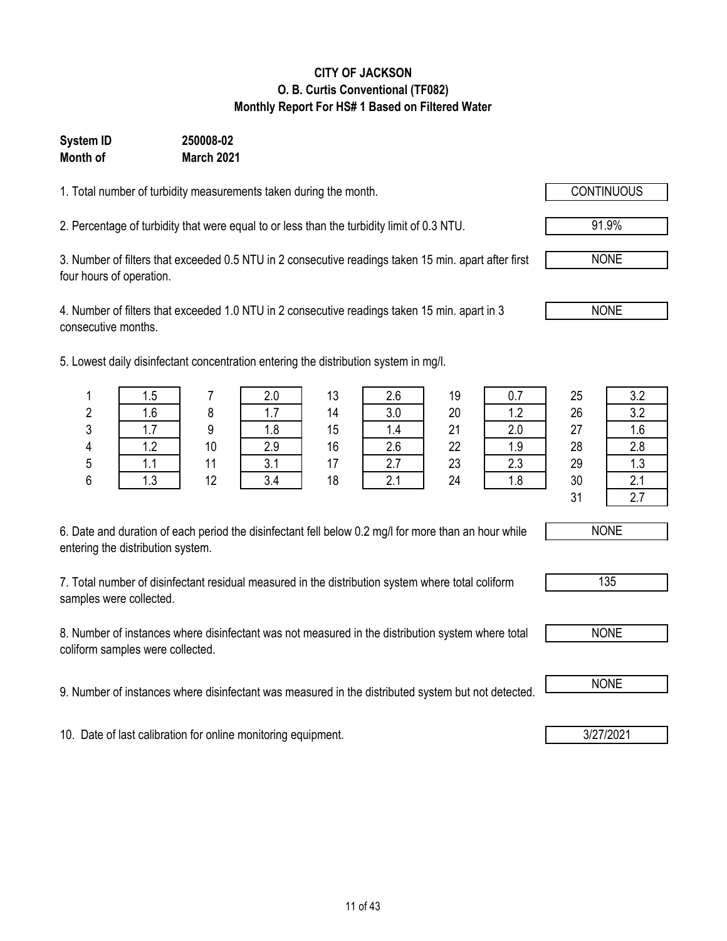### **CITY OF JACKSON O. B. Curtis Conventional (TF082) Monthly Report For HS# 1 Based on Filtered Water**

#### **System ID 250008-02 Month of March 2021**

1. Total number of turbidity measurements taken during the month.

2. Percentage of turbidity that were equal to or less than the turbidity limit of 0.3 NTU.

3. Number of filters that exceeded 0.5 NTU in 2 consecutive readings taken 15 min. apart after first four hours of operation.

4. Number of filters that exceeded 1.0 NTU in 2 consecutive readings taken 15 min. apart in 3 consecutive months.

5. Lowest daily disinfectant concentration entering the distribution system in mg/l.

| 6. Date and duration of each period the disinfectant fell below 0.2 mg/l for more than an hour while |
|------------------------------------------------------------------------------------------------------|
| entering the distribution system.                                                                    |

7. Total number of disinfectant residual measured in the distribution system where total coliform samples were collected.

8. Number of instances where disinfectant was not measured in the distribution system where total coliform samples were collected.

9. Number of instances where disinfectant was measured in the distributed system but not detected. **I** NONE

10. Date of last calibration for online monitoring equipment. **3/27/2021** 

|   | 1.5               |    | 2.0 | 13 | 2.6 | 19 | 0.7 | 25 | 3.2                |
|---|-------------------|----|-----|----|-----|----|-----|----|--------------------|
| 2 | 1.6               |    | 1.7 | 14 | 3.0 | 20 | 1.2 | 26 | 3.2                |
| 3 | 17<br>ı. <i>ı</i> |    | 1.8 | 15 | 1.4 | 21 | 2.0 | 27 | 1.6                |
| 4 | 1.2               | 10 | 2.9 | 16 | 2.6 | 22 | 1.9 | 28 | 2.8                |
| 5 | ı. I              | 11 | 3.1 | 17 | 2.7 | 23 | 2.3 | 29 | 1.3                |
| 6 | 1.3               | 12 | 3.4 | 18 | 2.1 | 24 | 1.8 | 30 | $\sim$<br><u>.</u> |
|   |                   |    |     |    |     |    |     | 31 | $\sim$ $\sim$      |

NONE

NONE

91.9%



| ນບ<br>יי |  |
|----------|--|
|          |  |



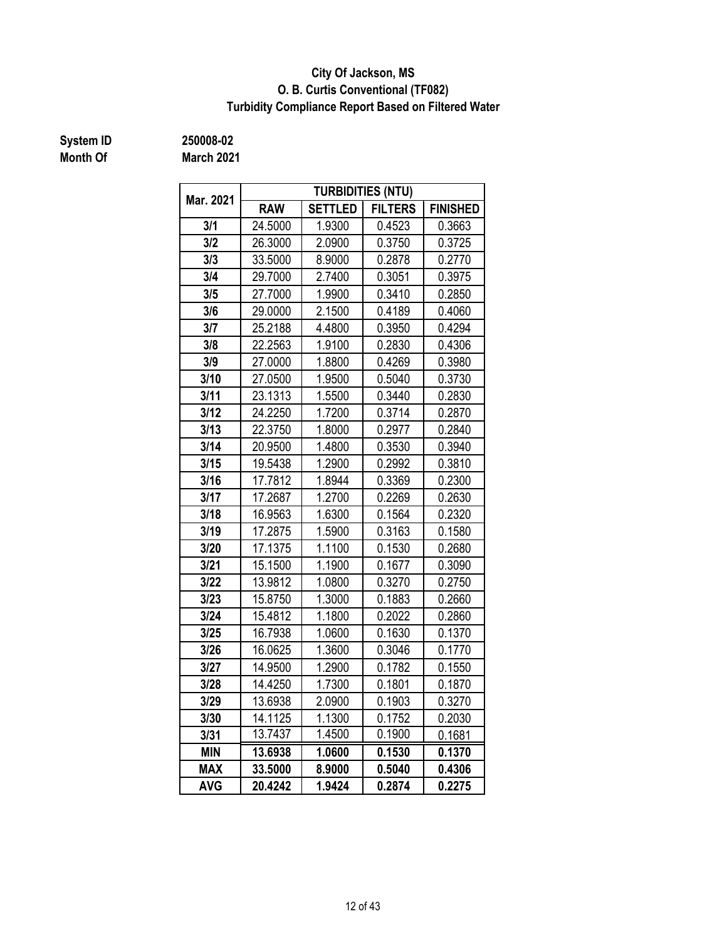### **O. B. Curtis Conventional (TF082) City Of Jackson, MS Turbidity Compliance Report Based on Filtered Water**

## **Month Of**

**System ID 250008-02**

**March 2021**

| Mar. 2021  |            |                  | <b>TURBIDITIES (NTU)</b> |                 |  |
|------------|------------|------------------|--------------------------|-----------------|--|
|            | <b>RAW</b> | <b>SETTLED</b>   | <b>FILTERS</b>           | <b>FINISHED</b> |  |
| 3/1        | 24.5000    | 1.9300           | 0.4523                   | 0.3663          |  |
| 3/2        | 26.3000    | 2.0900           | 0.3750                   | 0.3725          |  |
| 3/3        | 33.5000    | 8.9000           | 0.2878                   | 0.2770          |  |
| 3/4        | 29.7000    | 2.7400           | 0.3051                   | 0.3975          |  |
| 3/5        | 27.7000    | 1.9900           | 0.3410                   | 0.2850          |  |
| 3/6        | 29.0000    | 2.1500           | 0.4189                   | 0.4060          |  |
| 3/7        | 25.2188    | 4.4800           | 0.3950                   | 0.4294          |  |
| 3/8        | 22.2563    | 1.9100           | 0.2830                   | 0.4306          |  |
| 3/9        | 27.0000    | 1.8800           | 0.4269                   | 0.3980          |  |
| 3/10       | 27.0500    | 1.9500           | 0.5040                   | 0.3730          |  |
| 3/11       | 23.1313    | 1.5500           | 0.3440                   | 0.2830          |  |
| 3/12       | 24.2250    | 1.7200           | 0.3714                   | 0.2870          |  |
| 3/13       | 22.3750    | 1.8000           | 0.2977                   | 0.2840          |  |
| 3/14       | 20.9500    | 1.4800           | 0.3530                   | 0.3940          |  |
| 3/15       | 19.5438    | 1.2900           | 0.2992                   | 0.3810          |  |
| 3/16       | 17.7812    | 1.8944           | 0.3369                   | 0.2300          |  |
| 3/17       | 17.2687    | 1.2700           | 0.2269                   | 0.2630          |  |
| 3/18       | 16.9563    | 1.6300<br>0.1564 |                          | 0.2320          |  |
| 3/19       | 17.2875    | 1.5900           | 0.3163                   | 0.1580          |  |
| 3/20       | 17.1375    | 1.1100           | 0.1530                   | 0.2680          |  |
| 3/21       | 15.1500    | 1.1900           | 0.1677                   | 0.3090          |  |
| 3/22       | 13.9812    | 1.0800           | 0.3270                   | 0.2750          |  |
| 3/23       | 15.8750    | 1.3000           | 0.1883                   | 0.2660          |  |
| 3/24       | 15.4812    | 1.1800           | 0.2022                   | 0.2860          |  |
| 3/25       | 16.7938    | 1.0600           | 0.1630                   | 0.1370          |  |
| 3/26       | 16.0625    | 1.3600           | 0.3046                   | 0.1770          |  |
| 3/27       | 14.9500    | 1.2900           | 0.1782                   | 0.1550          |  |
| 3/28       | 14.4250    | 1.7300           | 0.1801                   | 0.1870          |  |
| 3/29       | 13.6938    | 2.0900           | 0.1903                   | 0.3270          |  |
| 3/30       | 14.1125    | 1.1300           | 0.1752                   | 0.2030          |  |
| 3/31       | 13.7437    | 1.4500           | 0.1900                   | 0.1681          |  |
| <b>MIN</b> | 13.6938    | 1.0600           | 0.1530                   | 0.1370          |  |
| <b>MAX</b> | 33.5000    | 8.9000           | 0.5040                   | 0.4306          |  |
| <b>AVG</b> | 20.4242    | 1.9424           | 0.2874                   | 0.2275          |  |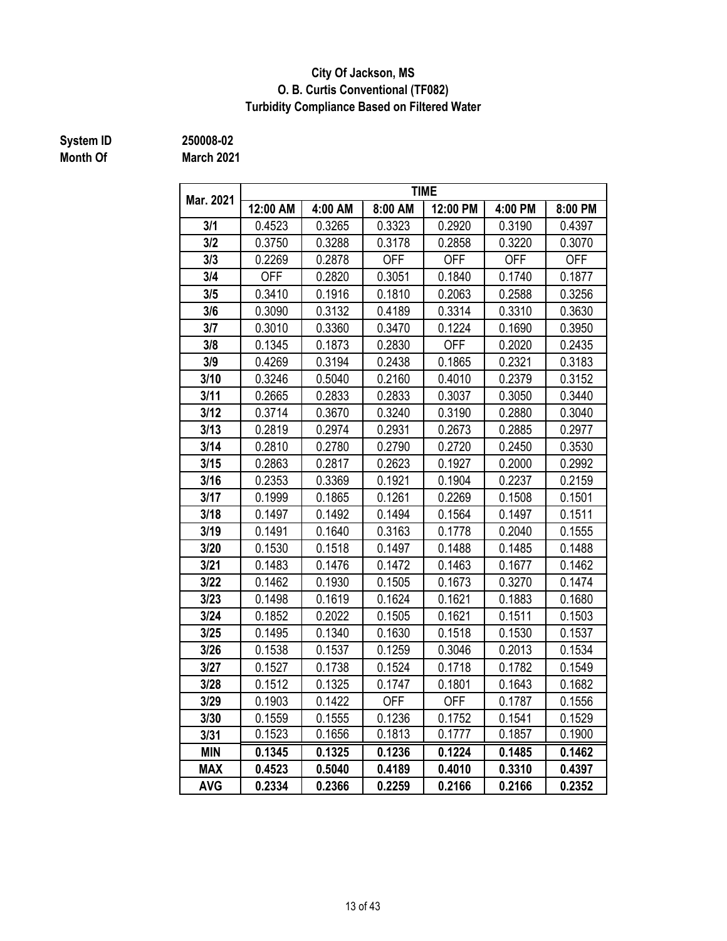### **City Of Jackson, MS O. B. Curtis Conventional (TF082) Turbidity Compliance Based on Filtered Water**

# **Month Of**

**System ID 250008-02**

**March 2021**

|            |            |         |            | <b>TIME</b> |            |            |
|------------|------------|---------|------------|-------------|------------|------------|
| Mar. 2021  | 12:00 AM   | 4:00 AM | 8:00 AM    | 12:00 PM    | 4:00 PM    | 8:00 PM    |
| 3/1        | 0.4523     | 0.3265  | 0.3323     | 0.2920      | 0.3190     | 0.4397     |
| 3/2        | 0.3750     | 0.3288  | 0.3178     | 0.2858      | 0.3220     | 0.3070     |
| 3/3        | 0.2269     | 0.2878  | <b>OFF</b> | <b>OFF</b>  | <b>OFF</b> | <b>OFF</b> |
| 3/4        | <b>OFF</b> | 0.2820  | 0.3051     | 0.1840      | 0.1740     | 0.1877     |
| 3/5        | 0.3410     | 0.1916  | 0.1810     | 0.2063      | 0.2588     | 0.3256     |
| 3/6        | 0.3090     | 0.3132  | 0.4189     | 0.3314      | 0.3310     | 0.3630     |
| 3/7        | 0.3010     | 0.3360  | 0.3470     | 0.1224      | 0.1690     | 0.3950     |
| 3/8        | 0.1345     | 0.1873  | 0.2830     | <b>OFF</b>  | 0.2020     | 0.2435     |
| 3/9        | 0.4269     | 0.3194  | 0.2438     | 0.1865      | 0.2321     | 0.3183     |
| 3/10       | 0.3246     | 0.5040  | 0.2160     | 0.4010      | 0.2379     | 0.3152     |
| 3/11       | 0.2665     | 0.2833  | 0.2833     | 0.3037      | 0.3050     | 0.3440     |
| 3/12       | 0.3714     | 0.3670  | 0.3240     | 0.3190      | 0.2880     | 0.3040     |
| 3/13       | 0.2819     | 0.2974  | 0.2931     | 0.2673      | 0.2885     | 0.2977     |
| 3/14       | 0.2810     | 0.2780  | 0.2790     | 0.2720      | 0.2450     | 0.3530     |
| 3/15       | 0.2863     | 0.2817  | 0.2623     | 0.1927      | 0.2000     | 0.2992     |
| 3/16       | 0.2353     | 0.3369  | 0.1921     | 0.1904      | 0.2237     | 0.2159     |
| 3/17       | 0.1999     | 0.1865  | 0.1261     | 0.2269      | 0.1508     | 0.1501     |
| 3/18       | 0.1497     | 0.1492  | 0.1494     | 0.1564      | 0.1497     | 0.1511     |
| 3/19       | 0.1491     | 0.1640  | 0.3163     | 0.1778      | 0.2040     | 0.1555     |
| 3/20       | 0.1530     | 0.1518  | 0.1497     | 0.1488      | 0.1485     | 0.1488     |
| 3/21       | 0.1483     | 0.1476  | 0.1472     | 0.1463      | 0.1677     | 0.1462     |
| 3/22       | 0.1462     | 0.1930  | 0.1505     | 0.1673      | 0.3270     | 0.1474     |
| 3/23       | 0.1498     | 0.1619  | 0.1624     | 0.1621      | 0.1883     | 0.1680     |
| 3/24       | 0.1852     | 0.2022  | 0.1505     | 0.1621      | 0.1511     | 0.1503     |
| 3/25       | 0.1495     | 0.1340  | 0.1630     | 0.1518      | 0.1530     | 0.1537     |
| 3/26       | 0.1538     | 0.1537  | 0.1259     | 0.3046      | 0.2013     | 0.1534     |
| 3/27       | 0.1527     | 0.1738  | 0.1524     | 0.1718      | 0.1782     | 0.1549     |
| 3/28       | 0.1512     | 0.1325  | 0.1747     | 0.1801      | 0.1643     | 0.1682     |
| 3/29       | 0.1903     | 0.1422  | <b>OFF</b> | <b>OFF</b>  | 0.1787     | 0.1556     |
| 3/30       | 0.1559     | 0.1555  | 0.1236     | 0.1752      | 0.1541     | 0.1529     |
| 3/31       | 0.1523     | 0.1656  | 0.1813     | 0.1777      | 0.1857     | 0.1900     |
| <b>MIN</b> | 0.1345     | 0.1325  | 0.1236     | 0.1224      | 0.1485     | 0.1462     |
| <b>MAX</b> | 0.4523     | 0.5040  | 0.4189     | 0.4010      | 0.3310     | 0.4397     |
| <b>AVG</b> | 0.2334     | 0.2366  | 0.2259     | 0.2166      | 0.2166     | 0.2352     |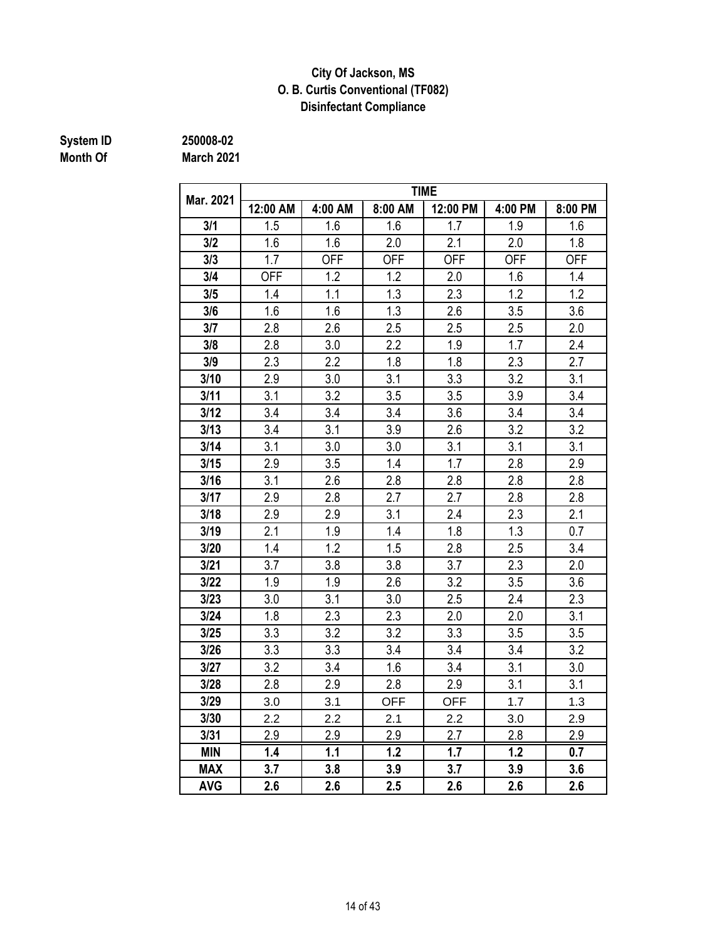### **Disinfectant Compliance City Of Jackson, MS O. B. Curtis Conventional (TF082)**

# **System ID** 250008-02<br> **Month Of** March 2021

**Month Of March 2021**

| Mar. 2021  |            |            |            | <b>TIME</b> |            |            |
|------------|------------|------------|------------|-------------|------------|------------|
|            | 12:00 AM   | 4:00 AM    | 8:00 AM    | 12:00 PM    | 4:00 PM    | 8:00 PM    |
| 3/1        | 1.5        | 1.6        | 1.6        | 1.7         | 1.9        | 1.6        |
| 3/2        | 1.6        | 1.6        | 2.0        | 2.1         | 2.0        | 1.8        |
| 3/3        | 1.7        | <b>OFF</b> | <b>OFF</b> | <b>OFF</b>  | <b>OFF</b> | <b>OFF</b> |
| 3/4        | <b>OFF</b> | 1.2        | 1.2        | 2.0         | 1.6        | 1.4        |
| 3/5        | 1.4        | 1.1        | 1.3        | 2.3         | 1.2        | 1.2        |
| 3/6        | 1.6        | 1.6        | 1.3        | 2.6         | 3.5        | 3.6        |
| 3/7        | 2.8        | 2.6        | 2.5        | 2.5         | 2.5        | 2.0        |
| 3/8        | 2.8        | 3.0        | 2.2        | 1.9         | 1.7        | 2.4        |
| 3/9        | 2.3        | 2.2        | 1.8        | 1.8         | 2.3        | 2.7        |
| 3/10       | 2.9        | 3.0        | 3.1        | 3.3         | 3.2        | 3.1        |
| 3/11       | 3.1        | 3.2        | 3.5        | 3.5         | 3.9        | 3.4        |
| 3/12       | 3.4        | 3.4        | 3.4        | 3.6         | 3.4        | 3.4        |
| 3/13       | 3.4        | 3.1        | 3.9        | 2.6         | 3.2        | 3.2        |
| 3/14       | 3.1        | 3.0        | 3.0        | 3.1         | 3.1        | 3.1        |
| 3/15       | 2.9        | 3.5        | 1.4        | 1.7         | 2.8        | 2.9        |
| 3/16       | 3.1        | 2.6        | 2.8        | 2.8         | 2.8        | 2.8        |
| 3/17       | 2.9        | 2.8        | 2.7        | 2.7         | 2.8        | 2.8        |
| 3/18       | 2.9        | 2.9        | 3.1        | 2.4         | 2.3        | 2.1        |
| 3/19       | 2.1        | 1.9        | 1.4        | 1.8         | 1.3        | 0.7        |
| 3/20       | 1.4        | 1.2        | 1.5        | 2.8         | 2.5        | 3.4        |
| 3/21       | 3.7        | 3.8        | 3.8        | 3.7         | 2.3        | 2.0        |
| 3/22       | 1.9        | 1.9        | 2.6        | 3.2         | 3.5        | 3.6        |
| 3/23       | 3.0        | 3.1        | 3.0        | 2.5         | 2.4        | 2.3        |
| 3/24       | 1.8        | 2.3        | 2.3        | 2.0         | 2.0        | 3.1        |
| 3/25       | 3.3        | 3.2        | 3.2        | 3.3         | 3.5        | 3.5        |
| 3/26       | 3.3        | 3.3        | 3.4        | 3.4         | 3.4        | 3.2        |
| 3/27       | 3.2        | 3.4        | 1.6        | 3.4         | 3.1        | 3.0        |
| 3/28       | 2.8        | 2.9        | 2.8        | 2.9         | 3.1        | 3.1        |
| 3/29       | 3.0        | 3.1        | <b>OFF</b> | <b>OFF</b>  | 1.7        | 1.3        |
| 3/30       | 2.2        | 2.2        | 2.1        | 2.2         | 3.0        | 2.9        |
| 3/31       | 2.9        | 2.9        | 2.9        | 2.7         | 2.8        | 2.9        |
| <b>MIN</b> | 1.4        | 1.1        | 1.2        | 1.7         | 1.2        | 0.7        |
| <b>MAX</b> | 3.7        | 3.8        | 3.9        | 3.7         | 3.9        | 3.6        |
| <b>AVG</b> | 2.6        | 2.6        | 2.5        | 2.6         | 2.6        | 2.6        |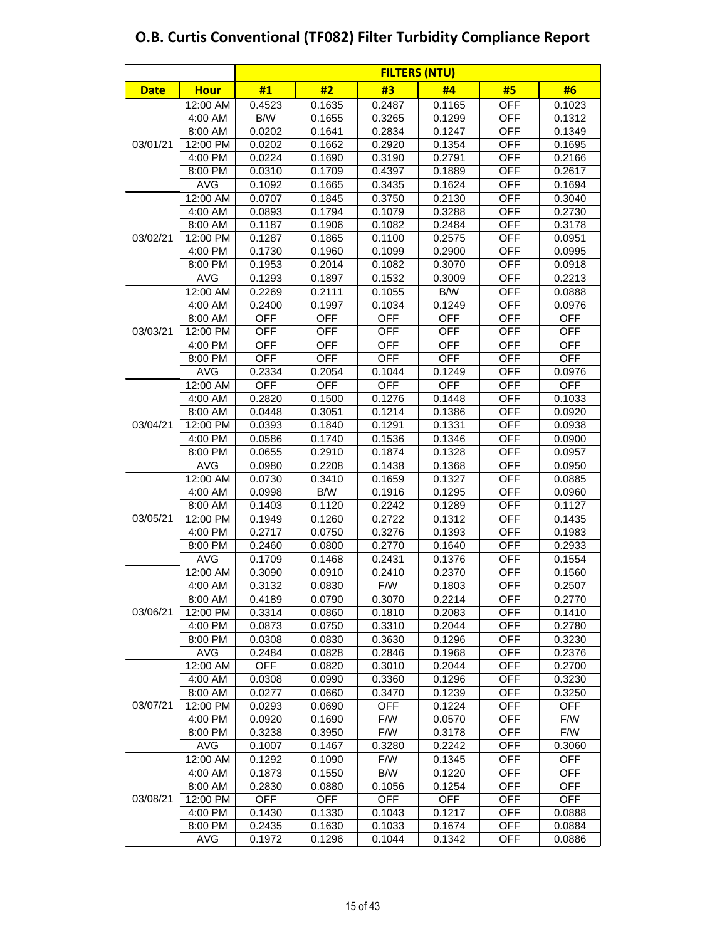|             |             | <b>FILTERS (NTU)</b> |            |            |            |            |                         |  |  |  |  |
|-------------|-------------|----------------------|------------|------------|------------|------------|-------------------------|--|--|--|--|
| <b>Date</b> | <b>Hour</b> | #1                   | #2         | #3         | #4         | #5         | #6                      |  |  |  |  |
|             | 12:00 AM    | 0.4523               | 0.1635     | 0.2487     | 0.1165     | <b>OFF</b> | 0.1023                  |  |  |  |  |
|             | 4:00 AM     | B/W                  | 0.1655     | 0.3265     | 0.1299     | <b>OFF</b> | 0.1312                  |  |  |  |  |
|             | 8:00 AM     | 0.0202               | 0.1641     | 0.2834     | 0.1247     | <b>OFF</b> | 0.1349                  |  |  |  |  |
| 03/01/21    | 12:00 PM    | 0.0202               | 0.1662     | 0.2920     | 0.1354     | <b>OFF</b> | 0.1695                  |  |  |  |  |
|             | 4:00 PM     | 0.0224               | 0.1690     | 0.3190     | 0.2791     | <b>OFF</b> | 0.2166                  |  |  |  |  |
|             | 8:00 PM     | 0.0310               | 0.1709     | 0.4397     | 0.1889     | <b>OFF</b> | 0.2617                  |  |  |  |  |
|             | <b>AVG</b>  | 0.1092               | 0.1665     | 0.3435     | 0.1624     | <b>OFF</b> | 0.1694                  |  |  |  |  |
|             | 12:00 AM    | 0.0707               | 0.1845     | 0.3750     | 0.2130     | <b>OFF</b> | 0.3040                  |  |  |  |  |
|             | 4:00 AM     | 0.0893               | 0.1794     | 0.1079     | 0.3288     | <b>OFF</b> | 0.2730                  |  |  |  |  |
|             | 8:00 AM     | 0.1187               | 0.1906     | 0.1082     | 0.2484     | <b>OFF</b> | 0.3178                  |  |  |  |  |
| 03/02/21    | 12:00 PM    | 0.1287               | 0.1865     | 0.1100     | 0.2575     | <b>OFF</b> | 0.0951                  |  |  |  |  |
|             | 4:00 PM     | 0.1730               | 0.1960     | 0.1099     | 0.2900     | <b>OFF</b> | 0.0995                  |  |  |  |  |
|             | 8:00 PM     | 0.1953               | 0.2014     | 0.1082     | 0.3070     | <b>OFF</b> | 0.0918                  |  |  |  |  |
|             | <b>AVG</b>  | 0.1293               | 0.1897     | 0.1532     | 0.3009     | <b>OFF</b> | 0.2213                  |  |  |  |  |
|             | 12:00 AM    | 0.2269               | 0.2111     | 0.1055     | B/W        | <b>OFF</b> | 0.0888                  |  |  |  |  |
|             | 4:00 AM     | 0.2400               | 0.1997     | 0.1034     | 0.1249     | <b>OFF</b> | 0.0976                  |  |  |  |  |
|             | 8:00 AM     | <b>OFF</b>           | <b>OFF</b> | <b>OFF</b> | <b>OFF</b> | <b>OFF</b> | <b>OFF</b>              |  |  |  |  |
| 03/03/21    | 12:00 PM    | <b>OFF</b>           | <b>OFF</b> | <b>OFF</b> | <b>OFF</b> | <b>OFF</b> | <b>OFF</b>              |  |  |  |  |
|             | 4:00 PM     | <b>OFF</b>           | <b>OFF</b> | <b>OFF</b> | <b>OFF</b> | <b>OFF</b> | <b>OFF</b>              |  |  |  |  |
|             | 8:00 PM     | <b>OFF</b>           | <b>OFF</b> | <b>OFF</b> | <b>OFF</b> | <b>OFF</b> | <b>OFF</b>              |  |  |  |  |
|             | <b>AVG</b>  | 0.2334               | 0.2054     | 0.1044     | 0.1249     | <b>OFF</b> | 0.0976                  |  |  |  |  |
|             | 12:00 AM    | <b>OFF</b>           | <b>OFF</b> | <b>OFF</b> | <b>OFF</b> | <b>OFF</b> | <b>OFF</b>              |  |  |  |  |
|             | 4:00 AM     | 0.2820               | 0.1500     | 0.1276     | 0.1448     | <b>OFF</b> | 0.1033                  |  |  |  |  |
|             | 8:00 AM     | 0.0448               | 0.3051     | 0.1214     | 0.1386     | <b>OFF</b> | 0.0920                  |  |  |  |  |
| 03/04/21    | 12:00 PM    | 0.0393               | 0.1840     | 0.1291     | 0.1331     | <b>OFF</b> | 0.0938                  |  |  |  |  |
|             | 4:00 PM     | 0.0586               | 0.1740     | 0.1536     | 0.1346     | <b>OFF</b> | 0.0900                  |  |  |  |  |
|             | 8:00 PM     | 0.0655               | 0.2910     | 0.1874     | 0.1328     | <b>OFF</b> | 0.0957                  |  |  |  |  |
|             | <b>AVG</b>  | 0.0980               | 0.2208     | 0.1438     | 0.1368     | <b>OFF</b> | 0.0950                  |  |  |  |  |
|             | 12:00 AM    | 0.0730               | 0.3410     | 0.1659     | 0.1327     | <b>OFF</b> | 0.0885                  |  |  |  |  |
|             | 4:00 AM     | 0.0998               | B/W        | 0.1916     | 0.1295     | <b>OFF</b> | 0.0960                  |  |  |  |  |
|             | 8:00 AM     | 0.1403               | 0.1120     | 0.2242     | 0.1289     | <b>OFF</b> | 0.1127                  |  |  |  |  |
| 03/05/21    | 12:00 PM    | 0.1949               | 0.1260     | 0.2722     | 0.1312     | <b>OFF</b> | 0.1435                  |  |  |  |  |
|             | 4:00 PM     | 0.2717               | 0.0750     | 0.3276     | 0.1393     | <b>OFF</b> | 0.1983                  |  |  |  |  |
|             | 8:00 PM     | 0.2460               | 0.0800     | 0.2770     | 0.1640     | <b>OFF</b> | 0.2933                  |  |  |  |  |
|             | <b>AVG</b>  | 0.1709               | 0.1468     | 0.2431     | 0.1376     | <b>OFF</b> | 0.1554                  |  |  |  |  |
|             | 12:00 AM    | 0.3090               | 0.0910     | 0.2410     | 0.2370     | <b>OFF</b> | 0.1560                  |  |  |  |  |
|             | 4:00 AM     | 0.3132               | 0.0830     | F/W        | 0.1803     | <b>OFF</b> | 0.2507                  |  |  |  |  |
|             | 8:00 AM     | 0.4189               | 0.0790     | 0.3070     | 0.2214     | <b>OFF</b> | 0.2770                  |  |  |  |  |
| 03/06/21    | 12:00 PM    | 0.3314               | 0.0860     | 0.1810     | 0.2083     | <b>OFF</b> | 0.1410                  |  |  |  |  |
|             | 4:00 PM     | 0.0873               | 0.0750     | 0.3310     | 0.2044     | <b>OFF</b> | 0.2780                  |  |  |  |  |
|             | 8:00 PM     | 0.0308               | 0.0830     | 0.3630     | 0.1296     | <b>OFF</b> | 0.3230                  |  |  |  |  |
|             | <b>AVG</b>  | 0.2484               | 0.0828     | 0.2846     | 0.1968     | <b>OFF</b> | 0.2376                  |  |  |  |  |
|             | 12:00 AM    | <b>OFF</b>           | 0.0820     | 0.3010     | 0.2044     | <b>OFF</b> | 0.2700                  |  |  |  |  |
|             | 4:00 AM     | 0.0308               | 0.0990     | 0.3360     | 0.1296     | <b>OFF</b> | 0.3230                  |  |  |  |  |
|             | 8:00 AM     | 0.0277               | 0.0660     | 0.3470     | 0.1239     | <b>OFF</b> | 0.3250                  |  |  |  |  |
| 03/07/21    | 12:00 PM    | 0.0293               | 0.0690     | <b>OFF</b> | 0.1224     | OFF        | <b>OFF</b>              |  |  |  |  |
|             | 4:00 PM     | 0.0920               | 0.1690     | F/W        | 0.0570     | <b>OFF</b> | F/W                     |  |  |  |  |
|             | 8:00 PM     | 0.3238               | 0.3950     | F/W        | 0.3178     | <b>OFF</b> | $\mathsf{F}/\mathsf{W}$ |  |  |  |  |
|             | <b>AVG</b>  | 0.1007               | 0.1467     | 0.3280     | 0.2242     | <b>OFF</b> | 0.3060                  |  |  |  |  |
|             | 12:00 AM    | 0.1292               | 0.1090     | F/W        | 0.1345     | <b>OFF</b> | <b>OFF</b>              |  |  |  |  |
|             | 4:00 AM     | 0.1873               | 0.1550     | B/W        | 0.1220     | <b>OFF</b> | <b>OFF</b>              |  |  |  |  |
|             | 8:00 AM     | 0.2830               | 0.0880     | 0.1056     | 0.1254     | <b>OFF</b> | <b>OFF</b>              |  |  |  |  |
| 03/08/21    | 12:00 PM    | <b>OFF</b>           | <b>OFF</b> | <b>OFF</b> | <b>OFF</b> | <b>OFF</b> | <b>OFF</b>              |  |  |  |  |
|             | 4:00 PM     | 0.1430               | 0.1330     | 0.1043     | 0.1217     | <b>OFF</b> | 0.0888                  |  |  |  |  |
|             | 8:00 PM     | 0.2435               | 0.1630     | 0.1033     | 0.1674     | <b>OFF</b> | 0.0884                  |  |  |  |  |
|             | <b>AVG</b>  | 0.1972               | 0.1296     | 0.1044     | 0.1342     | <b>OFF</b> | 0.0886                  |  |  |  |  |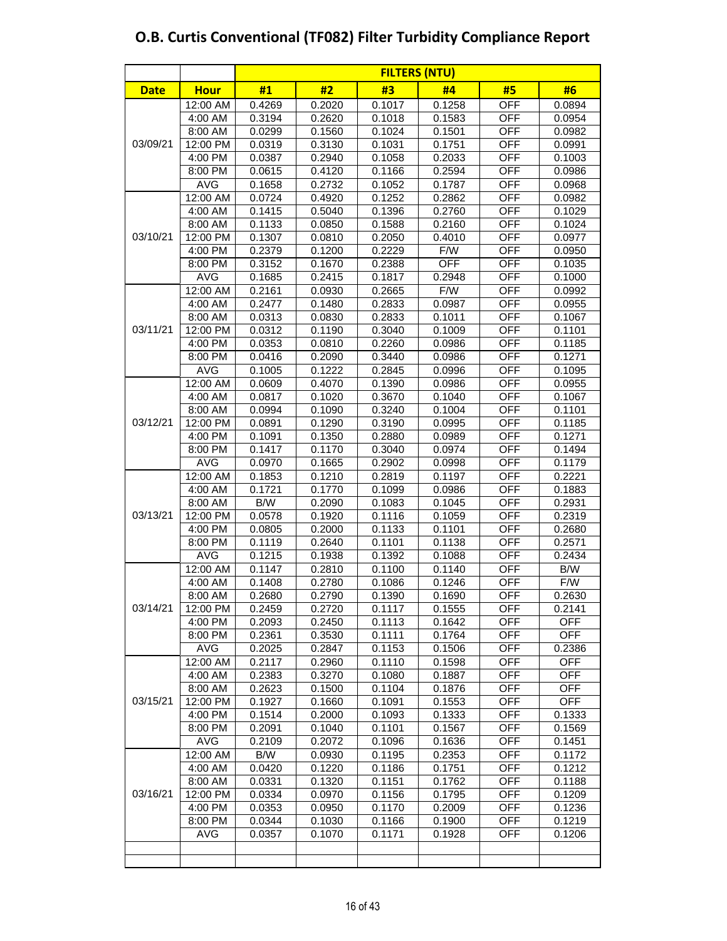|             |             | <b>FILTERS (NTU)</b> |        |        |            |            |            |  |  |  |  |
|-------------|-------------|----------------------|--------|--------|------------|------------|------------|--|--|--|--|
| <b>Date</b> | <b>Hour</b> | #1                   | #2     | #3     | #4         | #5         | #6         |  |  |  |  |
|             | 12:00 AM    | 0.4269               | 0.2020 | 0.1017 | 0.1258     | <b>OFF</b> | 0.0894     |  |  |  |  |
|             | 4:00 AM     | 0.3194               | 0.2620 | 0.1018 | 0.1583     | <b>OFF</b> | 0.0954     |  |  |  |  |
|             | 8:00 AM     | 0.0299               | 0.1560 | 0.1024 | 0.1501     | <b>OFF</b> | 0.0982     |  |  |  |  |
| 03/09/21    | 12:00 PM    | 0.0319               | 0.3130 | 0.1031 | 0.1751     | <b>OFF</b> | 0.0991     |  |  |  |  |
|             | 4:00 PM     | 0.0387               | 0.2940 | 0.1058 | 0.2033     | <b>OFF</b> | 0.1003     |  |  |  |  |
|             | 8:00 PM     | 0.0615               | 0.4120 | 0.1166 | 0.2594     | <b>OFF</b> | 0.0986     |  |  |  |  |
|             | <b>AVG</b>  | 0.1658               | 0.2732 | 0.1052 | 0.1787     | <b>OFF</b> | 0.0968     |  |  |  |  |
|             | 12:00 AM    | 0.0724               | 0.4920 | 0.1252 | 0.2862     | <b>OFF</b> | 0.0982     |  |  |  |  |
|             | 4:00 AM     | 0.1415               | 0.5040 | 0.1396 | 0.2760     | <b>OFF</b> | 0.1029     |  |  |  |  |
|             | 8:00 AM     | 0.1133               | 0.0850 | 0.1588 | 0.2160     | <b>OFF</b> | 0.1024     |  |  |  |  |
| 03/10/21    | 12:00 PM    | 0.1307               | 0.0810 | 0.2050 | 0.4010     | <b>OFF</b> | 0.0977     |  |  |  |  |
|             | 4:00 PM     | 0.2379               | 0.1200 | 0.2229 | F/W        | <b>OFF</b> | 0.0950     |  |  |  |  |
|             | 8:00 PM     | 0.3152               | 0.1670 | 0.2388 | <b>OFF</b> | <b>OFF</b> | 0.1035     |  |  |  |  |
|             | <b>AVG</b>  | 0.1685               | 0.2415 | 0.1817 | 0.2948     | <b>OFF</b> | 0.1000     |  |  |  |  |
|             | 12:00 AM    | 0.2161               | 0.0930 | 0.2665 | F/W        | <b>OFF</b> | 0.0992     |  |  |  |  |
|             | 4:00 AM     | 0.2477               | 0.1480 | 0.2833 | 0.0987     | <b>OFF</b> | 0.0955     |  |  |  |  |
|             | 8:00 AM     | 0.0313               | 0.0830 | 0.2833 | 0.1011     | <b>OFF</b> | 0.1067     |  |  |  |  |
| 03/11/21    | 12:00 PM    | 0.0312               | 0.1190 | 0.3040 | 0.1009     | <b>OFF</b> | 0.1101     |  |  |  |  |
|             | 4:00 PM     | 0.0353               | 0.0810 | 0.2260 | 0.0986     | <b>OFF</b> | 0.1185     |  |  |  |  |
|             | 8:00 PM     | 0.0416               | 0.2090 | 0.3440 | 0.0986     | <b>OFF</b> | 0.1271     |  |  |  |  |
|             | <b>AVG</b>  | 0.1005               | 0.1222 | 0.2845 | 0.0996     | <b>OFF</b> | 0.1095     |  |  |  |  |
|             | 12:00 AM    | 0.0609               | 0.4070 | 0.1390 | 0.0986     | <b>OFF</b> | 0.0955     |  |  |  |  |
|             | 4:00 AM     | 0.0817               | 0.1020 | 0.3670 | 0.1040     | <b>OFF</b> | 0.1067     |  |  |  |  |
|             | 8:00 AM     | 0.0994               | 0.1090 | 0.3240 | 0.1004     | <b>OFF</b> | 0.1101     |  |  |  |  |
| 03/12/21    | 12:00 PM    | 0.0891               | 0.1290 | 0.3190 | 0.0995     | <b>OFF</b> | 0.1185     |  |  |  |  |
|             | 4:00 PM     | 0.1091               | 0.1350 | 0.2880 | 0.0989     | <b>OFF</b> | 0.1271     |  |  |  |  |
|             | 8:00 PM     | 0.1417               | 0.1170 | 0.3040 | 0.0974     | <b>OFF</b> | 0.1494     |  |  |  |  |
|             | <b>AVG</b>  | 0.0970               | 0.1665 | 0.2902 | 0.0998     | <b>OFF</b> | 0.1179     |  |  |  |  |
|             | 12:00 AM    | 0.1853               | 0.1210 | 0.2819 | 0.1197     | <b>OFF</b> | 0.2221     |  |  |  |  |
|             | 4:00 AM     | 0.1721               | 0.1770 | 0.1099 | 0.0986     | <b>OFF</b> | 0.1883     |  |  |  |  |
|             | 8:00 AM     | B/W                  | 0.2090 | 0.1083 | 0.1045     | <b>OFF</b> | 0.2931     |  |  |  |  |
| 03/13/21    | 12:00 PM    | 0.0578               | 0.1920 | 0.1116 | 0.1059     | <b>OFF</b> | 0.2319     |  |  |  |  |
|             | 4:00 PM     | 0.0805               | 0.2000 | 0.1133 | 0.1101     | <b>OFF</b> | 0.2680     |  |  |  |  |
|             | 8:00 PM     | 0.1119               | 0.2640 | 0.1101 | 0.1138     | <b>OFF</b> | 0.2571     |  |  |  |  |
|             | <b>AVG</b>  | 0.1215               | 0.1938 | 0.1392 | 0.1088     | <b>OFF</b> | 0.2434     |  |  |  |  |
|             | 12:00 AM    | 0.1147               | 0.2810 | 0.1100 | 0.1140     | <b>OFF</b> | B/W        |  |  |  |  |
|             | 4:00 AM     | 0.1408               | 0.2780 | 0.1086 | 0.1246     | <b>OFF</b> | F/W        |  |  |  |  |
|             | 8:00 AM     | 0.2680               | 0.2790 | 0.1390 | 0.1690     | <b>OFF</b> | 0.2630     |  |  |  |  |
| 03/14/21    | 12:00 PM    | 0.2459               | 0.2720 | 0.1117 | 0.1555     | <b>OFF</b> | 0.2141     |  |  |  |  |
|             | 4:00 PM     | 0.2093               | 0.2450 | 0.1113 | 0.1642     | <b>OFF</b> | <b>OFF</b> |  |  |  |  |
|             | 8:00 PM     | 0.2361               | 0.3530 | 0.1111 | 0.1764     | <b>OFF</b> | <b>OFF</b> |  |  |  |  |
|             | AVG         | 0.2025               | 0.2847 | 0.1153 | 0.1506     | OFF        | 0.2386     |  |  |  |  |
|             | 12:00 AM    | 0.2117               | 0.2960 | 0.1110 | 0.1598     | <b>OFF</b> | <b>OFF</b> |  |  |  |  |
|             | 4:00 AM     | 0.2383               | 0.3270 | 0.1080 | 0.1887     | <b>OFF</b> | <b>OFF</b> |  |  |  |  |
|             | 8:00 AM     | 0.2623               | 0.1500 | 0.1104 | 0.1876     | <b>OFF</b> | <b>OFF</b> |  |  |  |  |
| 03/15/21    | 12:00 PM    | 0.1927               | 0.1660 | 0.1091 | 0.1553     | <b>OFF</b> | <b>OFF</b> |  |  |  |  |
|             | 4:00 PM     | 0.1514               | 0.2000 | 0.1093 | 0.1333     | <b>OFF</b> | 0.1333     |  |  |  |  |
|             | 8:00 PM     | 0.2091               | 0.1040 | 0.1101 | 0.1567     | <b>OFF</b> | 0.1569     |  |  |  |  |
|             | <b>AVG</b>  | 0.2109               | 0.2072 | 0.1096 | 0.1636     | <b>OFF</b> | 0.1451     |  |  |  |  |
|             | 12:00 AM    | B/W                  | 0.0930 | 0.1195 | 0.2353     | <b>OFF</b> | 0.1172     |  |  |  |  |
|             | 4:00 AM     | 0.0420               | 0.1220 | 0.1186 | 0.1751     | <b>OFF</b> | 0.1212     |  |  |  |  |
|             | 8:00 AM     | 0.0331               | 0.1320 | 0.1151 | 0.1762     | OFF        | 0.1188     |  |  |  |  |
| 03/16/21    | 12:00 PM    | 0.0334               | 0.0970 | 0.1156 | 0.1795     | <b>OFF</b> | 0.1209     |  |  |  |  |
|             | 4:00 PM     | 0.0353               | 0.0950 | 0.1170 | 0.2009     | <b>OFF</b> | 0.1236     |  |  |  |  |
|             | 8:00 PM     | 0.0344               | 0.1030 | 0.1166 | 0.1900     | <b>OFF</b> | 0.1219     |  |  |  |  |
|             | <b>AVG</b>  | 0.0357               | 0.1070 | 0.1171 | 0.1928     | <b>OFF</b> | 0.1206     |  |  |  |  |
|             |             |                      |        |        |            |            |            |  |  |  |  |
|             |             |                      |        |        |            |            |            |  |  |  |  |
|             |             |                      |        |        |            |            |            |  |  |  |  |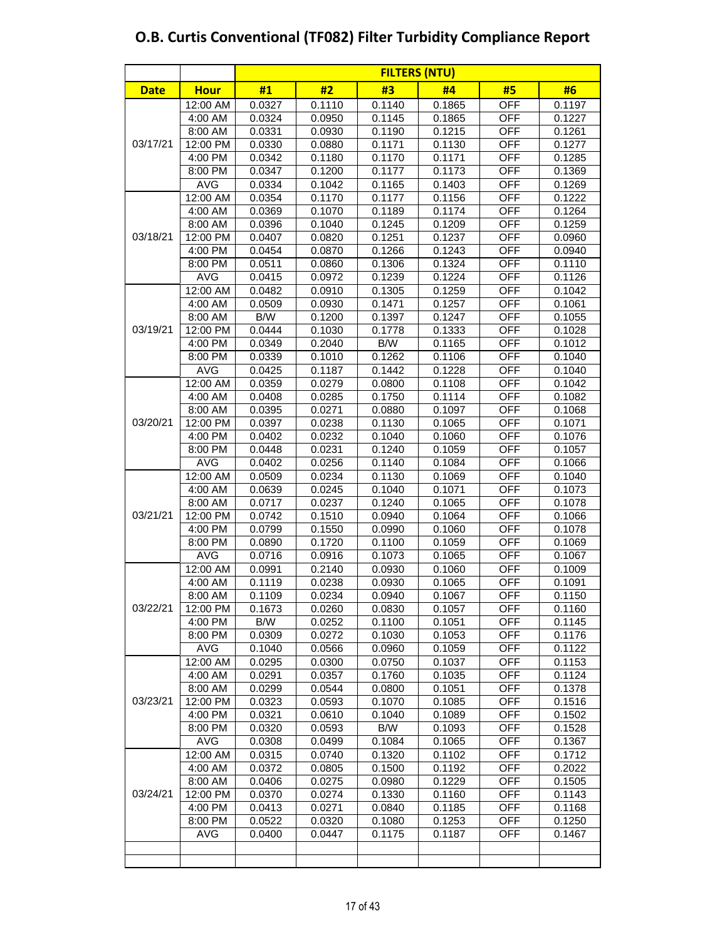|             |             | <b>FILTERS (NTU)</b> |        |        |        |            |        |  |  |  |  |
|-------------|-------------|----------------------|--------|--------|--------|------------|--------|--|--|--|--|
| <b>Date</b> | <b>Hour</b> | #1                   | #2     | #3     | #4     | #5         | #6     |  |  |  |  |
|             | 12:00 AM    | 0.0327               | 0.1110 | 0.1140 | 0.1865 | <b>OFF</b> | 0.1197 |  |  |  |  |
|             | 4:00 AM     | 0.0324               | 0.0950 | 0.1145 | 0.1865 | <b>OFF</b> | 0.1227 |  |  |  |  |
|             | 8:00 AM     | 0.0331               | 0.0930 | 0.1190 | 0.1215 | <b>OFF</b> | 0.1261 |  |  |  |  |
| 03/17/21    | 12:00 PM    | 0.0330               | 0.0880 | 0.1171 | 0.1130 | <b>OFF</b> | 0.1277 |  |  |  |  |
|             | 4:00 PM     | 0.0342               | 0.1180 | 0.1170 | 0.1171 | <b>OFF</b> | 0.1285 |  |  |  |  |
|             | 8:00 PM     | 0.0347               | 0.1200 | 0.1177 | 0.1173 | <b>OFF</b> | 0.1369 |  |  |  |  |
|             | <b>AVG</b>  | 0.0334               | 0.1042 | 0.1165 | 0.1403 | <b>OFF</b> | 0.1269 |  |  |  |  |
|             | 12:00 AM    | 0.0354               | 0.1170 | 0.1177 | 0.1156 | <b>OFF</b> | 0.1222 |  |  |  |  |
|             | 4:00 AM     | 0.0369               | 0.1070 | 0.1189 | 0.1174 | <b>OFF</b> | 0.1264 |  |  |  |  |
|             | 8:00 AM     | 0.0396               | 0.1040 | 0.1245 | 0.1209 | <b>OFF</b> | 0.1259 |  |  |  |  |
| 03/18/21    | 12:00 PM    | 0.0407               | 0.0820 | 0.1251 | 0.1237 | <b>OFF</b> | 0.0960 |  |  |  |  |
|             | 4:00 PM     | 0.0454               | 0.0870 | 0.1266 | 0.1243 | <b>OFF</b> | 0.0940 |  |  |  |  |
|             | 8:00 PM     | 0.0511               | 0.0860 | 0.1306 | 0.1324 | <b>OFF</b> | 0.1110 |  |  |  |  |
|             | <b>AVG</b>  | 0.0415               | 0.0972 | 0.1239 | 0.1224 | <b>OFF</b> | 0.1126 |  |  |  |  |
|             | 12:00 AM    | 0.0482               | 0.0910 | 0.1305 | 0.1259 | <b>OFF</b> | 0.1042 |  |  |  |  |
|             | 4:00 AM     | 0.0509               | 0.0930 | 0.1471 | 0.1257 | <b>OFF</b> | 0.1061 |  |  |  |  |
|             | 8:00 AM     | B/W                  | 0.1200 | 0.1397 | 0.1247 | <b>OFF</b> | 0.1055 |  |  |  |  |
| 03/19/21    | 12:00 PM    | 0.0444               | 0.1030 | 0.1778 | 0.1333 | <b>OFF</b> | 0.1028 |  |  |  |  |
|             | 4:00 PM     | 0.0349               | 0.2040 | B/W    | 0.1165 | <b>OFF</b> | 0.1012 |  |  |  |  |
|             | 8:00 PM     | 0.0339               | 0.1010 | 0.1262 | 0.1106 | <b>OFF</b> | 0.1040 |  |  |  |  |
|             | <b>AVG</b>  | 0.0425               | 0.1187 | 0.1442 | 0.1228 | <b>OFF</b> | 0.1040 |  |  |  |  |
|             | 12:00 AM    | 0.0359               | 0.0279 | 0.0800 | 0.1108 | <b>OFF</b> | 0.1042 |  |  |  |  |
|             | 4:00 AM     | 0.0408               | 0.0285 | 0.1750 | 0.1114 | <b>OFF</b> | 0.1082 |  |  |  |  |
|             | 8:00 AM     | 0.0395               | 0.0271 | 0.0880 | 0.1097 | <b>OFF</b> | 0.1068 |  |  |  |  |
| 03/20/21    | 12:00 PM    | 0.0397               | 0.0238 | 0.1130 | 0.1065 | <b>OFF</b> | 0.1071 |  |  |  |  |
|             | 4:00 PM     | 0.0402               | 0.0232 | 0.1040 | 0.1060 | <b>OFF</b> | 0.1076 |  |  |  |  |
|             | 8:00 PM     | 0.0448               | 0.0231 | 0.1240 | 0.1059 | <b>OFF</b> | 0.1057 |  |  |  |  |
|             | <b>AVG</b>  | 0.0402               | 0.0256 | 0.1140 | 0.1084 | <b>OFF</b> | 0.1066 |  |  |  |  |
|             | 12:00 AM    | 0.0509               | 0.0234 | 0.1130 | 0.1069 | <b>OFF</b> | 0.1040 |  |  |  |  |
|             | 4:00 AM     | 0.0639               | 0.0245 | 0.1040 | 0.1071 | <b>OFF</b> | 0.1073 |  |  |  |  |
|             | 8:00 AM     | 0.0717               | 0.0237 | 0.1240 | 0.1065 | <b>OFF</b> | 0.1078 |  |  |  |  |
| 03/21/21    | 12:00 PM    | 0.0742               | 0.1510 | 0.0940 | 0.1064 | <b>OFF</b> | 0.1066 |  |  |  |  |
|             | 4:00 PM     | 0.0799               | 0.1550 | 0.0990 | 0.1060 | <b>OFF</b> | 0.1078 |  |  |  |  |
|             | 8:00 PM     | 0.0890               | 0.1720 | 0.1100 | 0.1059 | <b>OFF</b> | 0.1069 |  |  |  |  |
|             | <b>AVG</b>  | 0.0716               | 0.0916 | 0.1073 | 0.1065 | <b>OFF</b> | 0.1067 |  |  |  |  |
|             | 12:00 AM    | 0.0991               | 0.2140 | 0.0930 | 0.1060 | <b>OFF</b> | 0.1009 |  |  |  |  |
|             | 4:00 AM     | 0.1119               | 0.0238 | 0.0930 | 0.1065 | <b>OFF</b> | 0.1091 |  |  |  |  |
|             | 8:00 AM     | 0.1109               | 0.0234 | 0.0940 | 0.1067 | <b>OFF</b> | 0.1150 |  |  |  |  |
| 03/22/21    | 12:00 PM    | 0.1673               | 0.0260 | 0.0830 | 0.1057 | <b>OFF</b> | 0.1160 |  |  |  |  |
|             | 4:00 PM     | B/W                  | 0.0252 | 0.1100 | 0.1051 | <b>OFF</b> | 0.1145 |  |  |  |  |
|             | 8:00 PM     | 0.0309               | 0.0272 | 0.1030 | 0.1053 | OFF        | 0.1176 |  |  |  |  |
|             | <b>AVG</b>  | 0.1040               | 0.0566 | 0.0960 | 0.1059 | <b>OFF</b> | 0.1122 |  |  |  |  |
|             | 12:00 AM    | 0.0295               | 0.0300 | 0.0750 | 0.1037 | <b>OFF</b> | 0.1153 |  |  |  |  |
|             | 4:00 AM     | 0.0291               | 0.0357 | 0.1760 | 0.1035 | <b>OFF</b> | 0.1124 |  |  |  |  |
|             | 8:00 AM     | 0.0299               | 0.0544 | 0.0800 | 0.1051 | <b>OFF</b> | 0.1378 |  |  |  |  |
| 03/23/21    | 12:00 PM    | 0.0323               | 0.0593 | 0.1070 | 0.1085 | <b>OFF</b> | 0.1516 |  |  |  |  |
|             | 4:00 PM     | 0.0321               | 0.0610 | 0.1040 | 0.1089 | <b>OFF</b> | 0.1502 |  |  |  |  |
|             | 8:00 PM     | 0.0320               | 0.0593 | B/W    | 0.1093 | <b>OFF</b> | 0.1528 |  |  |  |  |
|             | <b>AVG</b>  | 0.0308               | 0.0499 | 0.1084 | 0.1065 | <b>OFF</b> | 0.1367 |  |  |  |  |
|             | 12:00 AM    | 0.0315               | 0.0740 | 0.1320 | 0.1102 | <b>OFF</b> | 0.1712 |  |  |  |  |
|             | 4:00 AM     | 0.0372               | 0.0805 | 0.1500 | 0.1192 | OFF        | 0.2022 |  |  |  |  |
|             | 8:00 AM     | 0.0406               | 0.0275 | 0.0980 | 0.1229 | OFF        | 0.1505 |  |  |  |  |
| 03/24/21    | 12:00 PM    | 0.0370               | 0.0274 | 0.1330 | 0.1160 | <b>OFF</b> | 0.1143 |  |  |  |  |
|             | 4:00 PM     | 0.0413               | 0.0271 | 0.0840 | 0.1185 | OFF        | 0.1168 |  |  |  |  |
|             | 8:00 PM     | 0.0522               | 0.0320 | 0.1080 | 0.1253 | <b>OFF</b> | 0.1250 |  |  |  |  |
|             | <b>AVG</b>  | 0.0400               | 0.0447 | 0.1175 | 0.1187 | <b>OFF</b> | 0.1467 |  |  |  |  |
|             |             |                      |        |        |        |            |        |  |  |  |  |
|             |             |                      |        |        |        |            |        |  |  |  |  |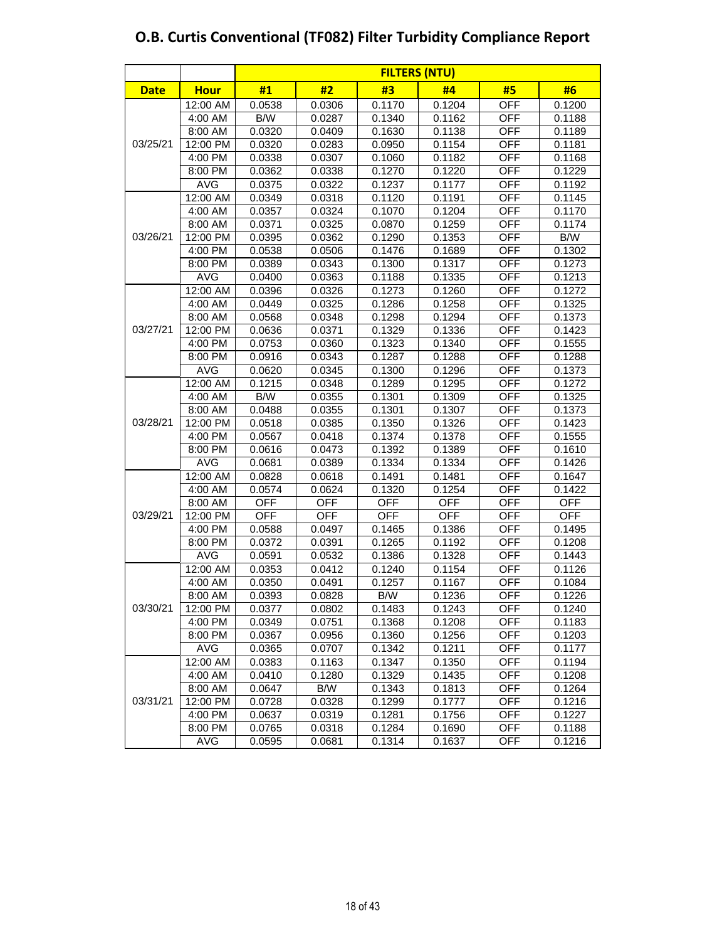|             |             | <b>FILTERS (NTU)</b> |            |            |            |            |            |  |  |  |
|-------------|-------------|----------------------|------------|------------|------------|------------|------------|--|--|--|
| <b>Date</b> | <b>Hour</b> | #1                   | #2         | #3         | #4         | #5         | #6         |  |  |  |
|             | 12:00 AM    | 0.0538               | 0.0306     | 0.1170     | 0.1204     | <b>OFF</b> | 0.1200     |  |  |  |
|             | 4:00 AM     | B/W                  | 0.0287     | 0.1340     | 0.1162     | <b>OFF</b> | 0.1188     |  |  |  |
| 03/25/21    | 8:00 AM     | 0.0320               | 0.0409     | 0.1630     | 0.1138     | <b>OFF</b> | 0.1189     |  |  |  |
|             | 12:00 PM    | 0.0320               | 0.0283     | 0.0950     | 0.1154     | <b>OFF</b> | 0.1181     |  |  |  |
|             | 4:00 PM     | 0.0338               | 0.0307     | 0.1060     | 0.1182     | <b>OFF</b> | 0.1168     |  |  |  |
|             | 8:00 PM     | 0.0362               | 0.0338     | 0.1270     | 0.1220     | <b>OFF</b> | 0.1229     |  |  |  |
|             | AVG         | 0.0375               | 0.0322     | 0.1237     | 0.1177     | <b>OFF</b> | 0.1192     |  |  |  |
|             | 12:00 AM    | 0.0349               | 0.0318     | 0.1120     | 0.1191     | <b>OFF</b> | 0.1145     |  |  |  |
|             | 4:00 AM     | 0.0357               | 0.0324     | 0.1070     | 0.1204     | <b>OFF</b> | 0.1170     |  |  |  |
|             | 8:00 AM     | 0.0371               | 0.0325     | 0.0870     | 0.1259     | <b>OFF</b> | 0.1174     |  |  |  |
| 03/26/21    | 12:00 PM    | 0.0395               | 0.0362     | 0.1290     | 0.1353     | <b>OFF</b> | B/W        |  |  |  |
|             | 4:00 PM     | 0.0538               | 0.0506     | 0.1476     | 0.1689     | <b>OFF</b> | 0.1302     |  |  |  |
|             | 8:00 PM     | 0.0389               | 0.0343     | 0.1300     | 0.1317     | <b>OFF</b> | 0.1273     |  |  |  |
|             | <b>AVG</b>  | 0.0400               | 0.0363     | 0.1188     | 0.1335     | <b>OFF</b> | 0.1213     |  |  |  |
|             | 12:00 AM    | 0.0396               | 0.0326     | 0.1273     | 0.1260     | <b>OFF</b> | 0.1272     |  |  |  |
|             | 4:00 AM     | 0.0449               | 0.0325     | 0.1286     | 0.1258     | <b>OFF</b> | 0.1325     |  |  |  |
|             | 8:00 AM     | 0.0568               | 0.0348     | 0.1298     | 0.1294     | <b>OFF</b> | 0.1373     |  |  |  |
| 03/27/21    | 12:00 PM    | 0.0636               | 0.0371     | 0.1329     | 0.1336     | <b>OFF</b> | 0.1423     |  |  |  |
|             | 4:00 PM     | 0.0753               | 0.0360     | 0.1323     | 0.1340     | <b>OFF</b> | 0.1555     |  |  |  |
|             | 8:00 PM     | 0.0916               | 0.0343     | 0.1287     | 0.1288     | <b>OFF</b> | 0.1288     |  |  |  |
|             | <b>AVG</b>  | 0.0620               | 0.0345     | 0.1300     | 0.1296     | <b>OFF</b> | 0.1373     |  |  |  |
|             | 12:00 AM    | 0.1215               | 0.0348     | 0.1289     | 0.1295     | <b>OFF</b> | 0.1272     |  |  |  |
|             | 4:00 AM     | B/W                  | 0.0355     | 0.1301     | 0.1309     | <b>OFF</b> | 0.1325     |  |  |  |
|             | 8:00 AM     | 0.0488               | 0.0355     | 0.1301     | 0.1307     | <b>OFF</b> | 0.1373     |  |  |  |
| 03/28/21    | 12:00 PM    | 0.0518               | 0.0385     | 0.1350     | 0.1326     | <b>OFF</b> | 0.1423     |  |  |  |
|             | 4:00 PM     | 0.0567               | 0.0418     | 0.1374     | 0.1378     | <b>OFF</b> | 0.1555     |  |  |  |
|             | 8:00 PM     | 0.0616               | 0.0473     | 0.1392     | 0.1389     | <b>OFF</b> | 0.1610     |  |  |  |
|             | <b>AVG</b>  | 0.0681               | 0.0389     | 0.1334     | 0.1334     | <b>OFF</b> | 0.1426     |  |  |  |
|             | 12:00 AM    | 0.0828               | 0.0618     | 0.1491     | 0.1481     | <b>OFF</b> | 0.1647     |  |  |  |
|             | 4:00 AM     | 0.0574               | 0.0624     | 0.1320     | 0.1254     | <b>OFF</b> | 0.1422     |  |  |  |
|             | 8:00 AM     | <b>OFF</b>           | <b>OFF</b> | <b>OFF</b> | <b>OFF</b> | <b>OFF</b> | <b>OFF</b> |  |  |  |
| 03/29/21    | 12:00 PM    | <b>OFF</b>           | <b>OFF</b> | <b>OFF</b> | <b>OFF</b> | <b>OFF</b> | <b>OFF</b> |  |  |  |
|             | 4:00 PM     | 0.0588               | 0.0497     | 0.1465     | 0.1386     | <b>OFF</b> | 0.1495     |  |  |  |
|             | 8:00 PM     | 0.0372               | 0.0391     | 0.1265     | 0.1192     | <b>OFF</b> | 0.1208     |  |  |  |
|             | <b>AVG</b>  | 0.0591               | 0.0532     | 0.1386     | 0.1328     | <b>OFF</b> | 0.1443     |  |  |  |
|             | 12:00 AM    | 0.0353               | 0.0412     | 0.1240     | 0.1154     | <b>OFF</b> | 0.1126     |  |  |  |
|             | 4:00 AM     | 0.0350               | 0.0491     | 0.1257     | 0.1167     | <b>OFF</b> | 0.1084     |  |  |  |
|             | 8:00 AM     | 0.0393               | 0.0828     | B/W        | 0.1236     | <b>OFF</b> | 0.1226     |  |  |  |
| 03/30/21    | 12:00 PM    | 0.0377               | 0.0802     | 0.1483     | 0.1243     | <b>OFF</b> | 0.1240     |  |  |  |
|             | 4:00 PM     | 0.0349               | 0.0751     | 0.1368     | 0.1208     | OFF        | 0.1183     |  |  |  |
|             | 8:00 PM     | 0.0367               | 0.0956     | 0.1360     | 0.1256     | <b>OFF</b> | 0.1203     |  |  |  |
|             | <b>AVG</b>  | 0.0365               | 0.0707     | 0.1342     | 0.1211     | <b>OFF</b> | 0.1177     |  |  |  |
|             | 12:00 AM    | 0.0383               | 0.1163     | 0.1347     | 0.1350     | <b>OFF</b> | 0.1194     |  |  |  |
|             | 4:00 AM     | 0.0410               | 0.1280     | 0.1329     | 0.1435     | <b>OFF</b> | 0.1208     |  |  |  |
|             | 8:00 AM     | 0.0647               | B/W        | 0.1343     | 0.1813     | <b>OFF</b> | 0.1264     |  |  |  |
| 03/31/21    | 12:00 PM    | 0.0728               | 0.0328     | 0.1299     | 0.1777     | <b>OFF</b> | 0.1216     |  |  |  |
|             | 4:00 PM     | 0.0637               | 0.0319     | 0.1281     | 0.1756     | <b>OFF</b> | 0.1227     |  |  |  |
|             | 8:00 PM     | 0.0765               | 0.0318     | 0.1284     | 0.1690     | <b>OFF</b> | 0.1188     |  |  |  |
|             | <b>AVG</b>  | 0.0595               | 0.0681     | 0.1314     | 0.1637     | <b>OFF</b> | 0.1216     |  |  |  |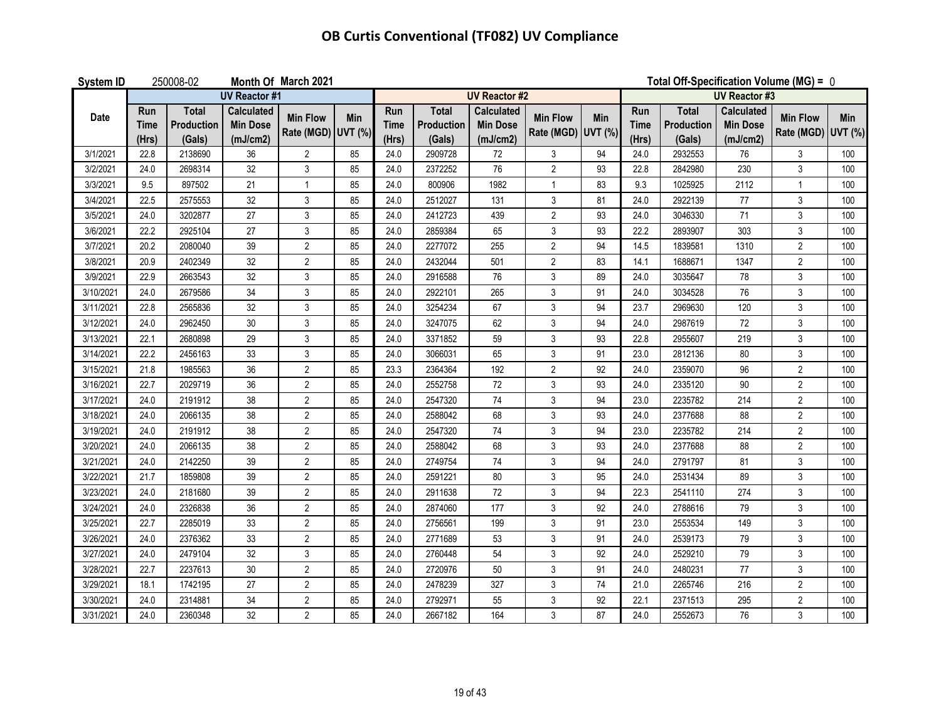| <b>System ID</b> | 250008-02<br>Month Of March 2021 |                                      |                                                  |                                       |     |                             |                                      |                                                  |                                       |     | Total Off-Specification Volume (MG) = 0 |                                             |                                                  |                                       |     |
|------------------|----------------------------------|--------------------------------------|--------------------------------------------------|---------------------------------------|-----|-----------------------------|--------------------------------------|--------------------------------------------------|---------------------------------------|-----|-----------------------------------------|---------------------------------------------|--------------------------------------------------|---------------------------------------|-----|
|                  |                                  |                                      | <b>UV Reactor #1</b>                             |                                       |     |                             |                                      | <b>UV Reactor #2</b>                             |                                       |     |                                         |                                             | <b>UV Reactor #3</b>                             |                                       |     |
| Date             | Run<br>Time<br>(Hrs)             | <b>Total</b><br>Production<br>(Gals) | <b>Calculated</b><br><b>Min Dose</b><br>(mJ/cm2) | <b>Min Flow</b><br>Rate (MGD) UVT (%) | Min | Run<br><b>Time</b><br>(Hrs) | <b>Total</b><br>Production<br>(Gals) | <b>Calculated</b><br><b>Min Dose</b><br>(mJ/cm2) | <b>Min Flow</b><br>Rate (MGD) UVT (%) | Min | Run<br><b>Time</b><br>(Hrs)             | <b>Total</b><br><b>Production</b><br>(Gals) | <b>Calculated</b><br><b>Min Dose</b><br>(mJ/cm2) | <b>Min Flow</b><br>Rate (MGD) UVT (%) | Min |
| 3/1/2021         | 22.8                             | 2138690                              | 36                                               | $\overline{2}$                        | 85  | 24.0                        | 2909728                              | 72                                               | 3                                     | 94  | 24.0                                    | 2932553                                     | 76                                               | $\mathfrak{Z}$                        | 100 |
| 3/2/2021         | 24.0                             | 2698314                              | 32                                               | 3                                     | 85  | 24.0                        | 2372252                              | 76                                               | $\overline{2}$                        | 93  | 22.8                                    | 2842980                                     | 230                                              | 3                                     | 100 |
| 3/3/2021         | 9.5                              | 897502                               | 21                                               | $\mathbf{1}$                          | 85  | 24.0                        | 800906                               | 1982                                             | $\mathbf{1}$                          | 83  | 9.3                                     | 1025925                                     | 2112                                             | $\mathbf 1$                           | 100 |
| 3/4/2021         | 22.5                             | 2575553                              | 32                                               | $\mathfrak{Z}$                        | 85  | 24.0                        | 2512027                              | 131                                              | $\mathfrak{Z}$                        | 81  | 24.0                                    | 2922139                                     | $77\,$                                           | $\mathsf 3$                           | 100 |
| 3/5/2021         | 24.0                             | 3202877                              | 27                                               | $\mathfrak{Z}$                        | 85  | 24.0                        | 2412723                              | 439                                              | $\sqrt{2}$                            | 93  | 24.0                                    | 3046330                                     | 71                                               | $\mathsf 3$                           | 100 |
| 3/6/2021         | 22.2                             | 2925104                              | 27                                               | $\mathsf 3$                           | 85  | 24.0                        | 2859384                              | 65                                               | $\sqrt{3}$                            | 93  | 22.2                                    | 2893907                                     | 303                                              | 3                                     | 100 |
| 3/7/2021         | 20.2                             | 2080040                              | 39                                               | $\overline{c}$                        | 85  | 24.0                        | 2277072                              | 255                                              | $\sqrt{2}$                            | 94  | 14.5                                    | 1839581                                     | 1310                                             | $\overline{c}$                        | 100 |
| 3/8/2021         | 20.9                             | 2402349                              | 32                                               | $\overline{2}$                        | 85  | 24.0                        | 2432044                              | 501                                              | $\mathbf{2}$                          | 83  | 14.1                                    | 1688671                                     | 1347                                             | $\overline{2}$                        | 100 |
| 3/9/2021         | 22.9                             | 2663543                              | 32                                               | $\mathfrak{Z}$                        | 85  | 24.0                        | 2916588                              | 76                                               | $\sqrt{3}$                            | 89  | 24.0                                    | 3035647                                     | 78                                               | 3                                     | 100 |
| 3/10/2021        | 24.0                             | 2679586                              | 34                                               | $\mathfrak{Z}$                        | 85  | 24.0                        | 2922101                              | 265                                              | $\sqrt{3}$                            | 91  | 24.0                                    | 3034528                                     | 76                                               | $\mathsf 3$                           | 100 |
| 3/11/2021        | 22.8                             | 2565836                              | 32                                               | $\mathfrak{Z}$                        | 85  | 24.0                        | 3254234                              | 67                                               | $\sqrt{3}$                            | 94  | 23.7                                    | 2969630                                     | 120                                              | $\mathfrak{Z}$                        | 100 |
| 3/12/2021        | 24.0                             | 2962450                              | 30                                               | $\mathfrak{Z}$                        | 85  | 24.0                        | 3247075                              | 62                                               | 3                                     | 94  | 24.0                                    | 2987619                                     | 72                                               | $\mathsf 3$                           | 100 |
| 3/13/2021        | 22.1                             | 2680898                              | 29                                               | $\ensuremath{\mathsf{3}}$             | 85  | 24.0                        | 3371852                              | 59                                               | 3                                     | 93  | 22.8                                    | 2955607                                     | 219                                              | $\mathsf 3$                           | 100 |
| 3/14/2021        | 22.2                             | 2456163                              | 33                                               | $\mathfrak{Z}$                        | 85  | 24.0                        | 3066031                              | 65                                               | 3                                     | 91  | 23.0                                    | 2812136                                     | 80                                               | 3                                     | 100 |
| 3/15/2021        | 21.8                             | 1985563                              | 36                                               | $\overline{2}$                        | 85  | 23.3                        | 2364364                              | 192                                              | $\sqrt{2}$                            | 92  | 24.0                                    | 2359070                                     | 96                                               | $\overline{c}$                        | 100 |
| 3/16/2021        | 22.7                             | 2029719                              | 36                                               | $\overline{2}$                        | 85  | 24.0                        | 2552758                              | 72                                               | $\sqrt{3}$                            | 93  | 24.0                                    | 2335120                                     | 90                                               | $\overline{2}$                        | 100 |
| 3/17/2021        | 24.0                             | 2191912                              | 38                                               | $\overline{2}$                        | 85  | 24.0                        | 2547320                              | 74                                               | $\mathfrak{Z}$                        | 94  | 23.0                                    | 2235782                                     | 214                                              | $\overline{2}$                        | 100 |
| 3/18/2021        | 24.0                             | 2066135                              | 38                                               | $\overline{2}$                        | 85  | 24.0                        | 2588042                              | 68                                               | $\mathfrak{Z}$                        | 93  | 24.0                                    | 2377688                                     | 88                                               | $\overline{2}$                        | 100 |
| 3/19/2021        | 24.0                             | 2191912                              | 38                                               | $\overline{2}$                        | 85  | 24.0                        | 2547320                              | 74                                               | 3                                     | 94  | 23.0                                    | 2235782                                     | 214                                              | $\overline{2}$                        | 100 |
| 3/20/2021        | 24.0                             | 2066135                              | 38                                               | $\overline{2}$                        | 85  | 24.0                        | 2588042                              | 68                                               | 3                                     | 93  | 24.0                                    | 2377688                                     | 88                                               | $\overline{2}$                        | 100 |
| 3/21/2021        | 24.0                             | 2142250                              | 39                                               | $\overline{2}$                        | 85  | 24.0                        | 2749754                              | 74                                               | 3                                     | 94  | 24.0                                    | 2791797                                     | 81                                               | $\mathfrak{Z}$                        | 100 |
| 3/22/2021        | 21.7                             | 1859808                              | 39                                               | $\overline{c}$                        | 85  | 24.0                        | 2591221                              | 80                                               | 3                                     | 95  | 24.0                                    | 2531434                                     | 89                                               | $\mathfrak{Z}$                        | 100 |
| 3/23/2021        | 24.0                             | 2181680                              | 39                                               | $\overline{2}$                        | 85  | 24.0                        | 2911638                              | 72                                               | 3                                     | 94  | 22.3                                    | 2541110                                     | 274                                              | $\mathfrak{Z}$                        | 100 |
| 3/24/2021        | 24.0                             | 2326838                              | 36                                               | $\overline{2}$                        | 85  | 24.0                        | 2874060                              | 177                                              | $\mathbf{3}$                          | 92  | 24.0                                    | 2788616                                     | 79                                               | $\mathfrak{S}$                        | 100 |
| 3/25/2021        | 22.7                             | 2285019                              | 33                                               | $\overline{c}$                        | 85  | 24.0                        | 2756561                              | 199                                              | 3                                     | 91  | 23.0                                    | 2553534                                     | 149                                              | $\mathfrak{Z}$                        | 100 |
| 3/26/2021        | 24.0                             | 2376362                              | 33                                               | $\overline{2}$                        | 85  | 24.0                        | 2771689                              | 53                                               | 3                                     | 91  | 24.0                                    | 2539173                                     | 79                                               | $\mathfrak{Z}$                        | 100 |
| 3/27/2021        | 24.0                             | 2479104                              | 32                                               | $\mathfrak{Z}$                        | 85  | 24.0                        | 2760448                              | 54                                               | $\sqrt{3}$                            | 92  | 24.0                                    | 2529210                                     | 79                                               | $\mathsf 3$                           | 100 |
| 3/28/2021        | 22.7                             | 2237613                              | 30                                               | $\overline{2}$                        | 85  | 24.0                        | 2720976                              | 50                                               | $\mathsf 3$                           | 91  | 24.0                                    | 2480231                                     | $77$                                             | $\mathsf 3$                           | 100 |
| 3/29/2021        | 18.1                             | 1742195                              | 27                                               | $\overline{2}$                        | 85  | 24.0                        | 2478239                              | 327                                              | $\sqrt{3}$                            | 74  | 21.0                                    | 2265746                                     | 216                                              | $\overline{2}$                        | 100 |
| 3/30/2021        | 24.0                             | 2314881                              | 34                                               | $\mathbf{2}$                          | 85  | 24.0                        | 2792971                              | 55                                               | 3                                     | 92  | 22.1                                    | 2371513                                     | 295                                              | $\overline{2}$                        | 100 |
| 3/31/2021        | 24.0                             | 2360348                              | 32                                               | $\overline{2}$                        | 85  | 24.0                        | 2667182                              | 164                                              | 3                                     | 87  | 24.0                                    | 2552673                                     | 76                                               | 3                                     | 100 |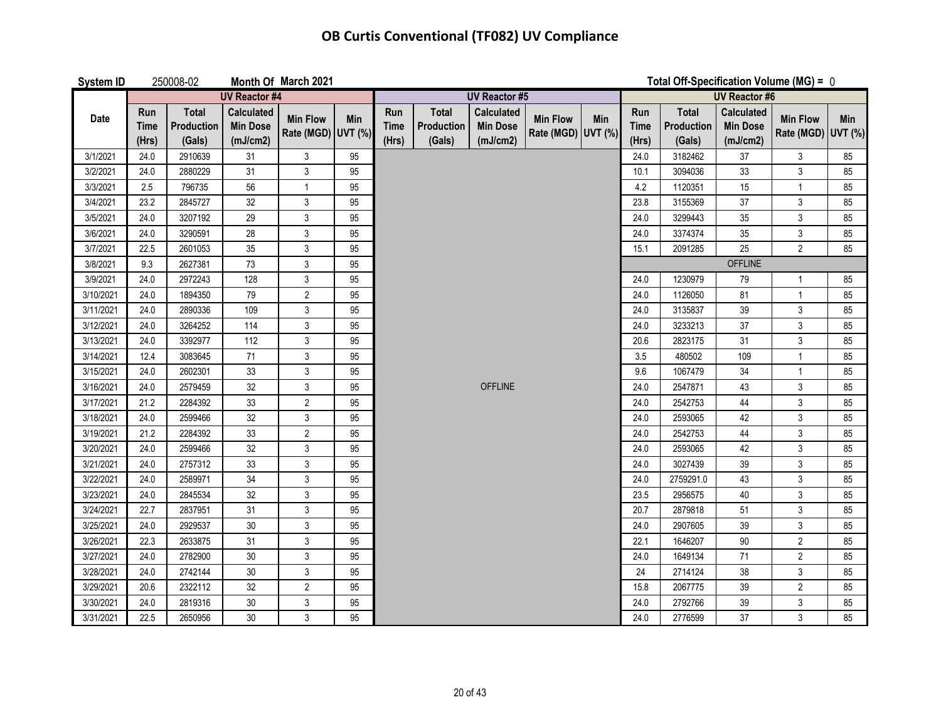| <b>System ID</b> |                             | 250008-02                            |                                                  | Month Of March 2021                   |     |                             |                                      |                                                  |                                       |     |                             | Total Off-Specification Volume (MG) = $0$   |                                                  |                                       |     |  |
|------------------|-----------------------------|--------------------------------------|--------------------------------------------------|---------------------------------------|-----|-----------------------------|--------------------------------------|--------------------------------------------------|---------------------------------------|-----|-----------------------------|---------------------------------------------|--------------------------------------------------|---------------------------------------|-----|--|
|                  |                             |                                      | <b>UV Reactor #4</b>                             |                                       |     |                             |                                      | <b>UV Reactor #5</b>                             |                                       |     |                             |                                             | <b>UV Reactor #6</b>                             |                                       |     |  |
| Date             | Run<br><b>Time</b><br>(Hrs) | <b>Total</b><br>Production<br>(Gals) | <b>Calculated</b><br><b>Min Dose</b><br>(mJ/cm2) | <b>Min Flow</b><br>Rate (MGD) UVT (%) | Min | Run<br><b>Time</b><br>(Hrs) | <b>Total</b><br>Production<br>(Gals) | <b>Calculated</b><br><b>Min Dose</b><br>(mJ/cm2) | <b>Min Flow</b><br>Rate (MGD) UVT (%) | Min | Run<br><b>Time</b><br>(Hrs) | <b>Total</b><br><b>Production</b><br>(Gals) | <b>Calculated</b><br><b>Min Dose</b><br>(mJ/cm2) | <b>Min Flow</b><br>Rate (MGD) UVT (%) | Min |  |
| 3/1/2021         | 24.0                        | 2910639                              | 31                                               | $\mathfrak{Z}$                        | 95  |                             |                                      |                                                  |                                       |     | 24.0                        | 3182462                                     | 37                                               | $\mathfrak{Z}$                        | 85  |  |
| 3/2/2021         | 24.0                        | 2880229                              | 31                                               | $\mathfrak{Z}$                        | 95  |                             |                                      |                                                  |                                       |     | 10.1                        | 3094036                                     | 33                                               | $\mathbf{3}$                          | 85  |  |
| 3/3/2021         | 2.5                         | 796735                               | 56                                               | $\mathbf{1}$                          | 95  |                             |                                      |                                                  |                                       |     | 4.2                         | 1120351                                     | 15                                               | $\mathbf{1}$                          | 85  |  |
| 3/4/2021         | 23.2                        | 2845727                              | 32                                               | $\mathbf{3}$                          | 95  |                             |                                      |                                                  |                                       |     | 23.8                        | 3155369                                     | 37                                               | 3                                     | 85  |  |
| 3/5/2021         | 24.0                        | 3207192                              | 29                                               | $\mathfrak{Z}$                        | 95  |                             |                                      |                                                  |                                       |     | 24.0                        | 3299443                                     | 35                                               | $\mathfrak{Z}$                        | 85  |  |
| 3/6/2021         | 24.0                        | 3290591                              | 28                                               | $\mathsf 3$                           | 95  |                             |                                      |                                                  |                                       |     | 24.0                        | 3374374                                     | 35                                               | $\mathsf{3}$                          | 85  |  |
| 3/7/2021         | 22.5                        | 2601053                              | 35                                               | $\mathfrak{Z}$                        | 95  |                             |                                      |                                                  |                                       |     | 15.1                        | 2091285                                     | 25                                               | $\overline{2}$                        | 85  |  |
| 3/8/2021         | 9.3                         | 2627381                              | 73                                               | $\mathfrak{Z}$                        | 95  |                             |                                      |                                                  |                                       |     |                             |                                             | <b>OFFLINE</b>                                   |                                       |     |  |
| 3/9/2021         | 24.0                        | 2972243                              | 128                                              | $\mathfrak{Z}$                        | 95  |                             |                                      |                                                  |                                       |     | 24.0                        | 1230979                                     | 79                                               | $\mathbf 1$                           | 85  |  |
| 3/10/2021        | 24.0                        | 1894350                              | 79                                               | $\overline{c}$                        | 95  |                             |                                      |                                                  |                                       |     | 24.0                        | 1126050                                     | 81                                               | $\mathbf{1}$                          | 85  |  |
| 3/11/2021        | 24.0                        | 2890336                              | 109                                              | $\mathfrak{Z}$                        | 95  |                             |                                      |                                                  |                                       |     | 24.0                        | 3135837                                     | 39                                               | $\mathbf{3}$                          | 85  |  |
| 3/12/2021        | 24.0                        | 3264252                              | 114                                              | $\mathfrak{S}$                        | 95  |                             |                                      |                                                  |                                       |     | 24.0                        | 3233213                                     | 37                                               | $\mathfrak{Z}$                        | 85  |  |
| 3/13/2021        | 24.0                        | 3392977                              | 112                                              | $\mathfrak{Z}$                        | 95  |                             |                                      |                                                  |                                       |     | 20.6                        | 2823175                                     | 31                                               | $\mathfrak{Z}$                        | 85  |  |
| 3/14/2021        | 12.4                        | 3083645                              | 71                                               | $\mathfrak{Z}$                        | 95  |                             |                                      |                                                  |                                       |     | 3.5                         | 480502                                      | 109                                              | $\mathbf{1}$                          | 85  |  |
| 3/15/2021        | 24.0                        | 2602301                              | 33                                               | $\mathfrak{S}$                        | 95  |                             |                                      |                                                  |                                       |     | 9.6                         | 1067479                                     | 34                                               | $\mathbf{1}$                          | 85  |  |
| 3/16/2021        | 24.0                        | 2579459                              | 32                                               | $\mathfrak{Z}$                        | 95  |                             |                                      | <b>OFFLINE</b>                                   |                                       |     | 24.0                        | 2547871                                     | 43                                               | 3                                     | 85  |  |
| 3/17/2021        | 21.2                        | 2284392                              | 33                                               | $\overline{2}$                        | 95  |                             |                                      |                                                  |                                       |     | 24.0                        | 2542753                                     | 44                                               | $\mathfrak{Z}$                        | 85  |  |
| 3/18/2021        | 24.0                        | 2599466                              | 32                                               | $\mathfrak{Z}$                        | 95  |                             |                                      |                                                  |                                       |     | 24.0                        | 2593065                                     | 42                                               | 3                                     | 85  |  |
| 3/19/2021        | 21.2                        | 2284392                              | 33                                               | $\overline{2}$                        | 95  |                             |                                      |                                                  |                                       |     | 24.0                        | 2542753                                     | 44                                               | 3                                     | 85  |  |
| 3/20/2021        | 24.0                        | 2599466                              | 32                                               | $\mathbf{3}$                          | 95  |                             |                                      |                                                  |                                       |     | 24.0                        | 2593065                                     | 42                                               | $\mathfrak{Z}$                        | 85  |  |
| 3/21/2021        | 24.0                        | 2757312                              | 33                                               | $\mathbf{3}$                          | 95  |                             |                                      |                                                  |                                       |     | 24.0                        | 3027439                                     | 39                                               | $\mathfrak{Z}$                        | 85  |  |
| 3/22/2021        | 24.0                        | 2589971                              | 34                                               | $\mathfrak{Z}$                        | 95  |                             |                                      |                                                  |                                       |     | 24.0                        | 2759291.0                                   | 43                                               | $\mathbf{3}$                          | 85  |  |
| 3/23/2021        | 24.0                        | 2845534                              | 32                                               | $\mathbf{3}$                          | 95  |                             |                                      |                                                  |                                       |     | 23.5                        | 2956575                                     | 40                                               | $\mathfrak{Z}$                        | 85  |  |
| 3/24/2021        | 22.7                        | 2837951                              | 31                                               | $\mathfrak{Z}$                        | 95  |                             |                                      |                                                  |                                       |     | 20.7                        | 2879818                                     | 51                                               | $\mathfrak{Z}$                        | 85  |  |
| 3/25/2021        | 24.0                        | 2929537                              | 30                                               | $\mathbf{3}$                          | 95  |                             |                                      |                                                  |                                       |     | 24.0                        | 2907605                                     | 39                                               | $\mathbf{3}$                          | 85  |  |
| 3/26/2021        | 22.3                        | 2633875                              | 31                                               | $\mathfrak{Z}$                        | 95  |                             |                                      |                                                  |                                       |     | 22.1                        | 1646207                                     | 90                                               | $\overline{2}$                        | 85  |  |
| 3/27/2021        | 24.0                        | 2782900                              | $30\,$                                           | $\mathsf{3}$                          | 95  |                             |                                      |                                                  |                                       |     | 24.0                        | 1649134                                     | 71                                               | $\overline{2}$                        | 85  |  |
| 3/28/2021        | 24.0                        | 2742144                              | $30\,$                                           | $\mathfrak{Z}$                        | 95  |                             |                                      |                                                  |                                       |     | 24                          | 2714124                                     | 38                                               | $\mathfrak{S}$                        | 85  |  |
| 3/29/2021        | 20.6                        | 2322112                              | 32                                               | $\overline{2}$                        | 95  |                             |                                      |                                                  |                                       |     | 15.8                        | 2067775                                     | 39                                               | $\overline{2}$                        | 85  |  |
| 3/30/2021        | 24.0                        | 2819316                              | $30\,$                                           | $\mathfrak{S}$                        | 95  |                             |                                      |                                                  |                                       |     | 24.0                        | 2792766                                     | 39                                               | $\ensuremath{\mathsf{3}}$             | 85  |  |
| 3/31/2021        | 22.5                        | 2650956                              | 30                                               | 3                                     | 95  |                             |                                      |                                                  |                                       |     | 24.0                        | 2776599                                     | 37                                               | 3                                     | 85  |  |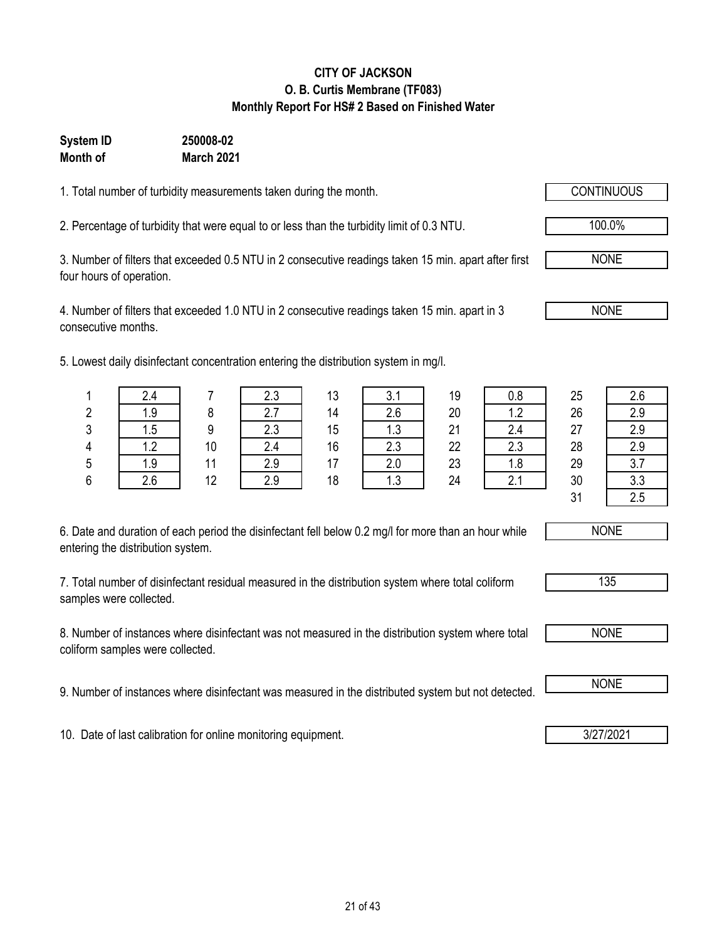### **CITY OF JACKSON O. B. Curtis Membrane (TF083) Monthly Report For HS# 2 Based on Finished Water**

#### **Month of System ID 250008-02 March 2021**

1. Total number of turbidity measurements taken during the month.

2. Percentage of turbidity that were equal to or less than the turbidity limit of 0.3 NTU. 100.0%

3. Number of filters that exceeded 0.5 NTU in 2 consecutive readings taken 15 min. apart after first four hours of operation.

4. Number of filters that exceeded 1.0 NTU in 2 consecutive readings taken 15 min. apart in 3 consecutive months.

5. Lowest daily disinfectant concentration entering the distribution system in mg/l.

| 6. Date and duration of each period the disinfectant fell below 0.2 mg/l for more than an hour while |
|------------------------------------------------------------------------------------------------------|
| entering the distribution system.                                                                    |

7. Total number of disinfectant residual measured in the distribution system where total coliform samples were collected.

8. Number of instances where disinfectant was not measured in the distribution system where total coliform samples were collected.

9. Number of instances where disinfectant was measured in the distributed system but not detected. **I** NONE

10. Date of last calibration for online monitoring equipment. **3/27/2021** 

|   | 2.4             |    | 2.3 | 13 | 3.1 | 19 | 0.8 | 25 | 2.6       |
|---|-----------------|----|-----|----|-----|----|-----|----|-----------|
| 2 | 1.9             |    | 2.7 | 14 | 2.6 | 20 | 1.2 | 26 | 2.9       |
| 3 | .5 <sub>1</sub> |    | 2.3 | 15 | 1.3 | 21 | 2.4 | 27 | 2.9       |
| 4 | 1.2             | 10 | 2.4 | 16 | 2.3 | 22 | 2.3 | 28 | 2.9       |
| 5 | 1.9             | 11 | 2.9 | 17 | 2.0 | 23 | 1.8 | 29 | 27<br>v., |
| 6 | 2.6             | 12 | 2.9 | 18 | 1.3 | 24 | 2.1 | 30 | 3.3       |
|   |                 |    |     |    |     |    |     | 21 | 2.5       |







NONE

NONE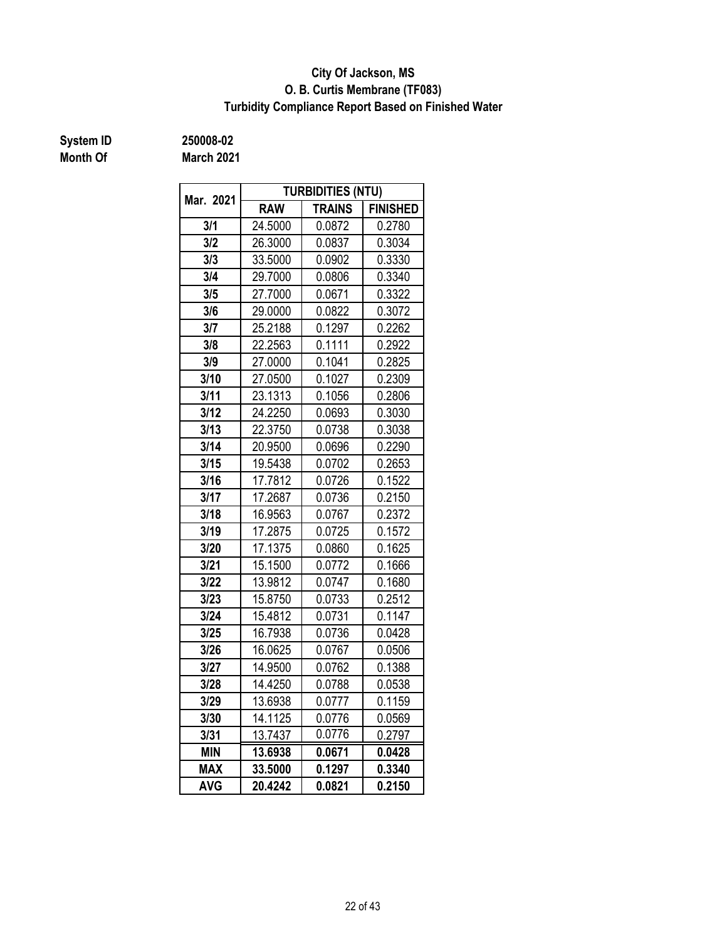### **O. B. Curtis Membrane (TF083) City Of Jackson, MS Turbidity Compliance Report Based on Finished Water**

# **Month Of**

**System ID 250008-02**

**March 2021**

| Mar. 2021  |            | <b>TURBIDITIES (NTU)</b> |                 |  |
|------------|------------|--------------------------|-----------------|--|
|            | <b>RAW</b> | <b>TRAINS</b>            | <b>FINISHED</b> |  |
| 3/1        | 24.5000    | 0.0872                   | 0.2780          |  |
| 3/2        | 26.3000    | 0.0837                   | 0.3034          |  |
| 3/3        | 33.5000    | 0.0902                   | 0.3330          |  |
| 3/4        | 29.7000    | 0.0806                   | 0.3340          |  |
| 3/5        | 27.7000    | 0.0671                   | 0.3322          |  |
| 3/6        | 29.0000    | 0.0822                   | 0.3072          |  |
| 3/7        | 25.2188    | 0.1297                   | 0.2262          |  |
| 3/8        | 22.2563    | 0.1111                   | 0.2922          |  |
| 3/9        | 27.0000    | 0.1041                   | 0.2825          |  |
| 3/10       | 27.0500    | 0.1027                   | 0.2309          |  |
| 3/11       | 23.1313    |                          | 0.2806          |  |
| 3/12       | 24.2250    | 0.0693                   | 0.3030          |  |
| 3/13       | 22.3750    | 0.0738                   | 0.3038          |  |
| 3/14       | 20.9500    | 0.0696                   | 0.2290          |  |
| 3/15       | 19.5438    | 0.0702                   | 0.2653          |  |
| 3/16       | 17.7812    | 0.0726                   | 0.1522          |  |
| 3/17       | 17.2687    | 0.0736                   | 0.2150          |  |
| 3/18       | 16.9563    | 0.0767                   | 0.2372          |  |
| 3/19       | 17.2875    | 0.0725                   | 0.1572          |  |
| 3/20       | 17.1375    | 0.0860                   | 0.1625          |  |
| 3/21       | 15.1500    | 0.0772                   | 0.1666          |  |
| 3/22       | 13.9812    | 0.0747                   | 0.1680          |  |
| 3/23       | 15.8750    | 0.0733                   | 0.2512          |  |
| 3/24       | 15.4812    | 0.0731                   | 0.1147          |  |
| 3/25       | 16.7938    | 0.0736                   | 0.0428          |  |
| 3/26       | 16.0625    | 0.0767                   | 0.0506          |  |
| 3/27       | 14.9500    | 0.0762                   | 0.1388          |  |
| 3/28       | 14.4250    | 0.0788                   | 0.0538          |  |
| 3/29       | 13.6938    | 0.0777                   | 0.1159          |  |
| 3/30       | 14.1125    | 0.0776                   | 0.0569          |  |
| 3/31       | 13.7437    | 0.0776                   | 0.2797          |  |
| <b>MIN</b> | 13.6938    | 0.0671                   | 0.0428          |  |
| <b>MAX</b> | 33.5000    | 0.1297                   | 0.3340          |  |
| <b>AVG</b> | 20.4242    | 0.0821                   | 0.2150          |  |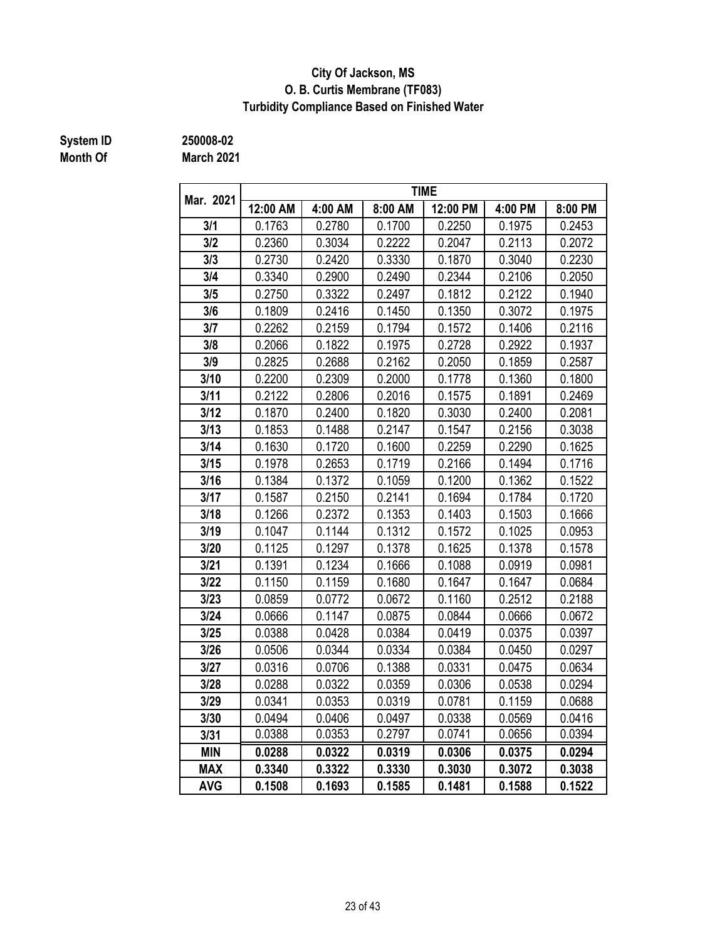### **City Of Jackson, MS O. B. Curtis Membrane (TF083) Turbidity Compliance Based on Finished Water**

# **Month Of**

**System ID 250008-02**

**March 2021**

| Mar. 2021  |          |         |         | <b>TIME</b> |         |         |
|------------|----------|---------|---------|-------------|---------|---------|
|            | 12:00 AM | 4:00 AM | 8:00 AM | 12:00 PM    | 4:00 PM | 8:00 PM |
| 3/1        | 0.1763   | 0.2780  | 0.1700  | 0.2250      | 0.1975  | 0.2453  |
| 3/2        | 0.2360   | 0.3034  | 0.2222  | 0.2047      | 0.2113  | 0.2072  |
| 3/3        | 0.2730   | 0.2420  | 0.3330  | 0.1870      | 0.3040  | 0.2230  |
| 3/4        | 0.3340   | 0.2900  | 0.2490  | 0.2344      | 0.2106  | 0.2050  |
| 3/5        | 0.2750   | 0.3322  | 0.2497  | 0.1812      | 0.2122  | 0.1940  |
| 3/6        | 0.1809   | 0.2416  | 0.1450  | 0.1350      | 0.3072  | 0.1975  |
| 3/7        | 0.2262   | 0.2159  | 0.1794  | 0.1572      | 0.1406  | 0.2116  |
| 3/8        | 0.2066   | 0.1822  | 0.1975  | 0.2728      | 0.2922  | 0.1937  |
| 3/9        | 0.2825   | 0.2688  | 0.2162  | 0.2050      | 0.1859  | 0.2587  |
| 3/10       | 0.2200   | 0.2309  | 0.2000  | 0.1778      | 0.1360  | 0.1800  |
| 3/11       | 0.2122   | 0.2806  | 0.2016  | 0.1575      | 0.1891  | 0.2469  |
| 3/12       | 0.1870   | 0.2400  | 0.1820  | 0.3030      | 0.2400  | 0.2081  |
| 3/13       | 0.1853   | 0.1488  | 0.2147  | 0.1547      | 0.2156  | 0.3038  |
| 3/14       | 0.1630   | 0.1720  | 0.1600  | 0.2259      | 0.2290  | 0.1625  |
| 3/15       | 0.1978   | 0.2653  | 0.1719  | 0.2166      | 0.1494  | 0.1716  |
| 3/16       | 0.1384   | 0.1372  | 0.1059  | 0.1200      | 0.1362  | 0.1522  |
| 3/17       | 0.1587   | 0.2150  | 0.2141  | 0.1694      | 0.1784  | 0.1720  |
| 3/18       | 0.1266   | 0.2372  | 0.1353  | 0.1403      | 0.1503  | 0.1666  |
| 3/19       | 0.1047   | 0.1144  | 0.1312  | 0.1572      | 0.1025  | 0.0953  |
| 3/20       | 0.1125   | 0.1297  | 0.1378  | 0.1625      | 0.1378  | 0.1578  |
| 3/21       | 0.1391   | 0.1234  | 0.1666  | 0.1088      | 0.0919  | 0.0981  |
| 3/22       | 0.1150   | 0.1159  | 0.1680  | 0.1647      | 0.1647  | 0.0684  |
| 3/23       | 0.0859   | 0.0772  | 0.0672  | 0.1160      | 0.2512  | 0.2188  |
| 3/24       | 0.0666   | 0.1147  | 0.0875  | 0.0844      | 0.0666  | 0.0672  |
| 3/25       | 0.0388   | 0.0428  | 0.0384  | 0.0419      | 0.0375  | 0.0397  |
| 3/26       | 0.0506   | 0.0344  | 0.0334  | 0.0384      | 0.0450  | 0.0297  |
| 3/27       | 0.0316   | 0.0706  | 0.1388  | 0.0331      | 0.0475  | 0.0634  |
| 3/28       | 0.0288   | 0.0322  | 0.0359  | 0.0306      | 0.0538  | 0.0294  |
| 3/29       | 0.0341   | 0.0353  | 0.0319  | 0.0781      | 0.1159  | 0.0688  |
| 3/30       | 0.0494   | 0.0406  | 0.0497  | 0.0338      | 0.0569  | 0.0416  |
| 3/31       | 0.0388   | 0.0353  | 0.2797  | 0.0741      | 0.0656  | 0.0394  |
| <b>MIN</b> | 0.0288   | 0.0322  | 0.0319  | 0.0306      | 0.0375  | 0.0294  |
| <b>MAX</b> | 0.3340   | 0.3322  | 0.3330  | 0.3030      | 0.3072  | 0.3038  |
| <b>AVG</b> | 0.1508   | 0.1693  | 0.1585  | 0.1481      | 0.1588  | 0.1522  |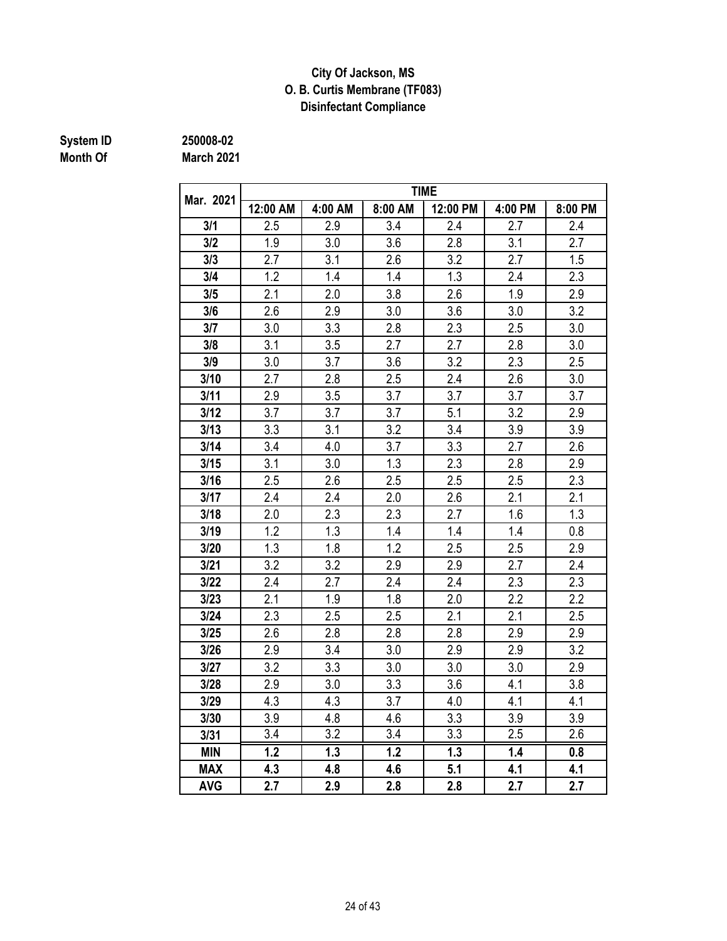### **City Of Jackson, MS O. B. Curtis Membrane (TF083) Disinfectant Compliance**

# **Month Of**

**System ID 250008-02 March 2021**

|            | <b>TIME</b> |                  |         |          |         |         |  |  |  |  |
|------------|-------------|------------------|---------|----------|---------|---------|--|--|--|--|
| Mar. 2021  | 12:00 AM    | 4:00 AM          | 8:00 AM | 12:00 PM | 4:00 PM | 8:00 PM |  |  |  |  |
| 3/1        | 2.5         | 2.9              | 3.4     | 2.4      | 2.7     | 2.4     |  |  |  |  |
| 3/2        | 1.9         | 3.0              | 3.6     | 2.8      | 3.1     | 2.7     |  |  |  |  |
| 3/3        | 2.7         | 3.1              | 2.6     | 3.2      | 2.7     | 1.5     |  |  |  |  |
| 3/4        | 1.2         | 1.4              | 1.4     | 1.3      | 2.4     | 2.3     |  |  |  |  |
| 3/5        | 2.1         | 2.0              | 3.8     | 2.6      | 1.9     | 2.9     |  |  |  |  |
| 3/6        | 2.6         | 2.9              | 3.0     | 3.6      | 3.0     | 3.2     |  |  |  |  |
| 3/7        | 3.0         | 3.3              | 2.8     | 2.3      | 2.5     | 3.0     |  |  |  |  |
| 3/8        | 3.1         | 3.5              | 2.7     | 2.7      | 2.8     | 3.0     |  |  |  |  |
| 3/9        | 3.0         | 3.7              | 3.6     | 3.2      | 2.3     | 2.5     |  |  |  |  |
| 3/10       | 2.7         | 2.8              | 2.5     | 2.4      | 2.6     | 3.0     |  |  |  |  |
| 3/11       | 2.9         | 3.5              | 3.7     | 3.7      | 3.7     | 3.7     |  |  |  |  |
| 3/12       | 3.7         | 3.7              | 3.7     | 5.1      | 3.2     | 2.9     |  |  |  |  |
| 3/13       | 3.3         | 3.1              | 3.2     | 3.4      | 3.9     | 3.9     |  |  |  |  |
| 3/14       | 3.4         | 4.0              | 3.7     | 3.3      | 2.7     | 2.6     |  |  |  |  |
| 3/15       | 3.1         | 3.0              | 1.3     | 2.3      | 2.8     | 2.9     |  |  |  |  |
| 3/16       | 2.5         | 2.6              | 2.5     | 2.5      | 2.5     | 2.3     |  |  |  |  |
| 3/17       | 2.4         | 2.4              | 2.0     | 2.6      | 2.1     | 2.1     |  |  |  |  |
| 3/18       | 2.0         | 2.3              | 2.3     | 2.7      | 1.6     | 1.3     |  |  |  |  |
| 3/19       | 1.2         | 1.3              | 1.4     | 1.4      | 1.4     | 0.8     |  |  |  |  |
| 3/20       | 1.3         | 1.8              | 1.2     | 2.5      | 2.5     | 2.9     |  |  |  |  |
| 3/21       | 3.2         | 3.2              | 2.9     | 2.9      | 2.7     | 2.4     |  |  |  |  |
| 3/22       | 2.4         | 2.7              | 2.4     | 2.4      | 2.3     | 2.3     |  |  |  |  |
| 3/23       | 2.1         | 1.9              | 1.8     | 2.0      | 2.2     | 2.2     |  |  |  |  |
| 3/24       | 2.3         | 2.5              | 2.5     | 2.1      | 2.1     | 2.5     |  |  |  |  |
| 3/25       | 2.6         | 2.8              | 2.8     | 2.8      | 2.9     | 2.9     |  |  |  |  |
| 3/26       | 2.9         | 3.4              | 3.0     | 2.9      | 2.9     | 3.2     |  |  |  |  |
| 3/27       | 3.2         | 3.3              | 3.0     | 3.0      | 3.0     | 2.9     |  |  |  |  |
| 3/28       | 2.9         | 3.0              | 3.3     | 3.6      | 4.1     | 3.8     |  |  |  |  |
| 3/29       | 4.3         | 4.3              | 3.7     | 4.0      | 4.1     | 4.1     |  |  |  |  |
| 3/30       | 3.9         | 4.8              | 4.6     | 3.3      | 3.9     | 3.9     |  |  |  |  |
| 3/31       | 3.4         | $\overline{3.2}$ | 3.4     | 3.3      | 2.5     | 2.6     |  |  |  |  |
| <b>MIN</b> | 1.2         | 1.3              | 1.2     | 1.3      | 1.4     | 0.8     |  |  |  |  |
| <b>MAX</b> | 4.3         | 4.8              | 4.6     | 5.1      | 4.1     | 4.1     |  |  |  |  |
| <b>AVG</b> | 2.7         | 2.9              | 2.8     | 2.8      | 2.7     | 2.7     |  |  |  |  |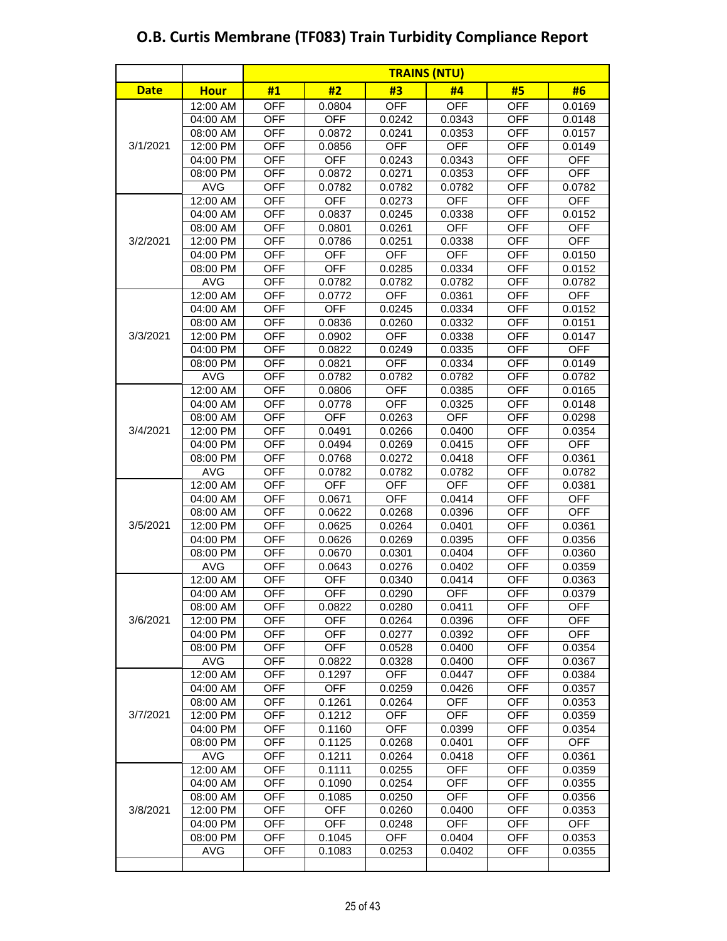|             |                      |                          | <b>TRAINS (NTU)</b> |                  |                  |                          |                  |  |  |  |
|-------------|----------------------|--------------------------|---------------------|------------------|------------------|--------------------------|------------------|--|--|--|
| <b>Date</b> | <b>Hour</b>          | #1                       | #2                  | #3               | #4               | #5                       | #6               |  |  |  |
|             | 12:00 AM             | <b>OFF</b>               | 0.0804              | <b>OFF</b>       | <b>OFF</b>       | <b>OFF</b>               | 0.0169           |  |  |  |
|             | 04:00 AM             | <b>OFF</b>               | <b>OFF</b>          | 0.0242           | 0.0343           | <b>OFF</b>               | 0.0148           |  |  |  |
|             | 08:00 AM             | <b>OFF</b>               | 0.0872              | 0.0241           | 0.0353           | <b>OFF</b>               | 0.0157           |  |  |  |
| 3/1/2021    | 12:00 PM             | <b>OFF</b>               | 0.0856              | <b>OFF</b>       | <b>OFF</b>       | <b>OFF</b>               | 0.0149           |  |  |  |
|             | 04:00 PM             | <b>OFF</b>               | <b>OFF</b>          | 0.0243           | 0.0343           | <b>OFF</b>               | <b>OFF</b>       |  |  |  |
|             | 08:00 PM             | <b>OFF</b>               | 0.0872              | 0.0271           | 0.0353           | <b>OFF</b>               | <b>OFF</b>       |  |  |  |
|             | <b>AVG</b>           | <b>OFF</b>               | 0.0782              | 0.0782           | 0.0782           | <b>OFF</b>               | 0.0782           |  |  |  |
|             | 12:00 AM             | <b>OFF</b>               | <b>OFF</b>          | 0.0273           | <b>OFF</b>       | <b>OFF</b>               | <b>OFF</b>       |  |  |  |
|             | 04:00 AM             | <b>OFF</b>               | 0.0837              | 0.0245           | 0.0338           | <b>OFF</b>               | 0.0152           |  |  |  |
|             | 08:00 AM             | <b>OFF</b>               | 0.0801              | 0.0261           | <b>OFF</b>       | <b>OFF</b>               | <b>OFF</b>       |  |  |  |
| 3/2/2021    | 12:00 PM             | <b>OFF</b>               | 0.0786              | 0.0251           | 0.0338           | <b>OFF</b>               | <b>OFF</b>       |  |  |  |
|             | 04:00 PM             | <b>OFF</b>               | OFF                 | <b>OFF</b>       | <b>OFF</b>       | <b>OFF</b>               | 0.0150           |  |  |  |
|             | 08:00 PM             | <b>OFF</b>               | <b>OFF</b>          | 0.0285           | 0.0334           | <b>OFF</b>               | 0.0152           |  |  |  |
|             | <b>AVG</b>           | <b>OFF</b>               | 0.0782              | 0.0782           | 0.0782           | <b>OFF</b>               | 0.0782           |  |  |  |
|             | 12:00 AM             | <b>OFF</b>               | 0.0772              | <b>OFF</b>       | 0.0361           | <b>OFF</b>               | <b>OFF</b>       |  |  |  |
|             | 04:00 AM             | <b>OFF</b>               | <b>OFF</b>          | 0.0245           | 0.0334           | <b>OFF</b>               | 0.0152           |  |  |  |
|             | 08:00 AM             | <b>OFF</b>               | 0.0836              | 0.0260           | 0.0332           | <b>OFF</b>               | 0.0151           |  |  |  |
| 3/3/2021    | 12:00 PM             | <b>OFF</b>               | 0.0902              | <b>OFF</b>       | 0.0338           | <b>OFF</b>               | 0.0147           |  |  |  |
|             | 04:00 PM             | <b>OFF</b>               | 0.0822              | 0.0249           | 0.0335           | <b>OFF</b>               | <b>OFF</b>       |  |  |  |
|             | 08:00 PM             | <b>OFF</b>               | 0.0821              | <b>OFF</b>       | 0.0334           | <b>OFF</b>               | 0.0149           |  |  |  |
|             | AVG                  | <b>OFF</b>               | 0.0782              | 0.0782           | 0.0782           | <b>OFF</b>               | 0.0782           |  |  |  |
|             | 12:00 AM             | <b>OFF</b>               | 0.0806              | <b>OFF</b>       | 0.0385           | <b>OFF</b>               | 0.0165           |  |  |  |
|             | 04:00 AM             | <b>OFF</b>               | 0.0778              | <b>OFF</b>       | 0.0325           | <b>OFF</b>               | 0.0148           |  |  |  |
|             | 08:00 AM             | <b>OFF</b>               | <b>OFF</b>          | 0.0263           | <b>OFF</b>       | <b>OFF</b>               | 0.0298           |  |  |  |
| 3/4/2021    | 12:00 PM             | <b>OFF</b>               | 0.0491              | 0.0266           | 0.0400           | <b>OFF</b>               | 0.0354           |  |  |  |
|             | 04:00 PM             | <b>OFF</b>               | 0.0494              | 0.0269           | 0.0415           | <b>OFF</b>               | <b>OFF</b>       |  |  |  |
|             | 08:00 PM             | <b>OFF</b>               | 0.0768              | 0.0272           | 0.0418           | <b>OFF</b>               | 0.0361           |  |  |  |
|             | AVG                  | <b>OFF</b>               | 0.0782              | 0.0782           | 0.0782           | <b>OFF</b>               | 0.0782           |  |  |  |
|             | 12:00 AM             | <b>OFF</b>               | <b>OFF</b>          | <b>OFF</b>       | <b>OFF</b>       | <b>OFF</b>               | 0.0381           |  |  |  |
|             | 04:00 AM             | <b>OFF</b>               | 0.0671              | <b>OFF</b>       | 0.0414           | <b>OFF</b>               | <b>OFF</b>       |  |  |  |
| 3/5/2021    | 08:00 AM             | <b>OFF</b>               | 0.0622              | 0.0268           | 0.0396           | <b>OFF</b>               | <b>OFF</b>       |  |  |  |
|             | 12:00 PM<br>04:00 PM | <b>OFF</b><br><b>OFF</b> | 0.0625<br>0.0626    | 0.0264<br>0.0269 | 0.0401<br>0.0395 | <b>OFF</b><br><b>OFF</b> | 0.0361<br>0.0356 |  |  |  |
|             | 08:00 PM             | <b>OFF</b>               | 0.0670              | 0.0301           | 0.0404           | <b>OFF</b>               | 0.0360           |  |  |  |
|             | <b>AVG</b>           | <b>OFF</b>               | 0.0643              | 0.0276           | 0.0402           | <b>OFF</b>               | 0.0359           |  |  |  |
|             | 12:00 AM             | <b>OFF</b>               | <b>OFF</b>          | 0.0340           | 0.0414           | <b>OFF</b>               | 0.0363           |  |  |  |
|             | 04:00 AM             | <b>OFF</b>               | OFF                 | 0.0290           | OFF              | <b>OFF</b>               | 0.0379           |  |  |  |
|             | 08:00 AM             | OFF                      | 0.0822              | 0.0280           | 0.0411           | <b>OFF</b>               | <b>OFF</b>       |  |  |  |
| 3/6/2021    | 12:00 PM             | <b>OFF</b>               | <b>OFF</b>          | 0.0264           | 0.0396           | <b>OFF</b>               | <b>OFF</b>       |  |  |  |
|             | 04:00 PM             | <b>OFF</b>               | <b>OFF</b>          | 0.0277           | 0.0392           | OFF                      | <b>OFF</b>       |  |  |  |
|             | 08:00 PM             | <b>OFF</b>               | <b>OFF</b>          | 0.0528           | 0.0400           | <b>OFF</b>               | 0.0354           |  |  |  |
|             | <b>AVG</b>           | <b>OFF</b>               | 0.0822              | 0.0328           | 0.0400           | OFF                      | 0.0367           |  |  |  |
|             | 12:00 AM             | <b>OFF</b>               | 0.1297              | <b>OFF</b>       | 0.0447           | <b>OFF</b>               | 0.0384           |  |  |  |
|             | 04:00 AM             | <b>OFF</b>               | <b>OFF</b>          | 0.0259           | 0.0426           | <b>OFF</b>               | 0.0357           |  |  |  |
|             | 08:00 AM             | <b>OFF</b>               | 0.1261              | 0.0264           | <b>OFF</b>       | <b>OFF</b>               | 0.0353           |  |  |  |
| 3/7/2021    | 12:00 PM             | <b>OFF</b>               | 0.1212              | <b>OFF</b>       | <b>OFF</b>       | <b>OFF</b>               | 0.0359           |  |  |  |
|             | 04:00 PM             | <b>OFF</b>               | 0.1160              | <b>OFF</b>       | 0.0399           | <b>OFF</b>               | 0.0354           |  |  |  |
|             | 08:00 PM             | <b>OFF</b>               | 0.1125              | 0.0268           | 0.0401           | <b>OFF</b>               | OFF              |  |  |  |
|             | <b>AVG</b>           | <b>OFF</b>               | 0.1211              | 0.0264           | 0.0418           | <b>OFF</b>               | 0.0361           |  |  |  |
|             | 12:00 AM             | <b>OFF</b>               | 0.1111              | 0.0255           | <b>OFF</b>       | <b>OFF</b>               | 0.0359           |  |  |  |
|             | 04:00 AM             | <b>OFF</b>               | 0.1090              | 0.0254           | <b>OFF</b>       | <b>OFF</b>               | 0.0355           |  |  |  |
|             | 08:00 AM             | <b>OFF</b>               | 0.1085              | 0.0250           | <b>OFF</b>       | OFF                      | 0.0356           |  |  |  |
| 3/8/2021    | 12:00 PM             | <b>OFF</b>               | <b>OFF</b>          | 0.0260           | 0.0400           | <b>OFF</b>               | 0.0353           |  |  |  |
|             | 04:00 PM             | <b>OFF</b>               | <b>OFF</b>          | 0.0248           | <b>OFF</b>       | <b>OFF</b>               | <b>OFF</b>       |  |  |  |
|             | 08:00 PM             | <b>OFF</b>               | 0.1045              | <b>OFF</b>       | 0.0404           | OFF                      | 0.0353           |  |  |  |
|             | AVG                  | <b>OFF</b>               | 0.1083              | 0.0253           | 0.0402           | <b>OFF</b>               | 0.0355           |  |  |  |
|             |                      |                          |                     |                  |                  |                          |                  |  |  |  |

I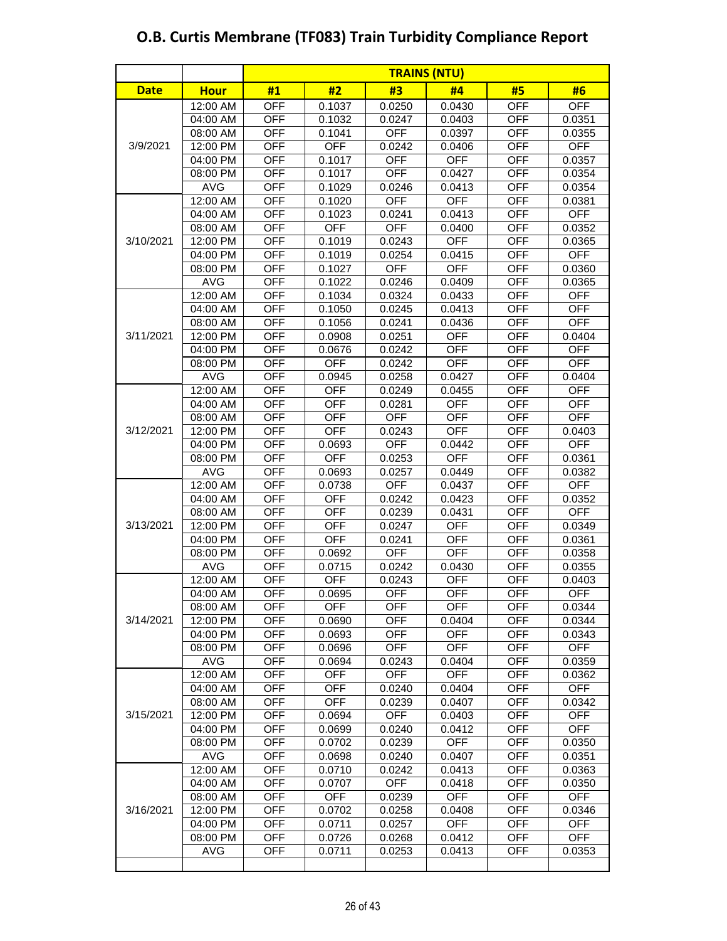|             |             |            | <b>TRAINS (NTU)</b> |            |            |            |            |  |  |
|-------------|-------------|------------|---------------------|------------|------------|------------|------------|--|--|
| <b>Date</b> | <b>Hour</b> | #1         | #2                  | #3         | #4         | #5         | #6         |  |  |
|             | $12:00$ AM  | <b>OFF</b> | 0.1037              | 0.0250     | 0.0430     | OFF        | <b>OFF</b> |  |  |
|             | 04:00 AM    | <b>OFF</b> | 0.1032              | 0.0247     | 0.0403     | <b>OFF</b> | 0.0351     |  |  |
|             | 08:00 AM    | <b>OFF</b> | 0.1041              | <b>OFF</b> | 0.0397     | <b>OFF</b> | 0.0355     |  |  |
| 3/9/2021    | 12:00 PM    | <b>OFF</b> | <b>OFF</b>          | 0.0242     | 0.0406     | <b>OFF</b> | <b>OFF</b> |  |  |
|             | 04:00 PM    | <b>OFF</b> | 0.1017              | <b>OFF</b> | <b>OFF</b> | <b>OFF</b> | 0.0357     |  |  |
|             | 08:00 PM    | <b>OFF</b> | 0.1017              | <b>OFF</b> | 0.0427     | <b>OFF</b> | 0.0354     |  |  |
|             | <b>AVG</b>  | <b>OFF</b> | 0.1029              | 0.0246     | 0.0413     | <b>OFF</b> | 0.0354     |  |  |
|             | 12:00 AM    | <b>OFF</b> | 0.1020              | <b>OFF</b> | <b>OFF</b> | <b>OFF</b> | 0.0381     |  |  |
|             | 04:00 AM    | <b>OFF</b> | 0.1023              | 0.0241     | 0.0413     | <b>OFF</b> | <b>OFF</b> |  |  |
|             | 08:00 AM    | <b>OFF</b> | <b>OFF</b>          | <b>OFF</b> | 0.0400     | <b>OFF</b> | 0.0352     |  |  |
| 3/10/2021   | 12:00 PM    | <b>OFF</b> | 0.1019              | 0.0243     | <b>OFF</b> | <b>OFF</b> | 0.0365     |  |  |
|             | 04:00 PM    | <b>OFF</b> | 0.1019              | 0.0254     | 0.0415     | <b>OFF</b> | <b>OFF</b> |  |  |
|             | 08:00 PM    | <b>OFF</b> | 0.1027              | <b>OFF</b> | <b>OFF</b> | <b>OFF</b> | 0.0360     |  |  |
|             | <b>AVG</b>  | <b>OFF</b> | 0.1022              | 0.0246     | 0.0409     | <b>OFF</b> | 0.0365     |  |  |
|             | 12:00 AM    | <b>OFF</b> | 0.1034              | 0.0324     | 0.0433     | <b>OFF</b> | <b>OFF</b> |  |  |
|             | 04:00 AM    | <b>OFF</b> | 0.1050              | 0.0245     | 0.0413     | <b>OFF</b> | <b>OFF</b> |  |  |
|             | 08:00 AM    | <b>OFF</b> | 0.1056              | 0.0241     | 0.0436     | <b>OFF</b> | <b>OFF</b> |  |  |
| 3/11/2021   | 12:00 PM    | <b>OFF</b> | 0.0908              | 0.0251     | <b>OFF</b> | <b>OFF</b> | 0.0404     |  |  |
|             | 04:00 PM    | <b>OFF</b> | 0.0676              | 0.0242     | <b>OFF</b> | <b>OFF</b> | <b>OFF</b> |  |  |
|             | 08:00 PM    | <b>OFF</b> | <b>OFF</b>          | 0.0242     | <b>OFF</b> | <b>OFF</b> | <b>OFF</b> |  |  |
|             | <b>AVG</b>  | <b>OFF</b> | 0.0945              | 0.0258     | 0.0427     | OFF        | 0.0404     |  |  |
|             | 12:00 AM    | <b>OFF</b> | <b>OFF</b>          | 0.0249     | 0.0455     | <b>OFF</b> | <b>OFF</b> |  |  |
|             | 04:00 AM    | <b>OFF</b> | <b>OFF</b>          | 0.0281     | <b>OFF</b> | <b>OFF</b> | <b>OFF</b> |  |  |
|             | 08:00 AM    | <b>OFF</b> | <b>OFF</b>          | <b>OFF</b> | <b>OFF</b> | <b>OFF</b> | <b>OFF</b> |  |  |
| 3/12/2021   | 12:00 PM    | <b>OFF</b> | <b>OFF</b>          | 0.0243     | <b>OFF</b> | <b>OFF</b> | 0.0403     |  |  |
|             | 04:00 PM    | <b>OFF</b> | 0.0693              | <b>OFF</b> | 0.0442     | <b>OFF</b> | <b>OFF</b> |  |  |
|             | 08:00 PM    | <b>OFF</b> | <b>OFF</b>          | 0.0253     | <b>OFF</b> | <b>OFF</b> | 0.0361     |  |  |
|             | <b>AVG</b>  | <b>OFF</b> | 0.0693              | 0.0257     | 0.0449     | <b>OFF</b> | 0.0382     |  |  |
|             | 12:00 AM    | <b>OFF</b> | 0.0738              | <b>OFF</b> | 0.0437     | <b>OFF</b> | <b>OFF</b> |  |  |
|             | 04:00 AM    | <b>OFF</b> | <b>OFF</b>          | 0.0242     | 0.0423     | <b>OFF</b> | 0.0352     |  |  |
|             | 08:00 AM    | <b>OFF</b> | <b>OFF</b>          | 0.0239     | 0.0431     | <b>OFF</b> | <b>OFF</b> |  |  |
| 3/13/2021   | 12:00 PM    | <b>OFF</b> | <b>OFF</b>          | 0.0247     | <b>OFF</b> | <b>OFF</b> | 0.0349     |  |  |
|             | 04:00 PM    | <b>OFF</b> | <b>OFF</b>          | 0.0241     | <b>OFF</b> | <b>OFF</b> | 0.0361     |  |  |
|             | 08:00 PM    | <b>OFF</b> | 0.0692              | <b>OFF</b> | <b>OFF</b> | <b>OFF</b> | 0.0358     |  |  |
|             | <b>AVG</b>  | <b>OFF</b> | 0.0715              | 0.0242     | 0.0430     | <b>OFF</b> | 0.0355     |  |  |
|             | 12:00 AM    | <b>OFF</b> | <b>OFF</b>          | 0.0243     | <b>OFF</b> | <b>OFF</b> | 0.0403     |  |  |
|             | 04:00 AM    | <b>OFF</b> | 0.0695              | <b>OFF</b> | <b>OFF</b> | <b>OFF</b> | <b>OFF</b> |  |  |
|             | 08:00 AM    | <b>OFF</b> | <b>OFF</b>          | <b>OFF</b> | <b>OFF</b> | <b>OFF</b> | 0.0344     |  |  |
| 3/14/2021   | 12:00 PM    | <b>OFF</b> | 0.0690              | <b>OFF</b> | 0.0404     | <b>OFF</b> | 0.0344     |  |  |
|             | 04:00 PM    | <b>OFF</b> | 0.0693              | <b>OFF</b> | <b>OFF</b> | OFF        | 0.0343     |  |  |
|             | 08:00 PM    | <b>OFF</b> | 0.0696              | <b>OFF</b> | <b>OFF</b> | <b>OFF</b> | <b>OFF</b> |  |  |
|             | <b>AVG</b>  | <b>OFF</b> | 0.0694              | 0.0243     | 0.0404     | <b>OFF</b> | 0.0359     |  |  |
|             | 12:00 AM    | <b>OFF</b> | <b>OFF</b>          | <b>OFF</b> | <b>OFF</b> | <b>OFF</b> | 0.0362     |  |  |
|             | 04:00 AM    | <b>OFF</b> | <b>OFF</b>          | 0.0240     | 0.0404     | <b>OFF</b> | <b>OFF</b> |  |  |
|             | 08:00 AM    | <b>OFF</b> | <b>OFF</b>          | 0.0239     | 0.0407     | <b>OFF</b> | 0.0342     |  |  |
| 3/15/2021   | 12:00 PM    | <b>OFF</b> | 0.0694              | <b>OFF</b> | 0.0403     | <b>OFF</b> | <b>OFF</b> |  |  |
|             | 04:00 PM    | <b>OFF</b> | 0.0699              | 0.0240     | 0.0412     | <b>OFF</b> | <b>OFF</b> |  |  |
|             | 08:00 PM    | <b>OFF</b> | 0.0702              | 0.0239     | <b>OFF</b> | <b>OFF</b> | 0.0350     |  |  |
|             | AVG         | <b>OFF</b> | 0.0698              | 0.0240     | 0.0407     | <b>OFF</b> | 0.0351     |  |  |
|             | 12:00 AM    | <b>OFF</b> | 0.0710              | 0.0242     | 0.0413     | <b>OFF</b> | 0.0363     |  |  |
|             | 04:00 AM    | <b>OFF</b> | 0.0707              | <b>OFF</b> | 0.0418     | OFF        | 0.0350     |  |  |
|             | 08:00 AM    | <b>OFF</b> | <b>OFF</b>          | 0.0239     | <b>OFF</b> | <b>OFF</b> | <b>OFF</b> |  |  |
| 3/16/2021   | 12:00 PM    | <b>OFF</b> | 0.0702              | 0.0258     | 0.0408     | OFF        | 0.0346     |  |  |
|             | 04:00 PM    | <b>OFF</b> | 0.0711              | 0.0257     | <b>OFF</b> | <b>OFF</b> | <b>OFF</b> |  |  |
|             | 08:00 PM    | <b>OFF</b> | 0.0726              | 0.0268     | 0.0412     | <b>OFF</b> | <b>OFF</b> |  |  |
|             | <b>AVG</b>  | <b>OFF</b> | 0.0711              | 0.0253     | 0.0413     | <b>OFF</b> | 0.0353     |  |  |
|             |             |            |                     |            |            |            |            |  |  |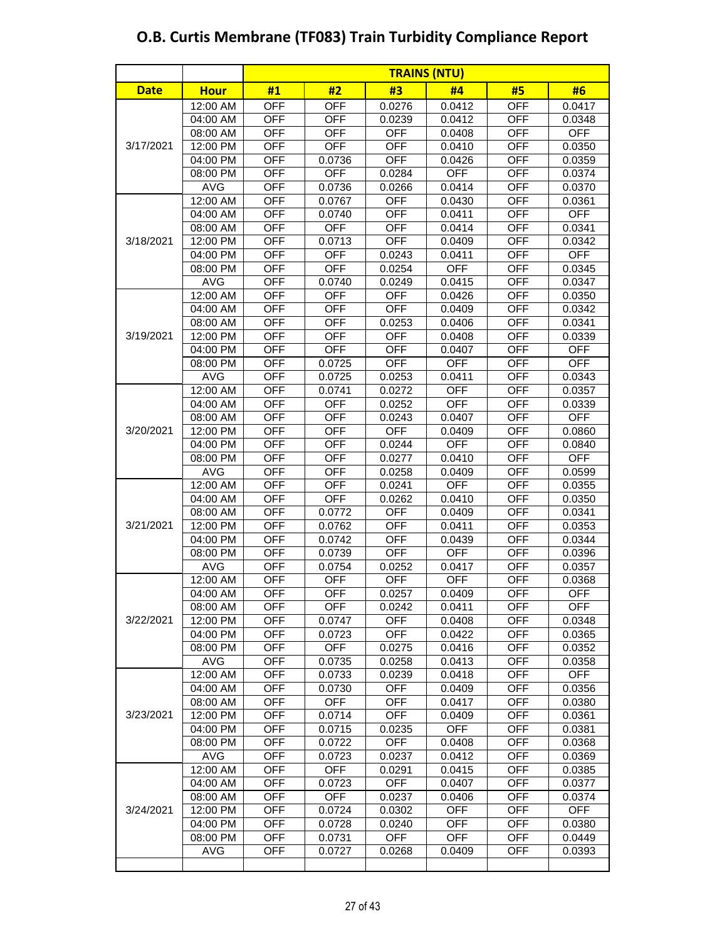|             |             | <b>TRAINS (NTU)</b> |            |            |            |            |            |  |
|-------------|-------------|---------------------|------------|------------|------------|------------|------------|--|
| <b>Date</b> | <b>Hour</b> | #1                  | #2         | #3         | #4         | #5         | #6         |  |
|             | 12:00 AM    | <b>OFF</b>          | <b>OFF</b> | 0.0276     | 0.0412     | <b>OFF</b> | 0.0417     |  |
|             | 04:00 AM    | <b>OFF</b>          | <b>OFF</b> | 0.0239     | 0.0412     | <b>OFF</b> | 0.0348     |  |
|             | 08:00 AM    | <b>OFF</b>          | <b>OFF</b> | <b>OFF</b> | 0.0408     | <b>OFF</b> | <b>OFF</b> |  |
| 3/17/2021   | 12:00 PM    | <b>OFF</b>          | <b>OFF</b> | <b>OFF</b> | 0.0410     | <b>OFF</b> | 0.0350     |  |
|             | 04:00 PM    | <b>OFF</b>          | 0.0736     | <b>OFF</b> | 0.0426     | <b>OFF</b> | 0.0359     |  |
|             | 08:00 PM    | <b>OFF</b>          | <b>OFF</b> | 0.0284     | <b>OFF</b> | <b>OFF</b> | 0.0374     |  |
|             | <b>AVG</b>  | <b>OFF</b>          | 0.0736     | 0.0266     | 0.0414     | <b>OFF</b> | 0.0370     |  |
|             | 12:00 AM    | <b>OFF</b>          | 0.0767     | <b>OFF</b> | 0.0430     | <b>OFF</b> | 0.0361     |  |
|             | 04:00 AM    | <b>OFF</b>          | 0.0740     | <b>OFF</b> | 0.0411     | <b>OFF</b> | <b>OFF</b> |  |
|             | 08:00 AM    | <b>OFF</b>          | <b>OFF</b> | <b>OFF</b> | 0.0414     | <b>OFF</b> | 0.0341     |  |
| 3/18/2021   | 12:00 PM    | <b>OFF</b>          | 0.0713     | <b>OFF</b> | 0.0409     | <b>OFF</b> | 0.0342     |  |
|             | 04:00 PM    | <b>OFF</b>          | <b>OFF</b> | 0.0243     | 0.0411     | <b>OFF</b> | <b>OFF</b> |  |
|             | 08:00 PM    | <b>OFF</b>          | <b>OFF</b> | 0.0254     | <b>OFF</b> | <b>OFF</b> | 0.0345     |  |
|             | <b>AVG</b>  | <b>OFF</b>          | 0.0740     | 0.0249     | 0.0415     | <b>OFF</b> | 0.0347     |  |
|             | 12:00 AM    | <b>OFF</b>          | <b>OFF</b> | <b>OFF</b> | 0.0426     | <b>OFF</b> | 0.0350     |  |
|             | 04:00 AM    | <b>OFF</b>          | <b>OFF</b> | <b>OFF</b> | 0.0409     | <b>OFF</b> | 0.0342     |  |
|             | 08:00 AM    | <b>OFF</b>          | <b>OFF</b> | 0.0253     | 0.0406     | <b>OFF</b> | 0.0341     |  |
| 3/19/2021   | 12:00 PM    | <b>OFF</b>          | <b>OFF</b> | <b>OFF</b> | 0.0408     | <b>OFF</b> | 0.0339     |  |
|             | 04:00 PM    | <b>OFF</b>          | <b>OFF</b> | <b>OFF</b> | 0.0407     | <b>OFF</b> | <b>OFF</b> |  |
|             | 08:00 PM    | <b>OFF</b>          | 0.0725     | <b>OFF</b> | <b>OFF</b> | <b>OFF</b> | <b>OFF</b> |  |
|             | <b>AVG</b>  | <b>OFF</b>          | 0.0725     | 0.0253     | 0.0411     | <b>OFF</b> | 0.0343     |  |
|             | 12:00 AM    | <b>OFF</b>          | 0.0741     | 0.0272     | <b>OFF</b> | <b>OFF</b> | 0.0357     |  |
|             | 04:00 AM    | <b>OFF</b>          | <b>OFF</b> | 0.0252     | <b>OFF</b> | <b>OFF</b> | 0.0339     |  |
|             | 08:00 AM    | <b>OFF</b>          | <b>OFF</b> | 0.0243     | 0.0407     | <b>OFF</b> | <b>OFF</b> |  |
| 3/20/2021   | 12:00 PM    | <b>OFF</b>          | <b>OFF</b> | <b>OFF</b> | 0.0409     | <b>OFF</b> | 0.0860     |  |
|             | 04:00 PM    | <b>OFF</b>          | <b>OFF</b> | 0.0244     | <b>OFF</b> | <b>OFF</b> | 0.0840     |  |
|             | 08:00 PM    | <b>OFF</b>          | <b>OFF</b> | 0.0277     | 0.0410     | <b>OFF</b> | <b>OFF</b> |  |
|             | <b>AVG</b>  | <b>OFF</b>          | <b>OFF</b> | 0.0258     | 0.0409     | <b>OFF</b> | 0.0599     |  |
|             | 12:00 AM    | <b>OFF</b>          | <b>OFF</b> | 0.0241     | <b>OFF</b> | <b>OFF</b> | 0.0355     |  |
|             | 04:00 AM    | <b>OFF</b>          | <b>OFF</b> | 0.0262     | 0.0410     | <b>OFF</b> | 0.0350     |  |
|             | 08:00 AM    | <b>OFF</b>          | 0.0772     | <b>OFF</b> | 0.0409     | <b>OFF</b> | 0.0341     |  |
| 3/21/2021   | 12:00 PM    | <b>OFF</b>          | 0.0762     | <b>OFF</b> | 0.0411     | <b>OFF</b> | 0.0353     |  |
|             | 04:00 PM    | <b>OFF</b>          | 0.0742     | <b>OFF</b> | 0.0439     | <b>OFF</b> | 0.0344     |  |
|             | 08:00 PM    | <b>OFF</b>          | 0.0739     | <b>OFF</b> | <b>OFF</b> | <b>OFF</b> | 0.0396     |  |
|             | <b>AVG</b>  | <b>OFF</b>          | 0.0754     | 0.0252     | 0.0417     | <b>OFF</b> | 0.0357     |  |
|             | 12:00 AM    | <b>OFF</b>          | <b>OFF</b> | <b>OFF</b> | <b>OFF</b> | <b>OFF</b> | 0.0368     |  |
|             | 04:00 AM    | <b>OFF</b>          | <b>OFF</b> | 0.0257     | 0.0409     | <b>OFF</b> | <b>OFF</b> |  |
|             | 08:00 AM    | <b>OFF</b>          | <b>OFF</b> | 0.0242     | 0.0411     | <b>OFF</b> | <b>OFF</b> |  |
| 3/22/2021   | 12:00 PM    | <b>OFF</b>          | 0.0747     | <b>OFF</b> | 0.0408     | <b>OFF</b> | 0.0348     |  |
|             | 04:00 PM    | <b>OFF</b>          | 0.0723     | <b>OFF</b> | 0.0422     | <b>OFF</b> | 0.0365     |  |
|             | 08:00 PM    | <b>OFF</b>          | OFF        | 0.0275     | 0.0416     | OFF        | 0.0352     |  |
|             | <b>AVG</b>  | OFF                 | 0.0735     | 0.0258     | 0.0413     | OFF        | 0.0358     |  |
|             | 12:00 AM    | <b>OFF</b>          | 0.0733     | 0.0239     | 0.0418     | <b>OFF</b> | <b>OFF</b> |  |
|             | 04:00 AM    | <b>OFF</b>          | 0.0730     | <b>OFF</b> | 0.0409     | OFF        | 0.0356     |  |
|             | 08:00 AM    | <b>OFF</b>          | <b>OFF</b> | <b>OFF</b> | 0.0417     | <b>OFF</b> | 0.0380     |  |
| 3/23/2021   | 12:00 PM    | <b>OFF</b>          | 0.0714     | <b>OFF</b> | 0.0409     | <b>OFF</b> | 0.0361     |  |
|             | 04:00 PM    | <b>OFF</b>          | 0.0715     | 0.0235     | <b>OFF</b> | <b>OFF</b> | 0.0381     |  |
|             | 08:00 PM    | <b>OFF</b>          | 0.0722     | <b>OFF</b> | 0.0408     | <b>OFF</b> | 0.0368     |  |
|             | <b>AVG</b>  | <b>OFF</b>          | 0.0723     | 0.0237     | 0.0412     | <b>OFF</b> | 0.0369     |  |
|             | 12:00 AM    | <b>OFF</b>          | <b>OFF</b> | 0.0291     | 0.0415     | <b>OFF</b> | 0.0385     |  |
|             | 04:00 AM    | <b>OFF</b>          | 0.0723     | <b>OFF</b> | 0.0407     | OFF        | 0.0377     |  |
|             | 08:00 AM    | OFF                 | <b>OFF</b> | 0.0237     | 0.0406     | OFF        | 0.0374     |  |
| 3/24/2021   | 12:00 PM    | <b>OFF</b>          | 0.0724     | 0.0302     | <b>OFF</b> | <b>OFF</b> | <b>OFF</b> |  |
|             | 04:00 PM    | <b>OFF</b>          | 0.0728     | 0.0240     | <b>OFF</b> | OFF        | 0.0380     |  |
|             | 08:00 PM    | <b>OFF</b>          | 0.0731     | <b>OFF</b> | <b>OFF</b> | <b>OFF</b> | 0.0449     |  |
|             | <b>AVG</b>  | <b>OFF</b>          | 0.0727     | 0.0268     | 0.0409     | <b>OFF</b> | 0.0393     |  |
|             |             |                     |            |            |            |            |            |  |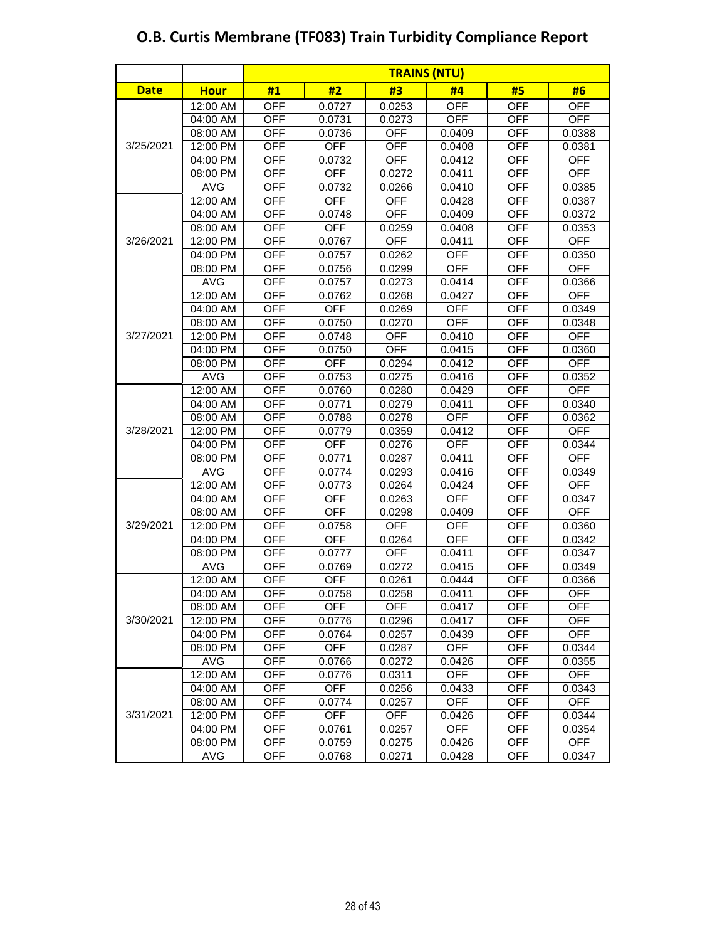|             |             | <b>TRAINS (NTU)</b> |            |            |            |            |            |  |
|-------------|-------------|---------------------|------------|------------|------------|------------|------------|--|
| <b>Date</b> | <b>Hour</b> | #1                  | #2         | #3         | #4         | #5         | #6         |  |
|             | 12:00 AM    | <b>OFF</b>          | 0.0727     | 0.0253     | OFF        | <b>OFF</b> | <b>OFF</b> |  |
|             | 04:00 AM    | <b>OFF</b>          | 0.0731     | 0.0273     | <b>OFF</b> | <b>OFF</b> | <b>OFF</b> |  |
|             | 08:00 AM    | <b>OFF</b>          | 0.0736     | <b>OFF</b> | 0.0409     | <b>OFF</b> | 0.0388     |  |
| 3/25/2021   | 12:00 PM    | <b>OFF</b>          | <b>OFF</b> | <b>OFF</b> | 0.0408     | <b>OFF</b> | 0.0381     |  |
|             | 04:00 PM    | <b>OFF</b>          | 0.0732     | <b>OFF</b> | 0.0412     | <b>OFF</b> | <b>OFF</b> |  |
|             | 08:00 PM    | <b>OFF</b>          | <b>OFF</b> | 0.0272     | 0.0411     | <b>OFF</b> | <b>OFF</b> |  |
|             | <b>AVG</b>  | <b>OFF</b>          | 0.0732     | 0.0266     | 0.0410     | <b>OFF</b> | 0.0385     |  |
|             | 12:00 AM    | <b>OFF</b>          | <b>OFF</b> | <b>OFF</b> | 0.0428     | <b>OFF</b> | 0.0387     |  |
|             | 04:00 AM    | <b>OFF</b>          | 0.0748     | <b>OFF</b> | 0.0409     | <b>OFF</b> | 0.0372     |  |
|             | 08:00 AM    | <b>OFF</b>          | <b>OFF</b> | 0.0259     | 0.0408     | <b>OFF</b> | 0.0353     |  |
| 3/26/2021   | 12:00 PM    | <b>OFF</b>          | 0.0767     | <b>OFF</b> | 0.0411     | <b>OFF</b> | <b>OFF</b> |  |
|             | 04:00 PM    | <b>OFF</b>          | 0.0757     | 0.0262     | <b>OFF</b> | OFF        | 0.0350     |  |
|             | 08:00 PM    | <b>OFF</b>          | 0.0756     | 0.0299     | <b>OFF</b> | <b>OFF</b> | <b>OFF</b> |  |
|             | <b>AVG</b>  | <b>OFF</b>          | 0.0757     | 0.0273     | 0.0414     | <b>OFF</b> | 0.0366     |  |
|             | 12:00 AM    | <b>OFF</b>          | 0.0762     | 0.0268     | 0.0427     | <b>OFF</b> | <b>OFF</b> |  |
|             | 04:00 AM    | <b>OFF</b>          | <b>OFF</b> | 0.0269     | <b>OFF</b> | <b>OFF</b> | 0.0349     |  |
|             | 08:00 AM    | <b>OFF</b>          | 0.0750     | 0.0270     | <b>OFF</b> | <b>OFF</b> | 0.0348     |  |
| 3/27/2021   | 12:00 PM    | <b>OFF</b>          | 0.0748     | <b>OFF</b> | 0.0410     | <b>OFF</b> | <b>OFF</b> |  |
|             | 04:00 PM    | <b>OFF</b>          | 0.0750     | <b>OFF</b> | 0.0415     | <b>OFF</b> | 0.0360     |  |
|             | 08:00 PM    | <b>OFF</b>          | <b>OFF</b> | 0.0294     | 0.0412     | <b>OFF</b> | <b>OFF</b> |  |
|             | <b>AVG</b>  | <b>OFF</b>          | 0.0753     | 0.0275     | 0.0416     | <b>OFF</b> | 0.0352     |  |
|             | 12:00 AM    | <b>OFF</b>          | 0.0760     | 0.0280     | 0.0429     | OFF        | <b>OFF</b> |  |
|             | 04:00 AM    | <b>OFF</b>          | 0.0771     | 0.0279     | 0.0411     | <b>OFF</b> | 0.0340     |  |
|             | 08:00 AM    | <b>OFF</b>          | 0.0788     | 0.0278     | <b>OFF</b> | <b>OFF</b> | 0.0362     |  |
| 3/28/2021   | 12:00 PM    | <b>OFF</b>          | 0.0779     | 0.0359     | 0.0412     | <b>OFF</b> | <b>OFF</b> |  |
|             | 04:00 PM    | <b>OFF</b>          | <b>OFF</b> | 0.0276     | <b>OFF</b> | <b>OFF</b> | 0.0344     |  |
|             | 08:00 PM    | <b>OFF</b>          | 0.0771     | 0.0287     | 0.0411     | <b>OFF</b> | <b>OFF</b> |  |
|             | <b>AVG</b>  | <b>OFF</b>          | 0.0774     | 0.0293     | 0.0416     | <b>OFF</b> | 0.0349     |  |
|             | 12:00 AM    | <b>OFF</b>          | 0.0773     | 0.0264     | 0.0424     | <b>OFF</b> | <b>OFF</b> |  |
|             | 04:00 AM    | <b>OFF</b>          | <b>OFF</b> | 0.0263     | <b>OFF</b> | <b>OFF</b> | 0.0347     |  |
|             | 08:00 AM    | <b>OFF</b>          | <b>OFF</b> | 0.0298     | 0.0409     | <b>OFF</b> | <b>OFF</b> |  |
| 3/29/2021   | 12:00 PM    | <b>OFF</b>          | 0.0758     | <b>OFF</b> | <b>OFF</b> | <b>OFF</b> | 0.0360     |  |
|             | 04:00 PM    | <b>OFF</b>          | <b>OFF</b> | 0.0264     | OFF        | <b>OFF</b> | 0.0342     |  |
|             | 08:00 PM    | <b>OFF</b>          | 0.0777     | <b>OFF</b> | 0.0411     | <b>OFF</b> | 0.0347     |  |
|             | <b>AVG</b>  | <b>OFF</b>          | 0.0769     | 0.0272     | 0.0415     | <b>OFF</b> | 0.0349     |  |
|             | 12:00 AM    | <b>OFF</b>          | <b>OFF</b> | 0.0261     | 0.0444     | <b>OFF</b> | 0.0366     |  |
|             | 04:00 AM    | <b>OFF</b>          | 0.0758     | 0.0258     | 0.0411     | <b>OFF</b> | <b>OFF</b> |  |
|             | 08:00 AM    | <b>OFF</b>          | <b>OFF</b> | <b>OFF</b> | 0.0417     | OFF        | <b>OFF</b> |  |
| 3/30/2021   | 12:00 PM    | <b>OFF</b>          | 0.0776     | 0.0296     | 0.0417     | <b>OFF</b> | <b>OFF</b> |  |
|             | 04:00 PM    | <b>OFF</b>          | 0.0764     | 0.0257     | 0.0439     | OFF        | <b>OFF</b> |  |
|             | 08:00 PM    | <b>OFF</b>          | <b>OFF</b> | 0.0287     | <b>OFF</b> | OFF        | 0.0344     |  |
|             | <b>AVG</b>  | <b>OFF</b>          | 0.0766     | 0.0272     | 0.0426     | OFF        | 0.0355     |  |
|             | 12:00 AM    | <b>OFF</b>          | 0.0776     | 0.0311     | <b>OFF</b> | <b>OFF</b> | <b>OFF</b> |  |
|             | 04:00 AM    | <b>OFF</b>          | <b>OFF</b> | 0.0256     | 0.0433     | OFF        | 0.0343     |  |
|             | 08:00 AM    | <b>OFF</b>          | 0.0774     | 0.0257     | <b>OFF</b> | OFF        | <b>OFF</b> |  |
| 3/31/2021   | 12:00 PM    | <b>OFF</b>          | <b>OFF</b> | <b>OFF</b> | 0.0426     | <b>OFF</b> | 0.0344     |  |
|             | 04:00 PM    | <b>OFF</b>          | 0.0761     | 0.0257     | <b>OFF</b> | <b>OFF</b> | 0.0354     |  |
|             | 08:00 PM    | <b>OFF</b>          | 0.0759     | 0.0275     | 0.0426     | <b>OFF</b> | <b>OFF</b> |  |
|             | <b>AVG</b>  | <b>OFF</b>          | 0.0768     | 0.0271     | 0.0428     | OFF        | 0.0347     |  |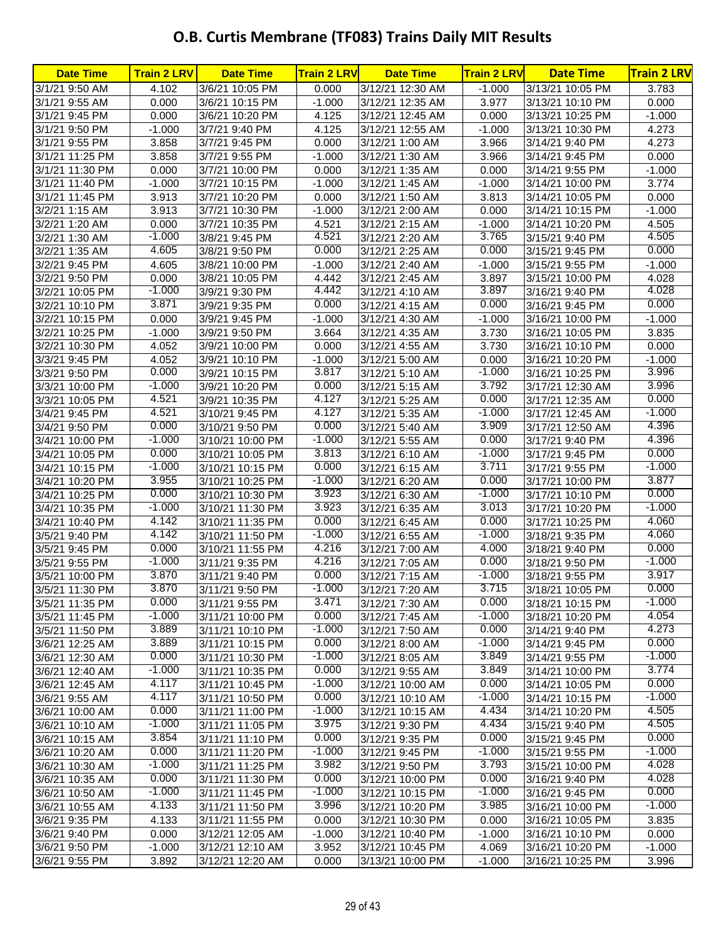| <b>Date Time</b> | <b>Train 2 LRV</b> | <b>Date Time</b> | <b>Train 2 LRV</b> | <b>Date Time</b> | <b>Train 2 LRV</b> | <b>Date Time</b> | <b>Train 2 LRV</b> |
|------------------|--------------------|------------------|--------------------|------------------|--------------------|------------------|--------------------|
| 3/1/21 9:50 AM   | 4.102              | 3/6/21 10:05 PM  | 0.000              | 3/12/21 12:30 AM | $-1.000$           | 3/13/21 10:05 PM | 3.783              |
| 3/1/21 9:55 AM   | 0.000              | 3/6/21 10:15 PM  | $-1.000$           | 3/12/21 12:35 AM | 3.977              | 3/13/21 10:10 PM | 0.000              |
| 3/1/21 9:45 PM   | 0.000              | 3/6/21 10:20 PM  | 4.125              | 3/12/21 12:45 AM | 0.000              | 3/13/21 10:25 PM | $-1.000$           |
| 3/1/21 9:50 PM   | $-1.000$           | 3/7/21 9:40 PM   | 4.125              | 3/12/21 12:55 AM | $-1.000$           | 3/13/21 10:30 PM | 4.273              |
| 3/1/21 9:55 PM   | 3.858              | 3/7/21 9:45 PM   | 0.000              | 3/12/21 1:00 AM  | 3.966              | 3/14/21 9:40 PM  | 4.273              |
| 3/1/21 11:25 PM  | 3.858              | 3/7/21 9:55 PM   | $-1.000$           | 3/12/21 1:30 AM  | 3.966              | 3/14/21 9:45 PM  | 0.000              |
| 3/1/21 11:30 PM  | 0.000              | 3/7/21 10:00 PM  | 0.000              | 3/12/21 1:35 AM  | 0.000              | 3/14/21 9:55 PM  | $-1.000$           |
| 3/1/21 11:40 PM  | $-1.000$           | 3/7/21 10:15 PM  | $-1.000$           | 3/12/21 1:45 AM  | $-1.000$           | 3/14/21 10:00 PM | 3.774              |
| 3/1/21 11:45 PM  | 3.913              | 3/7/21 10:20 PM  | 0.000              | 3/12/21 1:50 AM  | 3.813              | 3/14/21 10:05 PM | 0.000              |
| 3/2/21 1:15 AM   | 3.913              | 3/7/21 10:30 PM  | $-1.000$           | 3/12/21 2:00 AM  | 0.000              | 3/14/21 10:15 PM | $-1.000$           |
| 3/2/21 1:20 AM   | 0.000              | 3/7/21 10:35 PM  | 4.521              | 3/12/21 2:15 AM  | $-1.000$           | 3/14/21 10:20 PM | 4.505              |
| 3/2/21 1:30 AM   | $-1.000$           | 3/8/21 9:45 PM   | 4.521              | 3/12/21 2:20 AM  | 3.765              | 3/15/21 9:40 PM  | 4.505              |
| 3/2/21 1:35 AM   | 4.605              | 3/8/21 9:50 PM   | 0.000              | 3/12/21 2:25 AM  | 0.000              | 3/15/21 9:45 PM  | 0.000              |
| 3/2/21 9:45 PM   | 4.605              | 3/8/21 10:00 PM  | $-1.000$           | 3/12/21 2:40 AM  | $-1.000$           | 3/15/21 9:55 PM  | $-1.000$           |
| 3/2/21 9:50 PM   | 0.000              | 3/8/21 10:05 PM  | 4.442              | 3/12/21 2:45 AM  | 3.897              | 3/15/21 10:00 PM | 4.028              |
| 3/2/21 10:05 PM  | $-1.000$           | 3/9/21 9:30 PM   | 4.442              | 3/12/21 4:10 AM  | 3.897              | 3/16/21 9:40 PM  | 4.028              |
| 3/2/21 10:10 PM  | 3.871              | 3/9/21 9:35 PM   | 0.000              | 3/12/21 4:15 AM  | 0.000              | 3/16/21 9:45 PM  | 0.000              |
| 3/2/21 10:15 PM  | 0.000              | 3/9/21 9:45 PM   | $-1.000$           | 3/12/21 4:30 AM  | $-1.000$           | 3/16/21 10:00 PM | $-1.000$           |
| 3/2/21 10:25 PM  | $-1.000$           | 3/9/21 9:50 PM   | 3.664              | 3/12/21 4:35 AM  | 3.730              | 3/16/21 10:05 PM | 3.835              |
| 3/2/21 10:30 PM  | 4.052              | 3/9/21 10:00 PM  | 0.000              | 3/12/21 4:55 AM  | 3.730              | 3/16/21 10:10 PM | 0.000              |
| 3/3/21 9:45 PM   | 4.052              | 3/9/21 10:10 PM  | $-1.000$           | 3/12/21 5:00 AM  | 0.000              | 3/16/21 10:20 PM | $-1.000$           |
| 3/3/21 9:50 PM   | 0.000              | 3/9/21 10:15 PM  | 3.817              | 3/12/21 5:10 AM  | $-1.000$           | 3/16/21 10:25 PM | 3.996              |
| 3/3/21 10:00 PM  | $-1.000$           | 3/9/21 10:20 PM  | 0.000              | 3/12/21 5:15 AM  | 3.792              | 3/17/21 12:30 AM | 3.996              |
| 3/3/21 10:05 PM  | 4.521              | 3/9/21 10:35 PM  | 4.127              | 3/12/21 5:25 AM  | 0.000              | 3/17/21 12:35 AM | 0.000              |
| 3/4/21 9:45 PM   | 4.521              | 3/10/21 9:45 PM  | 4.127              | 3/12/21 5:35 AM  | $-1.000$           | 3/17/21 12:45 AM | $-1.000$           |
| 3/4/21 9:50 PM   | 0.000              | 3/10/21 9:50 PM  | 0.000              | 3/12/21 5:40 AM  | 3.909              | 3/17/21 12:50 AM | 4.396              |
| 3/4/21 10:00 PM  | $-1.000$           | 3/10/21 10:00 PM | $-1.000$           | 3/12/21 5:55 AM  | 0.000              | 3/17/21 9:40 PM  | 4.396              |
| 3/4/21 10:05 PM  | 0.000              | 3/10/21 10:05 PM | 3.813              | 3/12/21 6:10 AM  | $-1.000$           | 3/17/21 9:45 PM  | 0.000              |
| 3/4/21 10:15 PM  | $-1.000$           | 3/10/21 10:15 PM | 0.000              | 3/12/21 6:15 AM  | 3.711              | 3/17/21 9:55 PM  | $-1.000$           |
| 3/4/21 10:20 PM  | 3.955              | 3/10/21 10:25 PM | $-1.000$           | 3/12/21 6:20 AM  | 0.000              | 3/17/21 10:00 PM | 3.877              |
| 3/4/21 10:25 PM  | 0.000              | 3/10/21 10:30 PM | 3.923              | 3/12/21 6:30 AM  | $-1.000$           | 3/17/21 10:10 PM | 0.000              |
| 3/4/21 10:35 PM  | $-1.000$           | 3/10/21 11:30 PM | 3.923              | 3/12/21 6:35 AM  | 3.013              | 3/17/21 10:20 PM | $-1.000$           |
| 3/4/21 10:40 PM  | 4.142              | 3/10/21 11:35 PM | 0.000              | 3/12/21 6:45 AM  | 0.000              | 3/17/21 10:25 PM | 4.060              |
| 3/5/21 9:40 PM   | 4.142              | 3/10/21 11:50 PM | $-1.000$           | 3/12/21 6:55 AM  | $-1.000$           | 3/18/21 9:35 PM  | 4.060              |
| 3/5/21 9:45 PM   | 0.000              | 3/10/21 11:55 PM | 4.216              | 3/12/21 7:00 AM  | 4.000              | 3/18/21 9:40 PM  | 0.000              |
| 3/5/21 9:55 PM   | $-1.000$           | 3/11/21 9:35 PM  | 4.216              | 3/12/21 7:05 AM  | 0.000              | 3/18/21 9:50 PM  | $-1.000$           |
| 3/5/21 10:00 PM  | 3.870              | 3/11/21 9:40 PM  | 0.000              | 3/12/21 7:15 AM  | $-1.000$           | 3/18/21 9:55 PM  | 3.917              |
| 3/5/21 11:30 PM  | 3.870              | 3/11/21 9:50 PM  | $-1.000$           | 3/12/21 7:20 AM  | 3.715              | 3/18/21 10:05 PM | 0.000              |
| 3/5/21 11:35 PM  | 0.000              | 3/11/21 9:55 PM  | 3.471              | 3/12/21 7:30 AM  | 0.000              | 3/18/21 10:15 PM | $-1.000$           |
| 3/5/21 11:45 PM  | $-1.000$           | 3/11/21 10:00 PM | 0.000              | 3/12/21 7:45 AM  | $-1.000$           | 3/18/21 10:20 PM | 4.054              |
| 3/5/21 11:50 PM  | 3.889              | 3/11/21 10:10 PM | $-1.000$           | 3/12/21 7:50 AM  | 0.000              | 3/14/21 9:40 PM  | 4.273              |
| 3/6/21 12:25 AM  | 3.889              | 3/11/21 10:15 PM | 0.000              | 3/12/21 8:00 AM  | $-1.000$           | 3/14/21 9:45 PM  | 0.000              |
| 3/6/21 12:30 AM  | 0.000              | 3/11/21 10:30 PM | $-1.000$           | 3/12/21 8:05 AM  | 3.849              | 3/14/21 9:55 PM  | $-1.000$           |
| 3/6/21 12:40 AM  | $-1.000$           | 3/11/21 10:35 PM | 0.000              | 3/12/21 9:55 AM  | 3.849              | 3/14/21 10:00 PM | 3.774              |
| 3/6/21 12:45 AM  | 4.117              | 3/11/21 10:45 PM | $-1.000$           | 3/12/21 10:00 AM | 0.000              | 3/14/21 10:05 PM | 0.000              |
| 3/6/21 9:55 AM   | 4.117              | 3/11/21 10:50 PM | 0.000              | 3/12/21 10:10 AM | $-1.000$           | 3/14/21 10:15 PM | $-1.000$           |
| 3/6/21 10:00 AM  | 0.000              | 3/11/21 11:00 PM | $-1.000$           | 3/12/21 10:15 AM | 4.434              | 3/14/21 10:20 PM | 4.505              |
| 3/6/21 10:10 AM  | $-1.000$           | 3/11/21 11:05 PM | 3.975              | 3/12/21 9:30 PM  | 4.434              | 3/15/21 9:40 PM  | 4.505              |
| 3/6/21 10:15 AM  | 3.854              | 3/11/21 11:10 PM | 0.000              | 3/12/21 9:35 PM  | 0.000              | 3/15/21 9:45 PM  | 0.000              |
| 3/6/21 10:20 AM  | 0.000              | 3/11/21 11:20 PM | $-1.000$           | 3/12/21 9:45 PM  | $-1.000$           | 3/15/21 9:55 PM  | $-1.000$           |
| 3/6/21 10:30 AM  | $-1.000$           | 3/11/21 11:25 PM | 3.982              | 3/12/21 9:50 PM  | 3.793              | 3/15/21 10:00 PM | 4.028              |
| 3/6/21 10:35 AM  | 0.000              | 3/11/21 11:30 PM | 0.000              | 3/12/21 10:00 PM | 0.000              | 3/16/21 9:40 PM  | 4.028              |
| 3/6/21 10:50 AM  | $-1.000$           | 3/11/21 11:45 PM | $-1.000$           | 3/12/21 10:15 PM | $-1.000$           | 3/16/21 9:45 PM  | 0.000              |
| 3/6/21 10:55 AM  | 4.133              | 3/11/21 11:50 PM | 3.996              | 3/12/21 10:20 PM | 3.985              | 3/16/21 10:00 PM | $-1.000$           |
| 3/6/21 9:35 PM   | 4.133              | 3/11/21 11:55 PM | 0.000              | 3/12/21 10:30 PM | 0.000              | 3/16/21 10:05 PM | 3.835              |
| 3/6/21 9:40 PM   | 0.000              | 3/12/21 12:05 AM | $-1.000$           | 3/12/21 10:40 PM | $-1.000$           | 3/16/21 10:10 PM | 0.000              |
| 3/6/21 9:50 PM   | $-1.000$           | 3/12/21 12:10 AM | 3.952              | 3/12/21 10:45 PM | 4.069              | 3/16/21 10:20 PM | $-1.000$           |
| 3/6/21 9:55 PM   | 3.892              | 3/12/21 12:20 AM | 0.000              | 3/13/21 10:00 PM | $-1.000$           | 3/16/21 10:25 PM | 3.996              |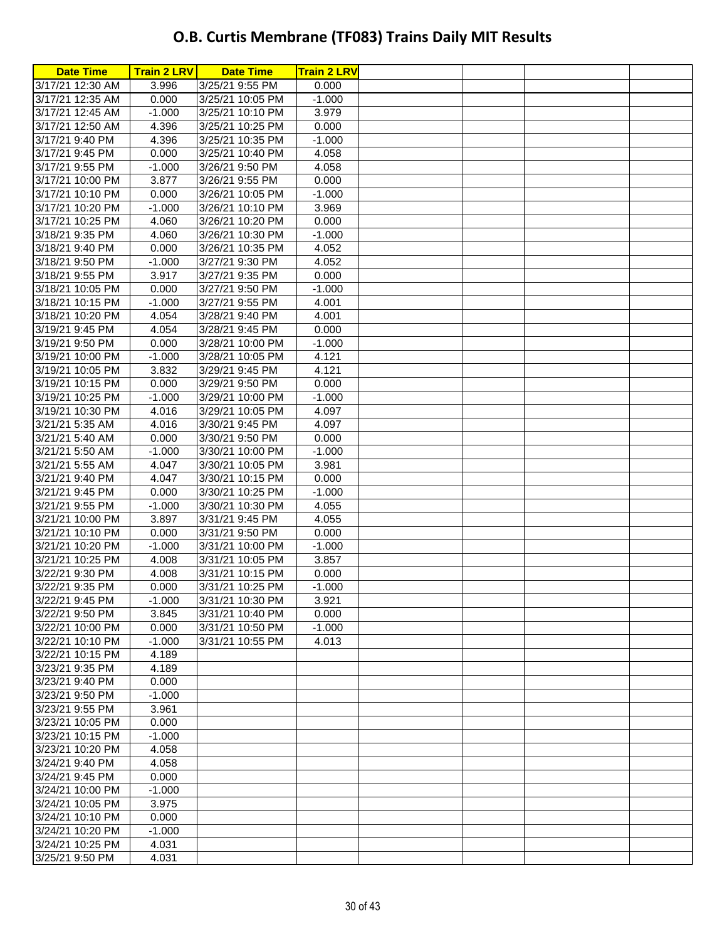| <b>Date Time</b> | <b>Train 2 LRV  </b> | <b>Date Time</b> | <b>Train 2 LRV</b> |  |  |
|------------------|----------------------|------------------|--------------------|--|--|
| 3/17/21 12:30 AM | 3.996                | 3/25/21 9:55 PM  | 0.000              |  |  |
| 3/17/21 12:35 AM | 0.000                | 3/25/21 10:05 PM | $-1.000$           |  |  |
| 3/17/21 12:45 AM | $-1.000$             | 3/25/21 10:10 PM | 3.979              |  |  |
| 3/17/21 12:50 AM | 4.396                | 3/25/21 10:25 PM | 0.000              |  |  |
| 3/17/21 9:40 PM  | 4.396                | 3/25/21 10:35 PM | $-1.000$           |  |  |
| 3/17/21 9:45 PM  | 0.000                | 3/25/21 10:40 PM | 4.058              |  |  |
| 3/17/21 9:55 PM  | $-1.000$             | 3/26/21 9:50 PM  | 4.058              |  |  |
| 3/17/21 10:00 PM | 3.877                | 3/26/21 9:55 PM  | 0.000              |  |  |
| 3/17/21 10:10 PM | 0.000                | 3/26/21 10:05 PM | $-1.000$           |  |  |
| 3/17/21 10:20 PM | $-1.000$             | 3/26/21 10:10 PM | 3.969              |  |  |
| 3/17/21 10:25 PM | 4.060                | 3/26/21 10:20 PM | 0.000              |  |  |
| 3/18/21 9:35 PM  | 4.060                | 3/26/21 10:30 PM | $-1.000$           |  |  |
| 3/18/21 9:40 PM  | 0.000                | 3/26/21 10:35 PM | 4.052              |  |  |
| 3/18/21 9:50 PM  | $-1.000$             | 3/27/21 9:30 PM  | 4.052              |  |  |
| 3/18/21 9:55 PM  | 3.917                | 3/27/21 9:35 PM  | 0.000              |  |  |
| 3/18/21 10:05 PM | 0.000                | 3/27/21 9:50 PM  | $-1.000$           |  |  |
| 3/18/21 10:15 PM | $-1.000$             | 3/27/21 9:55 PM  | 4.001              |  |  |
| 3/18/21 10:20 PM | 4.054                | 3/28/21 9:40 PM  | 4.001              |  |  |
| 3/19/21 9:45 PM  | 4.054                | 3/28/21 9:45 PM  | 0.000              |  |  |
| 3/19/21 9:50 PM  | 0.000                | 3/28/21 10:00 PM | $-1.000$           |  |  |
| 3/19/21 10:00 PM | $-1.000$             | 3/28/21 10:05 PM | 4.121              |  |  |
| 3/19/21 10:05 PM | 3.832                | 3/29/21 9:45 PM  | 4.121              |  |  |
| 3/19/21 10:15 PM | 0.000                | 3/29/21 9:50 PM  | 0.000              |  |  |
| 3/19/21 10:25 PM | $-1.000$             | 3/29/21 10:00 PM | $-1.000$           |  |  |
| 3/19/21 10:30 PM | 4.016                | 3/29/21 10:05 PM | 4.097              |  |  |
| 3/21/21 5:35 AM  | 4.016                | 3/30/21 9:45 PM  | 4.097              |  |  |
| 3/21/21 5:40 AM  | 0.000                | 3/30/21 9:50 PM  | 0.000              |  |  |
| 3/21/21 5:50 AM  | $-1.000$             | 3/30/21 10:00 PM | $-1.000$           |  |  |
| 3/21/21 5:55 AM  | 4.047                | 3/30/21 10:05 PM | 3.981              |  |  |
| 3/21/21 9:40 PM  | 4.047                | 3/30/21 10:15 PM | 0.000              |  |  |
| 3/21/21 9:45 PM  | 0.000                | 3/30/21 10:25 PM | $-1.000$           |  |  |
| 3/21/21 9:55 PM  | $-1.000$             | 3/30/21 10:30 PM | 4.055              |  |  |
| 3/21/21 10:00 PM | 3.897                | 3/31/21 9:45 PM  | 4.055              |  |  |
| 3/21/21 10:10 PM | 0.000                | 3/31/21 9:50 PM  | 0.000              |  |  |
| 3/21/21 10:20 PM | $-1.000$             | 3/31/21 10:00 PM | $-1.000$           |  |  |
| 3/21/21 10:25 PM | 4.008                | 3/31/21 10:05 PM | 3.857              |  |  |
| 3/22/21 9:30 PM  | 4.008                | 3/31/21 10:15 PM | 0.000              |  |  |
| 3/22/21 9:35 PM  | 0.000                | 3/31/21 10:25 PM | $-1.000$           |  |  |
| 3/22/21 9:45 PM  | $-1.000$             | 3/31/21 10:30 PM | 3.921              |  |  |
| 3/22/21 9:50 PM  | 3.845                | 3/31/21 10:40 PM | 0.000              |  |  |
| 3/22/21 10:00 PM | 0.000                | 3/31/21 10:50 PM | $-1.000$           |  |  |
| 3/22/21 10:10 PM | $-1.000$             | 3/31/21 10:55 PM | 4.013              |  |  |
| 3/22/21 10:15 PM | 4.189                |                  |                    |  |  |
| 3/23/21 9:35 PM  | 4.189                |                  |                    |  |  |
| 3/23/21 9:40 PM  | 0.000                |                  |                    |  |  |
| 3/23/21 9:50 PM  | $-1.000$             |                  |                    |  |  |
| 3/23/21 9:55 PM  | 3.961                |                  |                    |  |  |
| 3/23/21 10:05 PM | 0.000                |                  |                    |  |  |
| 3/23/21 10:15 PM | $-1.000$             |                  |                    |  |  |
| 3/23/21 10:20 PM | 4.058                |                  |                    |  |  |
| 3/24/21 9:40 PM  | 4.058                |                  |                    |  |  |
| 3/24/21 9:45 PM  | 0.000                |                  |                    |  |  |
| 3/24/21 10:00 PM | $-1.000$             |                  |                    |  |  |
| 3/24/21 10:05 PM | 3.975                |                  |                    |  |  |
| 3/24/21 10:10 PM | 0.000                |                  |                    |  |  |
| 3/24/21 10:20 PM | $-1.000$             |                  |                    |  |  |
| 3/24/21 10:25 PM | 4.031                |                  |                    |  |  |
| 3/25/21 9:50 PM  | 4.031                |                  |                    |  |  |
|                  |                      |                  |                    |  |  |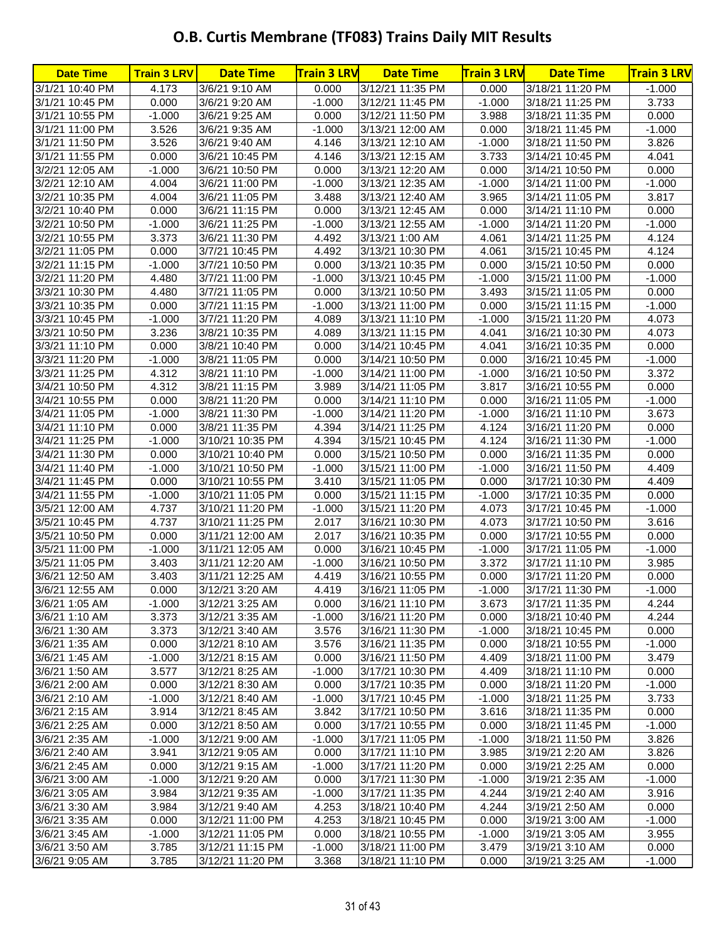| 4.173<br>3/1/21 10:40 PM<br>3/6/21 9:10 AM<br>0.000<br>3/12/21 11:35 PM<br>0.000<br>3/18/21 11:20 PM<br>3/1/21 10:45 PM<br>0.000<br>3/6/21 9:20 AM<br>$-1.000$<br>3/12/21 11:45 PM<br>$-1.000$<br>3/18/21 11:25 PM<br>3/1/21 10:55 PM<br>$-1.000$<br>3/6/21 9:25 AM<br>0.000<br>3/12/21 11:50 PM<br>3.988<br>3/18/21 11:35 PM<br>3.526<br>$-1.000$<br>3/18/21 11:45 PM<br>3/1/21 11:00 PM<br>3/6/21 9:35 AM<br>3/13/21 12:00 AM<br>0.000<br>3/1/21 11:50 PM<br>3.526<br>3/6/21 9:40 AM<br>4.146<br>3/13/21 12:10 AM<br>$-1.000$<br>3/18/21 11:50 PM<br>3/1/21 11:55 PM<br>0.000<br>4.146<br>3/6/21 10:45 PM<br>3/13/21 12:15 AM<br>3.733<br>3/14/21 10:45 PM<br>3/2/21 12:05 AM<br>$-1.000$<br>3/6/21 10:50 PM<br>0.000<br>3/13/21 12:20 AM<br>0.000<br>3/14/21 10:50 PM<br>3/2/21 12:10 AM<br>4.004<br>$-1.000$<br>3/13/21 12:35 AM<br>$-1.000$<br>3/6/21 11:00 PM<br>3/14/21 11:00 PM<br>3/2/21 10:35 PM<br>4.004<br>3.488<br>3/13/21 12:40 AM<br>3/6/21 11:05 PM<br>3.965<br>3/14/21 11:05 PM<br>0.000<br>0.000<br>3/2/21 10:40 PM<br>3/6/21 11:15 PM<br>3/13/21 12:45 AM<br>0.000<br>3/14/21 11:10 PM<br>$-1.000$<br>3/2/21 10:50 PM<br>$-1.000$<br>3/6/21 11:25 PM<br>3/13/21 12:55 AM<br>$-1.000$<br>3/14/21 11:20 PM<br>3.373<br>3/2/21 10:55 PM<br>3/6/21 11:30 PM<br>4.492<br>3/13/21 1:00 AM<br>3/14/21 11:25 PM<br>4.061<br>3/2/21 11:05 PM<br>0.000<br>3/7/21 10:45 PM<br>4.492<br>3/13/21 10:30 PM<br>4.061<br>3/15/21 10:45 PM<br>$-1.000$<br>0.000<br>3/15/21 10:50 PM<br>3/2/21 11:15 PM<br>3/7/21 10:50 PM<br>3/13/21 10:35 PM<br>0.000<br>3/2/21 11:20 PM<br>4.480<br>$-1.000$<br>3/7/21 11:00 PM<br>3/13/21 10:45 PM<br>$-1.000$<br>3/15/21 11:00 PM<br>3/3/21 10:30 PM<br>4.480<br>3/7/21 11:05 PM<br>0.000<br>3/13/21 10:50 PM<br>3.493<br>3/15/21 11:05 PM<br>3/3/21 10:35 PM<br>0.000<br>3/7/21 11:15 PM<br>$-1.000$<br>3/13/21 11:00 PM<br>0.000<br>3/15/21 11:15 PM<br>3/3/21 10:45 PM<br>$-1.000$<br>4.089<br>3/7/21 11:20 PM<br>3/13/21 11:10 PM<br>$-1.000$<br>3/15/21 11:20 PM<br>3.236<br>4.089<br>3/3/21 10:50 PM<br>3/8/21 10:35 PM<br>3/13/21 11:15 PM<br>4.041<br>3/16/21 10:30 PM<br>0.000<br>0.000<br>3/16/21 10:35 PM<br>3/3/21 11:10 PM<br>3/8/21 10:40 PM<br>3/14/21 10:45 PM<br>4.041<br>3/3/21 11:20 PM<br>$-1.000$<br>3/8/21 11:05 PM<br>0.000<br>3/14/21 10:50 PM<br>0.000<br>3/16/21 10:45 PM<br>3/3/21 11:25 PM<br>4.312<br>3/8/21 11:10 PM<br>3/14/21 11:00 PM<br>$-1.000$<br>$-1.000$<br>3/16/21 10:50 PM<br>3/4/21 10:50 PM<br>4.312<br>3/8/21 11:15 PM<br>3.989<br>3/14/21 11:05 PM<br>3/16/21 10:55 PM<br>3.817<br>0.000<br>3/8/21 11:20 PM<br>0.000<br>3/16/21 11:05 PM<br>3/4/21 10:55 PM<br>3/14/21 11:10 PM<br>0.000<br>3/8/21 11:30 PM<br>$-1.000$<br>3/16/21 11:10 PM<br>3/4/21 11:05 PM<br>$-1.000$<br>3/14/21 11:20 PM<br>$-1.000$<br>3/8/21 11:35 PM<br>4.394<br>4.124<br>3/4/21 11:10 PM<br>0.000<br>3/14/21 11:25 PM<br>3/16/21 11:20 PM<br>3/4/21 11:25 PM<br>4.394<br>4.124<br>$-1.000$<br>3/10/21 10:35 PM<br>3/15/21 10:45 PM<br>3/16/21 11:30 PM<br>3/4/21 11:30 PM<br>0.000<br>0.000<br>3/10/21 10:40 PM<br>3/15/21 10:50 PM<br>0.000<br>3/16/21 11:35 PM<br>$-1.000$<br>$-1.000$<br>3/4/21 11:40 PM<br>3/10/21 10:50 PM<br>3/15/21 11:00 PM<br>$-1.000$<br>3/16/21 11:50 PM<br>3.410<br>3/4/21 11:45 PM<br>0.000<br>3/10/21 10:55 PM<br>3/15/21 11:05 PM<br>0.000<br>3/17/21 10:30 PM | <b>Date Time</b> | <b>Train 3 LRV</b> | <b>Date Time</b> | <b>Train 3 LRV</b> | <b>Date Time</b> | <b>Train 3 LRV</b> | <b>Date Time</b> | <b>Train 3 LRV</b> |
|-----------------------------------------------------------------------------------------------------------------------------------------------------------------------------------------------------------------------------------------------------------------------------------------------------------------------------------------------------------------------------------------------------------------------------------------------------------------------------------------------------------------------------------------------------------------------------------------------------------------------------------------------------------------------------------------------------------------------------------------------------------------------------------------------------------------------------------------------------------------------------------------------------------------------------------------------------------------------------------------------------------------------------------------------------------------------------------------------------------------------------------------------------------------------------------------------------------------------------------------------------------------------------------------------------------------------------------------------------------------------------------------------------------------------------------------------------------------------------------------------------------------------------------------------------------------------------------------------------------------------------------------------------------------------------------------------------------------------------------------------------------------------------------------------------------------------------------------------------------------------------------------------------------------------------------------------------------------------------------------------------------------------------------------------------------------------------------------------------------------------------------------------------------------------------------------------------------------------------------------------------------------------------------------------------------------------------------------------------------------------------------------------------------------------------------------------------------------------------------------------------------------------------------------------------------------------------------------------------------------------------------------------------------------------------------------------------------------------------------------------------------------------------------------------------------------------------------------------------------------------------------------------------------------------------------------------------------------------------------------------------------------------------------------------------------------------------------------------------------------------------------------------------------------------------------------------------------------------------------------------------------------------------------------------------------------------------------------------------------|------------------|--------------------|------------------|--------------------|------------------|--------------------|------------------|--------------------|
|                                                                                                                                                                                                                                                                                                                                                                                                                                                                                                                                                                                                                                                                                                                                                                                                                                                                                                                                                                                                                                                                                                                                                                                                                                                                                                                                                                                                                                                                                                                                                                                                                                                                                                                                                                                                                                                                                                                                                                                                                                                                                                                                                                                                                                                                                                                                                                                                                                                                                                                                                                                                                                                                                                                                                                                                                                                                                                                                                                                                                                                                                                                                                                                                                                                                                                                                                           |                  |                    |                  |                    |                  |                    |                  | $-1.000$           |
|                                                                                                                                                                                                                                                                                                                                                                                                                                                                                                                                                                                                                                                                                                                                                                                                                                                                                                                                                                                                                                                                                                                                                                                                                                                                                                                                                                                                                                                                                                                                                                                                                                                                                                                                                                                                                                                                                                                                                                                                                                                                                                                                                                                                                                                                                                                                                                                                                                                                                                                                                                                                                                                                                                                                                                                                                                                                                                                                                                                                                                                                                                                                                                                                                                                                                                                                                           |                  |                    |                  |                    |                  |                    |                  | 3.733              |
|                                                                                                                                                                                                                                                                                                                                                                                                                                                                                                                                                                                                                                                                                                                                                                                                                                                                                                                                                                                                                                                                                                                                                                                                                                                                                                                                                                                                                                                                                                                                                                                                                                                                                                                                                                                                                                                                                                                                                                                                                                                                                                                                                                                                                                                                                                                                                                                                                                                                                                                                                                                                                                                                                                                                                                                                                                                                                                                                                                                                                                                                                                                                                                                                                                                                                                                                                           |                  |                    |                  |                    |                  |                    |                  | 0.000              |
|                                                                                                                                                                                                                                                                                                                                                                                                                                                                                                                                                                                                                                                                                                                                                                                                                                                                                                                                                                                                                                                                                                                                                                                                                                                                                                                                                                                                                                                                                                                                                                                                                                                                                                                                                                                                                                                                                                                                                                                                                                                                                                                                                                                                                                                                                                                                                                                                                                                                                                                                                                                                                                                                                                                                                                                                                                                                                                                                                                                                                                                                                                                                                                                                                                                                                                                                                           |                  |                    |                  |                    |                  |                    |                  | $-1.000$           |
|                                                                                                                                                                                                                                                                                                                                                                                                                                                                                                                                                                                                                                                                                                                                                                                                                                                                                                                                                                                                                                                                                                                                                                                                                                                                                                                                                                                                                                                                                                                                                                                                                                                                                                                                                                                                                                                                                                                                                                                                                                                                                                                                                                                                                                                                                                                                                                                                                                                                                                                                                                                                                                                                                                                                                                                                                                                                                                                                                                                                                                                                                                                                                                                                                                                                                                                                                           |                  |                    |                  |                    |                  |                    |                  | 3.826              |
|                                                                                                                                                                                                                                                                                                                                                                                                                                                                                                                                                                                                                                                                                                                                                                                                                                                                                                                                                                                                                                                                                                                                                                                                                                                                                                                                                                                                                                                                                                                                                                                                                                                                                                                                                                                                                                                                                                                                                                                                                                                                                                                                                                                                                                                                                                                                                                                                                                                                                                                                                                                                                                                                                                                                                                                                                                                                                                                                                                                                                                                                                                                                                                                                                                                                                                                                                           |                  |                    |                  |                    |                  |                    |                  | 4.041              |
|                                                                                                                                                                                                                                                                                                                                                                                                                                                                                                                                                                                                                                                                                                                                                                                                                                                                                                                                                                                                                                                                                                                                                                                                                                                                                                                                                                                                                                                                                                                                                                                                                                                                                                                                                                                                                                                                                                                                                                                                                                                                                                                                                                                                                                                                                                                                                                                                                                                                                                                                                                                                                                                                                                                                                                                                                                                                                                                                                                                                                                                                                                                                                                                                                                                                                                                                                           |                  |                    |                  |                    |                  |                    |                  | 0.000              |
|                                                                                                                                                                                                                                                                                                                                                                                                                                                                                                                                                                                                                                                                                                                                                                                                                                                                                                                                                                                                                                                                                                                                                                                                                                                                                                                                                                                                                                                                                                                                                                                                                                                                                                                                                                                                                                                                                                                                                                                                                                                                                                                                                                                                                                                                                                                                                                                                                                                                                                                                                                                                                                                                                                                                                                                                                                                                                                                                                                                                                                                                                                                                                                                                                                                                                                                                                           |                  |                    |                  |                    |                  |                    |                  | $-1.000$           |
|                                                                                                                                                                                                                                                                                                                                                                                                                                                                                                                                                                                                                                                                                                                                                                                                                                                                                                                                                                                                                                                                                                                                                                                                                                                                                                                                                                                                                                                                                                                                                                                                                                                                                                                                                                                                                                                                                                                                                                                                                                                                                                                                                                                                                                                                                                                                                                                                                                                                                                                                                                                                                                                                                                                                                                                                                                                                                                                                                                                                                                                                                                                                                                                                                                                                                                                                                           |                  |                    |                  |                    |                  |                    |                  | 3.817              |
|                                                                                                                                                                                                                                                                                                                                                                                                                                                                                                                                                                                                                                                                                                                                                                                                                                                                                                                                                                                                                                                                                                                                                                                                                                                                                                                                                                                                                                                                                                                                                                                                                                                                                                                                                                                                                                                                                                                                                                                                                                                                                                                                                                                                                                                                                                                                                                                                                                                                                                                                                                                                                                                                                                                                                                                                                                                                                                                                                                                                                                                                                                                                                                                                                                                                                                                                                           |                  |                    |                  |                    |                  |                    |                  | 0.000              |
|                                                                                                                                                                                                                                                                                                                                                                                                                                                                                                                                                                                                                                                                                                                                                                                                                                                                                                                                                                                                                                                                                                                                                                                                                                                                                                                                                                                                                                                                                                                                                                                                                                                                                                                                                                                                                                                                                                                                                                                                                                                                                                                                                                                                                                                                                                                                                                                                                                                                                                                                                                                                                                                                                                                                                                                                                                                                                                                                                                                                                                                                                                                                                                                                                                                                                                                                                           |                  |                    |                  |                    |                  |                    |                  | $-1.000$           |
|                                                                                                                                                                                                                                                                                                                                                                                                                                                                                                                                                                                                                                                                                                                                                                                                                                                                                                                                                                                                                                                                                                                                                                                                                                                                                                                                                                                                                                                                                                                                                                                                                                                                                                                                                                                                                                                                                                                                                                                                                                                                                                                                                                                                                                                                                                                                                                                                                                                                                                                                                                                                                                                                                                                                                                                                                                                                                                                                                                                                                                                                                                                                                                                                                                                                                                                                                           |                  |                    |                  |                    |                  |                    |                  | 4.124              |
|                                                                                                                                                                                                                                                                                                                                                                                                                                                                                                                                                                                                                                                                                                                                                                                                                                                                                                                                                                                                                                                                                                                                                                                                                                                                                                                                                                                                                                                                                                                                                                                                                                                                                                                                                                                                                                                                                                                                                                                                                                                                                                                                                                                                                                                                                                                                                                                                                                                                                                                                                                                                                                                                                                                                                                                                                                                                                                                                                                                                                                                                                                                                                                                                                                                                                                                                                           |                  |                    |                  |                    |                  |                    |                  | 4.124              |
|                                                                                                                                                                                                                                                                                                                                                                                                                                                                                                                                                                                                                                                                                                                                                                                                                                                                                                                                                                                                                                                                                                                                                                                                                                                                                                                                                                                                                                                                                                                                                                                                                                                                                                                                                                                                                                                                                                                                                                                                                                                                                                                                                                                                                                                                                                                                                                                                                                                                                                                                                                                                                                                                                                                                                                                                                                                                                                                                                                                                                                                                                                                                                                                                                                                                                                                                                           |                  |                    |                  |                    |                  |                    |                  | 0.000              |
|                                                                                                                                                                                                                                                                                                                                                                                                                                                                                                                                                                                                                                                                                                                                                                                                                                                                                                                                                                                                                                                                                                                                                                                                                                                                                                                                                                                                                                                                                                                                                                                                                                                                                                                                                                                                                                                                                                                                                                                                                                                                                                                                                                                                                                                                                                                                                                                                                                                                                                                                                                                                                                                                                                                                                                                                                                                                                                                                                                                                                                                                                                                                                                                                                                                                                                                                                           |                  |                    |                  |                    |                  |                    |                  | $-1.000$           |
|                                                                                                                                                                                                                                                                                                                                                                                                                                                                                                                                                                                                                                                                                                                                                                                                                                                                                                                                                                                                                                                                                                                                                                                                                                                                                                                                                                                                                                                                                                                                                                                                                                                                                                                                                                                                                                                                                                                                                                                                                                                                                                                                                                                                                                                                                                                                                                                                                                                                                                                                                                                                                                                                                                                                                                                                                                                                                                                                                                                                                                                                                                                                                                                                                                                                                                                                                           |                  |                    |                  |                    |                  |                    |                  | 0.000              |
|                                                                                                                                                                                                                                                                                                                                                                                                                                                                                                                                                                                                                                                                                                                                                                                                                                                                                                                                                                                                                                                                                                                                                                                                                                                                                                                                                                                                                                                                                                                                                                                                                                                                                                                                                                                                                                                                                                                                                                                                                                                                                                                                                                                                                                                                                                                                                                                                                                                                                                                                                                                                                                                                                                                                                                                                                                                                                                                                                                                                                                                                                                                                                                                                                                                                                                                                                           |                  |                    |                  |                    |                  |                    |                  | $-1.000$           |
|                                                                                                                                                                                                                                                                                                                                                                                                                                                                                                                                                                                                                                                                                                                                                                                                                                                                                                                                                                                                                                                                                                                                                                                                                                                                                                                                                                                                                                                                                                                                                                                                                                                                                                                                                                                                                                                                                                                                                                                                                                                                                                                                                                                                                                                                                                                                                                                                                                                                                                                                                                                                                                                                                                                                                                                                                                                                                                                                                                                                                                                                                                                                                                                                                                                                                                                                                           |                  |                    |                  |                    |                  |                    |                  | 4.073              |
|                                                                                                                                                                                                                                                                                                                                                                                                                                                                                                                                                                                                                                                                                                                                                                                                                                                                                                                                                                                                                                                                                                                                                                                                                                                                                                                                                                                                                                                                                                                                                                                                                                                                                                                                                                                                                                                                                                                                                                                                                                                                                                                                                                                                                                                                                                                                                                                                                                                                                                                                                                                                                                                                                                                                                                                                                                                                                                                                                                                                                                                                                                                                                                                                                                                                                                                                                           |                  |                    |                  |                    |                  |                    |                  | 4.073              |
|                                                                                                                                                                                                                                                                                                                                                                                                                                                                                                                                                                                                                                                                                                                                                                                                                                                                                                                                                                                                                                                                                                                                                                                                                                                                                                                                                                                                                                                                                                                                                                                                                                                                                                                                                                                                                                                                                                                                                                                                                                                                                                                                                                                                                                                                                                                                                                                                                                                                                                                                                                                                                                                                                                                                                                                                                                                                                                                                                                                                                                                                                                                                                                                                                                                                                                                                                           |                  |                    |                  |                    |                  |                    |                  | 0.000              |
|                                                                                                                                                                                                                                                                                                                                                                                                                                                                                                                                                                                                                                                                                                                                                                                                                                                                                                                                                                                                                                                                                                                                                                                                                                                                                                                                                                                                                                                                                                                                                                                                                                                                                                                                                                                                                                                                                                                                                                                                                                                                                                                                                                                                                                                                                                                                                                                                                                                                                                                                                                                                                                                                                                                                                                                                                                                                                                                                                                                                                                                                                                                                                                                                                                                                                                                                                           |                  |                    |                  |                    |                  |                    |                  | $-1.000$           |
|                                                                                                                                                                                                                                                                                                                                                                                                                                                                                                                                                                                                                                                                                                                                                                                                                                                                                                                                                                                                                                                                                                                                                                                                                                                                                                                                                                                                                                                                                                                                                                                                                                                                                                                                                                                                                                                                                                                                                                                                                                                                                                                                                                                                                                                                                                                                                                                                                                                                                                                                                                                                                                                                                                                                                                                                                                                                                                                                                                                                                                                                                                                                                                                                                                                                                                                                                           |                  |                    |                  |                    |                  |                    |                  | 3.372              |
|                                                                                                                                                                                                                                                                                                                                                                                                                                                                                                                                                                                                                                                                                                                                                                                                                                                                                                                                                                                                                                                                                                                                                                                                                                                                                                                                                                                                                                                                                                                                                                                                                                                                                                                                                                                                                                                                                                                                                                                                                                                                                                                                                                                                                                                                                                                                                                                                                                                                                                                                                                                                                                                                                                                                                                                                                                                                                                                                                                                                                                                                                                                                                                                                                                                                                                                                                           |                  |                    |                  |                    |                  |                    |                  | 0.000              |
|                                                                                                                                                                                                                                                                                                                                                                                                                                                                                                                                                                                                                                                                                                                                                                                                                                                                                                                                                                                                                                                                                                                                                                                                                                                                                                                                                                                                                                                                                                                                                                                                                                                                                                                                                                                                                                                                                                                                                                                                                                                                                                                                                                                                                                                                                                                                                                                                                                                                                                                                                                                                                                                                                                                                                                                                                                                                                                                                                                                                                                                                                                                                                                                                                                                                                                                                                           |                  |                    |                  |                    |                  |                    |                  | $-1.000$           |
|                                                                                                                                                                                                                                                                                                                                                                                                                                                                                                                                                                                                                                                                                                                                                                                                                                                                                                                                                                                                                                                                                                                                                                                                                                                                                                                                                                                                                                                                                                                                                                                                                                                                                                                                                                                                                                                                                                                                                                                                                                                                                                                                                                                                                                                                                                                                                                                                                                                                                                                                                                                                                                                                                                                                                                                                                                                                                                                                                                                                                                                                                                                                                                                                                                                                                                                                                           |                  |                    |                  |                    |                  |                    |                  | 3.673              |
|                                                                                                                                                                                                                                                                                                                                                                                                                                                                                                                                                                                                                                                                                                                                                                                                                                                                                                                                                                                                                                                                                                                                                                                                                                                                                                                                                                                                                                                                                                                                                                                                                                                                                                                                                                                                                                                                                                                                                                                                                                                                                                                                                                                                                                                                                                                                                                                                                                                                                                                                                                                                                                                                                                                                                                                                                                                                                                                                                                                                                                                                                                                                                                                                                                                                                                                                                           |                  |                    |                  |                    |                  |                    |                  | 0.000              |
|                                                                                                                                                                                                                                                                                                                                                                                                                                                                                                                                                                                                                                                                                                                                                                                                                                                                                                                                                                                                                                                                                                                                                                                                                                                                                                                                                                                                                                                                                                                                                                                                                                                                                                                                                                                                                                                                                                                                                                                                                                                                                                                                                                                                                                                                                                                                                                                                                                                                                                                                                                                                                                                                                                                                                                                                                                                                                                                                                                                                                                                                                                                                                                                                                                                                                                                                                           |                  |                    |                  |                    |                  |                    |                  | $-1.000$           |
|                                                                                                                                                                                                                                                                                                                                                                                                                                                                                                                                                                                                                                                                                                                                                                                                                                                                                                                                                                                                                                                                                                                                                                                                                                                                                                                                                                                                                                                                                                                                                                                                                                                                                                                                                                                                                                                                                                                                                                                                                                                                                                                                                                                                                                                                                                                                                                                                                                                                                                                                                                                                                                                                                                                                                                                                                                                                                                                                                                                                                                                                                                                                                                                                                                                                                                                                                           |                  |                    |                  |                    |                  |                    |                  | 0.000              |
|                                                                                                                                                                                                                                                                                                                                                                                                                                                                                                                                                                                                                                                                                                                                                                                                                                                                                                                                                                                                                                                                                                                                                                                                                                                                                                                                                                                                                                                                                                                                                                                                                                                                                                                                                                                                                                                                                                                                                                                                                                                                                                                                                                                                                                                                                                                                                                                                                                                                                                                                                                                                                                                                                                                                                                                                                                                                                                                                                                                                                                                                                                                                                                                                                                                                                                                                                           |                  |                    |                  |                    |                  |                    |                  | 4.409              |
|                                                                                                                                                                                                                                                                                                                                                                                                                                                                                                                                                                                                                                                                                                                                                                                                                                                                                                                                                                                                                                                                                                                                                                                                                                                                                                                                                                                                                                                                                                                                                                                                                                                                                                                                                                                                                                                                                                                                                                                                                                                                                                                                                                                                                                                                                                                                                                                                                                                                                                                                                                                                                                                                                                                                                                                                                                                                                                                                                                                                                                                                                                                                                                                                                                                                                                                                                           |                  |                    |                  |                    |                  |                    |                  | 4.409              |
| 0.000<br>3/4/21 11:55 PM<br>$-1.000$<br>3/10/21 11:05 PM<br>3/15/21 11:15 PM<br>$-1.000$<br>3/17/21 10:35 PM                                                                                                                                                                                                                                                                                                                                                                                                                                                                                                                                                                                                                                                                                                                                                                                                                                                                                                                                                                                                                                                                                                                                                                                                                                                                                                                                                                                                                                                                                                                                                                                                                                                                                                                                                                                                                                                                                                                                                                                                                                                                                                                                                                                                                                                                                                                                                                                                                                                                                                                                                                                                                                                                                                                                                                                                                                                                                                                                                                                                                                                                                                                                                                                                                                              |                  |                    |                  |                    |                  |                    |                  | 0.000              |
| 3/5/21 12:00 AM<br>4.737<br>3/10/21 11:20 PM<br>3/15/21 11:20 PM<br>4.073<br>3/17/21 10:45 PM<br>$-1.000$                                                                                                                                                                                                                                                                                                                                                                                                                                                                                                                                                                                                                                                                                                                                                                                                                                                                                                                                                                                                                                                                                                                                                                                                                                                                                                                                                                                                                                                                                                                                                                                                                                                                                                                                                                                                                                                                                                                                                                                                                                                                                                                                                                                                                                                                                                                                                                                                                                                                                                                                                                                                                                                                                                                                                                                                                                                                                                                                                                                                                                                                                                                                                                                                                                                 |                  |                    |                  |                    |                  |                    |                  | $-1.000$           |
| 3/5/21 10:45 PM<br>4.737<br>3/10/21 11:25 PM<br>2.017<br>3/17/21 10:50 PM<br>3/16/21 10:30 PM<br>4.073                                                                                                                                                                                                                                                                                                                                                                                                                                                                                                                                                                                                                                                                                                                                                                                                                                                                                                                                                                                                                                                                                                                                                                                                                                                                                                                                                                                                                                                                                                                                                                                                                                                                                                                                                                                                                                                                                                                                                                                                                                                                                                                                                                                                                                                                                                                                                                                                                                                                                                                                                                                                                                                                                                                                                                                                                                                                                                                                                                                                                                                                                                                                                                                                                                                    |                  |                    |                  |                    |                  |                    |                  | 3.616              |
| 0.000<br>3/11/21 12:00 AM<br>3/17/21 10:55 PM<br>3/5/21 10:50 PM<br>2.017<br>3/16/21 10:35 PM<br>0.000                                                                                                                                                                                                                                                                                                                                                                                                                                                                                                                                                                                                                                                                                                                                                                                                                                                                                                                                                                                                                                                                                                                                                                                                                                                                                                                                                                                                                                                                                                                                                                                                                                                                                                                                                                                                                                                                                                                                                                                                                                                                                                                                                                                                                                                                                                                                                                                                                                                                                                                                                                                                                                                                                                                                                                                                                                                                                                                                                                                                                                                                                                                                                                                                                                                    |                  |                    |                  |                    |                  |                    |                  | 0.000              |
| 3/5/21 11:00 PM<br>$-1.000$<br>3/11/21 12:05 AM<br>0.000<br>3/16/21 10:45 PM<br>$-1.000$<br>3/17/21 11:05 PM                                                                                                                                                                                                                                                                                                                                                                                                                                                                                                                                                                                                                                                                                                                                                                                                                                                                                                                                                                                                                                                                                                                                                                                                                                                                                                                                                                                                                                                                                                                                                                                                                                                                                                                                                                                                                                                                                                                                                                                                                                                                                                                                                                                                                                                                                                                                                                                                                                                                                                                                                                                                                                                                                                                                                                                                                                                                                                                                                                                                                                                                                                                                                                                                                                              |                  |                    |                  |                    |                  |                    |                  | $-1.000$           |
| 3/5/21 11:05 PM<br>3.403<br>3/11/21 12:20 AM<br>3.372<br>$-1.000$<br>3/16/21 10:50 PM<br>3/17/21 11:10 PM                                                                                                                                                                                                                                                                                                                                                                                                                                                                                                                                                                                                                                                                                                                                                                                                                                                                                                                                                                                                                                                                                                                                                                                                                                                                                                                                                                                                                                                                                                                                                                                                                                                                                                                                                                                                                                                                                                                                                                                                                                                                                                                                                                                                                                                                                                                                                                                                                                                                                                                                                                                                                                                                                                                                                                                                                                                                                                                                                                                                                                                                                                                                                                                                                                                 |                  |                    |                  |                    |                  |                    |                  | 3.985              |
| 3/6/21 12:50 AM<br>3.403<br>3/11/21 12:25 AM<br>4.419<br>3/16/21 10:55 PM<br>0.000<br>3/17/21 11:20 PM                                                                                                                                                                                                                                                                                                                                                                                                                                                                                                                                                                                                                                                                                                                                                                                                                                                                                                                                                                                                                                                                                                                                                                                                                                                                                                                                                                                                                                                                                                                                                                                                                                                                                                                                                                                                                                                                                                                                                                                                                                                                                                                                                                                                                                                                                                                                                                                                                                                                                                                                                                                                                                                                                                                                                                                                                                                                                                                                                                                                                                                                                                                                                                                                                                                    |                  |                    |                  |                    |                  |                    |                  | 0.000              |
| 3/6/21 12:55 AM<br>0.000<br>3/12/21 3:20 AM<br>4.419<br>3/17/21 11:30 PM<br>3/16/21 11:05 PM<br>$-1.000$                                                                                                                                                                                                                                                                                                                                                                                                                                                                                                                                                                                                                                                                                                                                                                                                                                                                                                                                                                                                                                                                                                                                                                                                                                                                                                                                                                                                                                                                                                                                                                                                                                                                                                                                                                                                                                                                                                                                                                                                                                                                                                                                                                                                                                                                                                                                                                                                                                                                                                                                                                                                                                                                                                                                                                                                                                                                                                                                                                                                                                                                                                                                                                                                                                                  |                  |                    |                  |                    |                  |                    |                  | $-1.000$           |
| 3/6/21 1:05 AM<br>$-1.000$<br>3/12/21 3:25 AM<br>3/16/21 11:10 PM<br>3/17/21 11:35 PM<br>0.000<br>3.673<br>3/18/21 10:40 PM                                                                                                                                                                                                                                                                                                                                                                                                                                                                                                                                                                                                                                                                                                                                                                                                                                                                                                                                                                                                                                                                                                                                                                                                                                                                                                                                                                                                                                                                                                                                                                                                                                                                                                                                                                                                                                                                                                                                                                                                                                                                                                                                                                                                                                                                                                                                                                                                                                                                                                                                                                                                                                                                                                                                                                                                                                                                                                                                                                                                                                                                                                                                                                                                                               |                  |                    |                  |                    |                  |                    |                  | 4.244              |
| 3/6/21 1:10 AM<br>3.373<br>3/12/21 3:35 AM<br>$-1.000$<br>3/16/21 11:20 PM<br>0.000<br>3/18/21 10:45 PM                                                                                                                                                                                                                                                                                                                                                                                                                                                                                                                                                                                                                                                                                                                                                                                                                                                                                                                                                                                                                                                                                                                                                                                                                                                                                                                                                                                                                                                                                                                                                                                                                                                                                                                                                                                                                                                                                                                                                                                                                                                                                                                                                                                                                                                                                                                                                                                                                                                                                                                                                                                                                                                                                                                                                                                                                                                                                                                                                                                                                                                                                                                                                                                                                                                   |                  |                    |                  |                    |                  |                    |                  | 4.244              |
| 3/6/21 1:30 AM<br>3.373<br>3.576<br>3/12/21 3:40 AM<br>3/16/21 11:30 PM<br>$-1.000$<br>3/6/21 1:35 AM<br>0.000<br>3/12/21 8:10 AM<br>3.576<br>3/16/21 11:35 PM<br>3/18/21 10:55 PM<br>0.000                                                                                                                                                                                                                                                                                                                                                                                                                                                                                                                                                                                                                                                                                                                                                                                                                                                                                                                                                                                                                                                                                                                                                                                                                                                                                                                                                                                                                                                                                                                                                                                                                                                                                                                                                                                                                                                                                                                                                                                                                                                                                                                                                                                                                                                                                                                                                                                                                                                                                                                                                                                                                                                                                                                                                                                                                                                                                                                                                                                                                                                                                                                                                               |                  |                    |                  |                    |                  |                    |                  | 0.000<br>$-1.000$  |
| 3/6/21 1:45 AM<br>$-1.000$<br>3/12/21 8:15 AM<br>0.000<br>3/16/21 11:50 PM<br>4.409<br>3/18/21 11:00 PM                                                                                                                                                                                                                                                                                                                                                                                                                                                                                                                                                                                                                                                                                                                                                                                                                                                                                                                                                                                                                                                                                                                                                                                                                                                                                                                                                                                                                                                                                                                                                                                                                                                                                                                                                                                                                                                                                                                                                                                                                                                                                                                                                                                                                                                                                                                                                                                                                                                                                                                                                                                                                                                                                                                                                                                                                                                                                                                                                                                                                                                                                                                                                                                                                                                   |                  |                    |                  |                    |                  |                    |                  | 3.479              |
| 3/6/21 1:50 AM<br>3.577<br>3/12/21 8:25 AM<br>3/17/21 10:30 PM<br>3/18/21 11:10 PM<br>$-1.000$<br>4.409                                                                                                                                                                                                                                                                                                                                                                                                                                                                                                                                                                                                                                                                                                                                                                                                                                                                                                                                                                                                                                                                                                                                                                                                                                                                                                                                                                                                                                                                                                                                                                                                                                                                                                                                                                                                                                                                                                                                                                                                                                                                                                                                                                                                                                                                                                                                                                                                                                                                                                                                                                                                                                                                                                                                                                                                                                                                                                                                                                                                                                                                                                                                                                                                                                                   |                  |                    |                  |                    |                  |                    |                  | 0.000              |
| 3/6/21 2:00 AM<br>3/12/21 8:30 AM<br>3/17/21 10:35 PM<br>3/18/21 11:20 PM<br>0.000<br>0.000<br>0.000                                                                                                                                                                                                                                                                                                                                                                                                                                                                                                                                                                                                                                                                                                                                                                                                                                                                                                                                                                                                                                                                                                                                                                                                                                                                                                                                                                                                                                                                                                                                                                                                                                                                                                                                                                                                                                                                                                                                                                                                                                                                                                                                                                                                                                                                                                                                                                                                                                                                                                                                                                                                                                                                                                                                                                                                                                                                                                                                                                                                                                                                                                                                                                                                                                                      |                  |                    |                  |                    |                  |                    |                  | $-1.000$           |
| 3/6/21 2:10 AM<br>$-1.000$<br>3/12/21 8:40 AM<br>$-1.000$<br>3/17/21 10:45 PM<br>$-1.000$<br>3/18/21 11:25 PM                                                                                                                                                                                                                                                                                                                                                                                                                                                                                                                                                                                                                                                                                                                                                                                                                                                                                                                                                                                                                                                                                                                                                                                                                                                                                                                                                                                                                                                                                                                                                                                                                                                                                                                                                                                                                                                                                                                                                                                                                                                                                                                                                                                                                                                                                                                                                                                                                                                                                                                                                                                                                                                                                                                                                                                                                                                                                                                                                                                                                                                                                                                                                                                                                                             |                  |                    |                  |                    |                  |                    |                  | 3.733              |
| 3/6/21 2:15 AM<br>3.914<br>3/12/21 8:45 AM<br>3.842<br>3/17/21 10:50 PM<br>3.616<br>3/18/21 11:35 PM                                                                                                                                                                                                                                                                                                                                                                                                                                                                                                                                                                                                                                                                                                                                                                                                                                                                                                                                                                                                                                                                                                                                                                                                                                                                                                                                                                                                                                                                                                                                                                                                                                                                                                                                                                                                                                                                                                                                                                                                                                                                                                                                                                                                                                                                                                                                                                                                                                                                                                                                                                                                                                                                                                                                                                                                                                                                                                                                                                                                                                                                                                                                                                                                                                                      |                  |                    |                  |                    |                  |                    |                  | 0.000              |
| 3/6/21 2:25 AM<br>0.000<br>3/12/21 8:50 AM<br>0.000<br>3/17/21 10:55 PM<br>0.000<br>3/18/21 11:45 PM                                                                                                                                                                                                                                                                                                                                                                                                                                                                                                                                                                                                                                                                                                                                                                                                                                                                                                                                                                                                                                                                                                                                                                                                                                                                                                                                                                                                                                                                                                                                                                                                                                                                                                                                                                                                                                                                                                                                                                                                                                                                                                                                                                                                                                                                                                                                                                                                                                                                                                                                                                                                                                                                                                                                                                                                                                                                                                                                                                                                                                                                                                                                                                                                                                                      |                  |                    |                  |                    |                  |                    |                  | $-1.000$           |
| $-1.000$<br>$-1.000$<br>3/6/21 2:35 AM<br>3/12/21 9:00 AM<br>3/17/21 11:05 PM<br>$-1.000$<br>3/18/21 11:50 PM                                                                                                                                                                                                                                                                                                                                                                                                                                                                                                                                                                                                                                                                                                                                                                                                                                                                                                                                                                                                                                                                                                                                                                                                                                                                                                                                                                                                                                                                                                                                                                                                                                                                                                                                                                                                                                                                                                                                                                                                                                                                                                                                                                                                                                                                                                                                                                                                                                                                                                                                                                                                                                                                                                                                                                                                                                                                                                                                                                                                                                                                                                                                                                                                                                             |                  |                    |                  |                    |                  |                    |                  | 3.826              |
| 3/6/21 2:40 AM<br>3.941<br>3/12/21 9:05 AM<br>3/17/21 11:10 PM<br>3/19/21 2:20 AM<br>0.000<br>3.985                                                                                                                                                                                                                                                                                                                                                                                                                                                                                                                                                                                                                                                                                                                                                                                                                                                                                                                                                                                                                                                                                                                                                                                                                                                                                                                                                                                                                                                                                                                                                                                                                                                                                                                                                                                                                                                                                                                                                                                                                                                                                                                                                                                                                                                                                                                                                                                                                                                                                                                                                                                                                                                                                                                                                                                                                                                                                                                                                                                                                                                                                                                                                                                                                                                       |                  |                    |                  |                    |                  |                    |                  | 3.826              |
| 3/6/21 2:45 AM<br>0.000<br>3/12/21 9:15 AM<br>$-1.000$<br>3/17/21 11:20 PM<br>0.000<br>3/19/21 2:25 AM                                                                                                                                                                                                                                                                                                                                                                                                                                                                                                                                                                                                                                                                                                                                                                                                                                                                                                                                                                                                                                                                                                                                                                                                                                                                                                                                                                                                                                                                                                                                                                                                                                                                                                                                                                                                                                                                                                                                                                                                                                                                                                                                                                                                                                                                                                                                                                                                                                                                                                                                                                                                                                                                                                                                                                                                                                                                                                                                                                                                                                                                                                                                                                                                                                                    |                  |                    |                  |                    |                  |                    |                  | 0.000              |
| 3/6/21 3:00 AM<br>3/17/21 11:30 PM<br>$-1.000$<br>3/12/21 9:20 AM<br>0.000<br>$-1.000$<br>3/19/21 2:35 AM                                                                                                                                                                                                                                                                                                                                                                                                                                                                                                                                                                                                                                                                                                                                                                                                                                                                                                                                                                                                                                                                                                                                                                                                                                                                                                                                                                                                                                                                                                                                                                                                                                                                                                                                                                                                                                                                                                                                                                                                                                                                                                                                                                                                                                                                                                                                                                                                                                                                                                                                                                                                                                                                                                                                                                                                                                                                                                                                                                                                                                                                                                                                                                                                                                                 |                  |                    |                  |                    |                  |                    |                  | $-1.000$           |
| 3/6/21 3:05 AM<br>3.984<br>3/12/21 9:35 AM<br>3/17/21 11:35 PM<br>4.244<br>3/19/21 2:40 AM<br>$-1.000$                                                                                                                                                                                                                                                                                                                                                                                                                                                                                                                                                                                                                                                                                                                                                                                                                                                                                                                                                                                                                                                                                                                                                                                                                                                                                                                                                                                                                                                                                                                                                                                                                                                                                                                                                                                                                                                                                                                                                                                                                                                                                                                                                                                                                                                                                                                                                                                                                                                                                                                                                                                                                                                                                                                                                                                                                                                                                                                                                                                                                                                                                                                                                                                                                                                    |                  |                    |                  |                    |                  |                    |                  | 3.916              |
| 3/6/21 3:30 AM<br>3.984<br>3/18/21 10:40 PM<br>3/19/21 2:50 AM<br>3/12/21 9:40 AM<br>4.253<br>4.244                                                                                                                                                                                                                                                                                                                                                                                                                                                                                                                                                                                                                                                                                                                                                                                                                                                                                                                                                                                                                                                                                                                                                                                                                                                                                                                                                                                                                                                                                                                                                                                                                                                                                                                                                                                                                                                                                                                                                                                                                                                                                                                                                                                                                                                                                                                                                                                                                                                                                                                                                                                                                                                                                                                                                                                                                                                                                                                                                                                                                                                                                                                                                                                                                                                       |                  |                    |                  |                    |                  |                    |                  | 0.000              |
| 3/6/21 3:35 AM<br>3/12/21 11:00 PM<br>4.253<br>3/18/21 10:45 PM<br>3/19/21 3:00 AM<br>0.000<br>0.000                                                                                                                                                                                                                                                                                                                                                                                                                                                                                                                                                                                                                                                                                                                                                                                                                                                                                                                                                                                                                                                                                                                                                                                                                                                                                                                                                                                                                                                                                                                                                                                                                                                                                                                                                                                                                                                                                                                                                                                                                                                                                                                                                                                                                                                                                                                                                                                                                                                                                                                                                                                                                                                                                                                                                                                                                                                                                                                                                                                                                                                                                                                                                                                                                                                      |                  |                    |                  |                    |                  |                    |                  | $-1.000$           |
| 3/6/21 3:45 AM<br>$-1.000$<br>3/12/21 11:05 PM<br>0.000<br>3/18/21 10:55 PM<br>$-1.000$<br>3/19/21 3:05 AM                                                                                                                                                                                                                                                                                                                                                                                                                                                                                                                                                                                                                                                                                                                                                                                                                                                                                                                                                                                                                                                                                                                                                                                                                                                                                                                                                                                                                                                                                                                                                                                                                                                                                                                                                                                                                                                                                                                                                                                                                                                                                                                                                                                                                                                                                                                                                                                                                                                                                                                                                                                                                                                                                                                                                                                                                                                                                                                                                                                                                                                                                                                                                                                                                                                |                  |                    |                  |                    |                  |                    |                  | 3.955              |
| 3.785<br>3/12/21 11:15 PM<br>3/6/21 3:50 AM<br>$-1.000$<br>3/18/21 11:00 PM<br>3.479<br>3/19/21 3:10 AM                                                                                                                                                                                                                                                                                                                                                                                                                                                                                                                                                                                                                                                                                                                                                                                                                                                                                                                                                                                                                                                                                                                                                                                                                                                                                                                                                                                                                                                                                                                                                                                                                                                                                                                                                                                                                                                                                                                                                                                                                                                                                                                                                                                                                                                                                                                                                                                                                                                                                                                                                                                                                                                                                                                                                                                                                                                                                                                                                                                                                                                                                                                                                                                                                                                   |                  |                    |                  |                    |                  |                    |                  | 0.000              |
| 3/12/21 11:20 PM<br>3/6/21 9:05 AM<br>3.785<br>3.368<br>3/18/21 11:10 PM<br>0.000<br>3/19/21 3:25 AM                                                                                                                                                                                                                                                                                                                                                                                                                                                                                                                                                                                                                                                                                                                                                                                                                                                                                                                                                                                                                                                                                                                                                                                                                                                                                                                                                                                                                                                                                                                                                                                                                                                                                                                                                                                                                                                                                                                                                                                                                                                                                                                                                                                                                                                                                                                                                                                                                                                                                                                                                                                                                                                                                                                                                                                                                                                                                                                                                                                                                                                                                                                                                                                                                                                      |                  |                    |                  |                    |                  |                    |                  | $-1.000$           |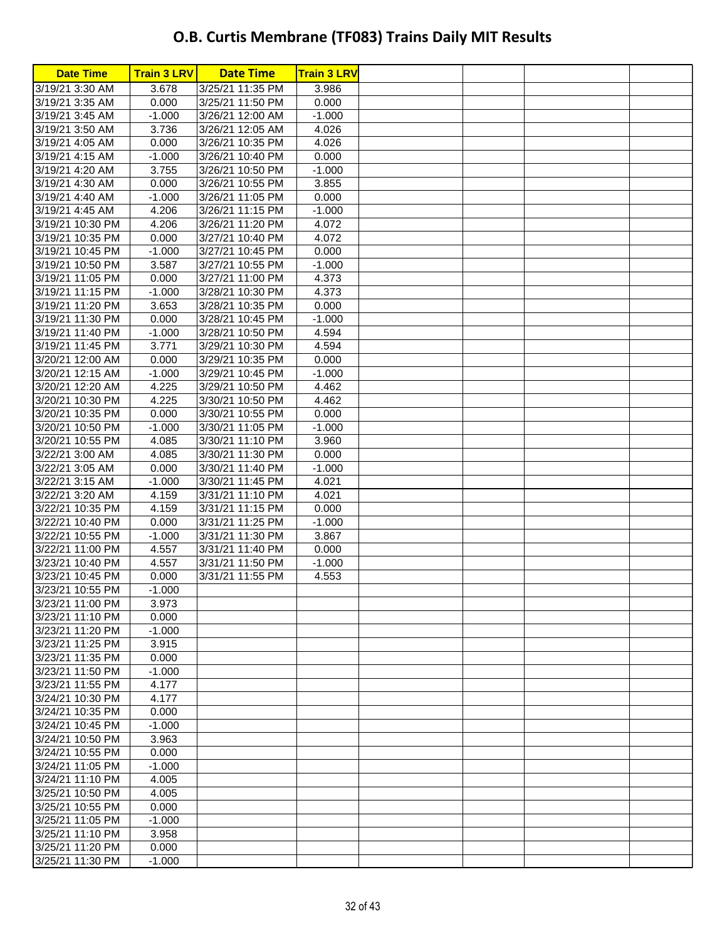| 3.678<br>3/25/21 11:35 PM<br>3.986<br>3/19/21 3:30 AM<br>3/19/21 3:35 AM<br>0.000<br>3/25/21 11:50 PM<br>0.000<br>3/19/21 3:45 AM<br>$-1.000$<br>3/26/21 12:00 AM<br>$-1.000$<br>3/19/21 3:50 AM<br>3.736<br>3/26/21 12:05 AM<br>4.026<br>3/19/21 4:05 AM<br>0.000<br>3/26/21 10:35 PM<br>4.026<br>3/19/21 4:15 AM<br>$-1.000$<br>3/26/21 10:40 PM<br>0.000<br>3/19/21 4:20 AM<br>3.755<br>3/26/21 10:50 PM<br>$-1.000$<br>3/19/21 4:30 AM<br>0.000<br>3/26/21 10:55 PM<br>3.855<br>0.000<br>3/19/21 4:40 AM<br>$-1.000$<br>3/26/21 11:05 PM<br>3/19/21 4:45 AM<br>4.206<br>3/26/21 11:15 PM<br>$-1.000$<br>4.206<br>3/26/21 11:20 PM<br>3/19/21 10:30 PM<br>4.072<br>0.000<br>4.072<br>3/19/21 10:35 PM<br>3/27/21 10:40 PM<br>0.000<br>3/19/21 10:45 PM<br>$-1.000$<br>3/27/21 10:45 PM<br>3/19/21 10:50 PM<br>3.587<br>3/27/21 10:55 PM<br>$-1.000$<br>3/19/21 11:05 PM<br>0.000<br>3/27/21 11:00 PM<br>4.373<br>3/19/21 11:15 PM<br>$-1.000$<br>3/28/21 10:30 PM<br>4.373<br>3/19/21 11:20 PM<br>3.653<br>3/28/21 10:35 PM<br>0.000<br>3/19/21 11:30 PM<br>0.000<br>$-1.000$<br>3/28/21 10:45 PM<br>4.594<br>3/19/21 11:40 PM<br>$-1.000$<br>3/28/21 10:50 PM<br>3/19/21 11:45 PM<br>3.771<br>3/29/21 10:30 PM<br>4.594<br>3/20/21 12:00 AM<br>0.000<br>3/29/21 10:35 PM<br>0.000<br>3/20/21 12:15 AM<br>$-1.000$<br>3/29/21 10:45 PM<br>$-1.000$<br>3/20/21 12:20 AM<br>4.225<br>3/29/21 10:50 PM<br>4.462<br>4.225<br>3/20/21 10:30 PM<br>3/30/21 10:50 PM<br>4.462<br>3/20/21 10:35 PM<br>0.000<br>3/30/21 10:55 PM<br>0.000<br>3/20/21 10:50 PM<br>$-1.000$<br>3/30/21 11:05 PM<br>$-1.000$<br>3/20/21 10:55 PM<br>4.085<br>3/30/21 11:10 PM<br>3.960<br>4.085<br>3/22/21 3:00 AM<br>3/30/21 11:30 PM<br>0.000<br>3/22/21 3:05 AM<br>0.000<br>3/30/21 11:40 PM<br>$-1.000$<br>3/22/21 3:15 AM<br>$-1.000$<br>3/30/21 11:45 PM<br>4.021<br>4.159<br>3/31/21 11:10 PM<br>4.021<br>3/22/21 3:20 AM<br>4.159<br>3/22/21 10:35 PM<br>3/31/21 11:15 PM<br>0.000<br>3/22/21 10:40 PM<br>0.000<br>3/31/21 11:25 PM<br>$-1.000$<br>3/22/21 10:55 PM<br>$-1.000$<br>3/31/21 11:30 PM<br>3.867<br>4.557<br>3/22/21 11:00 PM<br>3/31/21 11:40 PM<br>0.000<br>4.557<br>3/23/21 10:40 PM<br>3/31/21 11:50 PM<br>$-1.000$<br>3/23/21 10:45 PM<br>0.000<br>3/31/21 11:55 PM<br>4.553<br>3/23/21 10:55 PM<br>$-1.000$<br>3/23/21 11:00 PM<br>3.973<br>3/23/21 11:10 PM<br>0.000<br>3/23/21 11:20 PM<br>$-1.000$<br>3/23/21 11:25 PM<br>3.915<br>3/23/21 11:35 PM<br>0.000<br>3/23/21 11:50 PM<br>$-1.000$<br>3/23/21 11:55 PM<br>4.177<br>3/24/21 10:30 PM<br>4.177<br>3/24/21 10:35 PM<br>0.000<br>3/24/21 10:45 PM<br>$-1.000$<br>3/24/21 10:50 PM<br>3.963<br>3/24/21 10:55 PM<br>0.000<br>3/24/21 11:05 PM<br>$-1.000$<br>3/24/21 11:10 PM<br>4.005<br>3/25/21 10:50 PM<br>4.005<br>3/25/21 10:55 PM<br>0.000<br>3/25/21 11:05 PM<br>$-1.000$<br>3/25/21 11:10 PM<br>3.958<br>3/25/21 11:20 PM<br>0.000 | <b>Date Time</b> | <b>Train 3 LRV</b> | <b>Date Time</b> | <b>Train 3 LRV</b> |  |  |
|----------------------------------------------------------------------------------------------------------------------------------------------------------------------------------------------------------------------------------------------------------------------------------------------------------------------------------------------------------------------------------------------------------------------------------------------------------------------------------------------------------------------------------------------------------------------------------------------------------------------------------------------------------------------------------------------------------------------------------------------------------------------------------------------------------------------------------------------------------------------------------------------------------------------------------------------------------------------------------------------------------------------------------------------------------------------------------------------------------------------------------------------------------------------------------------------------------------------------------------------------------------------------------------------------------------------------------------------------------------------------------------------------------------------------------------------------------------------------------------------------------------------------------------------------------------------------------------------------------------------------------------------------------------------------------------------------------------------------------------------------------------------------------------------------------------------------------------------------------------------------------------------------------------------------------------------------------------------------------------------------------------------------------------------------------------------------------------------------------------------------------------------------------------------------------------------------------------------------------------------------------------------------------------------------------------------------------------------------------------------------------------------------------------------------------------------------------------------------------------------------------------------------------------------------------------------------------------------------------------------------------------------------------------------------------------------------------------------------------------------------------------------------------------------------------------------------------------------------------------------------------------------------|------------------|--------------------|------------------|--------------------|--|--|
|                                                                                                                                                                                                                                                                                                                                                                                                                                                                                                                                                                                                                                                                                                                                                                                                                                                                                                                                                                                                                                                                                                                                                                                                                                                                                                                                                                                                                                                                                                                                                                                                                                                                                                                                                                                                                                                                                                                                                                                                                                                                                                                                                                                                                                                                                                                                                                                                                                                                                                                                                                                                                                                                                                                                                                                                                                                                                                    |                  |                    |                  |                    |  |  |
|                                                                                                                                                                                                                                                                                                                                                                                                                                                                                                                                                                                                                                                                                                                                                                                                                                                                                                                                                                                                                                                                                                                                                                                                                                                                                                                                                                                                                                                                                                                                                                                                                                                                                                                                                                                                                                                                                                                                                                                                                                                                                                                                                                                                                                                                                                                                                                                                                                                                                                                                                                                                                                                                                                                                                                                                                                                                                                    |                  |                    |                  |                    |  |  |
|                                                                                                                                                                                                                                                                                                                                                                                                                                                                                                                                                                                                                                                                                                                                                                                                                                                                                                                                                                                                                                                                                                                                                                                                                                                                                                                                                                                                                                                                                                                                                                                                                                                                                                                                                                                                                                                                                                                                                                                                                                                                                                                                                                                                                                                                                                                                                                                                                                                                                                                                                                                                                                                                                                                                                                                                                                                                                                    |                  |                    |                  |                    |  |  |
|                                                                                                                                                                                                                                                                                                                                                                                                                                                                                                                                                                                                                                                                                                                                                                                                                                                                                                                                                                                                                                                                                                                                                                                                                                                                                                                                                                                                                                                                                                                                                                                                                                                                                                                                                                                                                                                                                                                                                                                                                                                                                                                                                                                                                                                                                                                                                                                                                                                                                                                                                                                                                                                                                                                                                                                                                                                                                                    |                  |                    |                  |                    |  |  |
|                                                                                                                                                                                                                                                                                                                                                                                                                                                                                                                                                                                                                                                                                                                                                                                                                                                                                                                                                                                                                                                                                                                                                                                                                                                                                                                                                                                                                                                                                                                                                                                                                                                                                                                                                                                                                                                                                                                                                                                                                                                                                                                                                                                                                                                                                                                                                                                                                                                                                                                                                                                                                                                                                                                                                                                                                                                                                                    |                  |                    |                  |                    |  |  |
|                                                                                                                                                                                                                                                                                                                                                                                                                                                                                                                                                                                                                                                                                                                                                                                                                                                                                                                                                                                                                                                                                                                                                                                                                                                                                                                                                                                                                                                                                                                                                                                                                                                                                                                                                                                                                                                                                                                                                                                                                                                                                                                                                                                                                                                                                                                                                                                                                                                                                                                                                                                                                                                                                                                                                                                                                                                                                                    |                  |                    |                  |                    |  |  |
|                                                                                                                                                                                                                                                                                                                                                                                                                                                                                                                                                                                                                                                                                                                                                                                                                                                                                                                                                                                                                                                                                                                                                                                                                                                                                                                                                                                                                                                                                                                                                                                                                                                                                                                                                                                                                                                                                                                                                                                                                                                                                                                                                                                                                                                                                                                                                                                                                                                                                                                                                                                                                                                                                                                                                                                                                                                                                                    |                  |                    |                  |                    |  |  |
|                                                                                                                                                                                                                                                                                                                                                                                                                                                                                                                                                                                                                                                                                                                                                                                                                                                                                                                                                                                                                                                                                                                                                                                                                                                                                                                                                                                                                                                                                                                                                                                                                                                                                                                                                                                                                                                                                                                                                                                                                                                                                                                                                                                                                                                                                                                                                                                                                                                                                                                                                                                                                                                                                                                                                                                                                                                                                                    |                  |                    |                  |                    |  |  |
|                                                                                                                                                                                                                                                                                                                                                                                                                                                                                                                                                                                                                                                                                                                                                                                                                                                                                                                                                                                                                                                                                                                                                                                                                                                                                                                                                                                                                                                                                                                                                                                                                                                                                                                                                                                                                                                                                                                                                                                                                                                                                                                                                                                                                                                                                                                                                                                                                                                                                                                                                                                                                                                                                                                                                                                                                                                                                                    |                  |                    |                  |                    |  |  |
|                                                                                                                                                                                                                                                                                                                                                                                                                                                                                                                                                                                                                                                                                                                                                                                                                                                                                                                                                                                                                                                                                                                                                                                                                                                                                                                                                                                                                                                                                                                                                                                                                                                                                                                                                                                                                                                                                                                                                                                                                                                                                                                                                                                                                                                                                                                                                                                                                                                                                                                                                                                                                                                                                                                                                                                                                                                                                                    |                  |                    |                  |                    |  |  |
|                                                                                                                                                                                                                                                                                                                                                                                                                                                                                                                                                                                                                                                                                                                                                                                                                                                                                                                                                                                                                                                                                                                                                                                                                                                                                                                                                                                                                                                                                                                                                                                                                                                                                                                                                                                                                                                                                                                                                                                                                                                                                                                                                                                                                                                                                                                                                                                                                                                                                                                                                                                                                                                                                                                                                                                                                                                                                                    |                  |                    |                  |                    |  |  |
|                                                                                                                                                                                                                                                                                                                                                                                                                                                                                                                                                                                                                                                                                                                                                                                                                                                                                                                                                                                                                                                                                                                                                                                                                                                                                                                                                                                                                                                                                                                                                                                                                                                                                                                                                                                                                                                                                                                                                                                                                                                                                                                                                                                                                                                                                                                                                                                                                                                                                                                                                                                                                                                                                                                                                                                                                                                                                                    |                  |                    |                  |                    |  |  |
|                                                                                                                                                                                                                                                                                                                                                                                                                                                                                                                                                                                                                                                                                                                                                                                                                                                                                                                                                                                                                                                                                                                                                                                                                                                                                                                                                                                                                                                                                                                                                                                                                                                                                                                                                                                                                                                                                                                                                                                                                                                                                                                                                                                                                                                                                                                                                                                                                                                                                                                                                                                                                                                                                                                                                                                                                                                                                                    |                  |                    |                  |                    |  |  |
|                                                                                                                                                                                                                                                                                                                                                                                                                                                                                                                                                                                                                                                                                                                                                                                                                                                                                                                                                                                                                                                                                                                                                                                                                                                                                                                                                                                                                                                                                                                                                                                                                                                                                                                                                                                                                                                                                                                                                                                                                                                                                                                                                                                                                                                                                                                                                                                                                                                                                                                                                                                                                                                                                                                                                                                                                                                                                                    |                  |                    |                  |                    |  |  |
|                                                                                                                                                                                                                                                                                                                                                                                                                                                                                                                                                                                                                                                                                                                                                                                                                                                                                                                                                                                                                                                                                                                                                                                                                                                                                                                                                                                                                                                                                                                                                                                                                                                                                                                                                                                                                                                                                                                                                                                                                                                                                                                                                                                                                                                                                                                                                                                                                                                                                                                                                                                                                                                                                                                                                                                                                                                                                                    |                  |                    |                  |                    |  |  |
|                                                                                                                                                                                                                                                                                                                                                                                                                                                                                                                                                                                                                                                                                                                                                                                                                                                                                                                                                                                                                                                                                                                                                                                                                                                                                                                                                                                                                                                                                                                                                                                                                                                                                                                                                                                                                                                                                                                                                                                                                                                                                                                                                                                                                                                                                                                                                                                                                                                                                                                                                                                                                                                                                                                                                                                                                                                                                                    |                  |                    |                  |                    |  |  |
|                                                                                                                                                                                                                                                                                                                                                                                                                                                                                                                                                                                                                                                                                                                                                                                                                                                                                                                                                                                                                                                                                                                                                                                                                                                                                                                                                                                                                                                                                                                                                                                                                                                                                                                                                                                                                                                                                                                                                                                                                                                                                                                                                                                                                                                                                                                                                                                                                                                                                                                                                                                                                                                                                                                                                                                                                                                                                                    |                  |                    |                  |                    |  |  |
|                                                                                                                                                                                                                                                                                                                                                                                                                                                                                                                                                                                                                                                                                                                                                                                                                                                                                                                                                                                                                                                                                                                                                                                                                                                                                                                                                                                                                                                                                                                                                                                                                                                                                                                                                                                                                                                                                                                                                                                                                                                                                                                                                                                                                                                                                                                                                                                                                                                                                                                                                                                                                                                                                                                                                                                                                                                                                                    |                  |                    |                  |                    |  |  |
|                                                                                                                                                                                                                                                                                                                                                                                                                                                                                                                                                                                                                                                                                                                                                                                                                                                                                                                                                                                                                                                                                                                                                                                                                                                                                                                                                                                                                                                                                                                                                                                                                                                                                                                                                                                                                                                                                                                                                                                                                                                                                                                                                                                                                                                                                                                                                                                                                                                                                                                                                                                                                                                                                                                                                                                                                                                                                                    |                  |                    |                  |                    |  |  |
|                                                                                                                                                                                                                                                                                                                                                                                                                                                                                                                                                                                                                                                                                                                                                                                                                                                                                                                                                                                                                                                                                                                                                                                                                                                                                                                                                                                                                                                                                                                                                                                                                                                                                                                                                                                                                                                                                                                                                                                                                                                                                                                                                                                                                                                                                                                                                                                                                                                                                                                                                                                                                                                                                                                                                                                                                                                                                                    |                  |                    |                  |                    |  |  |
|                                                                                                                                                                                                                                                                                                                                                                                                                                                                                                                                                                                                                                                                                                                                                                                                                                                                                                                                                                                                                                                                                                                                                                                                                                                                                                                                                                                                                                                                                                                                                                                                                                                                                                                                                                                                                                                                                                                                                                                                                                                                                                                                                                                                                                                                                                                                                                                                                                                                                                                                                                                                                                                                                                                                                                                                                                                                                                    |                  |                    |                  |                    |  |  |
|                                                                                                                                                                                                                                                                                                                                                                                                                                                                                                                                                                                                                                                                                                                                                                                                                                                                                                                                                                                                                                                                                                                                                                                                                                                                                                                                                                                                                                                                                                                                                                                                                                                                                                                                                                                                                                                                                                                                                                                                                                                                                                                                                                                                                                                                                                                                                                                                                                                                                                                                                                                                                                                                                                                                                                                                                                                                                                    |                  |                    |                  |                    |  |  |
|                                                                                                                                                                                                                                                                                                                                                                                                                                                                                                                                                                                                                                                                                                                                                                                                                                                                                                                                                                                                                                                                                                                                                                                                                                                                                                                                                                                                                                                                                                                                                                                                                                                                                                                                                                                                                                                                                                                                                                                                                                                                                                                                                                                                                                                                                                                                                                                                                                                                                                                                                                                                                                                                                                                                                                                                                                                                                                    |                  |                    |                  |                    |  |  |
|                                                                                                                                                                                                                                                                                                                                                                                                                                                                                                                                                                                                                                                                                                                                                                                                                                                                                                                                                                                                                                                                                                                                                                                                                                                                                                                                                                                                                                                                                                                                                                                                                                                                                                                                                                                                                                                                                                                                                                                                                                                                                                                                                                                                                                                                                                                                                                                                                                                                                                                                                                                                                                                                                                                                                                                                                                                                                                    |                  |                    |                  |                    |  |  |
|                                                                                                                                                                                                                                                                                                                                                                                                                                                                                                                                                                                                                                                                                                                                                                                                                                                                                                                                                                                                                                                                                                                                                                                                                                                                                                                                                                                                                                                                                                                                                                                                                                                                                                                                                                                                                                                                                                                                                                                                                                                                                                                                                                                                                                                                                                                                                                                                                                                                                                                                                                                                                                                                                                                                                                                                                                                                                                    |                  |                    |                  |                    |  |  |
|                                                                                                                                                                                                                                                                                                                                                                                                                                                                                                                                                                                                                                                                                                                                                                                                                                                                                                                                                                                                                                                                                                                                                                                                                                                                                                                                                                                                                                                                                                                                                                                                                                                                                                                                                                                                                                                                                                                                                                                                                                                                                                                                                                                                                                                                                                                                                                                                                                                                                                                                                                                                                                                                                                                                                                                                                                                                                                    |                  |                    |                  |                    |  |  |
|                                                                                                                                                                                                                                                                                                                                                                                                                                                                                                                                                                                                                                                                                                                                                                                                                                                                                                                                                                                                                                                                                                                                                                                                                                                                                                                                                                                                                                                                                                                                                                                                                                                                                                                                                                                                                                                                                                                                                                                                                                                                                                                                                                                                                                                                                                                                                                                                                                                                                                                                                                                                                                                                                                                                                                                                                                                                                                    |                  |                    |                  |                    |  |  |
|                                                                                                                                                                                                                                                                                                                                                                                                                                                                                                                                                                                                                                                                                                                                                                                                                                                                                                                                                                                                                                                                                                                                                                                                                                                                                                                                                                                                                                                                                                                                                                                                                                                                                                                                                                                                                                                                                                                                                                                                                                                                                                                                                                                                                                                                                                                                                                                                                                                                                                                                                                                                                                                                                                                                                                                                                                                                                                    |                  |                    |                  |                    |  |  |
|                                                                                                                                                                                                                                                                                                                                                                                                                                                                                                                                                                                                                                                                                                                                                                                                                                                                                                                                                                                                                                                                                                                                                                                                                                                                                                                                                                                                                                                                                                                                                                                                                                                                                                                                                                                                                                                                                                                                                                                                                                                                                                                                                                                                                                                                                                                                                                                                                                                                                                                                                                                                                                                                                                                                                                                                                                                                                                    |                  |                    |                  |                    |  |  |
|                                                                                                                                                                                                                                                                                                                                                                                                                                                                                                                                                                                                                                                                                                                                                                                                                                                                                                                                                                                                                                                                                                                                                                                                                                                                                                                                                                                                                                                                                                                                                                                                                                                                                                                                                                                                                                                                                                                                                                                                                                                                                                                                                                                                                                                                                                                                                                                                                                                                                                                                                                                                                                                                                                                                                                                                                                                                                                    |                  |                    |                  |                    |  |  |
|                                                                                                                                                                                                                                                                                                                                                                                                                                                                                                                                                                                                                                                                                                                                                                                                                                                                                                                                                                                                                                                                                                                                                                                                                                                                                                                                                                                                                                                                                                                                                                                                                                                                                                                                                                                                                                                                                                                                                                                                                                                                                                                                                                                                                                                                                                                                                                                                                                                                                                                                                                                                                                                                                                                                                                                                                                                                                                    |                  |                    |                  |                    |  |  |
|                                                                                                                                                                                                                                                                                                                                                                                                                                                                                                                                                                                                                                                                                                                                                                                                                                                                                                                                                                                                                                                                                                                                                                                                                                                                                                                                                                                                                                                                                                                                                                                                                                                                                                                                                                                                                                                                                                                                                                                                                                                                                                                                                                                                                                                                                                                                                                                                                                                                                                                                                                                                                                                                                                                                                                                                                                                                                                    |                  |                    |                  |                    |  |  |
|                                                                                                                                                                                                                                                                                                                                                                                                                                                                                                                                                                                                                                                                                                                                                                                                                                                                                                                                                                                                                                                                                                                                                                                                                                                                                                                                                                                                                                                                                                                                                                                                                                                                                                                                                                                                                                                                                                                                                                                                                                                                                                                                                                                                                                                                                                                                                                                                                                                                                                                                                                                                                                                                                                                                                                                                                                                                                                    |                  |                    |                  |                    |  |  |
|                                                                                                                                                                                                                                                                                                                                                                                                                                                                                                                                                                                                                                                                                                                                                                                                                                                                                                                                                                                                                                                                                                                                                                                                                                                                                                                                                                                                                                                                                                                                                                                                                                                                                                                                                                                                                                                                                                                                                                                                                                                                                                                                                                                                                                                                                                                                                                                                                                                                                                                                                                                                                                                                                                                                                                                                                                                                                                    |                  |                    |                  |                    |  |  |
|                                                                                                                                                                                                                                                                                                                                                                                                                                                                                                                                                                                                                                                                                                                                                                                                                                                                                                                                                                                                                                                                                                                                                                                                                                                                                                                                                                                                                                                                                                                                                                                                                                                                                                                                                                                                                                                                                                                                                                                                                                                                                                                                                                                                                                                                                                                                                                                                                                                                                                                                                                                                                                                                                                                                                                                                                                                                                                    |                  |                    |                  |                    |  |  |
|                                                                                                                                                                                                                                                                                                                                                                                                                                                                                                                                                                                                                                                                                                                                                                                                                                                                                                                                                                                                                                                                                                                                                                                                                                                                                                                                                                                                                                                                                                                                                                                                                                                                                                                                                                                                                                                                                                                                                                                                                                                                                                                                                                                                                                                                                                                                                                                                                                                                                                                                                                                                                                                                                                                                                                                                                                                                                                    |                  |                    |                  |                    |  |  |
|                                                                                                                                                                                                                                                                                                                                                                                                                                                                                                                                                                                                                                                                                                                                                                                                                                                                                                                                                                                                                                                                                                                                                                                                                                                                                                                                                                                                                                                                                                                                                                                                                                                                                                                                                                                                                                                                                                                                                                                                                                                                                                                                                                                                                                                                                                                                                                                                                                                                                                                                                                                                                                                                                                                                                                                                                                                                                                    |                  |                    |                  |                    |  |  |
|                                                                                                                                                                                                                                                                                                                                                                                                                                                                                                                                                                                                                                                                                                                                                                                                                                                                                                                                                                                                                                                                                                                                                                                                                                                                                                                                                                                                                                                                                                                                                                                                                                                                                                                                                                                                                                                                                                                                                                                                                                                                                                                                                                                                                                                                                                                                                                                                                                                                                                                                                                                                                                                                                                                                                                                                                                                                                                    |                  |                    |                  |                    |  |  |
|                                                                                                                                                                                                                                                                                                                                                                                                                                                                                                                                                                                                                                                                                                                                                                                                                                                                                                                                                                                                                                                                                                                                                                                                                                                                                                                                                                                                                                                                                                                                                                                                                                                                                                                                                                                                                                                                                                                                                                                                                                                                                                                                                                                                                                                                                                                                                                                                                                                                                                                                                                                                                                                                                                                                                                                                                                                                                                    |                  |                    |                  |                    |  |  |
|                                                                                                                                                                                                                                                                                                                                                                                                                                                                                                                                                                                                                                                                                                                                                                                                                                                                                                                                                                                                                                                                                                                                                                                                                                                                                                                                                                                                                                                                                                                                                                                                                                                                                                                                                                                                                                                                                                                                                                                                                                                                                                                                                                                                                                                                                                                                                                                                                                                                                                                                                                                                                                                                                                                                                                                                                                                                                                    |                  |                    |                  |                    |  |  |
|                                                                                                                                                                                                                                                                                                                                                                                                                                                                                                                                                                                                                                                                                                                                                                                                                                                                                                                                                                                                                                                                                                                                                                                                                                                                                                                                                                                                                                                                                                                                                                                                                                                                                                                                                                                                                                                                                                                                                                                                                                                                                                                                                                                                                                                                                                                                                                                                                                                                                                                                                                                                                                                                                                                                                                                                                                                                                                    |                  |                    |                  |                    |  |  |
|                                                                                                                                                                                                                                                                                                                                                                                                                                                                                                                                                                                                                                                                                                                                                                                                                                                                                                                                                                                                                                                                                                                                                                                                                                                                                                                                                                                                                                                                                                                                                                                                                                                                                                                                                                                                                                                                                                                                                                                                                                                                                                                                                                                                                                                                                                                                                                                                                                                                                                                                                                                                                                                                                                                                                                                                                                                                                                    |                  |                    |                  |                    |  |  |
|                                                                                                                                                                                                                                                                                                                                                                                                                                                                                                                                                                                                                                                                                                                                                                                                                                                                                                                                                                                                                                                                                                                                                                                                                                                                                                                                                                                                                                                                                                                                                                                                                                                                                                                                                                                                                                                                                                                                                                                                                                                                                                                                                                                                                                                                                                                                                                                                                                                                                                                                                                                                                                                                                                                                                                                                                                                                                                    |                  |                    |                  |                    |  |  |
|                                                                                                                                                                                                                                                                                                                                                                                                                                                                                                                                                                                                                                                                                                                                                                                                                                                                                                                                                                                                                                                                                                                                                                                                                                                                                                                                                                                                                                                                                                                                                                                                                                                                                                                                                                                                                                                                                                                                                                                                                                                                                                                                                                                                                                                                                                                                                                                                                                                                                                                                                                                                                                                                                                                                                                                                                                                                                                    |                  |                    |                  |                    |  |  |
|                                                                                                                                                                                                                                                                                                                                                                                                                                                                                                                                                                                                                                                                                                                                                                                                                                                                                                                                                                                                                                                                                                                                                                                                                                                                                                                                                                                                                                                                                                                                                                                                                                                                                                                                                                                                                                                                                                                                                                                                                                                                                                                                                                                                                                                                                                                                                                                                                                                                                                                                                                                                                                                                                                                                                                                                                                                                                                    |                  |                    |                  |                    |  |  |
|                                                                                                                                                                                                                                                                                                                                                                                                                                                                                                                                                                                                                                                                                                                                                                                                                                                                                                                                                                                                                                                                                                                                                                                                                                                                                                                                                                                                                                                                                                                                                                                                                                                                                                                                                                                                                                                                                                                                                                                                                                                                                                                                                                                                                                                                                                                                                                                                                                                                                                                                                                                                                                                                                                                                                                                                                                                                                                    |                  |                    |                  |                    |  |  |
|                                                                                                                                                                                                                                                                                                                                                                                                                                                                                                                                                                                                                                                                                                                                                                                                                                                                                                                                                                                                                                                                                                                                                                                                                                                                                                                                                                                                                                                                                                                                                                                                                                                                                                                                                                                                                                                                                                                                                                                                                                                                                                                                                                                                                                                                                                                                                                                                                                                                                                                                                                                                                                                                                                                                                                                                                                                                                                    |                  |                    |                  |                    |  |  |
|                                                                                                                                                                                                                                                                                                                                                                                                                                                                                                                                                                                                                                                                                                                                                                                                                                                                                                                                                                                                                                                                                                                                                                                                                                                                                                                                                                                                                                                                                                                                                                                                                                                                                                                                                                                                                                                                                                                                                                                                                                                                                                                                                                                                                                                                                                                                                                                                                                                                                                                                                                                                                                                                                                                                                                                                                                                                                                    |                  |                    |                  |                    |  |  |
|                                                                                                                                                                                                                                                                                                                                                                                                                                                                                                                                                                                                                                                                                                                                                                                                                                                                                                                                                                                                                                                                                                                                                                                                                                                                                                                                                                                                                                                                                                                                                                                                                                                                                                                                                                                                                                                                                                                                                                                                                                                                                                                                                                                                                                                                                                                                                                                                                                                                                                                                                                                                                                                                                                                                                                                                                                                                                                    |                  |                    |                  |                    |  |  |
|                                                                                                                                                                                                                                                                                                                                                                                                                                                                                                                                                                                                                                                                                                                                                                                                                                                                                                                                                                                                                                                                                                                                                                                                                                                                                                                                                                                                                                                                                                                                                                                                                                                                                                                                                                                                                                                                                                                                                                                                                                                                                                                                                                                                                                                                                                                                                                                                                                                                                                                                                                                                                                                                                                                                                                                                                                                                                                    |                  |                    |                  |                    |  |  |
|                                                                                                                                                                                                                                                                                                                                                                                                                                                                                                                                                                                                                                                                                                                                                                                                                                                                                                                                                                                                                                                                                                                                                                                                                                                                                                                                                                                                                                                                                                                                                                                                                                                                                                                                                                                                                                                                                                                                                                                                                                                                                                                                                                                                                                                                                                                                                                                                                                                                                                                                                                                                                                                                                                                                                                                                                                                                                                    |                  |                    |                  |                    |  |  |
|                                                                                                                                                                                                                                                                                                                                                                                                                                                                                                                                                                                                                                                                                                                                                                                                                                                                                                                                                                                                                                                                                                                                                                                                                                                                                                                                                                                                                                                                                                                                                                                                                                                                                                                                                                                                                                                                                                                                                                                                                                                                                                                                                                                                                                                                                                                                                                                                                                                                                                                                                                                                                                                                                                                                                                                                                                                                                                    |                  |                    |                  |                    |  |  |
|                                                                                                                                                                                                                                                                                                                                                                                                                                                                                                                                                                                                                                                                                                                                                                                                                                                                                                                                                                                                                                                                                                                                                                                                                                                                                                                                                                                                                                                                                                                                                                                                                                                                                                                                                                                                                                                                                                                                                                                                                                                                                                                                                                                                                                                                                                                                                                                                                                                                                                                                                                                                                                                                                                                                                                                                                                                                                                    |                  |                    |                  |                    |  |  |
|                                                                                                                                                                                                                                                                                                                                                                                                                                                                                                                                                                                                                                                                                                                                                                                                                                                                                                                                                                                                                                                                                                                                                                                                                                                                                                                                                                                                                                                                                                                                                                                                                                                                                                                                                                                                                                                                                                                                                                                                                                                                                                                                                                                                                                                                                                                                                                                                                                                                                                                                                                                                                                                                                                                                                                                                                                                                                                    |                  |                    |                  |                    |  |  |
|                                                                                                                                                                                                                                                                                                                                                                                                                                                                                                                                                                                                                                                                                                                                                                                                                                                                                                                                                                                                                                                                                                                                                                                                                                                                                                                                                                                                                                                                                                                                                                                                                                                                                                                                                                                                                                                                                                                                                                                                                                                                                                                                                                                                                                                                                                                                                                                                                                                                                                                                                                                                                                                                                                                                                                                                                                                                                                    |                  |                    |                  |                    |  |  |
|                                                                                                                                                                                                                                                                                                                                                                                                                                                                                                                                                                                                                                                                                                                                                                                                                                                                                                                                                                                                                                                                                                                                                                                                                                                                                                                                                                                                                                                                                                                                                                                                                                                                                                                                                                                                                                                                                                                                                                                                                                                                                                                                                                                                                                                                                                                                                                                                                                                                                                                                                                                                                                                                                                                                                                                                                                                                                                    | 3/25/21 11:30 PM | $-1.000$           |                  |                    |  |  |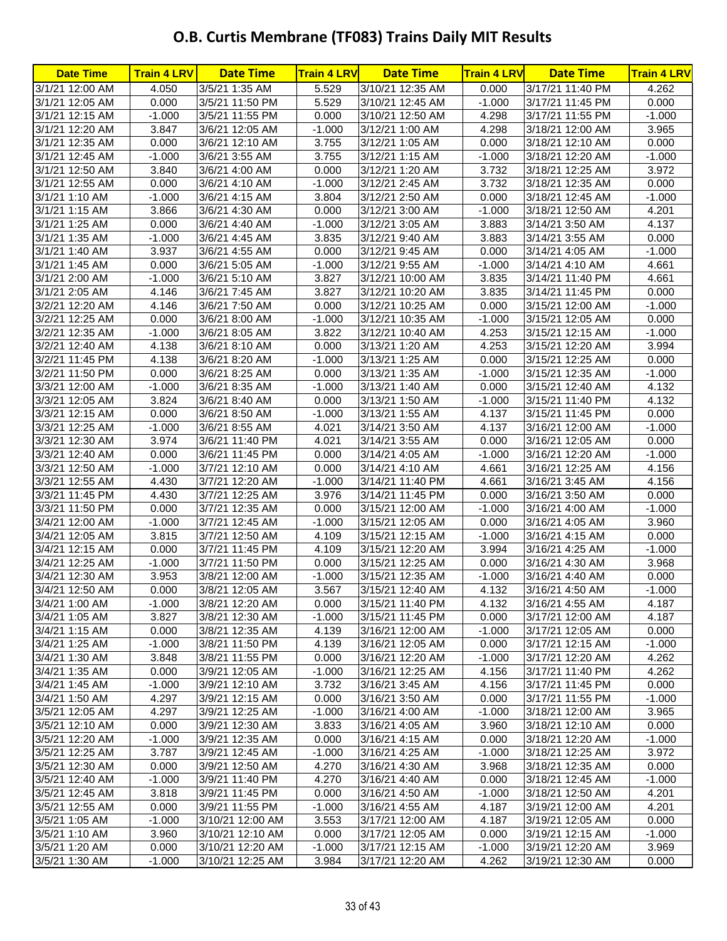| <b>Date Time</b>                 | <b>Train 4 LRV</b> | <b>Date Time</b>                   | <b>Train 4 LRV</b> | <b>Date Time</b>                   | <b>Train 4 LRV</b> | <b>Date Time</b>                     | <b>Train 4 LRV</b> |
|----------------------------------|--------------------|------------------------------------|--------------------|------------------------------------|--------------------|--------------------------------------|--------------------|
| 3/1/21 12:00 AM                  | 4.050              | 3/5/21 1:35 AM                     | 5.529              | 3/10/21 12:35 AM                   | 0.000              | 3/17/21 11:40 PM                     | 4.262              |
| 3/1/21 12:05 AM                  | 0.000              | 3/5/21 11:50 PM                    | 5.529              | 3/10/21 12:45 AM                   | $-1.000$           | 3/17/21 11:45 PM                     | 0.000              |
| 3/1/21 12:15 AM                  | $-1.000$           | 3/5/21 11:55 PM                    | 0.000              | 3/10/21 12:50 AM                   | 4.298              | 3/17/21 11:55 PM                     | $-1.000$           |
| 3/1/21 12:20 AM                  | 3.847              | 3/6/21 12:05 AM                    | $-1.000$           | 3/12/21 1:00 AM                    | 4.298              | 3/18/21 12:00 AM                     | 3.965              |
| 3/1/21 12:35 AM                  | 0.000              | 3/6/21 12:10 AM                    | 3.755              | 3/12/21 1:05 AM                    | 0.000              | 3/18/21 12:10 AM                     | 0.000              |
| 3/1/21 12:45 AM                  | $-1.000$           | 3/6/21 3:55 AM                     | 3.755              | 3/12/21 1:15 AM                    | $-1.000$           | 3/18/21 12:20 AM                     | $-1.000$           |
| 3/1/21 12:50 AM                  | 3.840              | 3/6/21 4:00 AM                     | 0.000              | 3/12/21 1:20 AM                    | 3.732              | 3/18/21 12:25 AM                     | 3.972              |
| 3/1/21 12:55 AM                  | 0.000              | 3/6/21 4:10 AM                     | $-1.000$           | 3/12/21 2:45 AM                    | 3.732              | 3/18/21 12:35 AM                     | 0.000              |
| 3/1/21 1:10 AM                   | $-1.000$           | 3/6/21 4:15 AM                     | 3.804              | 3/12/21 2:50 AM                    | 0.000              | 3/18/21 12:45 AM                     | $-1.000$           |
| 3/1/21 1:15 AM                   | 3.866              | 3/6/21 4:30 AM                     | 0.000              | 3/12/21 3:00 AM                    | $-1.000$           | 3/18/21 12:50 AM                     | 4.201              |
| 3/1/21 1:25 AM                   | 0.000              | 3/6/21 4:40 AM                     | $-1.000$           | 3/12/21 3:05 AM                    | 3.883              | 3/14/21 3:50 AM                      | 4.137              |
| 3/1/21 1:35 AM                   | $-1.000$           | 3/6/21 4:45 AM                     | 3.835              | 3/12/21 9:40 AM                    | 3.883              | 3/14/21 3:55 AM                      | 0.000              |
| 3/1/21 1:40 AM                   | 3.937              | 3/6/21 4:55 AM                     | 0.000              | 3/12/21 9:45 AM                    | 0.000              | 3/14/21 4:05 AM                      | $-1.000$           |
| 3/1/21 1:45 AM                   | 0.000              | 3/6/21 5:05 AM                     | $-1.000$           | 3/12/21 9:55 AM                    | $-1.000$           | 3/14/21 4:10 AM                      | 4.661              |
| 3/1/21 2:00 AM                   | $-1.000$           | 3/6/21 5:10 AM                     | 3.827              | 3/12/21 10:00 AM                   | 3.835              | 3/14/21 11:40 PM                     | 4.661              |
| 3/1/21 2:05 AM                   | 4.146              | 3/6/21 7:45 AM                     | 3.827              | 3/12/21 10:20 AM                   | 3.835              | 3/14/21 11:45 PM                     | 0.000              |
| 3/2/21 12:20 AM                  | 4.146              | 3/6/21 7:50 AM                     | 0.000              | 3/12/21 10:25 AM                   | 0.000              | 3/15/21 12:00 AM                     | $-1.000$           |
| 3/2/21 12:25 AM                  | 0.000              | 3/6/21 8:00 AM                     | $-1.000$           | 3/12/21 10:35 AM                   | $-1.000$           | 3/15/21 12:05 AM                     | 0.000              |
| 3/2/21 12:35 AM                  | $-1.000$           | 3/6/21 8:05 AM                     | 3.822              | 3/12/21 10:40 AM                   | 4.253              | 3/15/21 12:15 AM                     | $-1.000$           |
| 3/2/21 12:40 AM                  | 4.138              | 3/6/21 8:10 AM                     | 0.000              | 3/13/21 1:20 AM                    | 4.253              | 3/15/21 12:20 AM                     | 3.994              |
| 3/2/21 11:45 PM                  | 4.138              | 3/6/21 8:20 AM                     | $-1.000$           | 3/13/21 1:25 AM                    | 0.000              | 3/15/21 12:25 AM                     | 0.000              |
| 3/2/21 11:50 PM                  | 0.000              | 3/6/21 8:25 AM                     | 0.000              | 3/13/21 1:35 AM                    | $-1.000$           | 3/15/21 12:35 AM                     | $-1.000$           |
| 3/3/21 12:00 AM                  | $-1.000$           | 3/6/21 8:35 AM                     | $-1.000$           | 3/13/21 1:40 AM                    | 0.000              | 3/15/21 12:40 AM                     | 4.132              |
| 3/3/21 12:05 AM                  | 3.824              | 3/6/21 8:40 AM                     | 0.000              | 3/13/21 1:50 AM                    | $-1.000$           | 3/15/21 11:40 PM                     | 4.132              |
| 3/3/21 12:15 AM                  | 0.000              | 3/6/21 8:50 AM                     | $-1.000$           | 3/13/21 1:55 AM                    | 4.137              | 3/15/21 11:45 PM                     | 0.000              |
| 3/3/21 12:25 AM                  | $-1.000$           | 3/6/21 8:55 AM                     | 4.021              | 3/14/21 3:50 AM                    | 4.137              | 3/16/21 12:00 AM                     | $-1.000$           |
| 3/3/21 12:30 AM                  | 3.974              | 3/6/21 11:40 PM                    | 4.021              | 3/14/21 3:55 AM                    | 0.000              | 3/16/21 12:05 AM                     | 0.000              |
| 3/3/21 12:40 AM                  | 0.000              | 3/6/21 11:45 PM                    | 0.000              | 3/14/21 4:05 AM                    | $-1.000$           | 3/16/21 12:20 AM                     | $-1.000$           |
| 3/3/21 12:50 AM                  | $-1.000$           | 3/7/21 12:10 AM                    | 0.000              | 3/14/21 4:10 AM                    | 4.661              | 3/16/21 12:25 AM                     | 4.156              |
| 3/3/21 12:55 AM                  | 4.430              | 3/7/21 12:20 AM                    | $-1.000$           | 3/14/21 11:40 PM                   | 4.661              | 3/16/21 3:45 AM                      | 4.156              |
| 3/3/21 11:45 PM                  | 4.430              | 3/7/21 12:25 AM                    | 3.976              | 3/14/21 11:45 PM                   | 0.000              | 3/16/21 3:50 AM                      | 0.000              |
| 3/3/21 11:50 PM                  | 0.000              | 3/7/21 12:35 AM                    | 0.000              | 3/15/21 12:00 AM                   | $-1.000$           | 3/16/21 4:00 AM                      | $-1.000$           |
| 3/4/21 12:00 AM                  | $-1.000$           | 3/7/21 12:45 AM                    | $-1.000$           | 3/15/21 12:05 AM                   | 0.000              | 3/16/21 4:05 AM                      | 3.960              |
| 3/4/21 12:05 AM                  | 3.815              | 3/7/21 12:50 AM                    | 4.109              | 3/15/21 12:15 AM                   | $-1.000$           | 3/16/21 4:15 AM                      | 0.000              |
| 3/4/21 12:15 AM                  | 0.000              | 3/7/21 11:45 PM                    | 4.109              | 3/15/21 12:20 AM                   | 3.994              | 3/16/21 4:25 AM                      | $-1.000$           |
| 3/4/21 12:25 AM                  | $-1.000$           | 3/7/21 11:50 PM                    | 0.000              | 3/15/21 12:25 AM                   | 0.000              | 3/16/21 4:30 AM                      | 3.968              |
| 3/4/21 12:30 AM                  | 3.953              | 3/8/21 12:00 AM                    | $-1.000$           | 3/15/21 12:35 AM                   | $-1.000$           | 3/16/21 4:40 AM                      | 0.000              |
| 3/4/21 12:50 AM                  | 0.000              | 3/8/21 12:05 AM                    | 3.567              | 3/15/21 12:40 AM                   | 4.132              | 3/16/21 4:50 AM                      | $-1.000$           |
| 3/4/21 1:00 AM                   | $-1.000$           | 3/8/21 12:20 AM                    | 0.000              | 3/15/21 11:40 PM                   | 4.132              | 3/16/21 4:55 AM                      | 4.187              |
| 3/4/21 1:05 AM                   | 3.827              | 3/8/21 12:30 AM                    | $-1.000$           | 3/15/21 11:45 PM                   | 0.000              | 3/17/21 12:00 AM                     | 4.187              |
| 3/4/21 1:15 AM                   | 0.000              | 3/8/21 12:35 AM                    | 4.139              | 3/16/21 12:00 AM                   | $-1.000$           | 3/17/21 12:05 AM                     | 0.000              |
| 3/4/21 1:25 AM                   | $-1.000$           | 3/8/21 11:50 PM                    | 4.139              | 3/16/21 12:05 AM                   | 0.000              | 3/17/21 12:15 AM                     | $-1.000$           |
| 3/4/21 1:30 AM                   | 3.848              | 3/8/21 11:55 PM                    | 0.000              | 3/16/21 12:20 AM                   | $-1.000$           | 3/17/21 12:20 AM<br>3/17/21 11:40 PM | 4.262              |
| 3/4/21 1:35 AM<br>3/4/21 1:45 AM | 0.000              | 3/9/21 12:05 AM<br>3/9/21 12:10 AM | $-1.000$           | 3/16/21 12:25 AM                   | 4.156              | 3/17/21 11:45 PM                     | 4.262<br>0.000     |
| 3/4/21 1:50 AM                   | $-1.000$<br>4.297  | 3/9/21 12:15 AM                    | 3.732              | 3/16/21 3:45 AM                    | 4.156              |                                      |                    |
| 3/5/21 12:05 AM                  | 4.297              | 3/9/21 12:25 AM                    | 0.000<br>$-1.000$  | 3/16/21 3:50 AM<br>3/16/21 4:00 AM | 0.000<br>$-1.000$  | 3/17/21 11:55 PM<br>3/18/21 12:00 AM | $-1.000$<br>3.965  |
| 3/5/21 12:10 AM                  | 0.000              | 3/9/21 12:30 AM                    | 3.833              | 3/16/21 4:05 AM                    | 3.960              | 3/18/21 12:10 AM                     | 0.000              |
| 3/5/21 12:20 AM                  | $-1.000$           | 3/9/21 12:35 AM                    | 0.000              | 3/16/21 4:15 AM                    | 0.000              | 3/18/21 12:20 AM                     | $-1.000$           |
| 3/5/21 12:25 AM                  | 3.787              | 3/9/21 12:45 AM                    | $-1.000$           | 3/16/21 4:25 AM                    | $-1.000$           | 3/18/21 12:25 AM                     | 3.972              |
| 3/5/21 12:30 AM                  | 0.000              | 3/9/21 12:50 AM                    | 4.270              | 3/16/21 4:30 AM                    | 3.968              | 3/18/21 12:35 AM                     | 0.000              |
| 3/5/21 12:40 AM                  | $-1.000$           | 3/9/21 11:40 PM                    | 4.270              | 3/16/21 4:40 AM                    | 0.000              | 3/18/21 12:45 AM                     | $-1.000$           |
| 3/5/21 12:45 AM                  | 3.818              | 3/9/21 11:45 PM                    | 0.000              | 3/16/21 4:50 AM                    | $-1.000$           | 3/18/21 12:50 AM                     | 4.201              |
| 3/5/21 12:55 AM                  | 0.000              | 3/9/21 11:55 PM                    | $-1.000$           | 3/16/21 4:55 AM                    | 4.187              | 3/19/21 12:00 AM                     | 4.201              |
| 3/5/21 1:05 AM                   | $-1.000$           | 3/10/21 12:00 AM                   | 3.553              | 3/17/21 12:00 AM                   | 4.187              | 3/19/21 12:05 AM                     | 0.000              |
| 3/5/21 1:10 AM                   | 3.960              | 3/10/21 12:10 AM                   | 0.000              | 3/17/21 12:05 AM                   | 0.000              | 3/19/21 12:15 AM                     | $-1.000$           |
| 3/5/21 1:20 AM                   | 0.000              | 3/10/21 12:20 AM                   | $-1.000$           | 3/17/21 12:15 AM                   | $-1.000$           | 3/19/21 12:20 AM                     | 3.969              |
| 3/5/21 1:30 AM                   | $-1.000$           | 3/10/21 12:25 AM                   | 3.984              | 3/17/21 12:20 AM                   | 4.262              | 3/19/21 12:30 AM                     | 0.000              |
|                                  |                    |                                    |                    |                                    |                    |                                      |                    |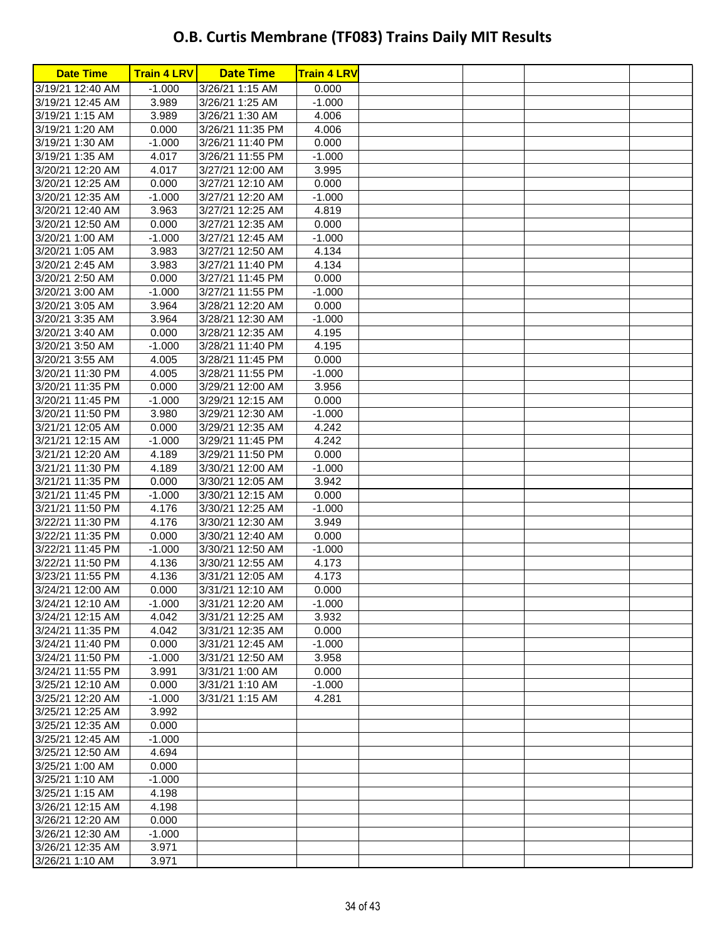| <b>Date Time</b>                     | <b>Train 4 LRV</b> | <b>Date Time</b>                     | <b>Train 4 LRV</b> |  |  |
|--------------------------------------|--------------------|--------------------------------------|--------------------|--|--|
| 3/19/21 12:40 AM                     | $-1.000$           | 3/26/21 1:15 AM                      | 0.000              |  |  |
| 3/19/21 12:45 AM                     | 3.989              | 3/26/21 1:25 AM                      | $-1.000$           |  |  |
| 3/19/21 1:15 AM                      | 3.989              | 3/26/21 1:30 AM                      | 4.006              |  |  |
| 3/19/21 1:20 AM                      | 0.000              | 3/26/21 11:35 PM                     | 4.006              |  |  |
| 3/19/21 1:30 AM                      | $-1.000$           | 3/26/21 11:40 PM                     | 0.000              |  |  |
| 3/19/21 1:35 AM                      | 4.017              | 3/26/21 11:55 PM                     | $-1.000$           |  |  |
| 3/20/21 12:20 AM                     | 4.017              | 3/27/21 12:00 AM                     | 3.995              |  |  |
| 3/20/21 12:25 AM                     | 0.000              | 3/27/21 12:10 AM                     | 0.000              |  |  |
| 3/20/21 12:35 AM                     | $-1.000$           | 3/27/21 12:20 AM                     | $-1.000$           |  |  |
| 3/20/21 12:40 AM                     | 3.963              | 3/27/21 12:25 AM                     | 4.819              |  |  |
| 3/20/21 12:50 AM                     | 0.000              | 3/27/21 12:35 AM                     | 0.000              |  |  |
| 3/20/21 1:00 AM                      | $-1.000$           | 3/27/21 12:45 AM                     | $-1.000$           |  |  |
| 3/20/21 1:05 AM                      | 3.983              | 3/27/21 12:50 AM                     | 4.134              |  |  |
| 3/20/21 2:45 AM                      | 3.983              | 3/27/21 11:40 PM                     | 4.134              |  |  |
| 3/20/21 2:50 AM                      | 0.000              | 3/27/21 11:45 PM                     | 0.000              |  |  |
| 3/20/21 3:00 AM                      | $-1.000$           | 3/27/21 11:55 PM                     | $-1.000$           |  |  |
| 3/20/21 3:05 AM                      | 3.964              | 3/28/21 12:20 AM                     | 0.000              |  |  |
| 3/20/21 3:35 AM                      | 3.964              | 3/28/21 12:30 AM                     | $-1.000$           |  |  |
| 3/20/21 3:40 AM                      | 0.000              | 3/28/21 12:35 AM                     | 4.195              |  |  |
| 3/20/21 3:50 AM                      | $-1.000$           | 3/28/21 11:40 PM                     | 4.195              |  |  |
| 3/20/21 3:55 AM                      | 4.005              | 3/28/21 11:45 PM                     | 0.000              |  |  |
| 3/20/21 11:30 PM                     | 4.005              | 3/28/21 11:55 PM                     | $-1.000$           |  |  |
| 3/20/21 11:35 PM                     | 0.000              | 3/29/21 12:00 AM                     | 3.956              |  |  |
| 3/20/21 11:45 PM                     | $-1.000$           | 3/29/21 12:15 AM                     | 0.000              |  |  |
| 3/20/21 11:50 PM                     | 3.980              | 3/29/21 12:30 AM                     | $-1.000$           |  |  |
| 3/21/21 12:05 AM                     | 0.000              | 3/29/21 12:35 AM                     | 4.242              |  |  |
| 3/21/21 12:15 AM                     | $-1.000$           | 3/29/21 11:45 PM                     | 4.242              |  |  |
| 3/21/21 12:20 AM                     | 4.189              | 3/29/21 11:50 PM                     | 0.000              |  |  |
| 3/21/21 11:30 PM                     | 4.189              | 3/30/21 12:00 AM                     | $-1.000$           |  |  |
| 3/21/21 11:35 PM                     | 0.000              | 3/30/21 12:05 AM                     | 3.942              |  |  |
| 3/21/21 11:45 PM                     | $-1.000$           | 3/30/21 12:15 AM                     | 0.000              |  |  |
| 3/21/21 11:50 PM                     | 4.176              | 3/30/21 12:25 AM                     | $-1.000$           |  |  |
| 3/22/21 11:30 PM                     | 4.176              | 3/30/21 12:30 AM<br>3/30/21 12:40 AM | 3.949              |  |  |
| 3/22/21 11:35 PM<br>3/22/21 11:45 PM | 0.000<br>$-1.000$  | 3/30/21 12:50 AM                     | 0.000<br>$-1.000$  |  |  |
| 3/22/21 11:50 PM                     | 4.136              | 3/30/21 12:55 AM                     | 4.173              |  |  |
| 3/23/21 11:55 PM                     | 4.136              | 3/31/21 12:05 AM                     | 4.173              |  |  |
| 3/24/21 12:00 AM                     | 0.000              | 3/31/21 12:10 AM                     | 0.000              |  |  |
| 3/24/21 12:10 AM                     | $-1.000$           | 3/31/21 12:20 AM                     | $-1.000$           |  |  |
| 3/24/21 12:15 AM                     | 4.042              | 3/31/21 12:25 AM                     | 3.932              |  |  |
| 3/24/21 11:35 PM                     | 4.042              | 3/31/21 12:35 AM                     | 0.000              |  |  |
| 3/24/21 11:40 PM                     | 0.000              | 3/31/21 12:45 AM                     | $-1.000$           |  |  |
| 3/24/21 11:50 PM                     | $-1.000$           | 3/31/21 12:50 AM                     | 3.958              |  |  |
| 3/24/21 11:55 PM                     | 3.991              | 3/31/21 1:00 AM                      | 0.000              |  |  |
| 3/25/21 12:10 AM                     | 0.000              | 3/31/21 1:10 AM                      | $-1.000$           |  |  |
| 3/25/21 12:20 AM                     | $-1.000$           | 3/31/21 1:15 AM                      | 4.281              |  |  |
| 3/25/21 12:25 AM                     | 3.992              |                                      |                    |  |  |
| 3/25/21 12:35 AM                     | 0.000              |                                      |                    |  |  |
| 3/25/21 12:45 AM                     | $-1.000$           |                                      |                    |  |  |
| 3/25/21 12:50 AM                     | 4.694              |                                      |                    |  |  |
| 3/25/21 1:00 AM                      | 0.000              |                                      |                    |  |  |
| 3/25/21 1:10 AM                      | $-1.000$           |                                      |                    |  |  |
| 3/25/21 1:15 AM                      | 4.198              |                                      |                    |  |  |
| 3/26/21 12:15 AM                     | 4.198              |                                      |                    |  |  |
| 3/26/21 12:20 AM                     | 0.000              |                                      |                    |  |  |
| 3/26/21 12:30 AM                     | $-1.000$           |                                      |                    |  |  |
| 3/26/21 12:35 AM                     | 3.971              |                                      |                    |  |  |
| 3/26/21 1:10 AM                      | 3.971              |                                      |                    |  |  |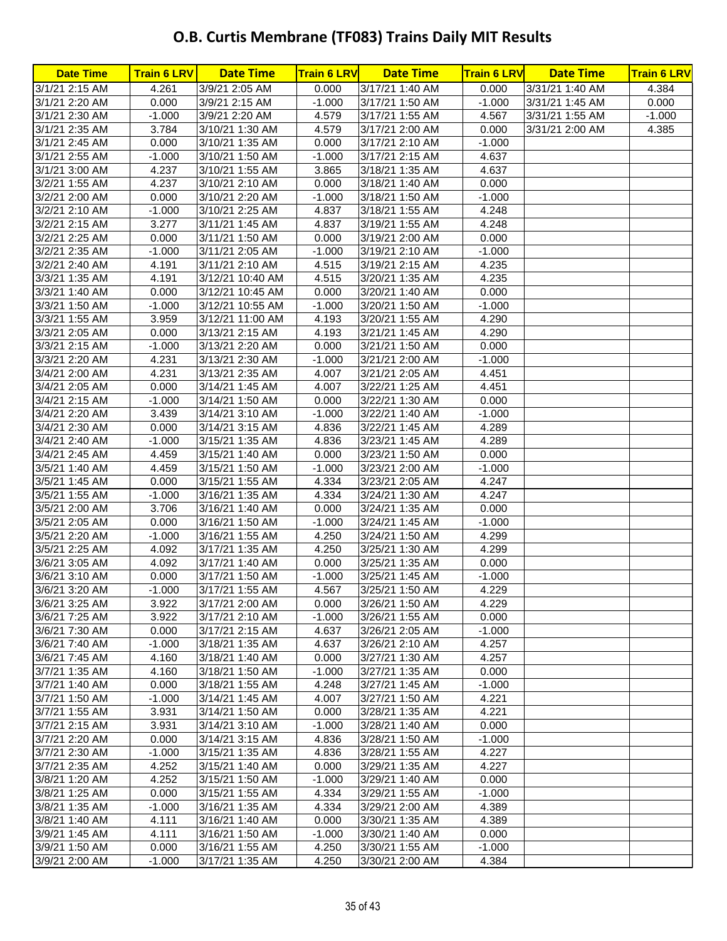| <b>Date Time</b>                 | <b>Train 6 LRV</b> | <b>Date Time</b>                   | <b>Train 6 LRV</b> | <b>Date Time</b>                   | <b>Train 6 LRV</b> | <b>Date Time</b> | <b>Train 6 LRV</b> |
|----------------------------------|--------------------|------------------------------------|--------------------|------------------------------------|--------------------|------------------|--------------------|
| 3/1/21 2:15 AM                   | 4.261              | 3/9/21 2:05 AM                     | 0.000              | 3/17/21 1:40 AM                    | 0.000              | 3/31/21 1:40 AM  | 4.384              |
| 3/1/21 2:20 AM                   | 0.000              | 3/9/21 2:15 AM                     | $-1.000$           | 3/17/21 1:50 AM                    | $-1.000$           | 3/31/21 1:45 AM  | 0.000              |
| 3/1/21 2:30 AM                   | $-1.000$           | 3/9/21 2:20 AM                     | 4.579              | 3/17/21 1:55 AM                    | 4.567              | 3/31/21 1:55 AM  | $-1.000$           |
| 3/1/21 2:35 AM                   | 3.784              | 3/10/21 1:30 AM                    | 4.579              | 3/17/21 2:00 AM                    | 0.000              | 3/31/21 2:00 AM  | 4.385              |
| 3/1/21 2:45 AM                   | 0.000              | 3/10/21 1:35 AM                    | 0.000              | 3/17/21 2:10 AM                    | $-1.000$           |                  |                    |
| 3/1/21 2:55 AM                   | $-1.000$           | 3/10/21 1:50 AM                    | $-1.000$           | 3/17/21 2:15 AM                    | 4.637              |                  |                    |
| 3/1/21 3:00 AM                   | 4.237              | 3/10/21 1:55 AM                    | 3.865              | 3/18/21 1:35 AM                    | 4.637              |                  |                    |
| 3/2/21 1:55 AM                   | 4.237              | 3/10/21 2:10 AM                    | 0.000              | 3/18/21 1:40 AM                    | 0.000              |                  |                    |
| 3/2/21 2:00 AM                   | 0.000              | 3/10/21 2:20 AM                    | $-1.000$           | 3/18/21 1:50 AM                    | $-1.000$           |                  |                    |
| 3/2/21 2:10 AM                   | $-1.000$           | 3/10/21 2:25 AM                    | 4.837              | 3/18/21 1:55 AM                    | 4.248              |                  |                    |
| 3/2/21 2:15 AM                   | 3.277              | 3/11/21 1:45 AM                    | 4.837              | 3/19/21 1:55 AM                    | 4.248              |                  |                    |
| 3/2/21 2:25 AM                   | 0.000              | 3/11/21 1:50 AM                    | 0.000              | 3/19/21 2:00 AM                    | 0.000              |                  |                    |
| 3/2/21 2:35 AM                   | $-1.000$           | 3/11/21 2:05 AM                    | $-1.000$           | 3/19/21 2:10 AM                    | $-1.000$           |                  |                    |
| 3/2/21 2:40 AM                   | 4.191              | 3/11/21 2:10 AM                    | 4.515              | 3/19/21 2:15 AM                    | 4.235              |                  |                    |
| 3/3/21 1:35 AM                   | 4.191              | 3/12/21 10:40 AM                   | 4.515              | 3/20/21 1:35 AM                    | 4.235              |                  |                    |
| 3/3/21 1:40 AM                   | 0.000              | 3/12/21 10:45 AM                   | 0.000              | 3/20/21 1:40 AM                    | 0.000              |                  |                    |
| 3/3/21 1:50 AM                   | $-1.000$           | 3/12/21 10:55 AM                   | $-1.000$           | 3/20/21 1:50 AM                    | $-1.000$           |                  |                    |
| 3/3/21 1:55 AM                   | 3.959              | 3/12/21 11:00 AM                   | 4.193              | 3/20/21 1:55 AM                    | 4.290              |                  |                    |
| 3/3/21 2:05 AM                   | 0.000              | 3/13/21 2:15 AM                    | 4.193              | 3/21/21 1:45 AM                    | 4.290              |                  |                    |
| 3/3/21 2:15 AM                   | $-1.000$           | 3/13/21 2:20 AM                    | 0.000              | 3/21/21 1:50 AM                    | 0.000              |                  |                    |
| 3/3/21 2:20 AM                   | 4.231              | 3/13/21 2:30 AM                    | $-1.000$           | 3/21/21 2:00 AM                    | $-1.000$           |                  |                    |
| 3/4/21 2:00 AM                   | 4.231              | 3/13/21 2:35 AM                    | 4.007              | 3/21/21 2:05 AM                    | 4.451              |                  |                    |
| 3/4/21 2:05 AM                   | 0.000              | 3/14/21 1:45 AM                    | 4.007              | 3/22/21 1:25 AM                    | 4.451              |                  |                    |
| 3/4/21 2:15 AM                   | $-1.000$           | 3/14/21 1:50 AM                    | 0.000              | 3/22/21 1:30 AM                    | 0.000              |                  |                    |
| 3/4/21 2:20 AM                   | 3.439              | 3/14/21 3:10 AM                    | $-1.000$           | 3/22/21 1:40 AM                    | $-1.000$           |                  |                    |
| 3/4/21 2:30 AM                   | 0.000              | 3/14/21 3:15 AM                    | 4.836              | 3/22/21 1:45 AM                    | 4.289              |                  |                    |
| 3/4/21 2:40 AM                   | $-1.000$           | 3/15/21 1:35 AM                    | 4.836              | 3/23/21 1:45 AM                    | 4.289              |                  |                    |
| 3/4/21 2:45 AM                   | 4.459              | 3/15/21 1:40 AM                    | 0.000              | 3/23/21 1:50 AM                    | 0.000              |                  |                    |
| 3/5/21 1:40 AM                   | 4.459              | 3/15/21 1:50 AM                    | $-1.000$           | 3/23/21 2:00 AM                    | $-1.000$           |                  |                    |
| 3/5/21 1:45 AM                   | 0.000              | 3/15/21 1:55 AM                    | 4.334              | 3/23/21 2:05 AM                    | 4.247              |                  |                    |
| 3/5/21 1:55 AM                   | $-1.000$           | 3/16/21 1:35 AM                    | 4.334              | 3/24/21 1:30 AM                    | 4.247              |                  |                    |
| 3/5/21 2:00 AM                   | 3.706              | 3/16/21 1:40 AM                    | 0.000              | 3/24/21 1:35 AM                    | 0.000              |                  |                    |
| 3/5/21 2:05 AM                   | 0.000              | 3/16/21 1:50 AM                    | $-1.000$           | 3/24/21 1:45 AM                    | $-1.000$           |                  |                    |
| 3/5/21 2:20 AM                   | $-1.000$           | 3/16/21 1:55 AM                    | 4.250              | 3/24/21 1:50 AM                    | 4.299              |                  |                    |
| 3/5/21 2:25 AM                   | 4.092              | 3/17/21 1:35 AM                    | 4.250              | 3/25/21 1:30 AM                    | 4.299              |                  |                    |
| 3/6/21 3:05 AM<br>3/6/21 3:10 AM | 4.092              | 3/17/21 1:40 AM                    | 0.000              | 3/25/21 1:35 AM                    | 0.000              |                  |                    |
|                                  | 0.000<br>$-1.000$  | 3/17/21 1:50 AM                    | $-1.000$           | 3/25/21 1:45 AM                    | $-1.000$<br>4.229  |                  |                    |
| 3/6/21 3:20 AM                   |                    | 3/17/21 1:55 AM                    | 4.567              | 3/25/21 1:50 AM<br>3/26/21 1:50 AM | 4.229              |                  |                    |
| 3/6/21 3:25 AM<br>3/6/21 7:25 AM | 3.922<br>3.922     | 3/17/21 2:00 AM<br>3/17/21 2:10 AM | 0.000<br>$-1.000$  | 3/26/21 1:55 AM                    | 0.000              |                  |                    |
| 3/6/21 7:30 AM                   | 0.000              | 3/17/21 2:15 AM                    | 4.637              | 3/26/21 2:05 AM                    | $-1.000$           |                  |                    |
| 3/6/21 7:40 AM                   | $-1.000$           | 3/18/21 1:35 AM                    | 4.637              | 3/26/21 2:10 AM                    | 4.257              |                  |                    |
| 3/6/21 7:45 AM                   | 4.160              | 3/18/21 1:40 AM                    | 0.000              | 3/27/21 1:30 AM                    | 4.257              |                  |                    |
| 3/7/21 1:35 AM                   | 4.160              | 3/18/21 1:50 AM                    | $-1.000$           | 3/27/21 1:35 AM                    | 0.000              |                  |                    |
| 3/7/21 1:40 AM                   | 0.000              | 3/18/21 1:55 AM                    | 4.248              | 3/27/21 1:45 AM                    | $-1.000$           |                  |                    |
| 3/7/21 1:50 AM                   | $-1.000$           | 3/14/21 1:45 AM                    | 4.007              | 3/27/21 1:50 AM                    | 4.221              |                  |                    |
| 3/7/21 1:55 AM                   | 3.931              | 3/14/21 1:50 AM                    | 0.000              | 3/28/21 1:35 AM                    | 4.221              |                  |                    |
| 3/7/21 2:15 AM                   | 3.931              | 3/14/21 3:10 AM                    | $-1.000$           | 3/28/21 1:40 AM                    | 0.000              |                  |                    |
| 3/7/21 2:20 AM                   | 0.000              | 3/14/21 3:15 AM                    | 4.836              | 3/28/21 1:50 AM                    | $-1.000$           |                  |                    |
| 3/7/21 2:30 AM                   | $-1.000$           | 3/15/21 1:35 AM                    | 4.836              | 3/28/21 1:55 AM                    | 4.227              |                  |                    |
| 3/7/21 2:35 AM                   | 4.252              | 3/15/21 1:40 AM                    | 0.000              | 3/29/21 1:35 AM                    | 4.227              |                  |                    |
| 3/8/21 1:20 AM                   | 4.252              | 3/15/21 1:50 AM                    | $-1.000$           | 3/29/21 1:40 AM                    | 0.000              |                  |                    |
| 3/8/21 1:25 AM                   | 0.000              | 3/15/21 1:55 AM                    | 4.334              | 3/29/21 1:55 AM                    | $-1.000$           |                  |                    |
| 3/8/21 1:35 AM                   | $-1.000$           | 3/16/21 1:35 AM                    | 4.334              | 3/29/21 2:00 AM                    | 4.389              |                  |                    |
| 3/8/21 1:40 AM                   | 4.111              | 3/16/21 1:40 AM                    | 0.000              | 3/30/21 1:35 AM                    | 4.389              |                  |                    |
| 3/9/21 1:45 AM                   | 4.111              | 3/16/21 1:50 AM                    | $-1.000$           | 3/30/21 1:40 AM                    | 0.000              |                  |                    |
| 3/9/21 1:50 AM                   | 0.000              | 3/16/21 1:55 AM                    | 4.250              | 3/30/21 1:55 AM                    | $-1.000$           |                  |                    |
| 3/9/21 2:00 AM                   | $-1.000$           | 3/17/21 1:35 AM                    | 4.250              | 3/30/21 2:00 AM                    | 4.384              |                  |                    |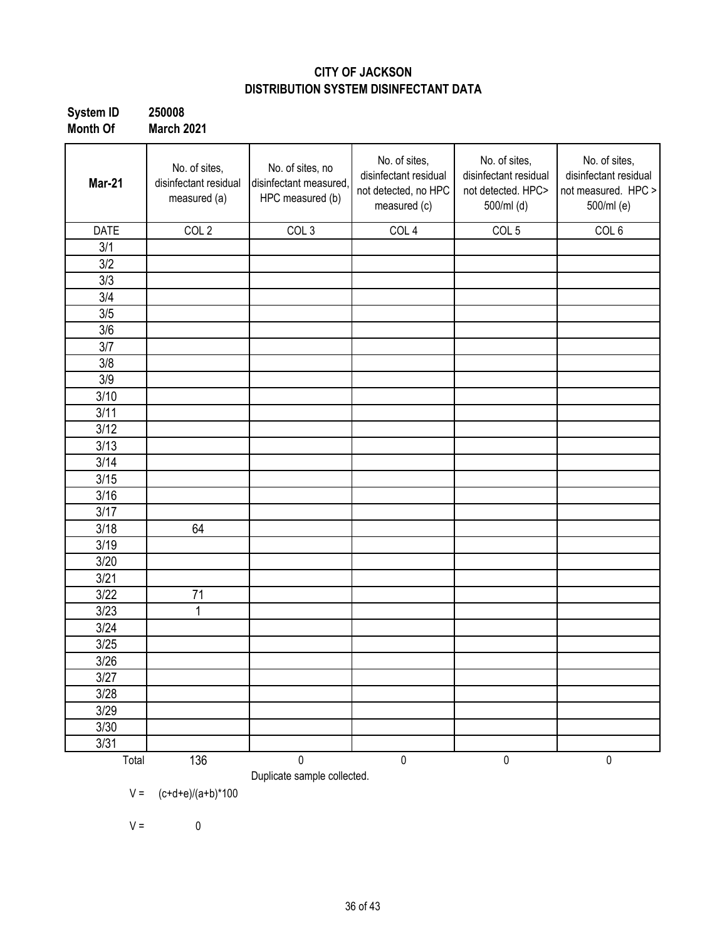### **CITY OF JACKSON DISTRIBUTION SYSTEM DISINFECTANT DATA**

| System ID | 250008            |
|-----------|-------------------|
| Month Of  | <b>March 2021</b> |

| Mar-21      | No. of sites,<br>disinfectant residual<br>measured (a) | No. of sites, no<br>disinfectant measured,<br>HPC measured (b) | No. of sites,<br>disinfectant residual<br>not detected, no HPC<br>measured (c) | No. of sites,<br>disinfectant residual<br>not detected. HPC><br>500/ml (d) | No. of sites,<br>disinfectant residual<br>not measured. HPC ><br>500/ml (e) |
|-------------|--------------------------------------------------------|----------------------------------------------------------------|--------------------------------------------------------------------------------|----------------------------------------------------------------------------|-----------------------------------------------------------------------------|
| <b>DATE</b> | COL <sub>2</sub>                                       | COL <sub>3</sub>                                               | COL <sub>4</sub>                                                               | COL <sub>5</sub>                                                           | COL <sub>6</sub>                                                            |
| 3/1         |                                                        |                                                                |                                                                                |                                                                            |                                                                             |
| 3/2         |                                                        |                                                                |                                                                                |                                                                            |                                                                             |
| 3/3         |                                                        |                                                                |                                                                                |                                                                            |                                                                             |
| 3/4         |                                                        |                                                                |                                                                                |                                                                            |                                                                             |
| 3/5         |                                                        |                                                                |                                                                                |                                                                            |                                                                             |
| 3/6         |                                                        |                                                                |                                                                                |                                                                            |                                                                             |
| 3/7         |                                                        |                                                                |                                                                                |                                                                            |                                                                             |
| 3/8         |                                                        |                                                                |                                                                                |                                                                            |                                                                             |
| 3/9         |                                                        |                                                                |                                                                                |                                                                            |                                                                             |
| 3/10        |                                                        |                                                                |                                                                                |                                                                            |                                                                             |
| 3/11        |                                                        |                                                                |                                                                                |                                                                            |                                                                             |
| 3/12        |                                                        |                                                                |                                                                                |                                                                            |                                                                             |
| 3/13        |                                                        |                                                                |                                                                                |                                                                            |                                                                             |
| 3/14        |                                                        |                                                                |                                                                                |                                                                            |                                                                             |
| 3/15        |                                                        |                                                                |                                                                                |                                                                            |                                                                             |
| 3/16        |                                                        |                                                                |                                                                                |                                                                            |                                                                             |
| 3/17        |                                                        |                                                                |                                                                                |                                                                            |                                                                             |
| 3/18        | 64                                                     |                                                                |                                                                                |                                                                            |                                                                             |
| 3/19        |                                                        |                                                                |                                                                                |                                                                            |                                                                             |
| 3/20        |                                                        |                                                                |                                                                                |                                                                            |                                                                             |
| 3/21        |                                                        |                                                                |                                                                                |                                                                            |                                                                             |
| 3/22        | 71                                                     |                                                                |                                                                                |                                                                            |                                                                             |
| 3/23        | 1                                                      |                                                                |                                                                                |                                                                            |                                                                             |
| 3/24        |                                                        |                                                                |                                                                                |                                                                            |                                                                             |
| 3/25        |                                                        |                                                                |                                                                                |                                                                            |                                                                             |
| 3/26        |                                                        |                                                                |                                                                                |                                                                            |                                                                             |
| 3/27        |                                                        |                                                                |                                                                                |                                                                            |                                                                             |
| 3/28        |                                                        |                                                                |                                                                                |                                                                            |                                                                             |
| 3/29        |                                                        |                                                                |                                                                                |                                                                            |                                                                             |
| 3/30        |                                                        |                                                                |                                                                                |                                                                            |                                                                             |
| 3/31        |                                                        |                                                                |                                                                                |                                                                            |                                                                             |
| Total       | 136                                                    | 0<br>Duplicate sample collected.                               | $\pmb{0}$                                                                      | $\pmb{0}$                                                                  | $\pmb{0}$                                                                   |

 $V = (c+d+e)/(a+b)^*100$ 

 $V = 0$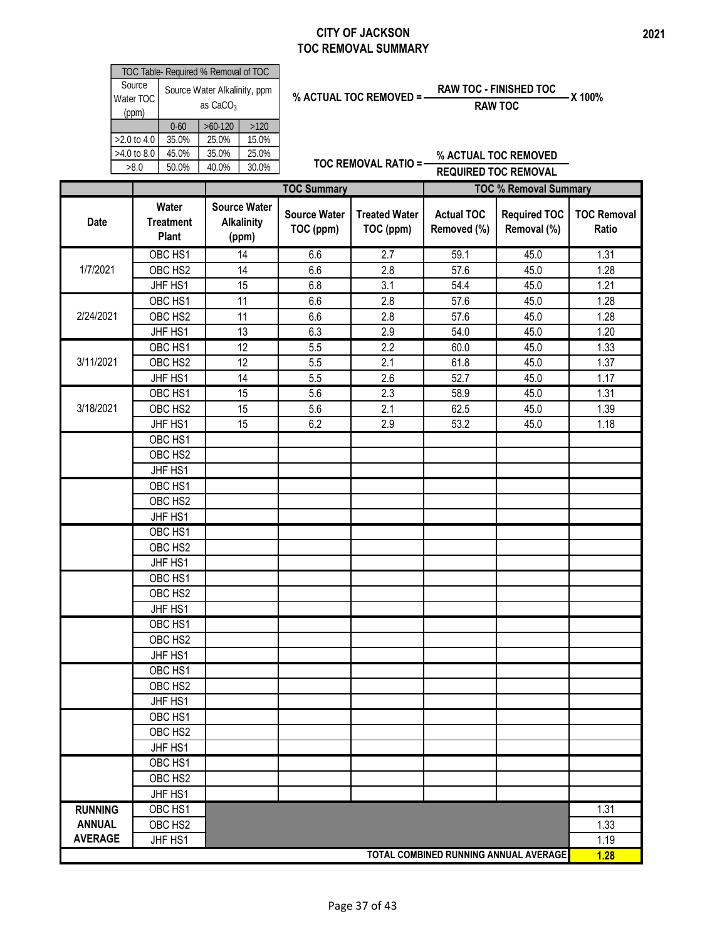### **CITY OF JACKSON TOC REMOVAL SUMMARY**

TOC Table- Required % Removal of TOC

|                | Source<br>Water TOC |                                    | Source Water Alkalinity, ppm<br>as $CaCO3$ |                                                   |                                  | % ACTUAL TOC REMOVED =-           | <b>RAW TOC - FINISHED TOC</b><br><b>RAW TOC</b> |                                    | X 100%                      |
|----------------|---------------------|------------------------------------|--------------------------------------------|---------------------------------------------------|----------------------------------|-----------------------------------|-------------------------------------------------|------------------------------------|-----------------------------|
|                | (ppm)               | $0 - 60$                           | $>60-120$                                  | $>120$                                            |                                  |                                   |                                                 |                                    |                             |
|                | >2.0 to 4.0         | 35.0%                              | 25.0%                                      | 15.0%                                             |                                  |                                   |                                                 |                                    |                             |
|                | >4.0 to 8.0         | 45.0%                              | 35.0%                                      | 25.0%                                             |                                  | <b>TOC REMOVAL RATIO =-</b>       |                                                 | % ACTUAL TOC REMOVED               |                             |
|                | >8.0                | 50.0%                              | 40.0%                                      | 30.0%                                             |                                  |                                   | <b>REQUIRED TOC REMOVAL</b>                     |                                    |                             |
|                |                     |                                    |                                            |                                                   | <b>TOC Summary</b>               |                                   |                                                 | <b>TOC % Removal Summary</b>       |                             |
| <b>Date</b>    |                     | Water<br><b>Treatment</b><br>Plant |                                            | <b>Source Water</b><br><b>Alkalinity</b><br>(ppm) | <b>Source Water</b><br>TOC (ppm) | <b>Treated Water</b><br>TOC (ppm) | <b>Actual TOC</b><br>Removed (%)                | <b>Required TOC</b><br>Removal (%) | <b>TOC Removal</b><br>Ratio |
|                |                     | OBC HS1                            |                                            | 14                                                | 6.6                              | 2.7                               | 59.1                                            | 45.0                               | 1.31                        |
| 1/7/2021       |                     | OBC HS2                            |                                            | 14                                                | 6.6                              | 2.8                               | 57.6                                            | 45.0                               | 1.28                        |
|                |                     | JHF HS1                            |                                            | 15                                                | 6.8                              | 3.1                               | 54.4                                            | 45.0                               | 1.21                        |
|                |                     | OBC HS1                            |                                            | 11                                                | 6.6                              | 2.8                               | 57.6                                            | 45.0                               | 1.28                        |
| 2/24/2021      |                     | OBC HS2                            |                                            | 11                                                | 6.6                              | 2.8                               | 57.6                                            | 45.0                               | 1.28                        |
|                |                     | JHF HS1                            |                                            | 13                                                | 6.3                              | 2.9                               | 54.0                                            | 45.0                               | 1.20                        |
|                |                     | OBC HS1                            |                                            | 12                                                | 5.5                              | $\overline{2.2}$                  | 60.0                                            | 45.0                               | 1.33                        |
| 3/11/2021      |                     | OBC HS2                            |                                            | 12                                                | 5.5                              | 2.1                               | 61.8                                            | 45.0                               | 1.37                        |
|                |                     | JHF HS1                            |                                            | 14                                                | 5.5                              | 2.6                               | 52.7                                            | 45.0                               | 1.17                        |
|                |                     | OBC HS1                            |                                            | 15                                                | 5.6                              | 2.3                               | 58.9                                            | 45.0                               | 1.31                        |
| 3/18/2021      |                     | OBC HS2                            |                                            | 15                                                | 5.6                              | 2.1                               | 62.5                                            | 45.0                               | 1.39                        |
|                |                     | JHF HS1                            |                                            | 15                                                | 6.2                              | 2.9                               | 53.2                                            | 45.0                               | 1.18                        |
|                |                     | OBC HS1                            |                                            |                                                   |                                  |                                   |                                                 |                                    |                             |
|                |                     | OBC HS2                            |                                            |                                                   |                                  |                                   |                                                 |                                    |                             |
|                |                     | JHF HS1                            |                                            |                                                   |                                  |                                   |                                                 |                                    |                             |
|                |                     | OBC HS1                            |                                            |                                                   |                                  |                                   |                                                 |                                    |                             |
|                |                     | OBC HS2                            |                                            |                                                   |                                  |                                   |                                                 |                                    |                             |
|                |                     | JHF HS1                            |                                            |                                                   |                                  |                                   |                                                 |                                    |                             |
|                |                     | OBC HS1                            |                                            |                                                   |                                  |                                   |                                                 |                                    |                             |
|                |                     | OBC HS2                            |                                            |                                                   |                                  |                                   |                                                 |                                    |                             |
|                |                     | JHF HS1                            |                                            |                                                   |                                  |                                   |                                                 |                                    |                             |
|                |                     | OBC HS1                            |                                            |                                                   |                                  |                                   |                                                 |                                    |                             |
|                |                     | OBC HS <sub>2</sub>                |                                            |                                                   |                                  |                                   |                                                 |                                    |                             |
|                |                     | JHF HS1                            |                                            |                                                   |                                  |                                   |                                                 |                                    |                             |
|                |                     | OBC HS1                            |                                            |                                                   |                                  |                                   |                                                 |                                    |                             |
|                |                     | OBC HS2                            |                                            |                                                   |                                  |                                   |                                                 |                                    |                             |
|                |                     | JHF HS1                            |                                            |                                                   |                                  |                                   |                                                 |                                    |                             |
|                |                     | OBC HS1                            |                                            |                                                   |                                  |                                   |                                                 |                                    |                             |
|                |                     | OBC HS2                            |                                            |                                                   |                                  |                                   |                                                 |                                    |                             |
|                |                     | JHF HS1                            |                                            |                                                   |                                  |                                   |                                                 |                                    |                             |
|                |                     | OBC HS1                            |                                            |                                                   |                                  |                                   |                                                 |                                    |                             |
|                |                     | OBC HS2                            |                                            |                                                   |                                  |                                   |                                                 |                                    |                             |
|                |                     | JHF HS1                            |                                            |                                                   |                                  |                                   |                                                 |                                    |                             |
|                |                     | OBC HS1                            |                                            |                                                   |                                  |                                   |                                                 |                                    |                             |
|                |                     | OBC HS <sub>2</sub>                |                                            |                                                   |                                  |                                   |                                                 |                                    |                             |
|                |                     | JHF HS1                            |                                            |                                                   |                                  |                                   |                                                 |                                    |                             |
| <b>RUNNING</b> |                     | OBC HS1                            |                                            |                                                   |                                  |                                   |                                                 |                                    | 1.31                        |
| <b>ANNUAL</b>  |                     | OBC HS2                            |                                            |                                                   |                                  |                                   |                                                 |                                    | 1.33                        |
| <b>AVERAGE</b> |                     | JHF HS1                            |                                            |                                                   |                                  |                                   |                                                 |                                    | 1.19                        |
|                |                     |                                    |                                            |                                                   |                                  |                                   | TOTAL COMBINED RUNNING ANNUAL AVERAGE           |                                    | 1.28                        |

**1.28**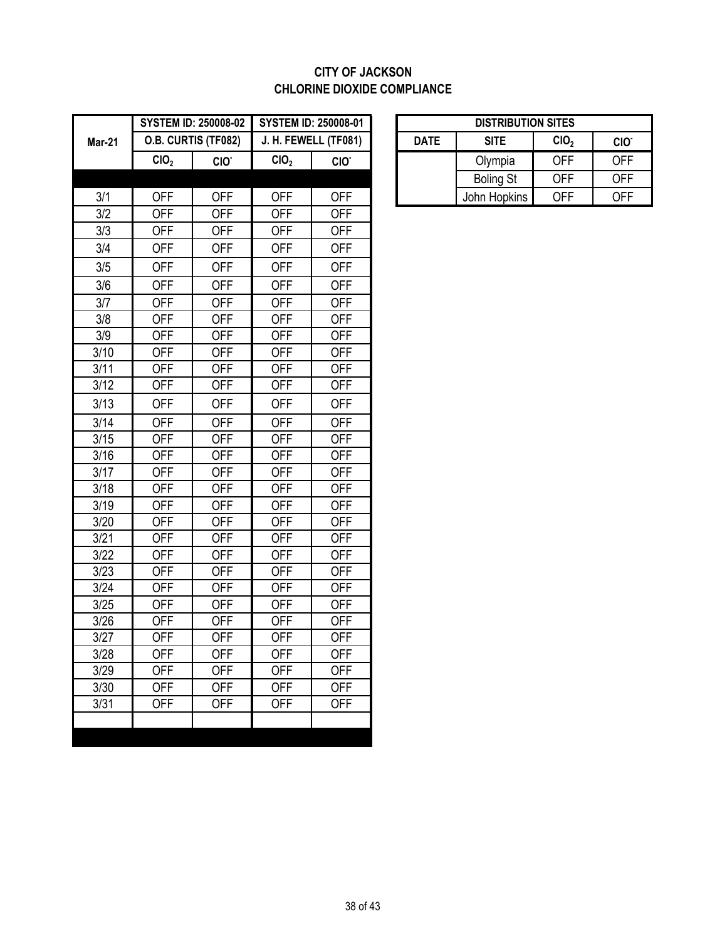### **CITY OF JACKSON CHLORINE DIOXIDE COMPLIANCE**

|               |                  | <b>SYSTEM ID: 250008-02</b> |                  |                      | <b>SYSTEM ID: 250008-01</b><br><b>DISTRIBUTION SITES</b> |             |                  |                  |                  |
|---------------|------------------|-----------------------------|------------------|----------------------|----------------------------------------------------------|-------------|------------------|------------------|------------------|
| <b>Mar-21</b> |                  | O.B. CURTIS (TF082)         |                  | J. H. FEWELL (TF081) |                                                          | <b>DATE</b> | <b>SITE</b>      | CIO <sub>2</sub> | CIO <sup>-</sup> |
|               | CIO <sub>2</sub> | CIO.                        | CIO <sub>2</sub> | CIO <sup>-</sup>     |                                                          |             | Olympia          | <b>OFF</b>       | <b>OFF</b>       |
|               |                  |                             |                  |                      |                                                          |             | <b>Boling St</b> | <b>OFF</b>       | <b>OFF</b>       |
| 3/1           | <b>OFF</b>       | <b>OFF</b>                  | <b>OFF</b>       | <b>OFF</b>           |                                                          |             | John Hopkins     | <b>OFF</b>       | <b>OFF</b>       |
| 3/2           | <b>OFF</b>       | <b>OFF</b>                  | <b>OFF</b>       | <b>OFF</b>           |                                                          |             |                  |                  |                  |
| 3/3           | <b>OFF</b>       | <b>OFF</b>                  | <b>OFF</b>       | <b>OFF</b>           |                                                          |             |                  |                  |                  |
| 3/4           | <b>OFF</b>       | <b>OFF</b>                  | <b>OFF</b>       | <b>OFF</b>           |                                                          |             |                  |                  |                  |
| 3/5           | <b>OFF</b>       | <b>OFF</b>                  | <b>OFF</b>       | <b>OFF</b>           |                                                          |             |                  |                  |                  |
| 3/6           | <b>OFF</b>       | <b>OFF</b>                  | <b>OFF</b>       | <b>OFF</b>           |                                                          |             |                  |                  |                  |
| 3/7           | <b>OFF</b>       | <b>OFF</b>                  | <b>OFF</b>       | <b>OFF</b>           |                                                          |             |                  |                  |                  |
| 3/8           | <b>OFF</b>       | <b>OFF</b>                  | <b>OFF</b>       | <b>OFF</b>           |                                                          |             |                  |                  |                  |
| 3/9           | <b>OFF</b>       | <b>OFF</b>                  | <b>OFF</b>       | <b>OFF</b>           |                                                          |             |                  |                  |                  |
| 3/10          | <b>OFF</b>       | <b>OFF</b>                  | <b>OFF</b>       | <b>OFF</b>           |                                                          |             |                  |                  |                  |
| 3/11          | <b>OFF</b>       | <b>OFF</b>                  | <b>OFF</b>       | <b>OFF</b>           |                                                          |             |                  |                  |                  |
| 3/12          | <b>OFF</b>       | <b>OFF</b>                  | <b>OFF</b>       | <b>OFF</b>           |                                                          |             |                  |                  |                  |
| 3/13          | <b>OFF</b>       | <b>OFF</b>                  | <b>OFF</b>       | <b>OFF</b>           |                                                          |             |                  |                  |                  |
| 3/14          | <b>OFF</b>       | <b>OFF</b>                  | <b>OFF</b>       | <b>OFF</b>           |                                                          |             |                  |                  |                  |
| 3/15          | <b>OFF</b>       | <b>OFF</b>                  | <b>OFF</b>       | <b>OFF</b>           |                                                          |             |                  |                  |                  |
| 3/16          | <b>OFF</b>       | <b>OFF</b>                  | <b>OFF</b>       | <b>OFF</b>           |                                                          |             |                  |                  |                  |
| 3/17          | <b>OFF</b>       | <b>OFF</b>                  | <b>OFF</b>       | <b>OFF</b>           |                                                          |             |                  |                  |                  |
| 3/18          | <b>OFF</b>       | <b>OFF</b>                  | <b>OFF</b>       | <b>OFF</b>           |                                                          |             |                  |                  |                  |
| 3/19          | <b>OFF</b>       | <b>OFF</b>                  | <b>OFF</b>       | <b>OFF</b>           |                                                          |             |                  |                  |                  |
| 3/20          | <b>OFF</b>       | <b>OFF</b>                  | <b>OFF</b>       | <b>OFF</b>           |                                                          |             |                  |                  |                  |
| 3/21          | <b>OFF</b>       | <b>OFF</b>                  | <b>OFF</b>       | <b>OFF</b>           |                                                          |             |                  |                  |                  |
| 3/22          | <b>OFF</b>       | <b>OFF</b>                  | <b>OFF</b>       | OFF                  |                                                          |             |                  |                  |                  |
| 3/23          | <b>OFF</b>       | <b>OFF</b>                  | <b>OFF</b>       | <b>OFF</b>           |                                                          |             |                  |                  |                  |
| 3/24          | <b>OFF</b>       | <b>OFF</b>                  | <b>OFF</b>       | <b>OFF</b>           |                                                          |             |                  |                  |                  |
| 3/25          | <b>OFF</b>       | <b>OFF</b>                  | <b>OFF</b>       | <b>OFF</b>           |                                                          |             |                  |                  |                  |
| 3/26          | <b>OFF</b>       | <b>OFF</b>                  | <b>OFF</b>       | <b>OFF</b>           |                                                          |             |                  |                  |                  |
| 3/27          | <b>OFF</b>       | <b>OFF</b>                  | <b>OFF</b>       | <b>OFF</b>           |                                                          |             |                  |                  |                  |
| 3/28          | <b>OFF</b>       | <b>OFF</b>                  | <b>OFF</b>       | <b>OFF</b>           |                                                          |             |                  |                  |                  |
| 3/29          | <b>OFF</b>       | <b>OFF</b>                  | <b>OFF</b>       | <b>OFF</b>           |                                                          |             |                  |                  |                  |
| 3/30          | <b>OFF</b>       | <b>OFF</b>                  | <b>OFF</b>       | <b>OFF</b>           |                                                          |             |                  |                  |                  |
| 3/31          | <b>OFF</b>       | <b>OFF</b>                  | <b>OFF</b>       | <b>OFF</b>           |                                                          |             |                  |                  |                  |
|               |                  |                             |                  |                      |                                                          |             |                  |                  |                  |

|                                                   | <b>STEM ID: 250008-02</b> | <b>SYSTEM ID: 250008-01</b> |                  |                  | <b>DISTRIBUTION SITES</b> |            |            |  |
|---------------------------------------------------|---------------------------|-----------------------------|------------------|------------------|---------------------------|------------|------------|--|
| <b>.B. CURTIS (TF082)</b><br>J. H. FEWELL (TF081) |                           | <b>DATE</b>                 | <b>SITE</b>      | CIO <sub>2</sub> | CIO <sup>-</sup>          |            |            |  |
| CIO,                                              | CIO <sup>-</sup>          | CIO <sub>2</sub>            | CIO <sup>-</sup> |                  | Olympia                   | <b>OFF</b> | <b>OFF</b> |  |
|                                                   |                           |                             |                  |                  | <b>Boling St</b>          | OFF        | <b>OFF</b> |  |
| OFF                                               | OFF                       | OFF                         | OFF              |                  | John Hopkins              | OFF        | <b>OFF</b> |  |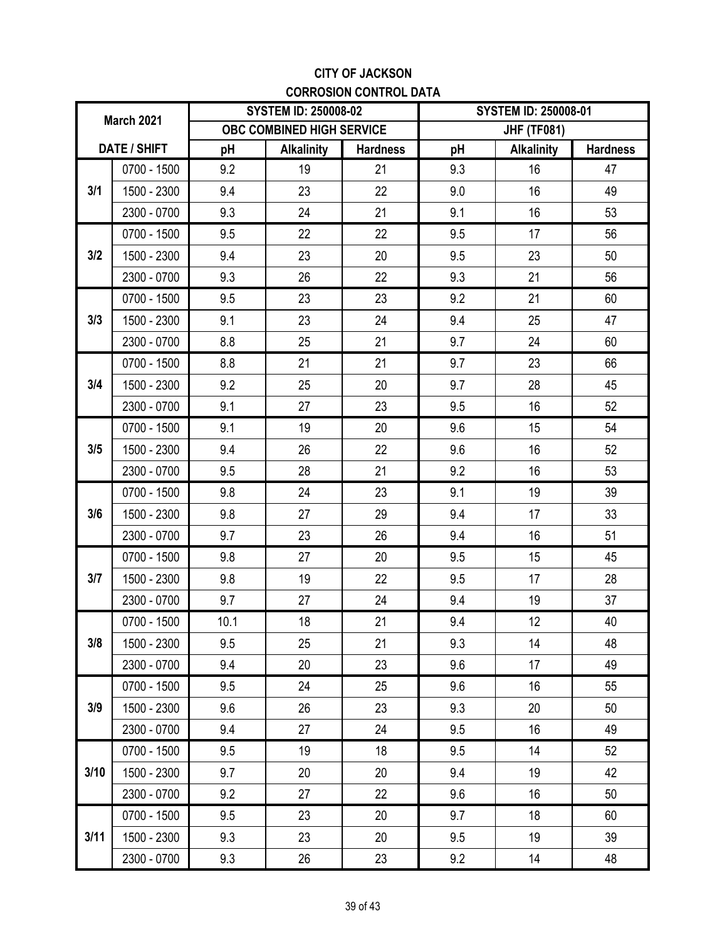### **CITY OF JACKSON CORROSION CONTROL DATA**

| March 2021 |                     |      | <b>SYSTEM ID: 250008-02</b> |                 | <b>SYSTEM ID: 250008-01</b> |                    |                 |
|------------|---------------------|------|-----------------------------|-----------------|-----------------------------|--------------------|-----------------|
|            |                     |      | OBC COMBINED HIGH SERVICE   |                 |                             | <b>JHF (TF081)</b> |                 |
|            | <b>DATE / SHIFT</b> | pH   | <b>Alkalinity</b>           | <b>Hardness</b> | pH                          | <b>Alkalinity</b>  | <b>Hardness</b> |
|            | 0700 - 1500         | 9.2  | 19                          | 21              | 9.3                         | 16                 | 47              |
| 3/1        | 1500 - 2300         | 9.4  | 23                          | 22              | 9.0                         | 16                 | 49              |
|            | 2300 - 0700         | 9.3  | 24                          | 21              | 9.1                         | 16                 | 53              |
|            | $0700 - 1500$       | 9.5  | 22                          | 22              | 9.5                         | 17                 | 56              |
| 3/2        | 1500 - 2300         | 9.4  | 23                          | 20              | 9.5                         | 23                 | 50              |
|            | 2300 - 0700         | 9.3  | 26                          | 22              | 9.3                         | 21                 | 56              |
|            | $0700 - 1500$       | 9.5  | 23                          | 23              | 9.2                         | 21                 | 60              |
| 3/3        | 1500 - 2300         | 9.1  | 23                          | 24              | 9.4                         | 25                 | 47              |
|            | 2300 - 0700         | 8.8  | 25                          | 21              | 9.7                         | 24                 | 60              |
|            | $0700 - 1500$       | 8.8  | 21                          | 21              | 9.7                         | 23                 | 66              |
| 3/4        | 1500 - 2300         | 9.2  | 25                          | 20              | 9.7                         | 28                 | 45              |
|            | 2300 - 0700         | 9.1  | 27                          | 23              | 9.5                         | 16                 | 52              |
|            | $0700 - 1500$       | 9.1  | 19                          | 20              | 9.6                         | 15                 | 54              |
| 3/5        | 1500 - 2300         | 9.4  | 26                          | 22              | 9.6                         | 16                 | 52              |
|            | 2300 - 0700         | 9.5  | 28                          | 21              | 9.2                         | 16                 | 53              |
|            | $0700 - 1500$       | 9.8  | 24                          | 23              | 9.1                         | 19                 | 39              |
| 3/6        | 1500 - 2300         | 9.8  | 27                          | 29              | 9.4                         | 17                 | 33              |
|            | 2300 - 0700         | 9.7  | 23                          | 26              | 9.4                         | 16                 | 51              |
|            | $0700 - 1500$       | 9.8  | 27                          | 20              | 9.5                         | 15                 | 45              |
| 3/7        | 1500 - 2300         | 9.8  | 19                          | 22              | 9.5                         | 17                 | 28              |
|            | 2300 - 0700         | 9.7  | 27                          | 24              | 9.4                         | 19                 | 37              |
|            | 0700 - 1500         | 10.1 | 18                          | 21              | 9.4                         | 12                 | 40              |
| 3/8        | 1500 - 2300         | 9.5  | 25                          | 21              | 9.3                         | 14                 | 48              |
|            | 2300 - 0700         | 9.4  | 20                          | 23              | 9.6                         | 17                 | 49              |
|            | 0700 - 1500         | 9.5  | 24                          | 25              | 9.6                         | 16                 | 55              |
| 3/9        | 1500 - 2300         | 9.6  | 26                          | 23              | 9.3                         | 20                 | 50              |
|            | 2300 - 0700         | 9.4  | 27                          | 24              | 9.5                         | 16                 | 49              |
|            | 0700 - 1500         | 9.5  | 19                          | 18              | 9.5                         | 14                 | 52              |
| 3/10       | 1500 - 2300         | 9.7  | 20                          | 20              | 9.4                         | 19                 | 42              |
|            | 2300 - 0700         | 9.2  | 27                          | 22              | 9.6                         | 16                 | 50              |
|            | 0700 - 1500         | 9.5  | 23                          | 20              | 9.7                         | 18                 | 60              |
| 3/11       | 1500 - 2300         | 9.3  | 23                          | 20              | 9.5                         | 19                 | 39              |
|            | 2300 - 0700         | 9.3  | 26                          | 23              | 9.2                         | 14                 | 48              |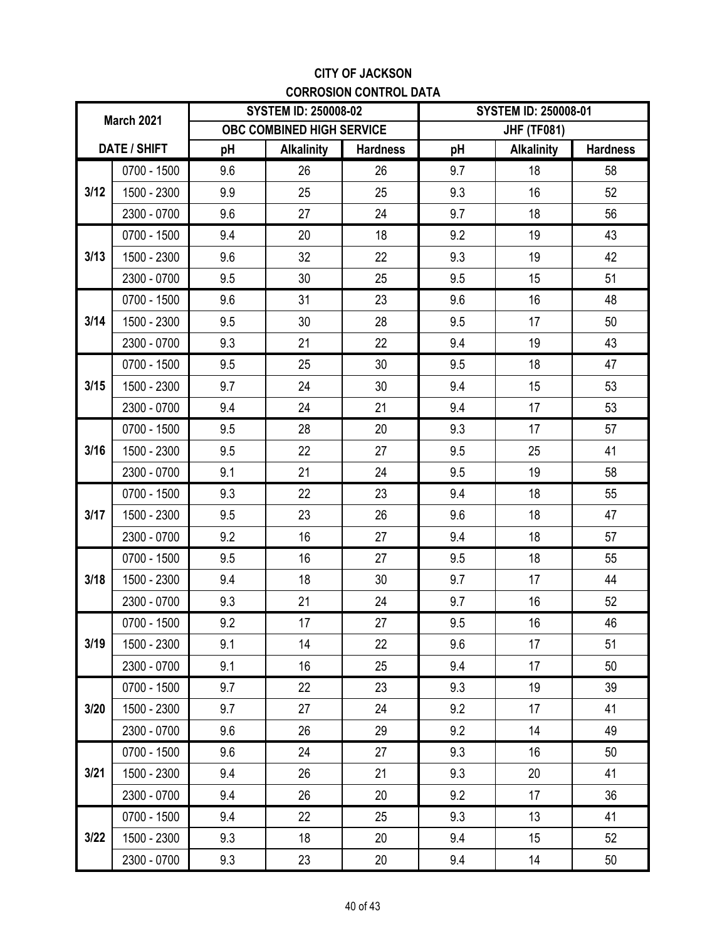### **CITY OF JACKSON CORROSION CONTROL DATA**

| <b>March 2021</b> |               |     | <b>SYSTEM ID: 250008-02</b> |                 | <b>SYSTEM ID: 250008-01</b> |                    |                 |
|-------------------|---------------|-----|-----------------------------|-----------------|-----------------------------|--------------------|-----------------|
|                   |               |     | OBC COMBINED HIGH SERVICE   |                 |                             | <b>JHF (TF081)</b> |                 |
|                   | DATE / SHIFT  | pH  | <b>Alkalinity</b>           | <b>Hardness</b> | pH                          | <b>Alkalinity</b>  | <b>Hardness</b> |
|                   | $0700 - 1500$ | 9.6 | 26                          | 26              | 9.7                         | 18                 | 58              |
| 3/12              | 1500 - 2300   | 9.9 | 25                          | 25              | 9.3                         | 16                 | 52              |
|                   | 2300 - 0700   | 9.6 | 27                          | 24              | 9.7                         | 18                 | 56              |
|                   | 0700 - 1500   | 9.4 | 20                          | 18              | 9.2                         | 19                 | 43              |
| 3/13              | 1500 - 2300   | 9.6 | 32                          | 22              | 9.3                         | 19                 | 42              |
|                   | 2300 - 0700   | 9.5 | 30                          | 25              | 9.5                         | 15                 | 51              |
|                   | $0700 - 1500$ | 9.6 | 31                          | 23              | 9.6                         | 16                 | 48              |
| 3/14              | 1500 - 2300   | 9.5 | 30                          | 28              | 9.5                         | 17                 | 50              |
|                   | 2300 - 0700   | 9.3 | 21                          | 22              | 9.4                         | 19                 | 43              |
|                   | 0700 - 1500   | 9.5 | 25                          | 30              | 9.5                         | 18                 | 47              |
| 3/15              | 1500 - 2300   | 9.7 | 24                          | 30              | 9.4                         | 15                 | 53              |
|                   | 2300 - 0700   | 9.4 | 24                          | 21              | 9.4                         | 17                 | 53              |
|                   | $0700 - 1500$ | 9.5 | 28                          | 20              | 9.3                         | 17                 | 57              |
| 3/16              | 1500 - 2300   | 9.5 | 22                          | 27              | 9.5                         | 25                 | 41              |
|                   | 2300 - 0700   | 9.1 | 21                          | 24              | 9.5                         | 19                 | 58              |
|                   | 0700 - 1500   | 9.3 | 22                          | 23              | 9.4                         | 18                 | 55              |
| 3/17              | 1500 - 2300   | 9.5 | 23                          | 26              | 9.6                         | 18                 | 47              |
|                   | 2300 - 0700   | 9.2 | 16                          | 27              | 9.4                         | 18                 | 57              |
|                   | 0700 - 1500   | 9.5 | 16                          | 27              | 9.5                         | 18                 | 55              |
| 3/18              | 1500 - 2300   | 9.4 | 18                          | 30              | 9.7                         | 17                 | 44              |
|                   | 2300 - 0700   | 9.3 | 21                          | 24              | 9.7                         | 16                 | 52              |
|                   | 0700 - 1500   | 9.2 | 17                          | 27              | 9.5                         | 16                 | 46              |
| 3/19              | 1500 - 2300   | 9.1 | 14                          | 22              | 9.6                         | 17                 | 51              |
|                   | 2300 - 0700   | 9.1 | 16                          | 25              | 9.4                         | 17                 | 50              |
|                   | 0700 - 1500   | 9.7 | 22                          | 23              | 9.3                         | 19                 | 39              |
| 3/20              | 1500 - 2300   | 9.7 | 27                          | 24              | 9.2                         | 17                 | 41              |
|                   | 2300 - 0700   | 9.6 | 26                          | 29              | 9.2                         | 14                 | 49              |
|                   | 0700 - 1500   | 9.6 | 24                          | 27              | 9.3                         | 16                 | 50              |
| 3/21              | 1500 - 2300   | 9.4 | 26                          | 21              | 9.3                         | 20                 | 41              |
|                   | 2300 - 0700   | 9.4 | 26                          | 20              | 9.2                         | 17                 | 36              |
|                   | 0700 - 1500   | 9.4 | 22                          | 25              | 9.3                         | 13                 | 41              |
| 3/22              | 1500 - 2300   | 9.3 | 18                          | 20              | 9.4                         | 15                 | 52              |
|                   | 2300 - 0700   | 9.3 | 23                          | 20              | 9.4                         | 14                 | 50              |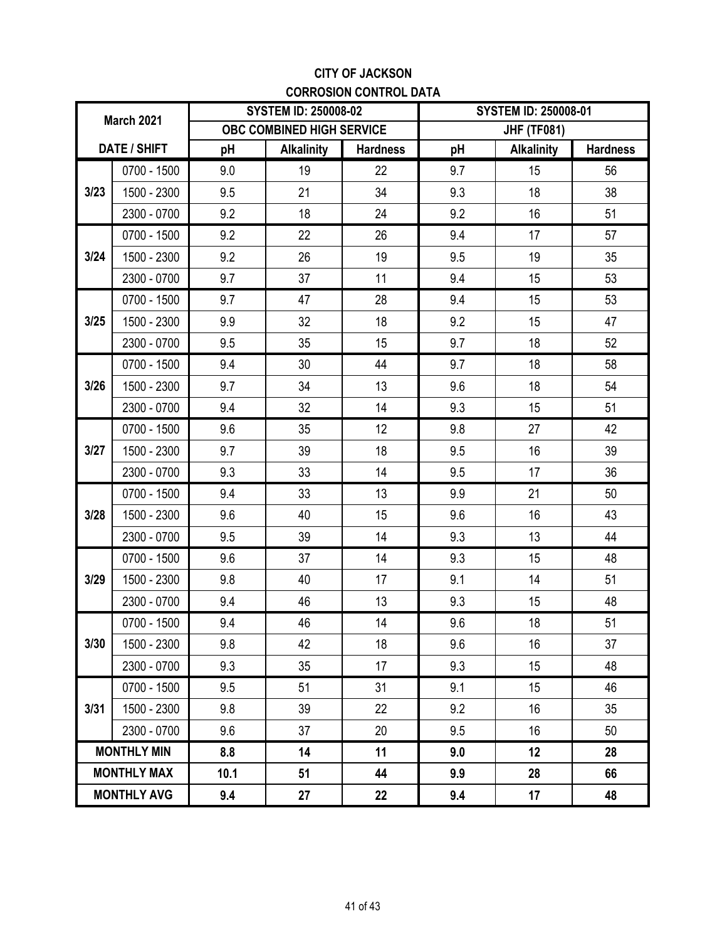### **CITY OF JACKSON CORROSION CONTROL DATA**

| <b>March 2021</b> |                    |      | <b>SYSTEM ID: 250008-02</b>      |                 | <b>SYSTEM ID: 250008-01</b> |                    |                 |  |
|-------------------|--------------------|------|----------------------------------|-----------------|-----------------------------|--------------------|-----------------|--|
|                   |                    |      | <b>OBC COMBINED HIGH SERVICE</b> |                 |                             | <b>JHF (TF081)</b> |                 |  |
|                   | DATE / SHIFT       | pH   | <b>Alkalinity</b>                | <b>Hardness</b> | pH                          | <b>Alkalinity</b>  | <b>Hardness</b> |  |
|                   | 0700 - 1500        | 9.0  | 19                               | 22              | 9.7                         | 15                 | 56              |  |
| 3/23              | 1500 - 2300        | 9.5  | 21                               | 34              | 9.3                         | 18                 | 38              |  |
|                   | 2300 - 0700        | 9.2  | 18                               | 24              | 9.2                         | 16                 | 51              |  |
|                   | 0700 - 1500        | 9.2  | 22                               | 26              | 9.4                         | 17                 | 57              |  |
| 3/24              | 1500 - 2300        | 9.2  | 26                               | 19              | 9.5                         | 19                 | 35              |  |
|                   | 2300 - 0700        | 9.7  | 37                               | 11              | 9.4                         | 15                 | 53              |  |
|                   | 0700 - 1500        | 9.7  | 47                               | 28              | 9.4                         | 15                 | 53              |  |
| 3/25              | 1500 - 2300        | 9.9  | 32                               | 18              | 9.2                         | 15                 | 47              |  |
|                   | 2300 - 0700        | 9.5  | 35                               | 15              | 9.7                         | 18                 | 52              |  |
|                   | 0700 - 1500        | 9.4  | 30                               | 44              | 9.7                         | 18                 | 58              |  |
| 3/26              | 1500 - 2300        | 9.7  | 34                               | 13              | 9.6                         | 18                 | 54              |  |
|                   | 2300 - 0700        | 9.4  | 32                               | 14              | 9.3                         | 15                 | 51              |  |
|                   | 0700 - 1500        | 9.6  | 35                               | 12              | 9.8                         | 27                 | 42              |  |
| 3/27              | 1500 - 2300        | 9.7  | 39                               | 18              | 9.5                         | 16                 | 39              |  |
|                   | 2300 - 0700        | 9.3  | 33                               | 14              | 9.5                         | 17                 | 36              |  |
|                   | 0700 - 1500        | 9.4  | 33                               | 13              | 9.9                         | 21                 | 50              |  |
| 3/28              | 1500 - 2300        | 9.6  | 40                               | 15              | 9.6                         | 16                 | 43              |  |
|                   | 2300 - 0700        | 9.5  | 39                               | 14              | 9.3                         | 13                 | 44              |  |
|                   | 0700 - 1500        | 9.6  | 37                               | 14              | 9.3                         | 15                 | 48              |  |
| 3/29              | 1500 - 2300        | 9.8  | 40                               | 17              | 9.1                         | 14                 | 51              |  |
|                   | 2300 - 0700        | 9.4  | 46                               | 13              | 9.3                         | 15                 | 48              |  |
|                   | 0700 - 1500        | 9.4  | 46                               | 14              | 9.6                         | 18                 | 51              |  |
| 3/30              | 1500 - 2300        | 9.8  | 42                               | 18              | 9.6                         | 16                 | 37              |  |
|                   | 2300 - 0700        | 9.3  | 35                               | 17              | 9.3                         | 15                 | 48              |  |
|                   | 0700 - 1500        | 9.5  | 51                               | 31              | 9.1                         | 15                 | 46              |  |
| 3/31              | 1500 - 2300        | 9.8  | 39                               | 22              | 9.2                         | 16                 | 35              |  |
|                   | 2300 - 0700        | 9.6  | 37                               | 20              | 9.5                         | 16                 | 50              |  |
|                   | <b>MONTHLY MIN</b> | 8.8  | 14                               | 11              | 9.0                         | 12                 | 28              |  |
|                   | <b>MONTHLY MAX</b> | 10.1 | 51                               | 44              | 9.9                         | 28                 | 66              |  |
|                   | <b>MONTHLY AVG</b> | 9.4  | 27                               | 22              | 9.4                         | 17                 | 48              |  |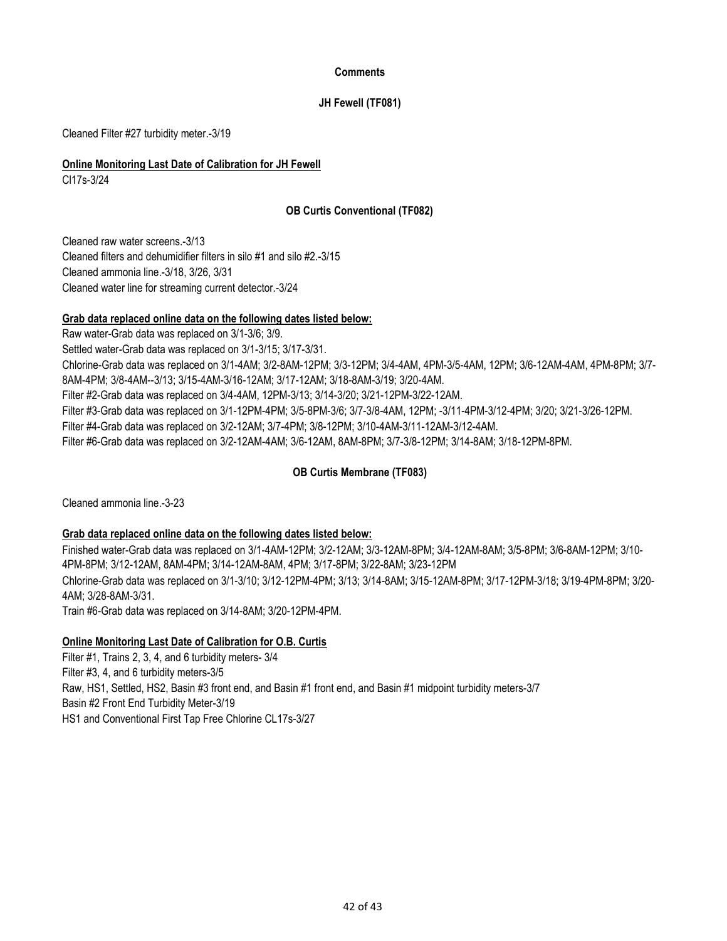#### **Comments**

### **JH Fewell (TF081)**

Cleaned Filter #27 turbidity meter.-3/19

### **Online Monitoring Last Date of Calibration for JH Fewell**

Cl17s-3/24

### **OB Curtis Conventional (TF082)**

Cleaned raw water screens.-3/13 Cleaned filters and dehumidifier filters in silo #1 and silo #2.-3/15 Cleaned water line for streaming current detector.-3/24 Cleaned ammonia line.-3/18, 3/26, 3/31

#### **Grab data replaced online data on the following dates listed below:**

Filter #6-Grab data was replaced on 3/2-12AM-4AM; 3/6-12AM, 8AM-8PM; 3/7-3/8-12PM; 3/14-8AM; 3/18-12PM-8PM. Raw water-Grab data was replaced on 3/1-3/6; 3/9. Filter #2-Grab data was replaced on 3/4-4AM, 12PM-3/13; 3/14-3/20; 3/21-12PM-3/22-12AM. Filter #3-Grab data was replaced on 3/1-12PM-4PM; 3/5-8PM-3/6; 3/7-3/8-4AM, 12PM; -3/11-4PM-3/12-4PM; 3/20; 3/21-3/26-12PM. Settled water-Grab data was replaced on 3/1-3/15; 3/17-3/31. Chlorine-Grab data was replaced on 3/1-4AM; 3/2-8AM-12PM; 3/3-12PM; 3/4-4AM, 4PM-3/5-4AM, 12PM; 3/6-12AM-4AM, 4PM-8PM; 3/7- 8AM-4PM; 3/8-4AM--3/13; 3/15-4AM-3/16-12AM; 3/17-12AM; 3/18-8AM-3/19; 3/20-4AM. Filter #4-Grab data was replaced on 3/2-12AM; 3/7-4PM; 3/8-12PM; 3/10-4AM-3/11-12AM-3/12-4AM.

### **OB Curtis Membrane (TF083)**

Cleaned ammonia line.-3-23

### **Grab data replaced online data on the following dates listed below:**

Chlorine-Grab data was replaced on 3/1-3/10; 3/12-12PM-4PM; 3/13; 3/14-8AM; 3/15-12AM-8PM; 3/17-12PM-3/18; 3/19-4PM-8PM; 3/20- 4AM; 3/28-8AM-3/31. Finished water-Grab data was replaced on 3/1-4AM-12PM; 3/2-12AM; 3/3-12AM-8PM; 3/4-12AM-8AM; 3/5-8PM; 3/6-8AM-12PM; 3/10- 4PM-8PM; 3/12-12AM, 8AM-4PM; 3/14-12AM-8AM, 4PM; 3/17-8PM; 3/22-8AM; 3/23-12PM

Train #6-Grab data was replaced on 3/14-8AM; 3/20-12PM-4PM.

#### **Online Monitoring Last Date of Calibration for O.B. Curtis**

Filter #3, 4, and 6 turbidity meters-3/5 Raw, HS1, Settled, HS2, Basin #3 front end, and Basin #1 front end, and Basin #1 midpoint turbidity meters-3/7 Basin #2 Front End Turbidity Meter-3/19 Filter #1, Trains 2, 3, 4, and 6 turbidity meters- 3/4 HS1 and Conventional First Tap Free Chlorine CL17s-3/27